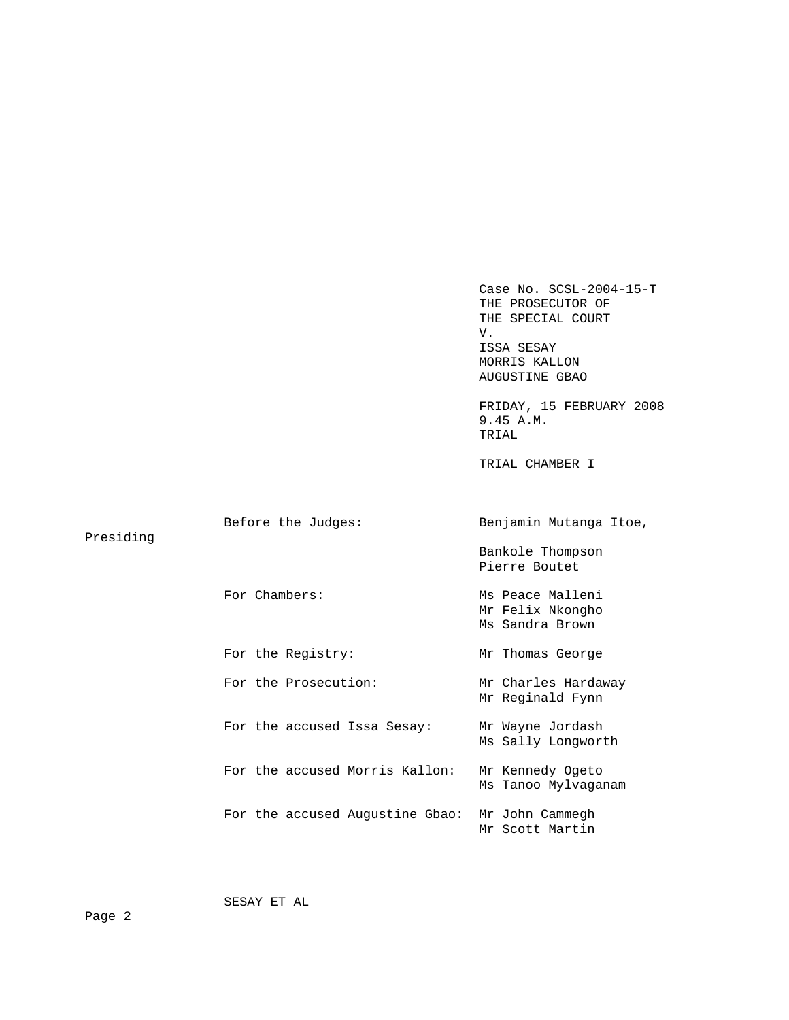Case No. SCSL-2004-15-T THE PROSECUTOR OF THE SPECIAL COURT V. ISSA SESAY MORRIS KALLON AUGUSTINE GBAO FRIDAY, 15 FEBRUARY 2008 9.45 A.M. TRIAL TRIAL CHAMBER I Before the Judges: Benjamin Mutanga Itoe, Presiding Bankole Thompson Pierre Boutet For Chambers: Ms Peace Malleni Mr Felix Nkongho Ms Sandra Brown For the Registry: Mr Thomas George For the Prosecution: Mr Charles Hardaway Mr Reginald Fynn For the accused Issa Sesay: Mr Wayne Jordash Ms Sally Longworth For the accused Morris Kallon: Mr Kennedy Ogeto Ms Tanoo Mylvaganam For the accused Augustine Gbao: Mr John Cammegh Mr Scott Martin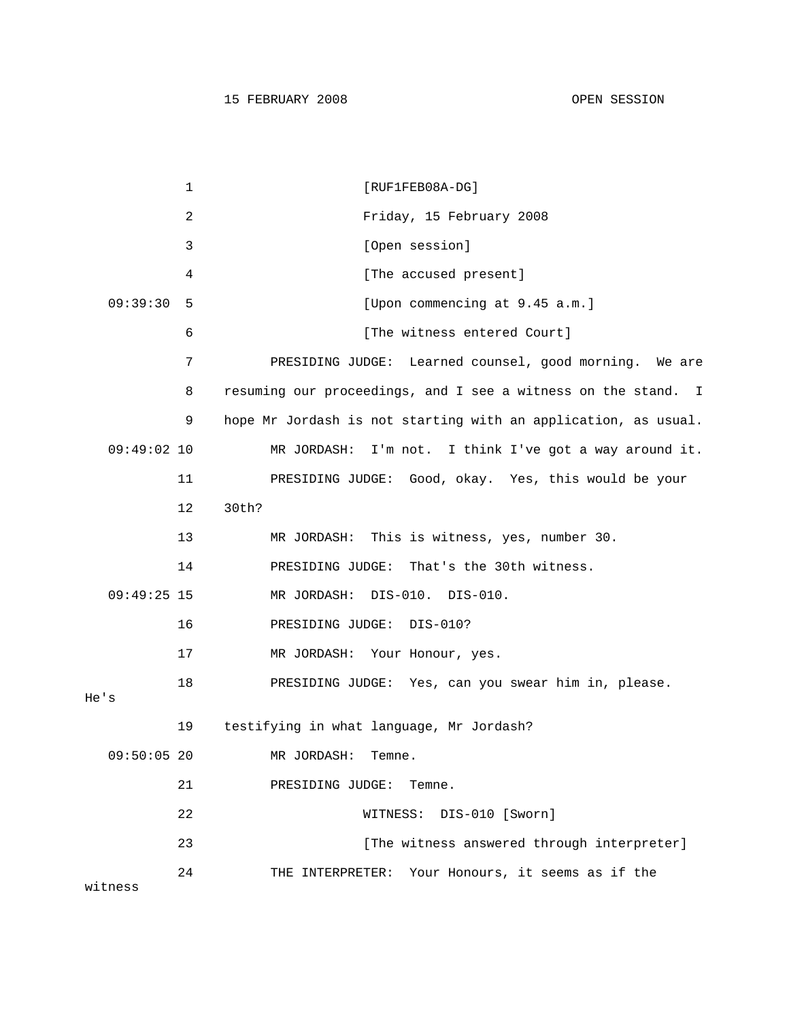15 FEBRUARY 2008 OPEN SESSION

1 [RUF1FEB08A-DG] 2 Friday, 15 February 2008 3 [Open session] 4 [The accused present] 09:39:30 5 [Upon commencing at 9.45 a.m.] 6 [The witness entered Court] 7 PRESIDING JUDGE: Learned counsel, good morning. We are 8 resuming our proceedings, and I see a witness on the stand. I 9 hope Mr Jordash is not starting with an application, as usual. 09:49:02 10 MR JORDASH: I'm not. I think I've got a way around it. 11 PRESIDING JUDGE: Good, okay. Yes, this would be your 12 30th? 13 MR JORDASH: This is witness, yes, number 30. 14 PRESIDING JUDGE: That's the 30th witness. 09:49:25 15 MR JORDASH: DIS-010. DIS-010. 16 PRESIDING JUDGE: DIS-010? 17 MR JORDASH: Your Honour, yes. 18 PRESIDING JUDGE: Yes, can you swear him in, please. He's 19 testifying in what language, Mr Jordash? 09:50:05 20 MR JORDASH: Temne. 21 PRESIDING JUDGE: Temne. 22 WITNESS: DIS-010 [Sworn] 23 **Example 23** [The witness answered through interpreter] 24 THE INTERPRETER: Your Honours, it seems as if the witness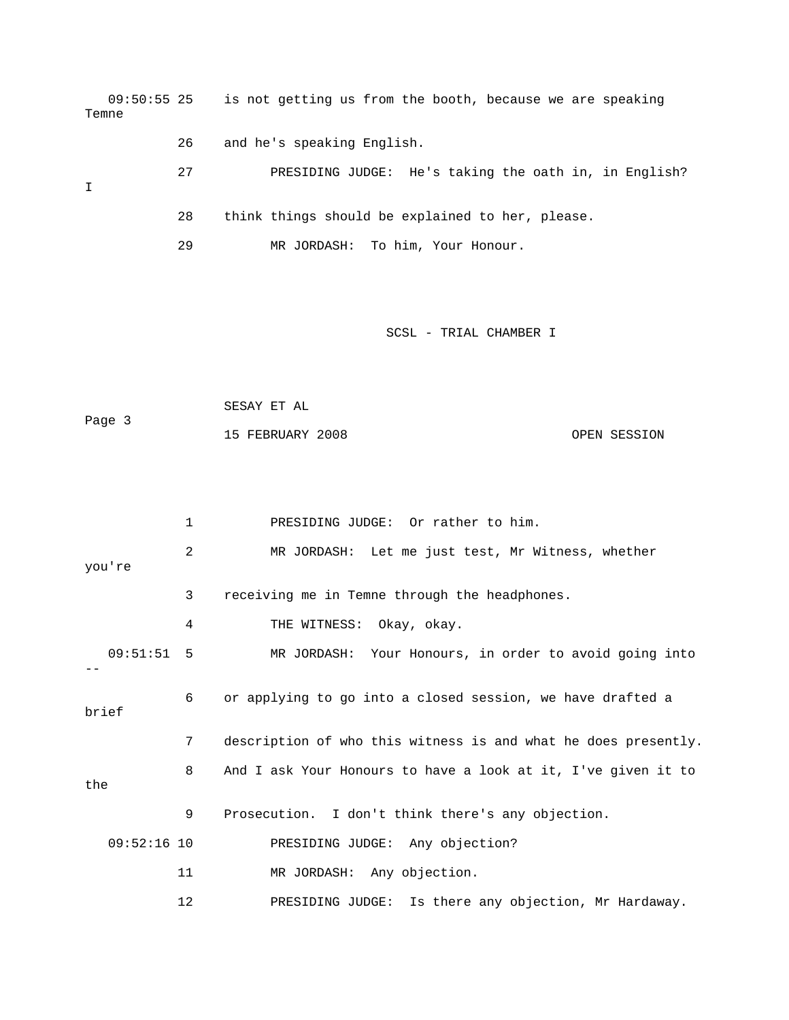09:50:55 25 is not getting us from the booth, because we are speaking Temne 26 and he's speaking English. 27 PRESIDING JUDGE: He's taking the oath in, in English? I 28 think things should be explained to her, please. 29 MR JORDASH: To him, Your Honour. SCSL - TRIAL CHAMBER I SESAY ET AL Page 3 15 FEBRUARY 2008 OPEN SESSION

 1 PRESIDING JUDGE: Or rather to him. 2 MR JORDASH: Let me just test, Mr Witness, whether you're 3 receiving me in Temne through the headphones. 4 THE WITNESS: Okay, okay. 09:51:51 5 MR JORDASH: Your Honours, in order to avoid going into  $-1$  6 or applying to go into a closed session, we have drafted a brief 7 description of who this witness is and what he does presently. 8 And I ask Your Honours to have a look at it, I've given it to the 9 Prosecution. I don't think there's any objection. 09:52:16 10 PRESIDING JUDGE: Any objection? 11 MR JORDASH: Any objection. 12 PRESIDING JUDGE: Is there any objection, Mr Hardaway.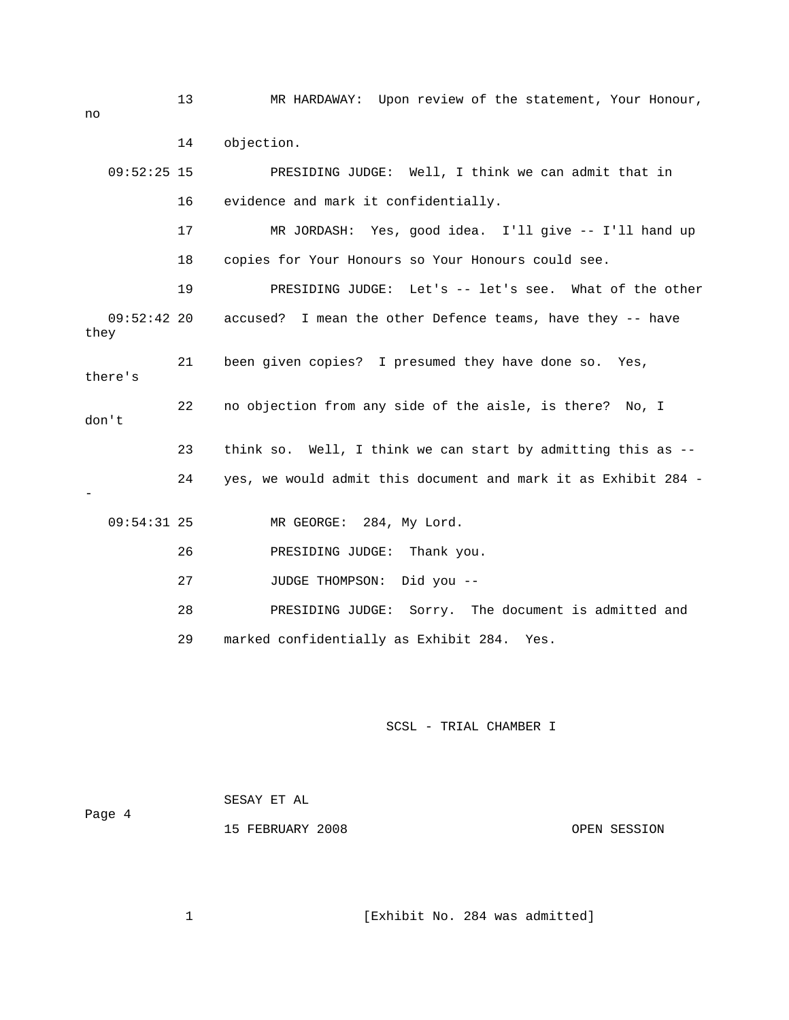13 MR HARDAWAY: Upon review of the statement, Your Honour, no 14 objection. 09:52:25 15 PRESIDING JUDGE: Well, I think we can admit that in 16 evidence and mark it confidentially. 17 MR JORDASH: Yes, good idea. I'll give -- I'll hand up 18 copies for Your Honours so Your Honours could see. 19 PRESIDING JUDGE: Let's -- let's see. What of the other 09:52:42 20 accused? I mean the other Defence teams, have they -- have they 21 been given copies? I presumed they have done so. Yes, there's 22 no objection from any side of the aisle, is there? No, I don't 23 think so. Well, I think we can start by admitting this as -- 24 yes, we would admit this document and mark it as Exhibit 284 - - 09:54:31 25 MR GEORGE: 284, My Lord. 26 PRESIDING JUDGE: Thank you. 27 JUDGE THOMPSON: Did you -- 28 PRESIDING JUDGE: Sorry. The document is admitted and 29 marked confidentially as Exhibit 284. Yes.

## SCSL - TRIAL CHAMBER I

 SESAY ET AL Page 4 15 FEBRUARY 2008 OPEN SESSION

1 [Exhibit No. 284 was admitted]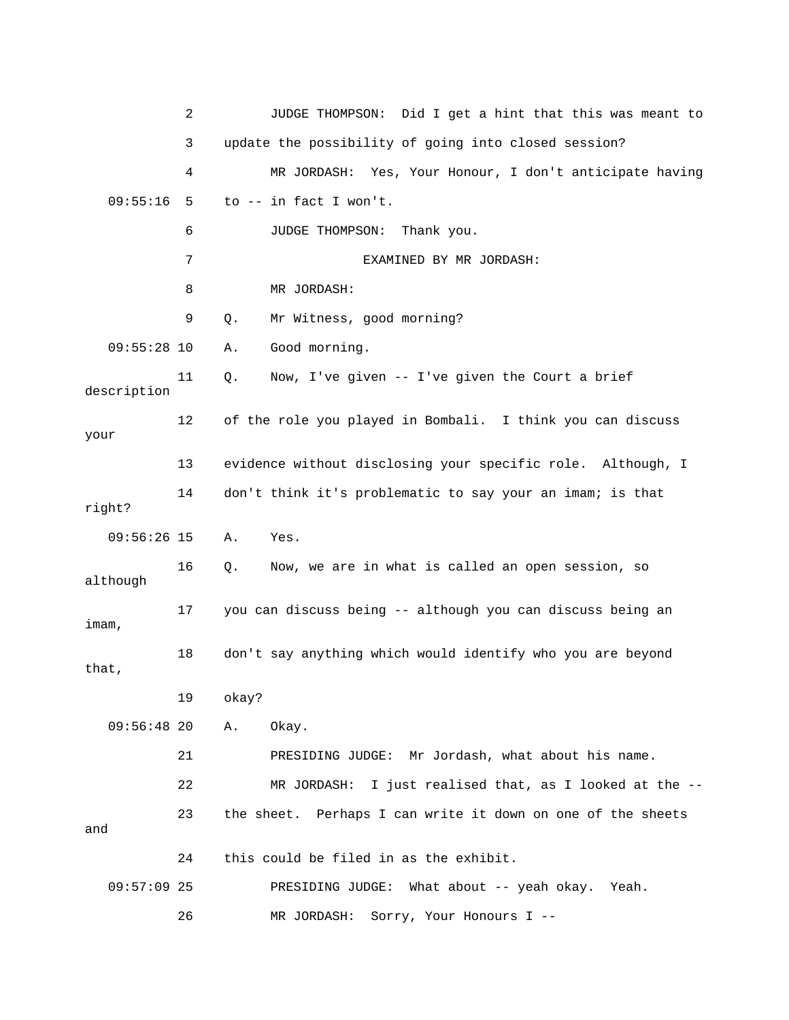|               | 2  | JUDGE THOMPSON: Did I get a hint that this was meant to     |
|---------------|----|-------------------------------------------------------------|
|               | 3  | update the possibility of going into closed session?        |
|               | 4  | MR JORDASH: Yes, Your Honour, I don't anticipate having     |
| 09:55:16      | 5  | to -- in fact I won't.                                      |
|               | 6  | JUDGE THOMPSON:<br>Thank you.                               |
|               | 7  | EXAMINED BY MR JORDASH:                                     |
|               | 8  | MR JORDASH:                                                 |
|               | 9  | Mr Witness, good morning?<br>Q.                             |
| $09:55:28$ 10 |    | Good morning.<br>Α.                                         |
| description   | 11 | Now, I've given -- I've given the Court a brief<br>Q.       |
| your          | 12 | of the role you played in Bombali. I think you can discuss  |
|               | 13 | evidence without disclosing your specific role. Although, I |
| right?        | 14 | don't think it's problematic to say your an imam; is that   |
| $09:56:26$ 15 |    | Α.<br>Yes.                                                  |
| although      | 16 | Now, we are in what is called an open session, so<br>Q.     |
| imam,         | 17 | you can discuss being -- although you can discuss being an  |
| that,         | 18 | don't say anything which would identify who you are beyond  |
|               | 19 | okay?                                                       |
| $09:56:48$ 20 |    | Okay.<br>Α.                                                 |
|               | 21 | PRESIDING JUDGE: Mr Jordash, what about his name.           |
|               | 22 | I just realised that, as I looked at the --<br>MR JORDASH:  |
| and           | 23 | the sheet. Perhaps I can write it down on one of the sheets |
|               | 24 | this could be filed in as the exhibit.                      |
| $09:57:09$ 25 |    | PRESIDING JUDGE: What about -- yeah okay.<br>Yeah.          |
|               | 26 | MR JORDASH: Sorry, Your Honours I --                        |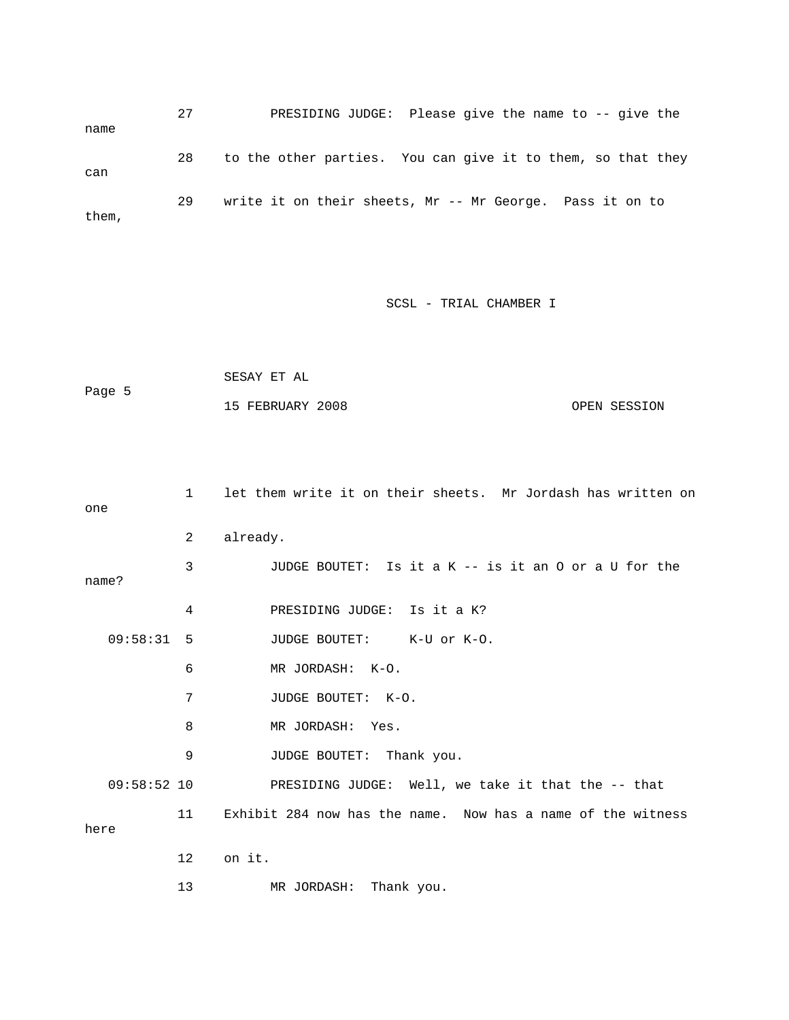27 PRESIDING JUDGE: Please give the name to -- give the name 28 to the other parties. You can give it to them, so that they can 29 write it on their sheets, Mr -- Mr George. Pass it on to them,

SCSL - TRIAL CHAMBER I

```
 SESAY ET AL 
Page 5 
             15 FEBRUARY 2008 OPEN SESSION
```

| one           | $\mathbf{1}$   | let them write it on their sheets. Mr Jordash has written on |
|---------------|----------------|--------------------------------------------------------------|
|               | $\overline{2}$ | already.                                                     |
| name?         | 3              | JUDGE BOUTET: Is it a K -- is it an O or a U for the         |
|               | 4              | PRESIDING JUDGE: Is it a K?                                  |
| 09:58:31 5    |                | JUDGE BOUTET: K-U or K-O.                                    |
|               | 6              | MR JORDASH: K-O.                                             |
|               | 7              | JUDGE BOUTET: K-O.                                           |
|               | 8              | MR JORDASH: Yes.                                             |
|               | 9              | JUDGE BOUTET: Thank you.                                     |
| $09:58:52$ 10 |                | PRESIDING JUDGE: Well, we take it that the -- that           |
| here          | 11             | Exhibit 284 now has the name. Now has a name of the witness  |
|               | $12 \,$        | on it.                                                       |
|               | 13             | Thank you.<br>MR JORDASH:                                    |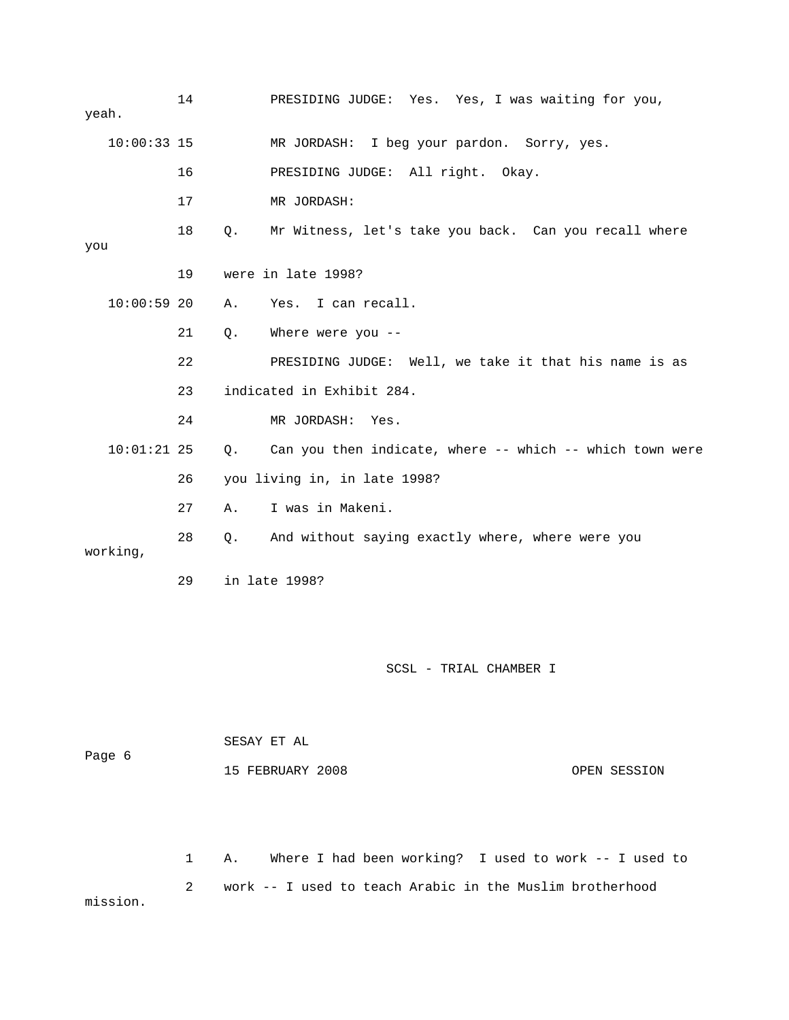14 PRESIDING JUDGE: Yes. Yes, I was waiting for you, yeah. 10:00:33 15 MR JORDASH: I beg your pardon. Sorry, yes. 16 PRESIDING JUDGE: All right. Okay. 17 MR JORDASH: 18 Q. Mr Witness, let's take you back. Can you recall where you 19 were in late 1998? 10:00:59 20 A. Yes. I can recall. 21 Q. Where were you -- 22 PRESIDING JUDGE: Well, we take it that his name is as 23 indicated in Exhibit 284. 24 MR JORDASH: Yes. 10:01:21 25 Q. Can you then indicate, where -- which -- which town were 26 you living in, in late 1998? 27 A. I was in Makeni. 28 Q. And without saying exactly where, where were you working, 29 in late 1998?

SCSL - TRIAL CHAMBER I

 SESAY ET AL Page 6 15 FEBRUARY 2008 OPEN SESSION

 1 A. Where I had been working? I used to work -- I used to 2 work -- I used to teach Arabic in the Muslim brotherhood mission.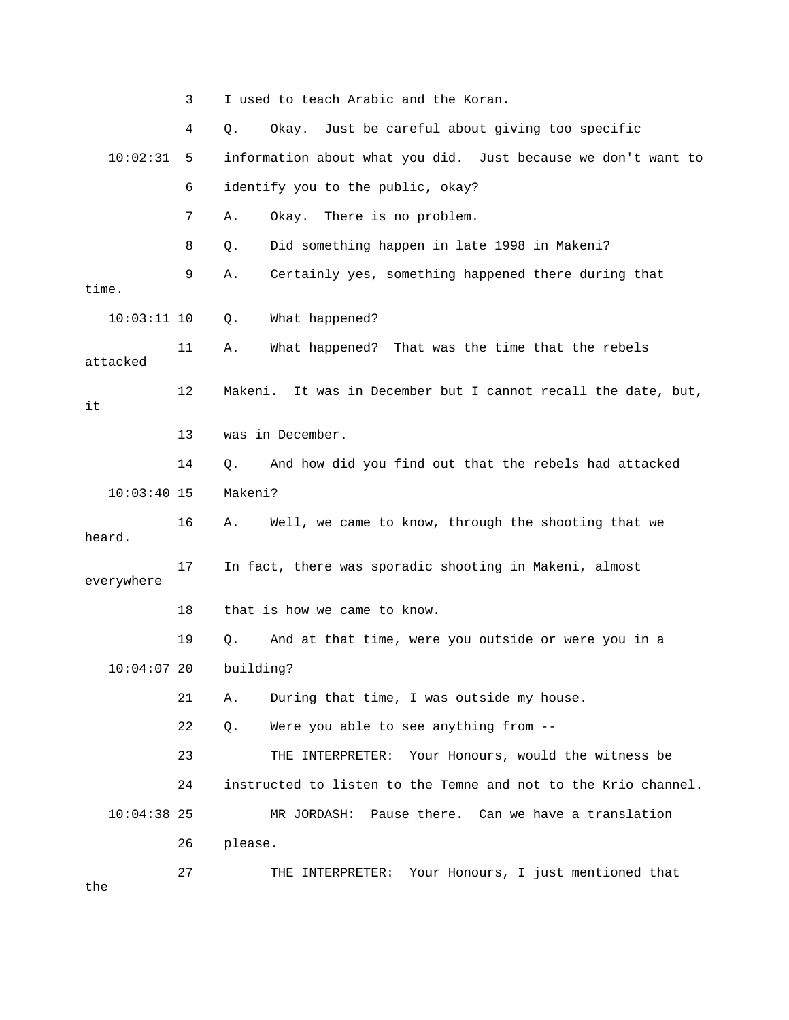|               | 3  | I used to teach Arabic and the Koran.                            |  |  |  |
|---------------|----|------------------------------------------------------------------|--|--|--|
|               | 4  | Just be careful about giving too specific<br>Okay.<br>Q.         |  |  |  |
| 10:02:31      | 5  | information about what you did. Just because we don't want to    |  |  |  |
|               | 6  | identify you to the public, okay?                                |  |  |  |
|               | 7  | There is no problem.<br>Okay.<br>Α.                              |  |  |  |
|               | 8  | Did something happen in late 1998 in Makeni?<br>Q.               |  |  |  |
| time.         | 9  | Certainly yes, something happened there during that<br>Α.        |  |  |  |
| $10:03:11$ 10 |    | What happened?<br>Q.                                             |  |  |  |
| attacked      | 11 | What happened? That was the time that the rebels<br>Α.           |  |  |  |
| it            | 12 | It was in December but I cannot recall the date, but,<br>Makeni. |  |  |  |
|               | 13 | was in December.                                                 |  |  |  |
|               | 14 | And how did you find out that the rebels had attacked<br>Q.      |  |  |  |
| $10:03:40$ 15 |    | Makeni?                                                          |  |  |  |
| heard.        | 16 | Well, we came to know, through the shooting that we<br>Α.        |  |  |  |
| everywhere    | 17 | In fact, there was sporadic shooting in Makeni, almost           |  |  |  |
|               | 18 | that is how we came to know.                                     |  |  |  |
|               | 19 | And at that time, were you outside or were you in a<br>Q.        |  |  |  |
| $10:04:07$ 20 |    | building?                                                        |  |  |  |
|               | 21 | During that time, I was outside my house.<br>Α.                  |  |  |  |
|               | 22 | Were you able to see anything from --<br>Q.                      |  |  |  |
|               | 23 | Your Honours, would the witness be<br>THE INTERPRETER:           |  |  |  |
|               | 24 | instructed to listen to the Temne and not to the Krio channel.   |  |  |  |
| $10:04:38$ 25 |    | MR JORDASH: Pause there. Can we have a translation               |  |  |  |
|               | 26 | please.                                                          |  |  |  |
| the           | 27 | THE INTERPRETER: Your Honours, I just mentioned that             |  |  |  |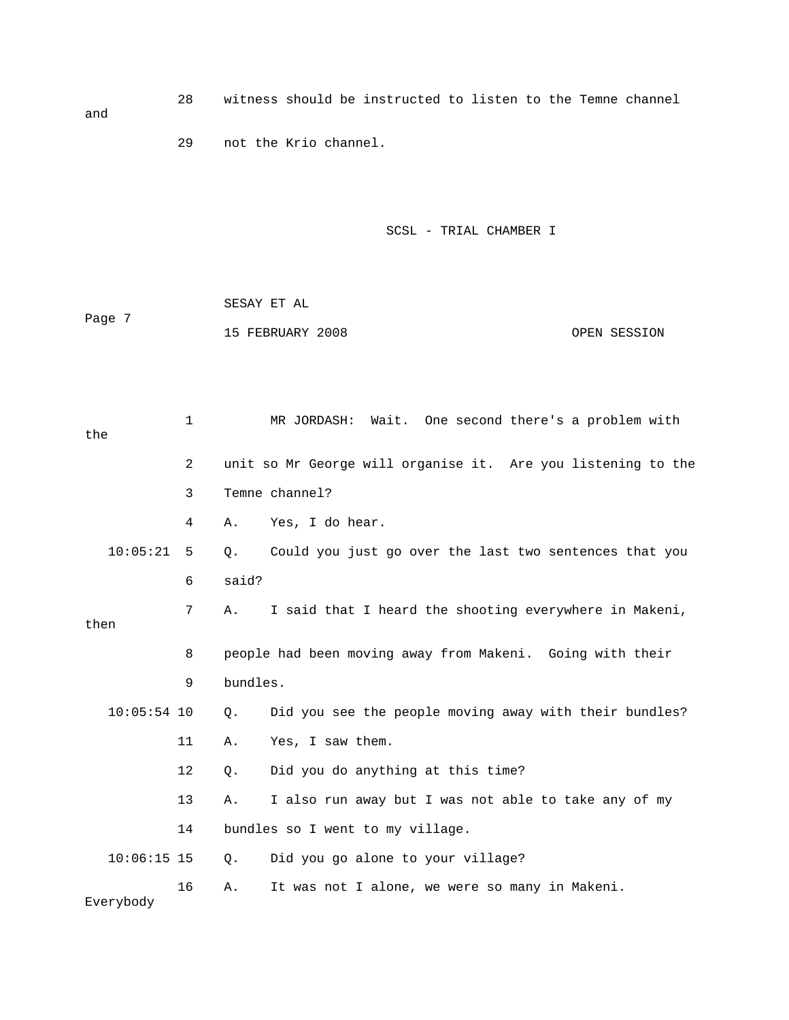28 witness should be instructed to listen to the Temne channel and 29 not the Krio channel.

SCSL - TRIAL CHAMBER I

 SESAY ET AL Page 7 15 FEBRUARY 2008 OPEN SESSION

 1 MR JORDASH: Wait. One second there's a problem with the 2 unit so Mr George will organise it. Are you listening to the 3 Temne channel? 4 A. Yes, I do hear. 10:05:21 5 Q. Could you just go over the last two sentences that you 6 said? 7 A. I said that I heard the shooting everywhere in Makeni, then 8 people had been moving away from Makeni. Going with their 9 bundles. 10:05:54 10 Q. Did you see the people moving away with their bundles? 11 A. Yes, I saw them. 12 Q. Did you do anything at this time? 13 A. I also run away but I was not able to take any of my 14 bundles so I went to my village. 10:06:15 15 Q. Did you go alone to your village? 16 A. It was not I alone, we were so many in Makeni. Everybody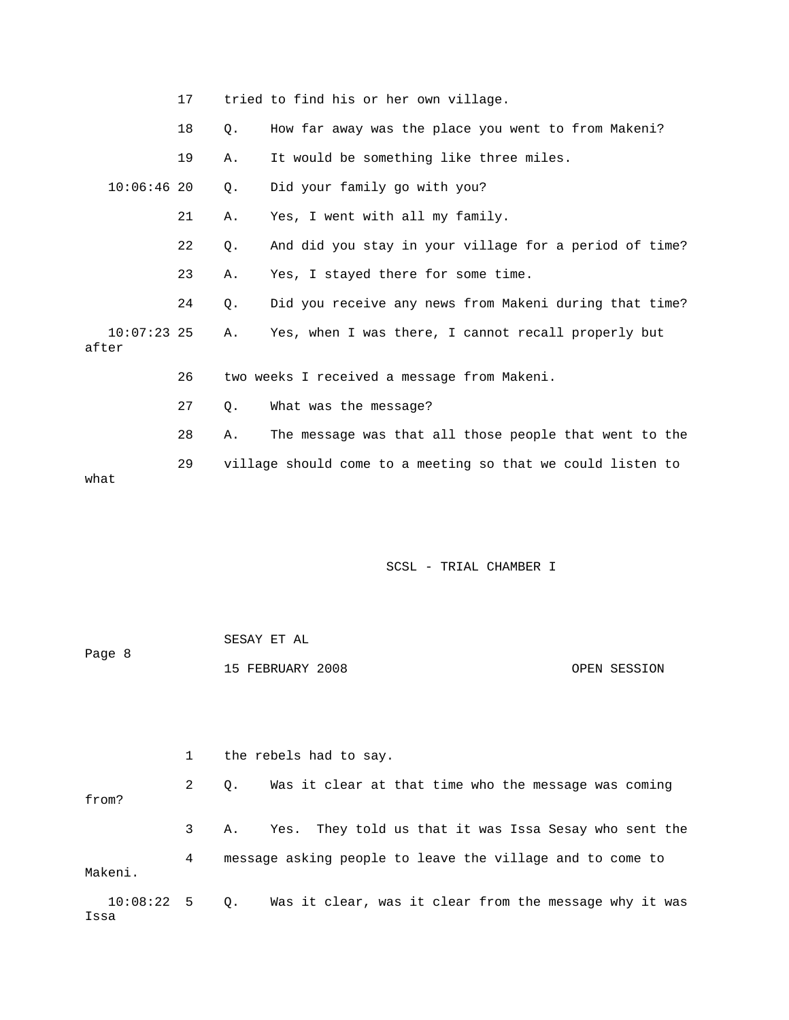|       |               | 17 |    | tried to find his or her own village.                       |
|-------|---------------|----|----|-------------------------------------------------------------|
|       |               | 18 | О. | How far away was the place you went to from Makeni?         |
|       |               | 19 | Α. | It would be something like three miles.                     |
|       | 10:06:4620    |    | 0. | Did your family go with you?                                |
|       |               | 21 | Α. | Yes, I went with all my family.                             |
|       |               | 22 | Q. | And did you stay in your village for a period of time?      |
|       |               | 23 | Α. | Yes, I stayed there for some time.                          |
|       |               | 24 | 0. | Did you receive any news from Makeni during that time?      |
| after | $10:07:23$ 25 |    | Α. | Yes, when I was there, I cannot recall properly but         |
|       |               | 26 |    | two weeks I received a message from Makeni.                 |
|       |               | 27 | О. | What was the message?                                       |
|       |               | 28 | Α. | The message was that all those people that went to the      |
| what  |               | 29 |    | village should come to a meeting so that we could listen to |

| Page 8 | SESAY ET AL      |              |
|--------|------------------|--------------|
|        | 15 FEBRUARY 2008 | OPEN SESSION |

 1 the rebels had to say. 2 Q. Was it clear at that time who the message was coming from? 3 A. Yes. They told us that it was Issa Sesay who sent the 4 message asking people to leave the village and to come to Makeni. 10:08:22 5 Q. Was it clear, was it clear from the message why it was

Issa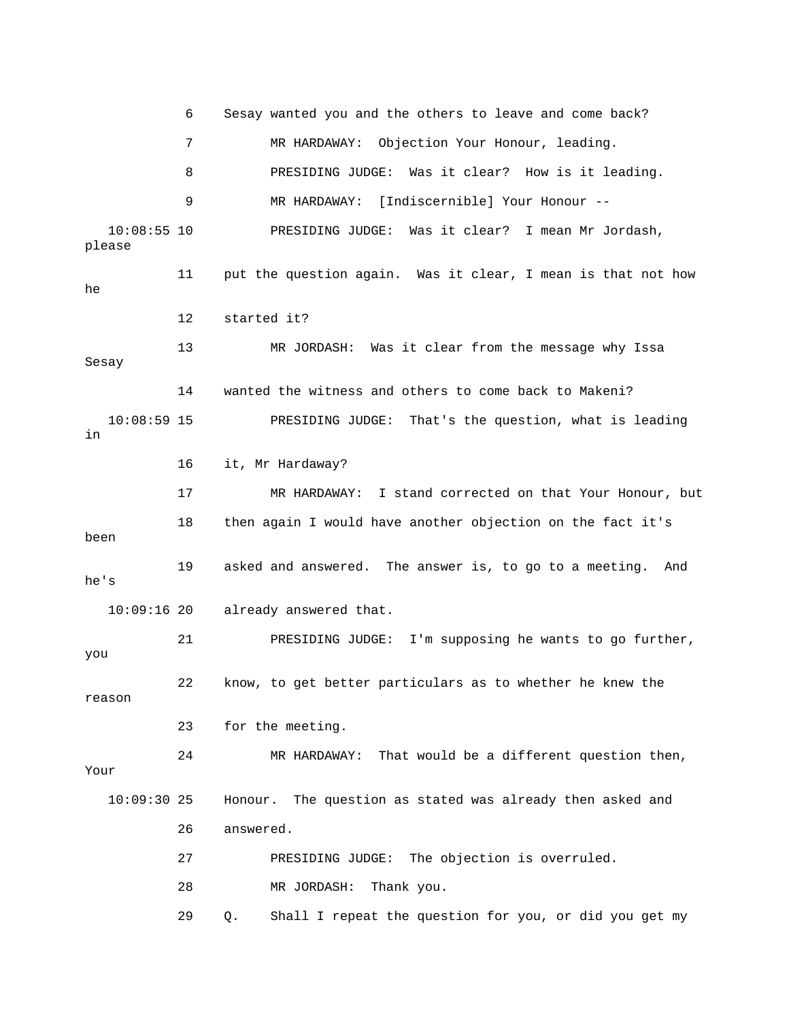6 Sesay wanted you and the others to leave and come back? 7 MR HARDAWAY: Objection Your Honour, leading. 8 PRESIDING JUDGE: Was it clear? How is it leading. 9 MR HARDAWAY: [Indiscernible] Your Honour -- 10:08:55 10 PRESIDING JUDGE: Was it clear? I mean Mr Jordash, please 11 put the question again. Was it clear, I mean is that not how he 12 started it? 13 MR JORDASH: Was it clear from the message why Issa Sesay 14 wanted the witness and others to come back to Makeni? 10:08:59 15 PRESIDING JUDGE: That's the question, what is leading in 16 it, Mr Hardaway? 17 MR HARDAWAY: I stand corrected on that Your Honour, but 18 then again I would have another objection on the fact it's been 19 asked and answered. The answer is, to go to a meeting. And he's 10:09:16 20 already answered that. 21 PRESIDING JUDGE: I'm supposing he wants to go further, you 22 know, to get better particulars as to whether he knew the reason 23 for the meeting. 24 MR HARDAWAY: That would be a different question then, Your 10:09:30 25 Honour. The question as stated was already then asked and 26 answered. 27 PRESIDING JUDGE: The objection is overruled. 28 MR JORDASH: Thank you.

29 Q. Shall I repeat the question for you, or did you get my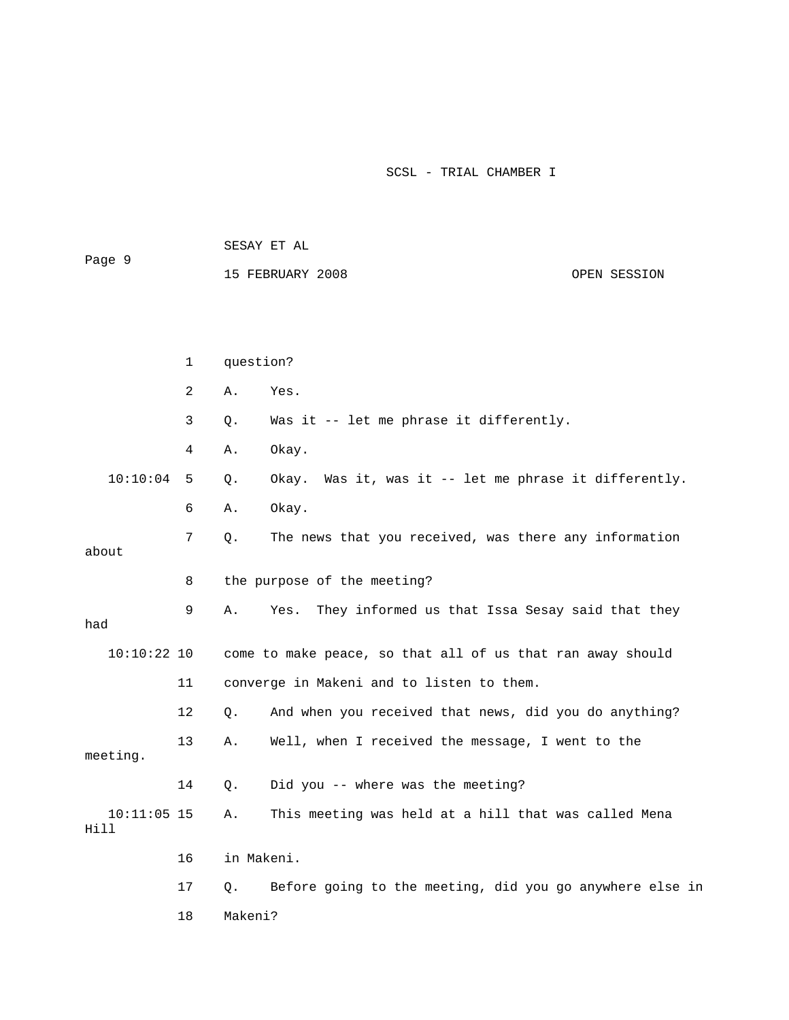SESAY ET AL Page 9 15 FEBRUARY 2008 OPEN SESSION 1 question? 2 A. Yes. 3 Q. Was it -- let me phrase it differently. 4 A. Okay. 10:10:04 5 Q. Okay. Was it, was it -- let me phrase it differently. 6 A. Okay. 7 Q. The news that you received, was there any information about 8 the purpose of the meeting? 9 A. Yes. They informed us that Issa Sesay said that they had 10:10:22 10 come to make peace, so that all of us that ran away should 11 converge in Makeni and to listen to them. 12 Q. And when you received that news, did you do anything? 13 A. Well, when I received the message, I went to the meeting. 14 Q. Did you -- where was the meeting? 10:11:05 15 A. This meeting was held at a hill that was called Mena Hill 16 in Makeni. 17 Q. Before going to the meeting, did you go anywhere else in 18 Makeni?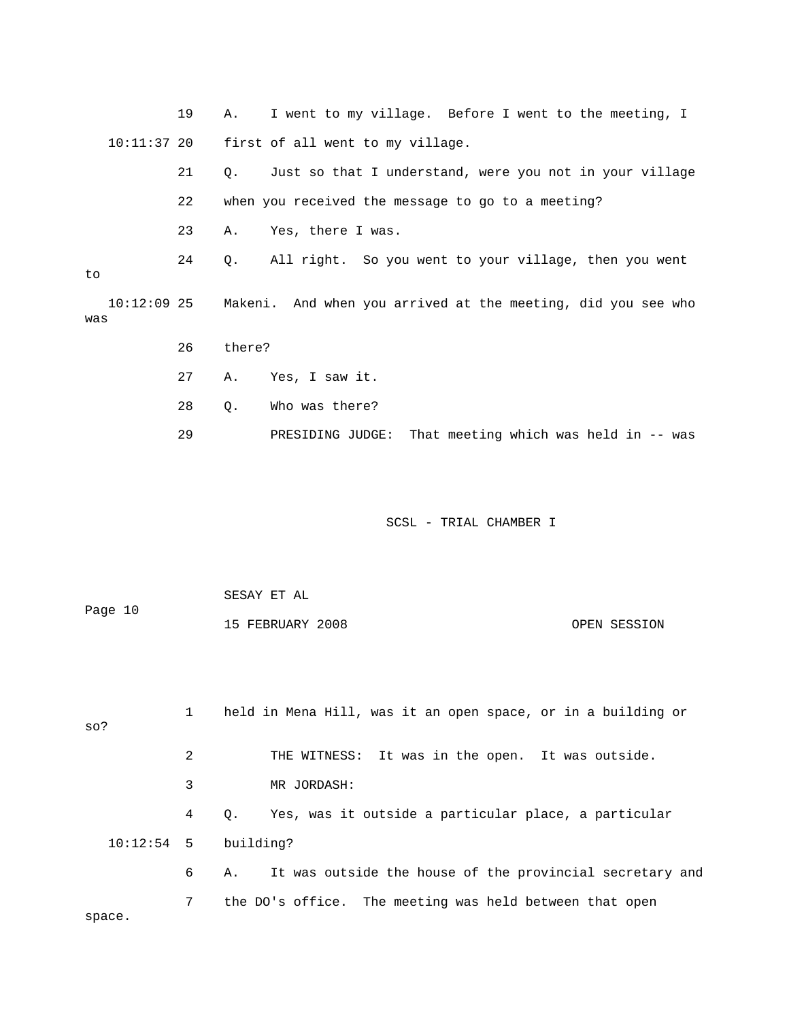19 A. I went to my village. Before I went to the meeting, I 10:11:37 20 first of all went to my village. 21 Q. Just so that I understand, were you not in your village 22 when you received the message to go to a meeting? 23 A. Yes, there I was. 24 Q. All right. So you went to your village, then you went to 10:12:09 25 Makeni. And when you arrived at the meeting, did you see who was 26 there? 27 A. Yes, I saw it. 28 Q. Who was there? 29 PRESIDING JUDGE: That meeting which was held in -- was

SCSL - TRIAL CHAMBER I

|         | SESAY ET AL      |              |
|---------|------------------|--------------|
| Page 10 |                  |              |
|         | 15 FEBRUARY 2008 | OPEN SESSION |

 1 held in Mena Hill, was it an open space, or in a building or so? 2 THE WITNESS: It was in the open. It was outside. 3 MR JORDASH: 4 Q. Yes, was it outside a particular place, a particular 10:12:54 5 building? 6 A. It was outside the house of the provincial secretary and 7 the DO's office. The meeting was held between that open space.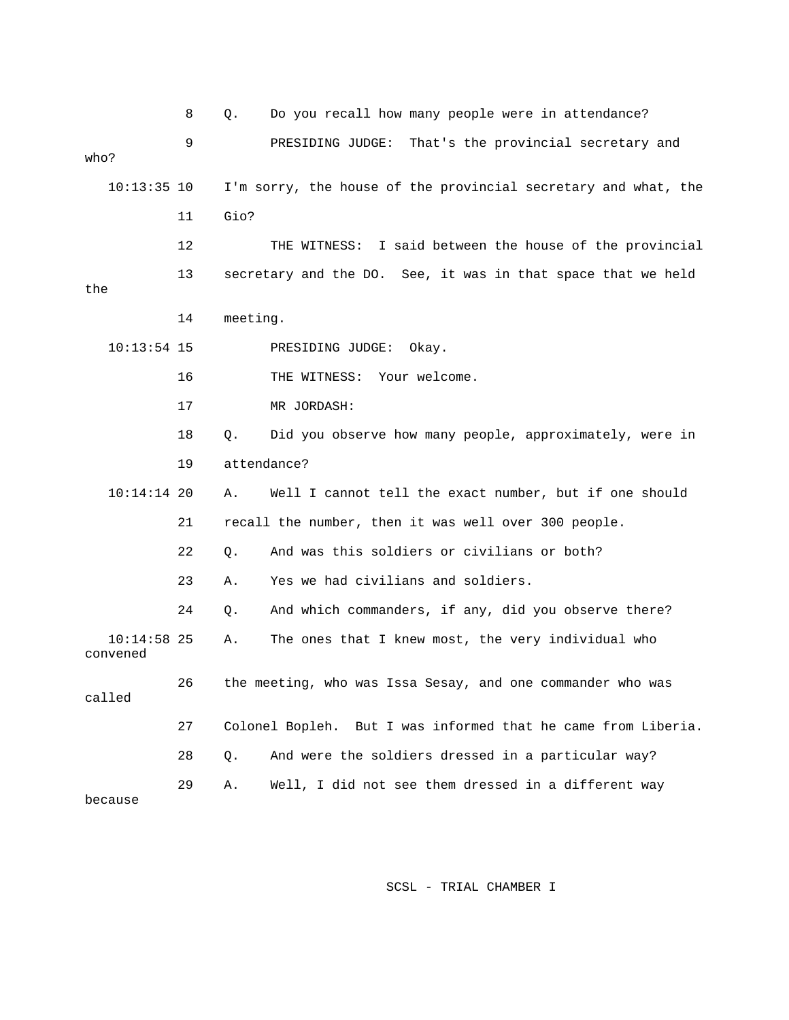|                           | 8  | Q.       | Do you recall how many people were in attendance?              |
|---------------------------|----|----------|----------------------------------------------------------------|
| who?                      | 9  |          | PRESIDING JUDGE:<br>That's the provincial secretary and        |
|                           |    |          |                                                                |
| $10:13:35$ 10             |    |          | I'm sorry, the house of the provincial secretary and what, the |
|                           | 11 | Gio?     |                                                                |
|                           | 12 |          | THE WITNESS: I said between the house of the provincial        |
| the                       | 13 |          | secretary and the DO. See, it was in that space that we held   |
|                           | 14 | meeting. |                                                                |
| $10:13:54$ 15             |    |          | PRESIDING JUDGE:<br>Okay.                                      |
|                           | 16 |          | THE WITNESS: Your welcome.                                     |
|                           | 17 |          | MR JORDASH:                                                    |
|                           | 18 | Q.       | Did you observe how many people, approximately, were in        |
|                           | 19 |          | attendance?                                                    |
| $10:14:14$ 20             |    | Α.       | Well I cannot tell the exact number, but if one should         |
|                           | 21 |          | recall the number, then it was well over 300 people.           |
|                           | 22 | Q.       | And was this soldiers or civilians or both?                    |
|                           | 23 | Α.       | Yes we had civilians and soldiers.                             |
|                           | 24 | Q.       | And which commanders, if any, did you observe there?           |
| $10:14:58$ 25<br>convened |    | Α.       | The ones that I knew most, the very individual who             |
| called                    | 26 |          | the meeting, who was Issa Sesay, and one commander who was     |
|                           | 27 |          | Colonel Bopleh. But I was informed that he came from Liberia.  |
|                           | 28 | Q.       | And were the soldiers dressed in a particular way?             |
| because                   | 29 | Α.       | Well, I did not see them dressed in a different way            |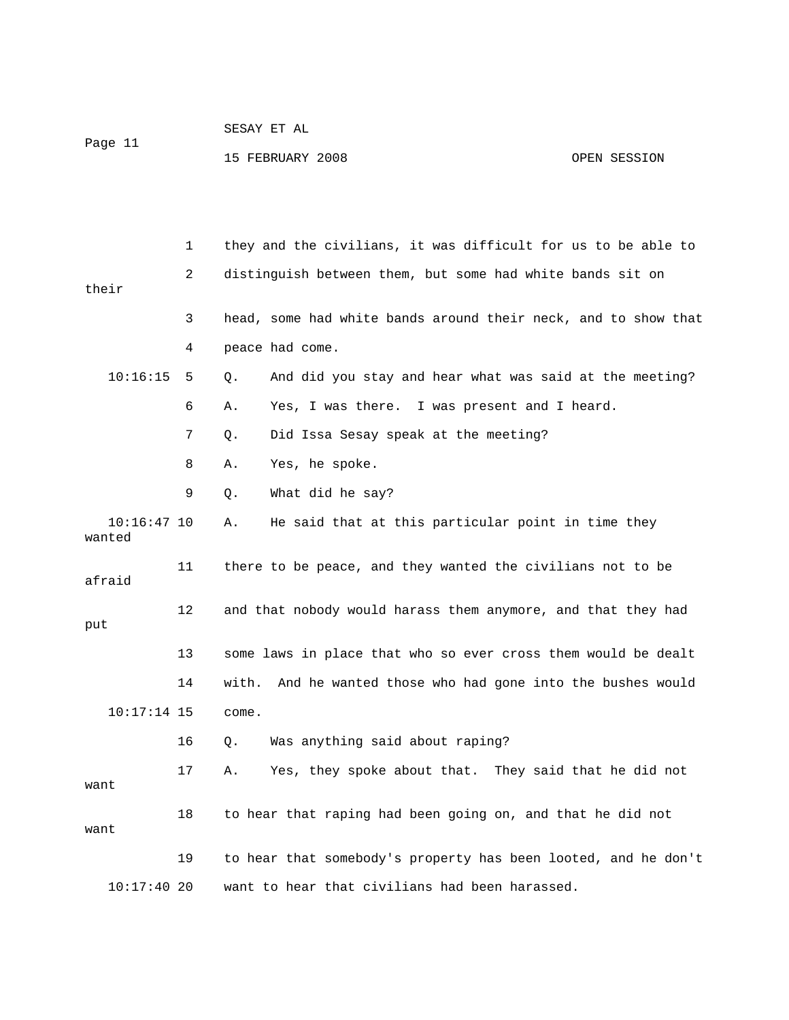| Page 11 | SESAY ET AL      |              |
|---------|------------------|--------------|
|         | 15 FEBRUARY 2008 | OPEN SESSION |

 1 they and the civilians, it was difficult for us to be able to 2 distinguish between them, but some had white bands sit on their 3 head, some had white bands around their neck, and to show that 4 peace had come. 10:16:15 5 Q. And did you stay and hear what was said at the meeting? 6 A. Yes, I was there. I was present and I heard. 7 Q. Did Issa Sesay speak at the meeting? 8 A. Yes, he spoke. 9 Q. What did he say? 10:16:47 10 A. He said that at this particular point in time they wanted 11 there to be peace, and they wanted the civilians not to be afraid 12 and that nobody would harass them anymore, and that they had put 13 some laws in place that who so ever cross them would be dealt 14 with. And he wanted those who had gone into the bushes would 10:17:14 15 come. 16 Q. Was anything said about raping? 17 A. Yes, they spoke about that. They said that he did not want 18 to hear that raping had been going on, and that he did not want 19 to hear that somebody's property has been looted, and he don't 10:17:40 20 want to hear that civilians had been harassed.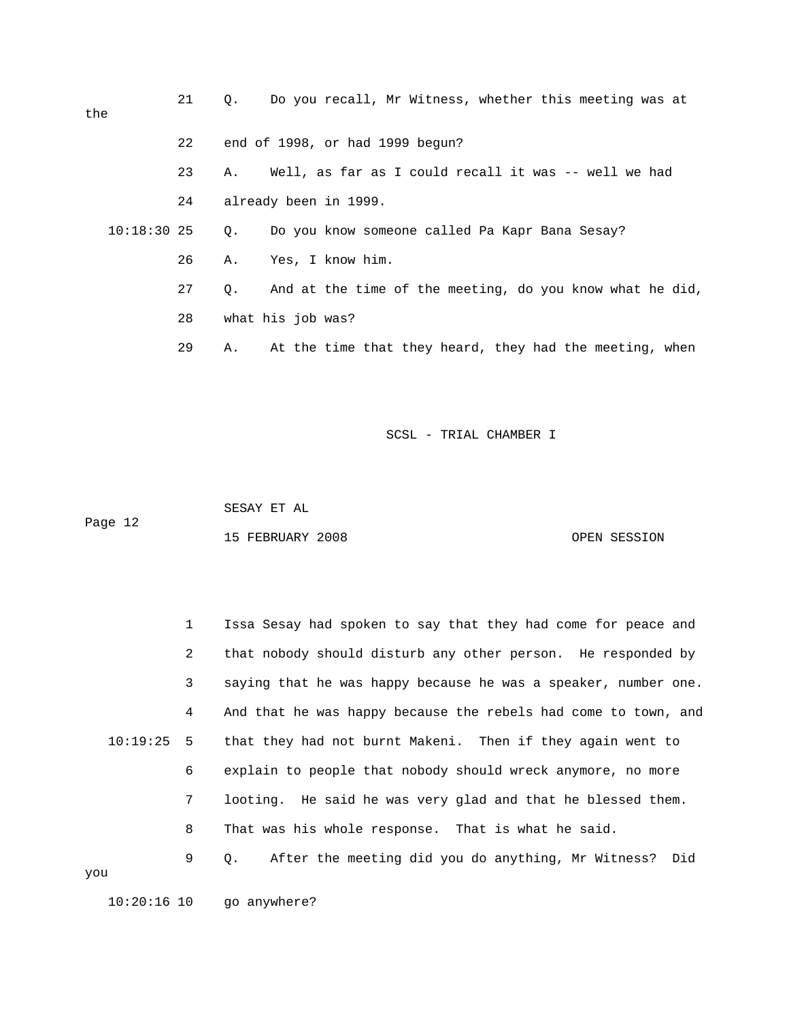| the           | 21 | Do you recall, Mr Witness, whether this meeting was at<br>$\circ$ . |
|---------------|----|---------------------------------------------------------------------|
|               | 22 | end of 1998, or had 1999 begun?                                     |
|               | 23 | Well, as far as I could recall it was -- well we had<br>Α.          |
|               | 24 | already been in 1999.                                               |
| $10:18:30$ 25 |    | Do you know someone called Pa Kapr Bana Sesay?<br>Q.                |
|               | 26 | Yes, I know him.<br>Α.                                              |
|               | 27 | And at the time of the meeting, do you know what he did,<br>О.      |
|               | 28 | what his job was?                                                   |
|               | 29 | At the time that they heard, they had the meeting, when<br>Α.       |

 SESAY ET AL Page 12

15 FEBRUARY 2008 OPEN SESSION

 1 Issa Sesay had spoken to say that they had come for peace and 2 that nobody should disturb any other person. He responded by 3 saying that he was happy because he was a speaker, number one. 4 And that he was happy because the rebels had come to town, and 10:19:25 5 that they had not burnt Makeni. Then if they again went to 6 explain to people that nobody should wreck anymore, no more 7 looting. He said he was very glad and that he blessed them. 8 That was his whole response. That is what he said. 9 Q. After the meeting did you do anything, Mr Witness? Did you

10:20:16 10 go anywhere?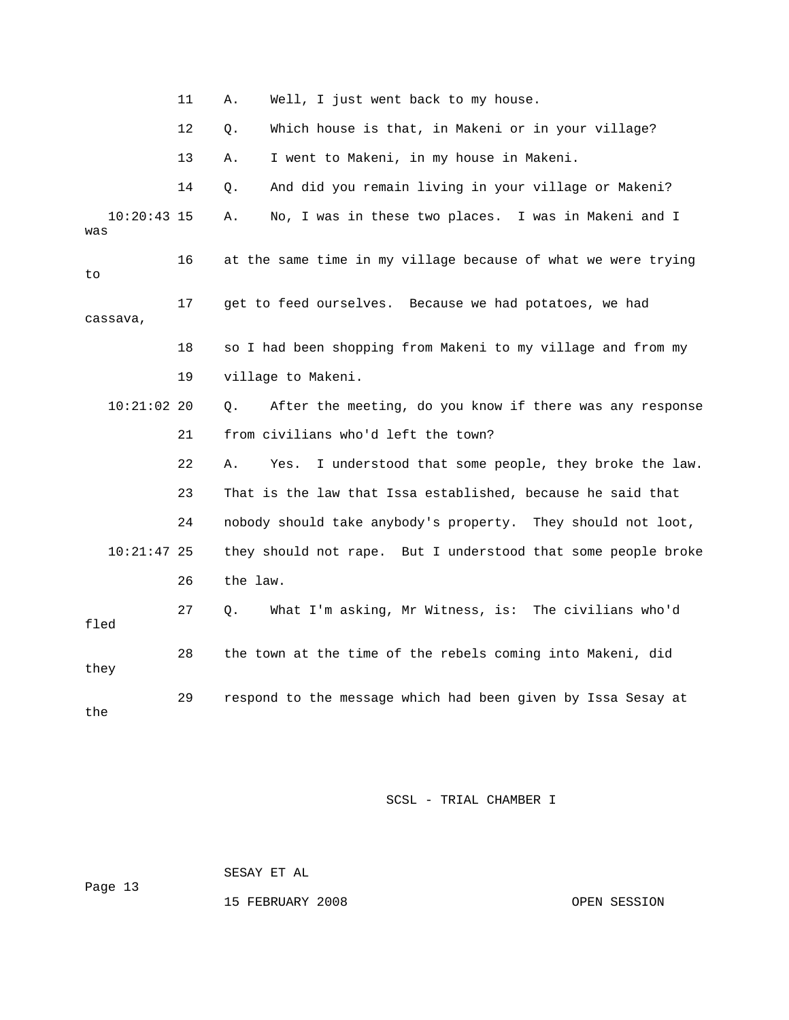|                      | 11 | Well, I just went back to my house.<br>Α.                        |
|----------------------|----|------------------------------------------------------------------|
|                      | 12 | Which house is that, in Makeni or in your village?<br>О.         |
|                      | 13 | I went to Makeni, in my house in Makeni.<br>Α.                   |
|                      | 14 | And did you remain living in your village or Makeni?<br>Q.       |
| $10:20:43$ 15<br>was |    | No, I was in these two places. I was in Makeni and I<br>Α.       |
| to                   | 16 | at the same time in my village because of what we were trying    |
| cassava,             | 17 | get to feed ourselves. Because we had potatoes, we had           |
|                      | 18 | so I had been shopping from Makeni to my village and from my     |
|                      | 19 | village to Makeni.                                               |
| $10:21:02$ 20        |    | After the meeting, do you know if there was any response<br>Q.   |
|                      | 21 | from civilians who'd left the town?                              |
|                      | 22 | I understood that some people, they broke the law.<br>Α.<br>Yes. |
|                      | 23 | That is the law that Issa established, because he said that      |
|                      | 24 | nobody should take anybody's property. They should not loot,     |
| $10:21:47$ 25        |    | they should not rape. But I understood that some people broke    |
|                      | 26 | the law.                                                         |
| fled                 | 27 | What I'm asking, Mr Witness, is: The civilians who'd<br>Q.       |
| they                 | 28 | the town at the time of the rebels coming into Makeni, did       |
| the                  | 29 | respond to the message which had been given by Issa Sesay at     |

 SESAY ET AL Page 13

15 FEBRUARY 2008 OPEN SESSION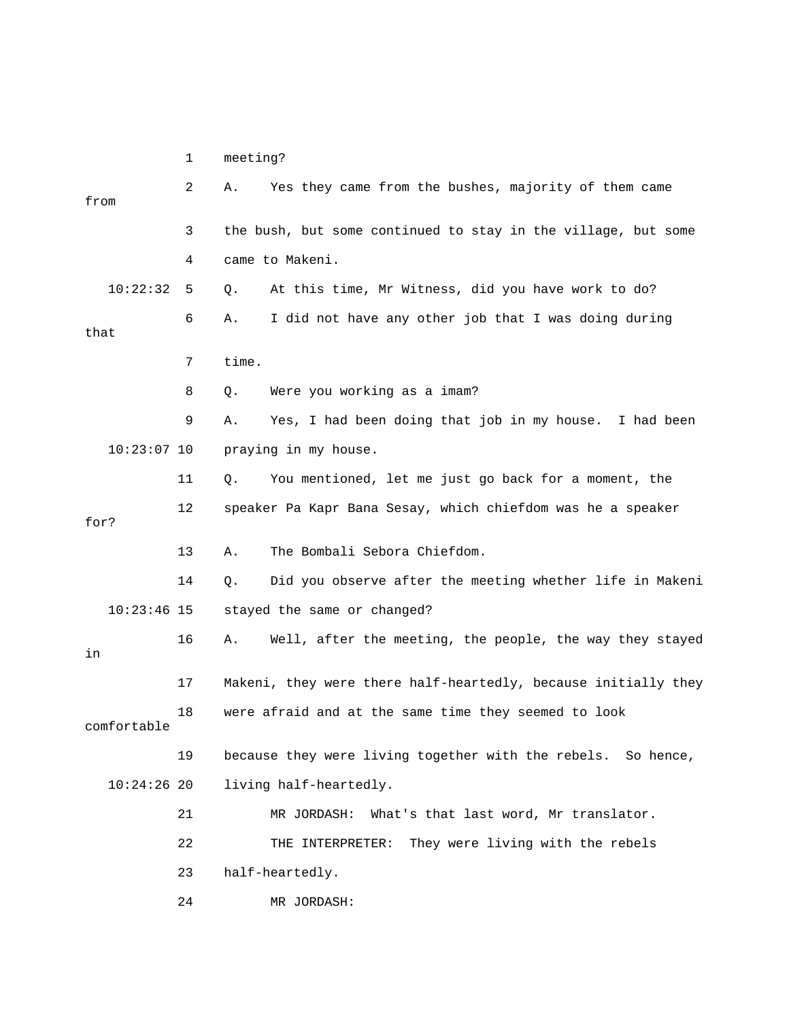1 meeting?

| from |               | 2  | Α.                          | Yes they came from the bushes, majority of them came           |
|------|---------------|----|-----------------------------|----------------------------------------------------------------|
|      |               | 3  |                             | the bush, but some continued to stay in the village, but some  |
|      |               | 4  | came to Makeni.             |                                                                |
|      | 10:22:32      | 5  | Q.                          | At this time, Mr Witness, did you have work to do?             |
| that |               | 6  | Α.                          | I did not have any other job that I was doing during           |
|      |               | 7  | time.                       |                                                                |
|      |               | 8  | Q.                          | Were you working as a imam?                                    |
|      |               | 9  | Α.                          | Yes, I had been doing that job in my house. I had been         |
|      | $10:23:07$ 10 |    | praying in my house.        |                                                                |
|      |               | 11 | Q.                          | You mentioned, let me just go back for a moment, the           |
| for? |               | 12 |                             | speaker Pa Kapr Bana Sesay, which chiefdom was he a speaker    |
|      |               | 13 | Α.                          | The Bombali Sebora Chiefdom.                                   |
|      |               | 14 | Q.                          | Did you observe after the meeting whether life in Makeni       |
|      | $10:23:46$ 15 |    | stayed the same or changed? |                                                                |
| in   |               | 16 | Α.                          | Well, after the meeting, the people, the way they stayed       |
|      |               | 17 |                             | Makeni, they were there half-heartedly, because initially they |
|      | comfortable   | 18 |                             | were afraid and at the same time they seemed to look           |
|      |               | 19 |                             | because they were living together with the rebels. So hence,   |
|      | $10:24:26$ 20 |    | living half-heartedly.      |                                                                |
|      |               | 21 | MR JORDASH:                 | What's that last word, Mr translator.                          |
|      |               | 22 |                             | THE INTERPRETER: They were living with the rebels              |
|      |               | 23 | half-heartedly.             |                                                                |
|      |               | 24 | MR JORDASH:                 |                                                                |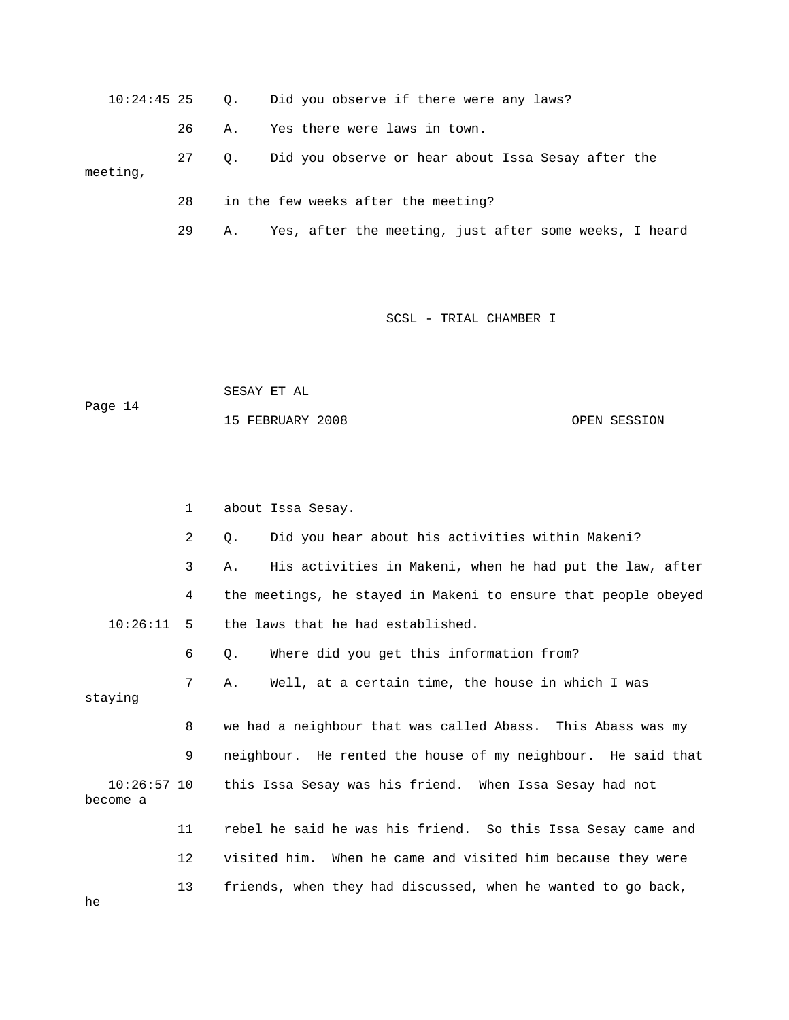10:24:45 25 Q. Did you observe if there were any laws?

26 A. Yes there were laws in town.

 27 Q. Did you observe or hear about Issa Sesay after the meeting,

28 in the few weeks after the meeting?

29 A. Yes, after the meeting, just after some weeks, I heard

SCSL - TRIAL CHAMBER I

 SESAY ET AL Page 14 15 FEBRUARY 2008 OPEN SESSION

|                           | 1  | about Issa Sesay.                                              |
|---------------------------|----|----------------------------------------------------------------|
|                           | 2  | Did you hear about his activities within Makeni?<br>0.         |
|                           | 3  | His activities in Makeni, when he had put the law, after<br>Α. |
|                           | 4  | the meetings, he stayed in Makeni to ensure that people obeyed |
| 10:26:11                  | 5  | the laws that he had established.                              |
|                           | 6  | Where did you get this information from?<br>Q.                 |
| staying                   | 7  | Well, at a certain time, the house in which I was<br>Α.        |
|                           | 8  | we had a neighbour that was called Abass. This Abass was my    |
|                           | 9  | neighbour. He rented the house of my neighbour. He said that   |
| $10:26:57$ 10<br>become a |    | this Issa Sesay was his friend. When Issa Sesay had not        |
|                           | 11 | rebel he said he was his friend. So this Issa Sesay came and   |
|                           | 12 | visited him. When he came and visited him because they were    |
|                           | 13 | friends, when they had discussed, when he wanted to go back,   |

he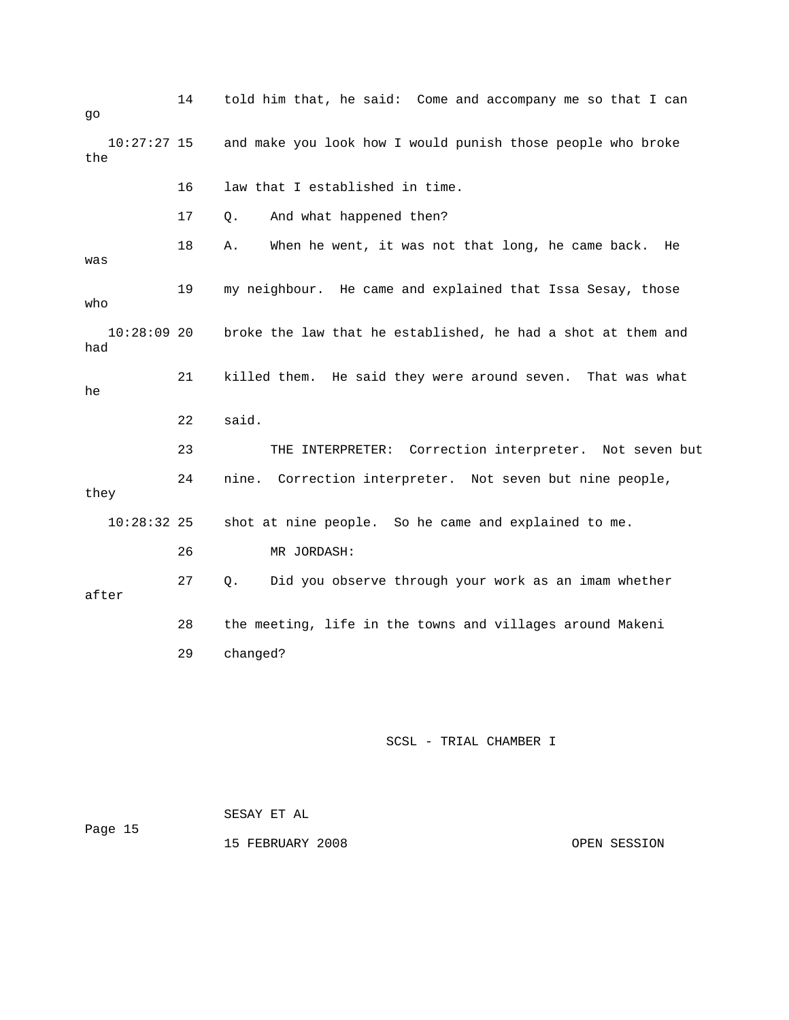| go                   | 14 | told him that, he said: Come and accompany me so that I can   |
|----------------------|----|---------------------------------------------------------------|
| $10:27:27$ 15<br>the |    | and make you look how I would punish those people who broke   |
|                      | 16 | law that I established in time.                               |
|                      | 17 | And what happened then?<br>Q.                                 |
| was                  | 18 | When he went, it was not that long, he came back.<br>Α.<br>He |
| who                  | 19 | my neighbour. He came and explained that Issa Sesay, those    |
| $10:28:09$ 20<br>had |    | broke the law that he established, he had a shot at them and  |
| he                   | 21 | killed them. He said they were around seven. That was what    |
|                      |    | said.                                                         |
|                      | 22 |                                                               |
|                      | 23 | THE INTERPRETER: Correction interpreter. Not seven but        |
| they                 | 24 | nine.<br>Correction interpreter. Not seven but nine people,   |
| $10:28:32$ 25        |    | shot at nine people. So he came and explained to me.          |
|                      | 26 | MR JORDASH:                                                   |
| after                | 27 | Did you observe through your work as an imam whether<br>Q.    |
|                      | 28 | the meeting, life in the towns and villages around Makeni     |
|                      | 29 | changed?                                                      |
|                      |    |                                                               |

 SESAY ET AL Page 15 15 FEBRUARY 2008 CONSIDERING OPEN SESSION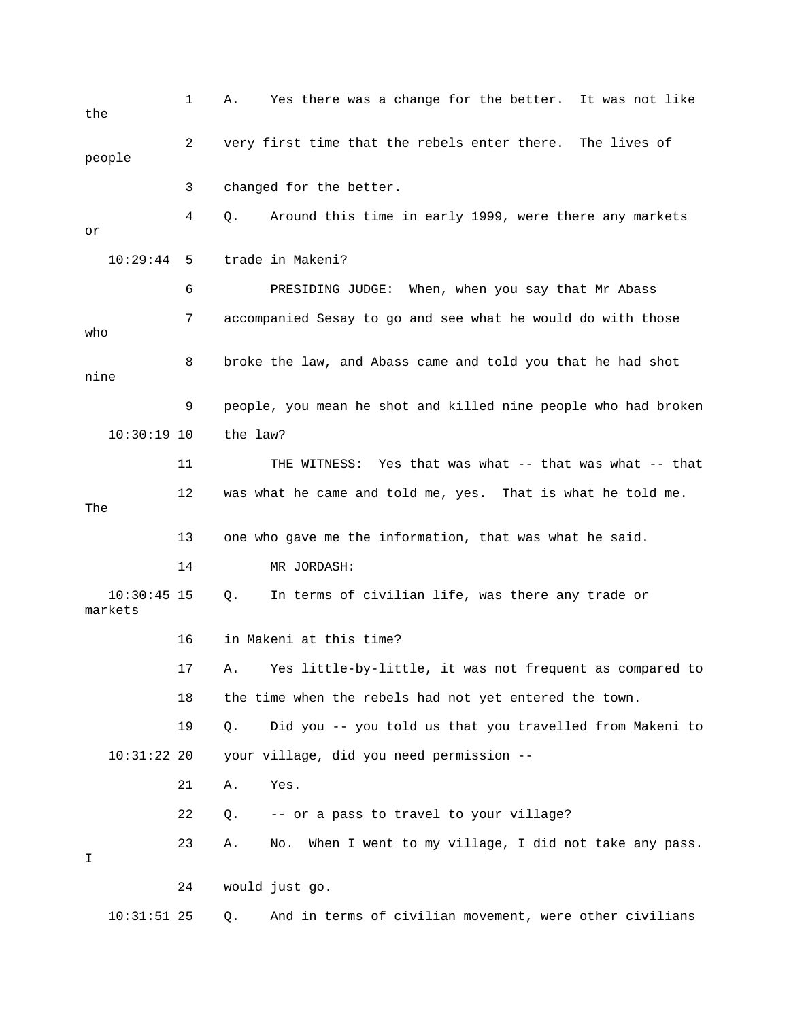| the                      | 1  | Yes there was a change for the better. It was not like<br>Α.     |
|--------------------------|----|------------------------------------------------------------------|
| people                   | 2  | very first time that the rebels enter there. The lives of        |
|                          | 3  | changed for the better.                                          |
| or                       | 4  | Around this time in early 1999, were there any markets<br>Q.     |
| 10:29:44                 | 5  | trade in Makeni?                                                 |
|                          | 6  | PRESIDING JUDGE: When, when you say that Mr Abass                |
| who                      | 7  | accompanied Sesay to go and see what he would do with those      |
| nine                     | 8  | broke the law, and Abass came and told you that he had shot      |
|                          | 9  | people, you mean he shot and killed nine people who had broken   |
| $10:30:19$ 10            |    | the law?                                                         |
|                          | 11 | THE WITNESS: Yes that was what -- that was what -- that          |
| The                      | 12 | was what he came and told me, yes. That is what he told me.      |
|                          | 13 | one who gave me the information, that was what he said.          |
|                          | 14 | MR JORDASH:                                                      |
| $10:30:45$ 15<br>markets |    | In terms of civilian life, was there any trade or<br>Q.          |
|                          | 16 | in Makeni at this time?                                          |
|                          | 17 | A. Yes little-by-little, it was not frequent as compared to      |
|                          | 18 | the time when the rebels had not yet entered the town.           |
|                          | 19 | Did you -- you told us that you travelled from Makeni to<br>Q.   |
| 10:31:2220               |    | your village, did you need permission --                         |
|                          | 21 | Yes.<br>Α.                                                       |
|                          | 22 | -- or a pass to travel to your village?<br>Q.                    |
| Ι                        | 23 | When I went to my village, I did not take any pass.<br>Α.<br>No. |
|                          | 24 | would just go.                                                   |
| $10:31:51$ 25            |    | And in terms of civilian movement, were other civilians<br>Q.    |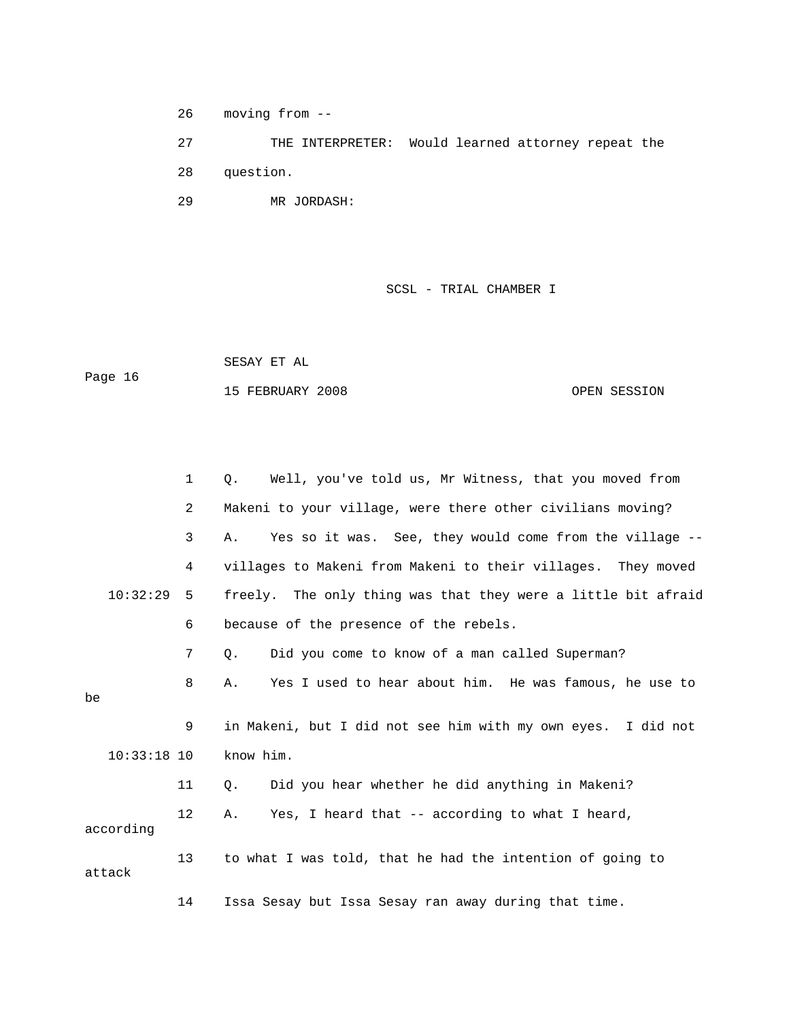26 moving from --

 27 THE INTERPRETER: Would learned attorney repeat the 28 question. 29 MR JORDASH:

SCSL - TRIAL CHAMBER I

 SESAY ET AL Page 16

15 FEBRUARY 2008 OPEN SESSION

|               | $\mathbf{1}$ | Well, you've told us, Mr Witness, that you moved from<br>Q.   |
|---------------|--------------|---------------------------------------------------------------|
|               | 2            | Makeni to your village, were there other civilians moving?    |
|               | 3            | Yes so it was. See, they would come from the village --<br>Α. |
|               | 4            | villages to Makeni from Makeni to their villages. They moved  |
| 10:32:29      | 5            | freely. The only thing was that they were a little bit afraid |
|               | 6            | because of the presence of the rebels.                        |
|               | 7            | Did you come to know of a man called Superman?<br>Q.          |
| be            | 8            | Yes I used to hear about him. He was famous, he use to<br>Α.  |
|               | 9            | in Makeni, but I did not see him with my own eyes. I did not  |
| $10:33:18$ 10 |              | know him.                                                     |
|               | 11           | Did you hear whether he did anything in Makeni?<br>Q.         |
| according     | 12           | Yes, I heard that -- according to what I heard,<br>Α.         |
| attack        | 13           | to what I was told, that he had the intention of going to     |
|               | 14           | Issa Sesay but Issa Sesay ran away during that time.          |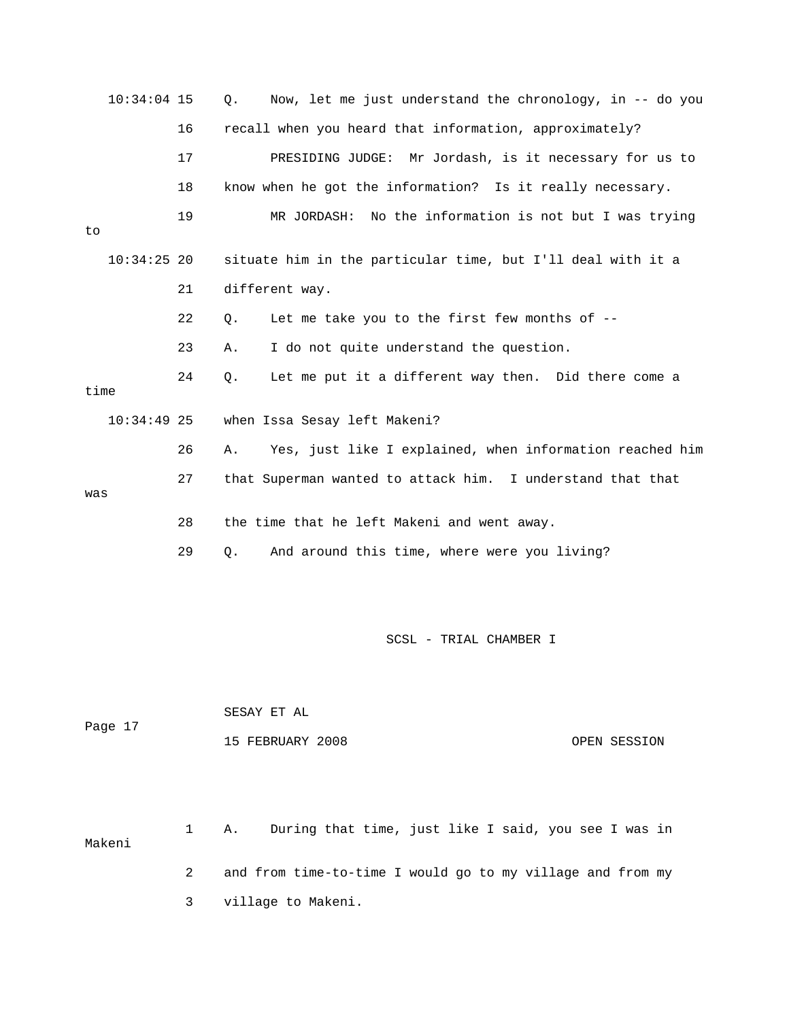|      | $10:34:04$ 15 |    | Now, let me just understand the chronology, in -- do you<br>$Q$ . |
|------|---------------|----|-------------------------------------------------------------------|
|      |               | 16 | recall when you heard that information, approximately?            |
|      |               | 17 | PRESIDING JUDGE: Mr Jordash, is it necessary for us to            |
|      |               | 18 | know when he got the information? Is it really necessary.         |
| to   |               | 19 | No the information is not but I was trying<br>MR JORDASH:         |
|      | $10:34:25$ 20 |    | situate him in the particular time, but I'll deal with it a       |
|      |               | 21 | different way.                                                    |
|      |               | 22 | Let me take you to the first few months of --<br>Q.               |
|      |               | 23 | I do not quite understand the question.<br>Α.                     |
| time |               | 24 | Let me put it a different way then. Did there come a<br>Q.        |
|      | $10:34:49$ 25 |    | when Issa Sesay left Makeni?                                      |
|      |               | 26 | Yes, just like I explained, when information reached him<br>Α.    |
| was  |               | 27 | that Superman wanted to attack him. I understand that that        |
|      |               | 28 | the time that he left Makeni and went away.                       |
|      |               | 29 | And around this time, where were you living?<br>$Q$ .             |
|      |               |    |                                                                   |

|         | SESAY ET AL      |              |
|---------|------------------|--------------|
| Page 17 |                  |              |
|         | 15 FEBRUARY 2008 | OPEN SESSION |

 1 A. During that time, just like I said, you see I was in Makeni 2 and from time-to-time I would go to my village and from my

3 village to Makeni.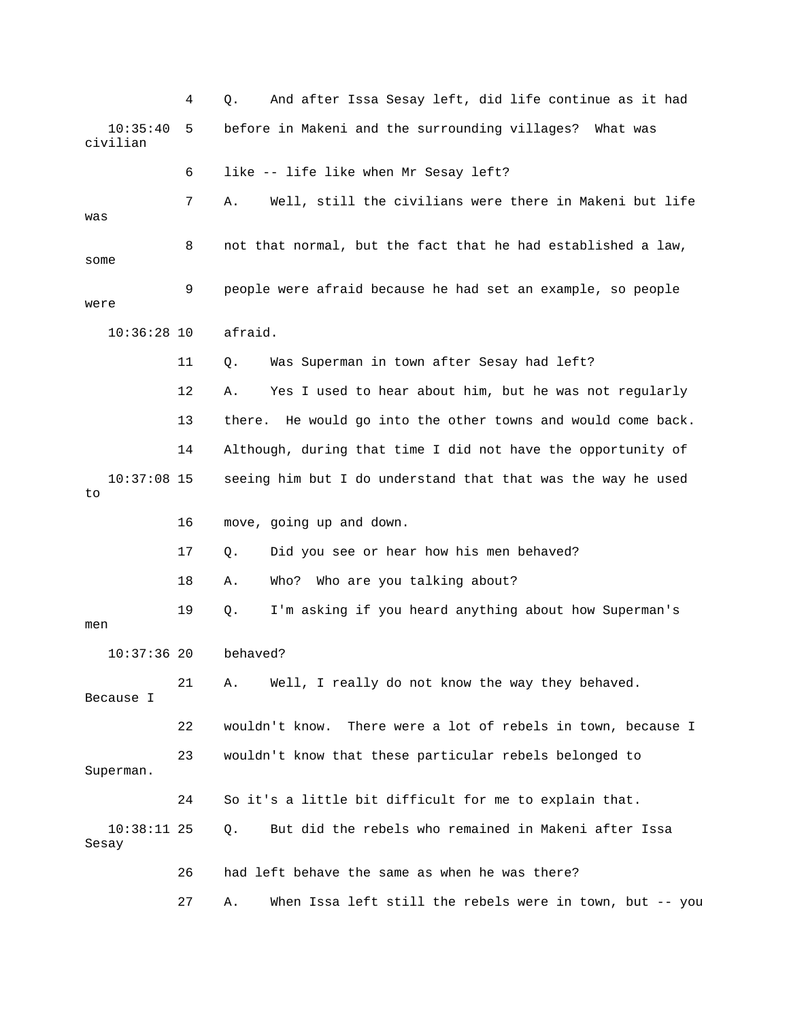4 Q. And after Issa Sesay left, did life continue as it had 10:35:40 5 before in Makeni and the surrounding villages? What was civilian 6 like -- life like when Mr Sesay left? 7 A. Well, still the civilians were there in Makeni but life was 8 not that normal, but the fact that he had established a law, some 9 people were afraid because he had set an example, so people were 10:36:28 10 afraid. 11 Q. Was Superman in town after Sesay had left? 12 A. Yes I used to hear about him, but he was not regularly 13 there. He would go into the other towns and would come back. 14 Although, during that time I did not have the opportunity of 10:37:08 15 seeing him but I do understand that that was the way he used to 16 move, going up and down. 17 Q. Did you see or hear how his men behaved? 18 A. Who? Who are you talking about? 19 Q. I'm asking if you heard anything about how Superman's men 10:37:36 20 behaved? 21 A. Well, I really do not know the way they behaved. Because I 22 wouldn't know. There were a lot of rebels in town, because I 23 wouldn't know that these particular rebels belonged to Superman. 24 So it's a little bit difficult for me to explain that. 10:38:11 25 Q. But did the rebels who remained in Makeni after Issa Sesay 26 had left behave the same as when he was there? 27 A. When Issa left still the rebels were in town, but -- you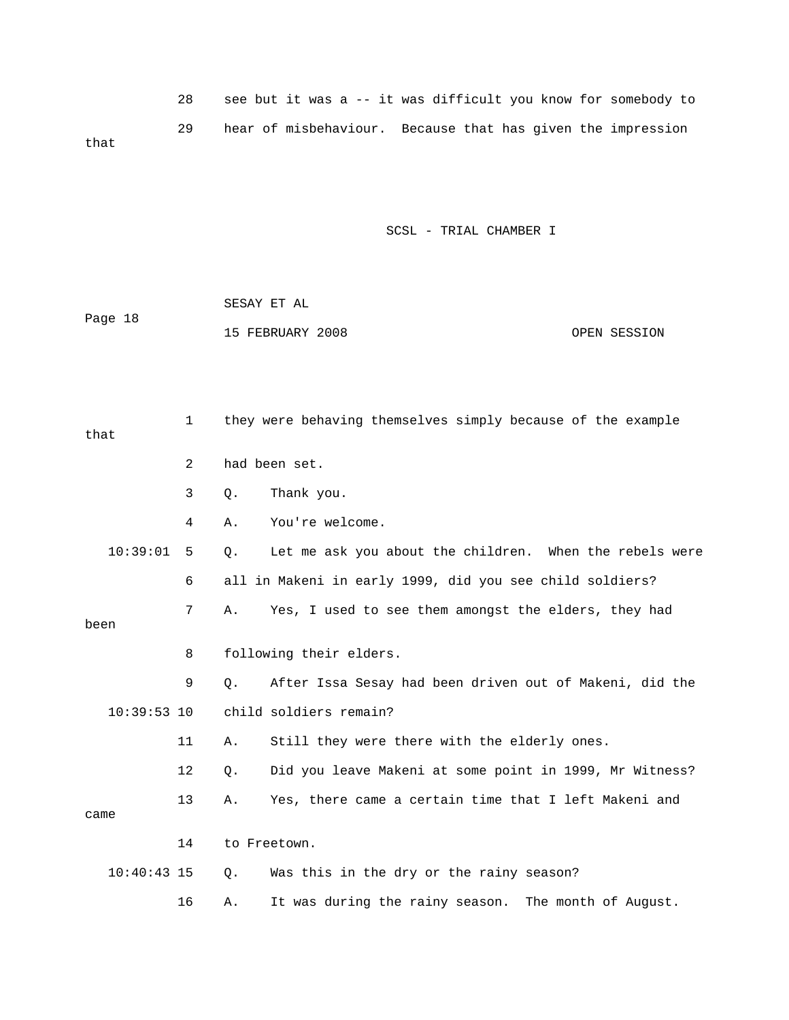28 see but it was a -- it was difficult you know for somebody to 29 hear of misbehaviour. Because that has given the impression that

SCSL - TRIAL CHAMBER I

 SESAY ET AL Page 18 15 FEBRUARY 2008 OPEN SESSION

 1 they were behaving themselves simply because of the example that 2 had been set. 3 Q. Thank you. 4 A. You're welcome. 10:39:01 5 Q. Let me ask you about the children. When the rebels were 6 all in Makeni in early 1999, did you see child soldiers? 7 A. Yes, I used to see them amongst the elders, they had been 8 following their elders. 9 Q. After Issa Sesay had been driven out of Makeni, did the 10:39:53 10 child soldiers remain? 11 A. Still they were there with the elderly ones. 12 Q. Did you leave Makeni at some point in 1999, Mr Witness? 13 A. Yes, there came a certain time that I left Makeni and came 14 to Freetown. 10:40:43 15 Q. Was this in the dry or the rainy season?

16 A. It was during the rainy season. The month of August.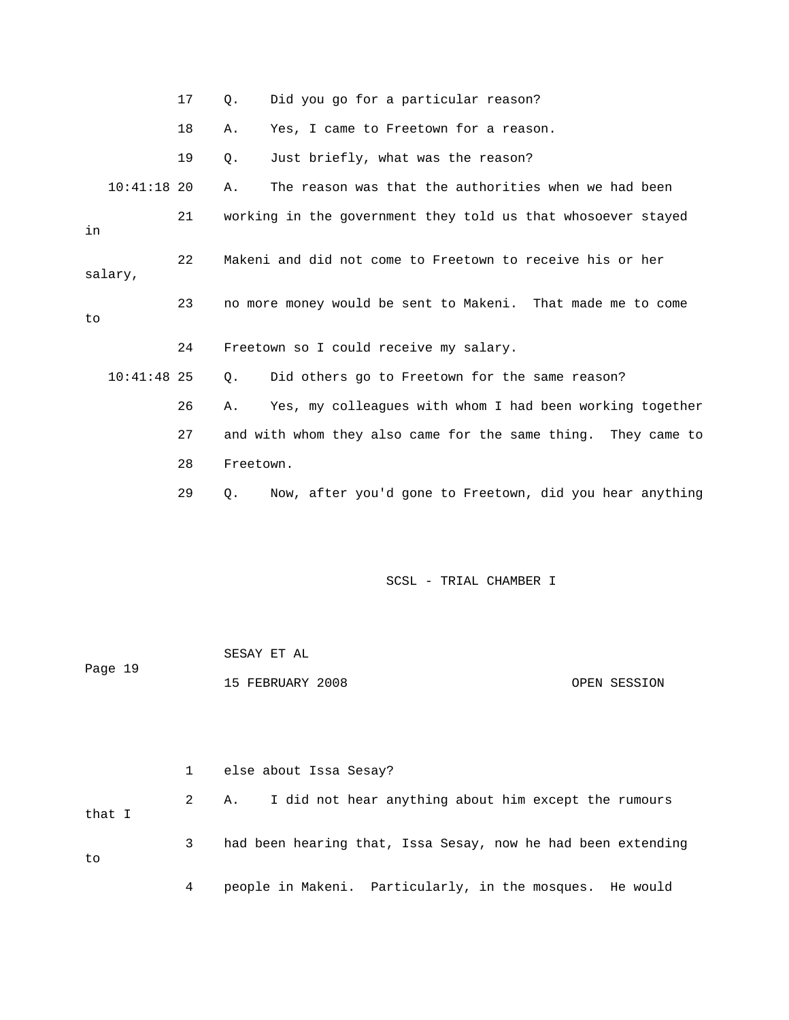|    |               | 17 | $\circ$ . | Did you go for a particular reason?                           |
|----|---------------|----|-----------|---------------------------------------------------------------|
|    |               | 18 | Α.        | Yes, I came to Freetown for a reason.                         |
|    |               | 19 | Q.        | Just briefly, what was the reason?                            |
|    | $10:41:18$ 20 |    | Α.        | The reason was that the authorities when we had been          |
| in |               | 21 |           | working in the government they told us that whosoever stayed  |
|    | salary,       | 22 |           | Makeni and did not come to Freetown to receive his or her     |
| to |               | 23 |           | no more money would be sent to Makeni. That made me to come   |
|    |               | 24 |           | Freetown so I could receive my salary.                        |
|    | $10:41:48$ 25 |    | Q.        | Did others go to Freetown for the same reason?                |
|    |               | 26 | Α.        | Yes, my colleagues with whom I had been working together      |
|    |               | 27 |           | and with whom they also came for the same thing. They came to |
|    |               | 28 | Freetown. |                                                               |
|    |               | 29 | О.        | Now, after you'd gone to Freetown, did you hear anything      |
|    |               |    |           |                                                               |
|    |               |    |           | SCSL - TRIAL CHAMBER I                                        |

| Page 19 |              |                                                              |              |  |
|---------|--------------|--------------------------------------------------------------|--------------|--|
|         |              | 15 FEBRUARY 2008                                             | OPEN SESSION |  |
|         |              |                                                              |              |  |
|         |              |                                                              |              |  |
|         |              |                                                              |              |  |
|         | $\mathbf{1}$ | else about Issa Sesay?                                       |              |  |
| that I  | 2            | I did not hear anything about him except the rumours<br>Α.   |              |  |
|         |              |                                                              |              |  |
| to      | 3            | had been hearing that, Issa Sesay, now he had been extending |              |  |
|         |              |                                                              |              |  |
|         | 4            | people in Makeni. Particularly, in the mosques. He would     |              |  |

SESAY ET AL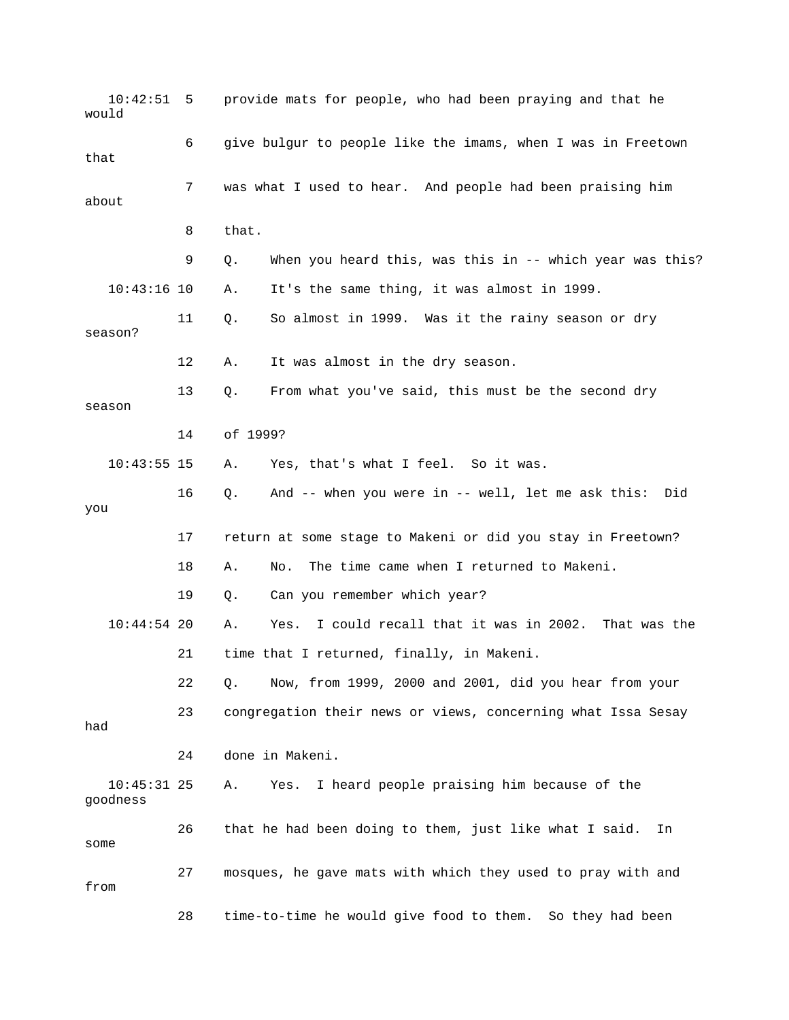10:42:51 5 provide mats for people, who had been praying and that he would 6 give bulgur to people like the imams, when I was in Freetown that 7 was what I used to hear. And people had been praising him about 8 that. 9 Q. When you heard this, was this in -- which year was this? 10:43:16 10 A. It's the same thing, it was almost in 1999. 11 Q. So almost in 1999. Was it the rainy season or dry season? 12 A. It was almost in the dry season. 13 Q. From what you've said, this must be the second dry season 14 of 1999? 10:43:55 15 A. Yes, that's what I feel. So it was. 16 Q. And -- when you were in -- well, let me ask this: Did you 17 return at some stage to Makeni or did you stay in Freetown? 18 A. No. The time came when I returned to Makeni. 19 Q. Can you remember which year? 10:44:54 20 A. Yes. I could recall that it was in 2002. That was the 21 time that I returned, finally, in Makeni. 22 Q. Now, from 1999, 2000 and 2001, did you hear from your 23 congregation their news or views, concerning what Issa Sesay had 24 done in Makeni. 10:45:31 25 A. Yes. I heard people praising him because of the goodness 26 that he had been doing to them, just like what I said. In some 27 mosques, he gave mats with which they used to pray with and from 28 time-to-time he would give food to them. So they had been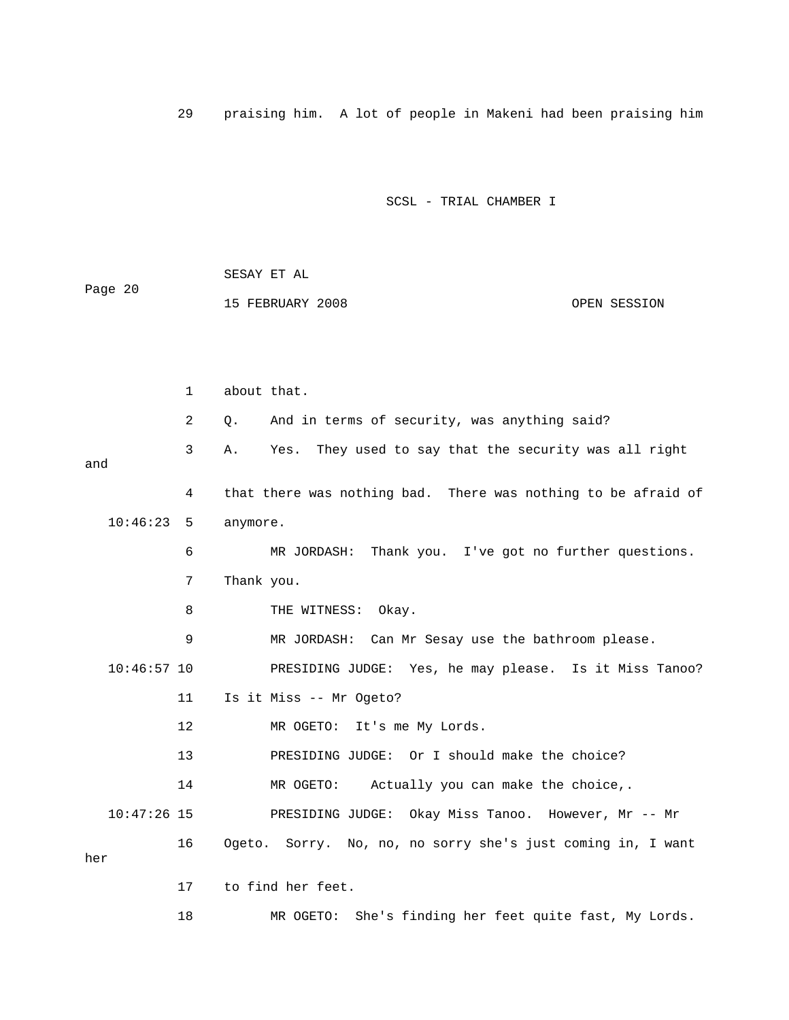29 praising him. A lot of people in Makeni had been praising him

SCSL - TRIAL CHAMBER I

|         | SESAY ET AL      |              |
|---------|------------------|--------------|
| Page 20 | 15 FEBRUARY 2008 | OPEN SESSION |
|         |                  |              |

|               | $\mathbf 1$ | about that.                                                    |
|---------------|-------------|----------------------------------------------------------------|
|               | 2           | And in terms of security, was anything said?<br>Q.             |
| and           | 3           | They used to say that the security was all right<br>Yes.<br>Α. |
|               | 4           | that there was nothing bad. There was nothing to be afraid of  |
| 10:46:23      | 5           | anymore.                                                       |
|               | 6           | MR JORDASH: Thank you. I've got no further questions.          |
|               | 7           | Thank you.                                                     |
|               | 8           | THE WITNESS: Okay.                                             |
|               | 9           | MR JORDASH: Can Mr Sesay use the bathroom please.              |
| $10:46:57$ 10 |             | PRESIDING JUDGE: Yes, he may please. Is it Miss Tanoo?         |
|               | 11          | Is it Miss -- Mr Ogeto?                                        |
|               | 12          | MR OGETO: It's me My Lords.                                    |
|               | 13          | PRESIDING JUDGE: Or I should make the choice?                  |
|               | 14          | MR OGETO: Actually you can make the choice,.                   |
| $10:47:26$ 15 |             | PRESIDING JUDGE: Okay Miss Tanoo. However, Mr -- Mr            |
| her           | 16          | Ogeto. Sorry. No, no, no sorry she's just coming in, I want    |
|               | 17          | to find her feet.                                              |
|               | 18          | MR OGETO:<br>She's finding her feet quite fast, My Lords.      |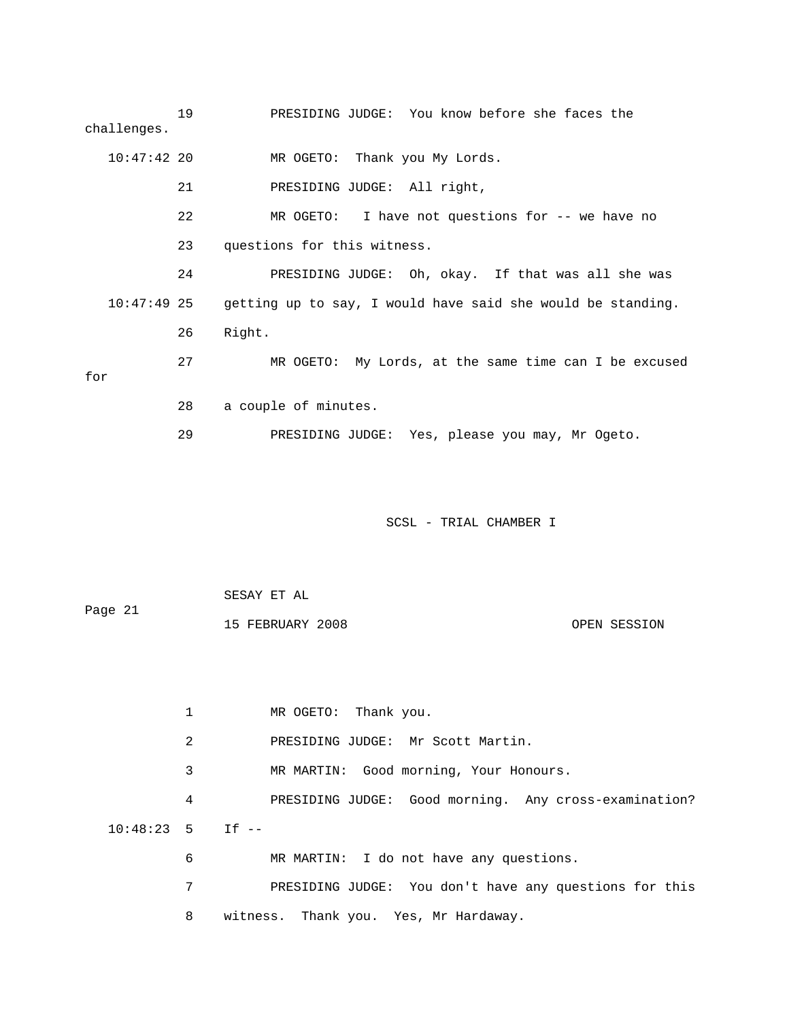19 PRESIDING JUDGE: You know before she faces the challenges. 10:47:42 20 MR OGETO: Thank you My Lords.

21 PRESIDING JUDGE: All right,

 22 MR OGETO: I have not questions for -- we have no 23 questions for this witness.

 24 PRESIDING JUDGE: Oh, okay. If that was all she was 10:47:49 25 getting up to say, I would have said she would be standing. 26 Right.

 27 MR OGETO: My Lords, at the same time can I be excused for 28 a couple of minutes.

29 PRESIDING JUDGE: Yes, please you may, Mr Ogeto.

SCSL - TRIAL CHAMBER I

| Page 21 | SESAY ET AL      |              |
|---------|------------------|--------------|
|         | 15 FEBRUARY 2008 | OPEN SESSION |

 1 MR OGETO: Thank you. 2 PRESIDING JUDGE: Mr Scott Martin. 3 MR MARTIN: Good morning, Your Honours. 4 PRESIDING JUDGE: Good morning. Any cross-examination? 10:48:23 5 If -- 6 MR MARTIN: I do not have any questions. 7 PRESIDING JUDGE: You don't have any questions for this 8 witness. Thank you. Yes, Mr Hardaway.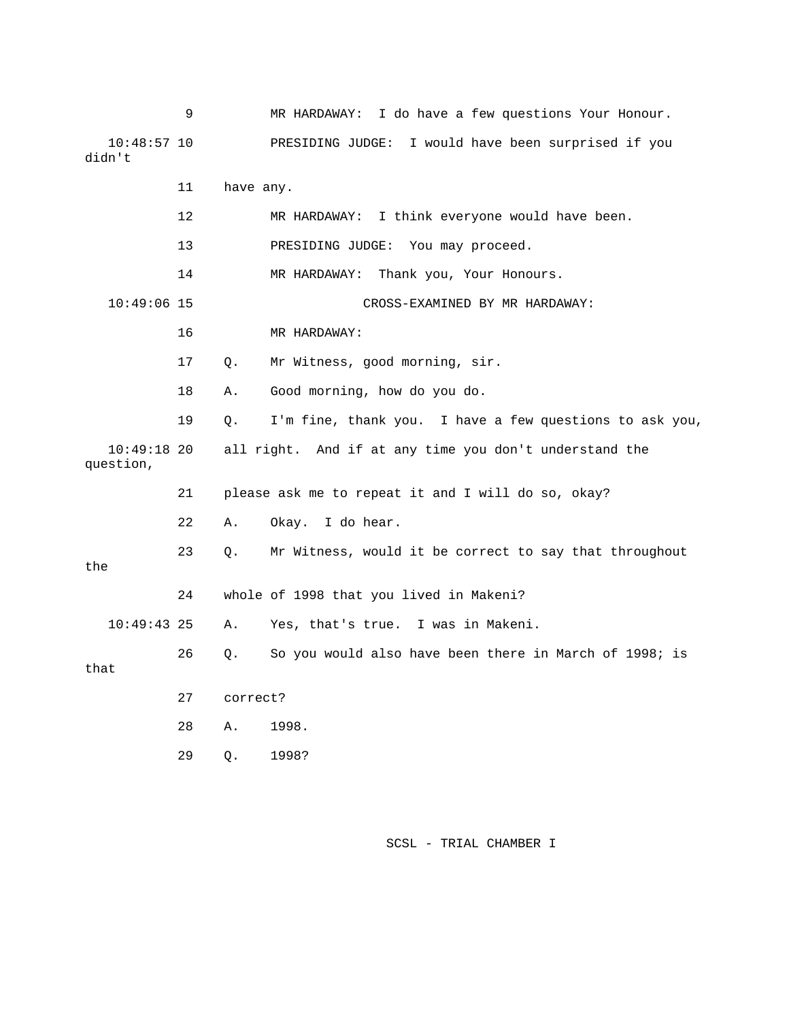|                            | 9  |           | I do have a few questions Your Honour.<br>MR HARDAWAY:  |
|----------------------------|----|-----------|---------------------------------------------------------|
| $10:48:57$ 10<br>didn't    |    |           | I would have been surprised if you<br>PRESIDING JUDGE:  |
|                            | 11 | have any. |                                                         |
|                            | 12 |           | MR HARDAWAY: I think everyone would have been.          |
|                            | 13 |           | PRESIDING JUDGE: You may proceed.                       |
|                            | 14 |           | Thank you, Your Honours.<br>MR HARDAWAY:                |
| $10:49:06$ 15              |    |           | CROSS-EXAMINED BY MR HARDAWAY:                          |
|                            | 16 |           | MR HARDAWAY:                                            |
|                            | 17 | Q.        | Mr Witness, good morning, sir.                          |
|                            | 18 | Α.        | Good morning, how do you do.                            |
|                            | 19 | Q.        | I'm fine, thank you. I have a few questions to ask you, |
| $10:49:18$ 20<br>question, |    |           | all right. And if at any time you don't understand the  |
|                            | 21 |           | please ask me to repeat it and I will do so, okay?      |
|                            | 22 | Α.        | Okay. I do hear.                                        |
|                            |    |           |                                                         |
| the                        | 23 | Q.        | Mr Witness, would it be correct to say that throughout  |
|                            | 24 |           | whole of 1998 that you lived in Makeni?                 |
| $10:49:43$ 25              |    | Α.        | Yes, that's true. I was in Makeni.                      |
| that                       | 26 | Q.        | So you would also have been there in March of 1998; is  |
|                            | 27 | correct?  |                                                         |
|                            | 28 | Α.        | 1998.                                                   |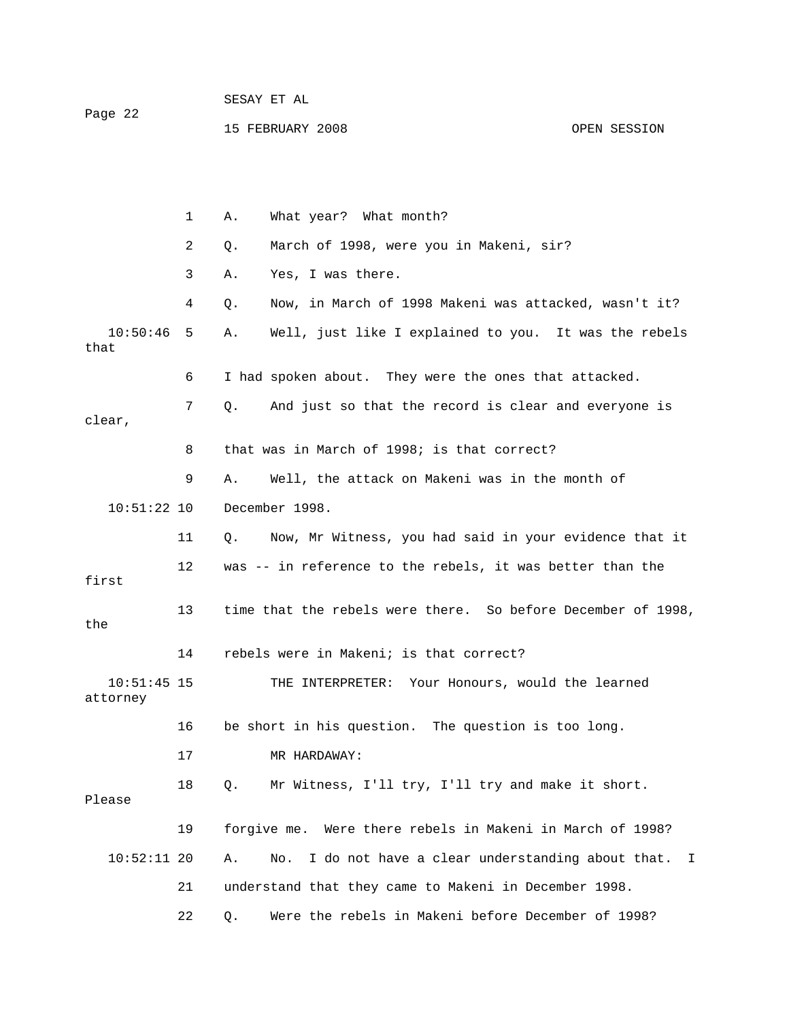|         | SESAY ET AL      |              |
|---------|------------------|--------------|
| Page 22 |                  |              |
|         | 15 FEBRUARY 2008 | OPEN SESSION |

 1 A. What year? What month? 2 Q. March of 1998, were you in Makeni, sir? 3 A. Yes, I was there. 4 Q. Now, in March of 1998 Makeni was attacked, wasn't it? 10:50:46 5 A. Well, just like I explained to you. It was the rebels that 6 I had spoken about. They were the ones that attacked. 7 Q. And just so that the record is clear and everyone is clear, 8 that was in March of 1998; is that correct? 9 A. Well, the attack on Makeni was in the month of 10:51:22 10 December 1998. 11 Q. Now, Mr Witness, you had said in your evidence that it 12 was -- in reference to the rebels, it was better than the first 13 time that the rebels were there. So before December of 1998, the 14 rebels were in Makeni; is that correct? 10:51:45 15 THE INTERPRETER: Your Honours, would the learned attorney 16 be short in his question. The question is too long. 17 MR HARDAWAY: 18 Q. Mr Witness, I'll try, I'll try and make it short. Please 19 forgive me. Were there rebels in Makeni in March of 1998? 10:52:11 20 A. No. I do not have a clear understanding about that. I 21 understand that they came to Makeni in December 1998. 22 Q. Were the rebels in Makeni before December of 1998?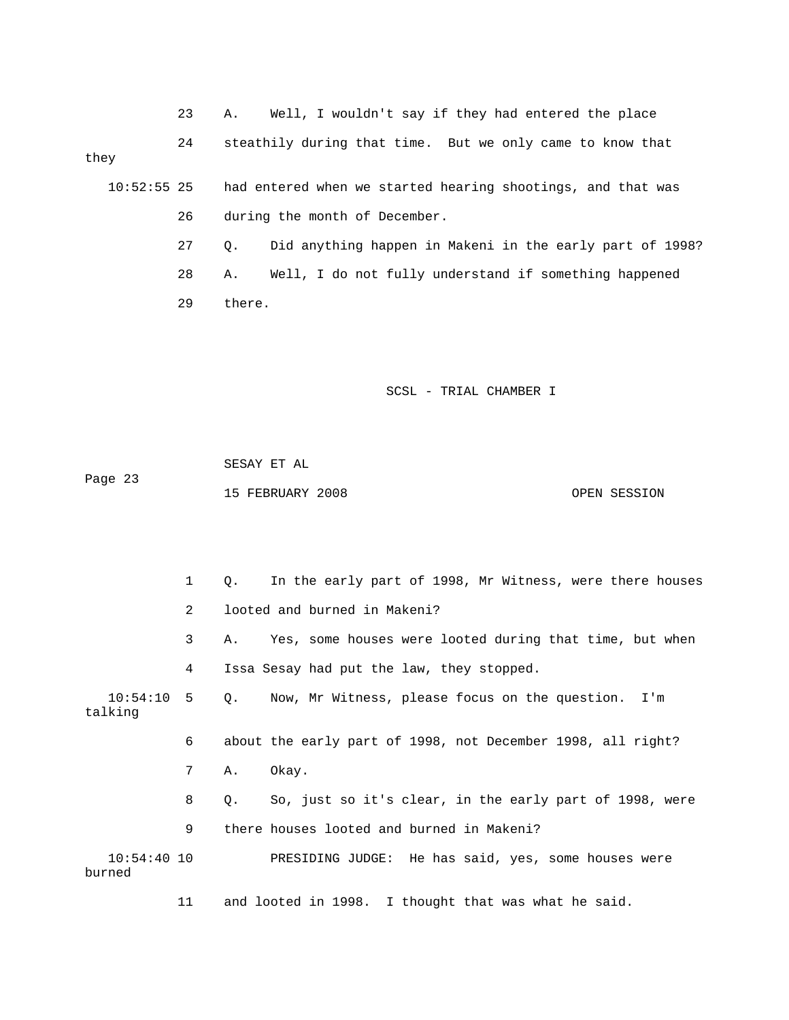23 A. Well, I wouldn't say if they had entered the place

 24 steathily during that time. But we only came to know that they

 10:52:55 25 had entered when we started hearing shootings, and that was 26 during the month of December.

> 27 Q. Did anything happen in Makeni in the early part of 1998? 28 A. Well, I do not fully understand if something happened 29 there.

> > SCSL - TRIAL CHAMBER I

 SESAY ET AL Page 23 15 FEBRUARY 2008 OPEN SESSION

 1 Q. In the early part of 1998, Mr Witness, were there houses 2 looted and burned in Makeni? 3 A. Yes, some houses were looted during that time, but when 4 Issa Sesay had put the law, they stopped. 10:54:10 5 Q. Now, Mr Witness, please focus on the question. I'm talking 6 about the early part of 1998, not December 1998, all right? 7 A. Okay. 8 Q. So, just so it's clear, in the early part of 1998, were 9 there houses looted and burned in Makeni? 10:54:40 10 PRESIDING JUDGE: He has said, yes, some houses were burned 11 and looted in 1998. I thought that was what he said.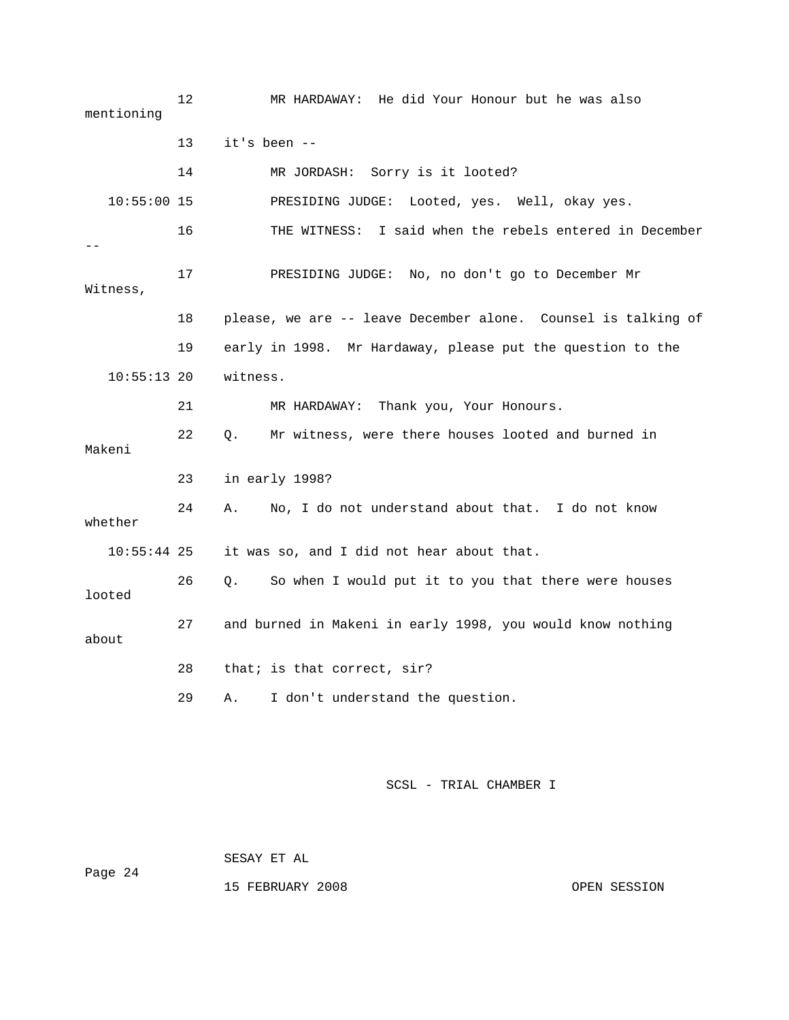12 MR HARDAWAY: He did Your Honour but he was also mentioning 13 it's been -- 14 MR JORDASH: Sorry is it looted? 10:55:00 15 PRESIDING JUDGE: Looted, yes. Well, okay yes. 16 THE WITNESS: I said when the rebels entered in December -- 17 PRESIDING JUDGE: No, no don't go to December Mr Witness, 18 please, we are -- leave December alone. Counsel is talking of 19 early in 1998. Mr Hardaway, please put the question to the 10:55:13 20 witness. 21 MR HARDAWAY: Thank you, Your Honours. 22 Q. Mr witness, were there houses looted and burned in Makeni 23 in early 1998? 24 A. No, I do not understand about that. I do not know whether 10:55:44 25 it was so, and I did not hear about that. 26 Q. So when I would put it to you that there were houses looted 27 and burned in Makeni in early 1998, you would know nothing about 28 that; is that correct, sir? 29 A. I don't understand the question.

SCSL - TRIAL CHAMBER I

 SESAY ET AL Page 24

15 FEBRUARY 2008 OPEN SESSION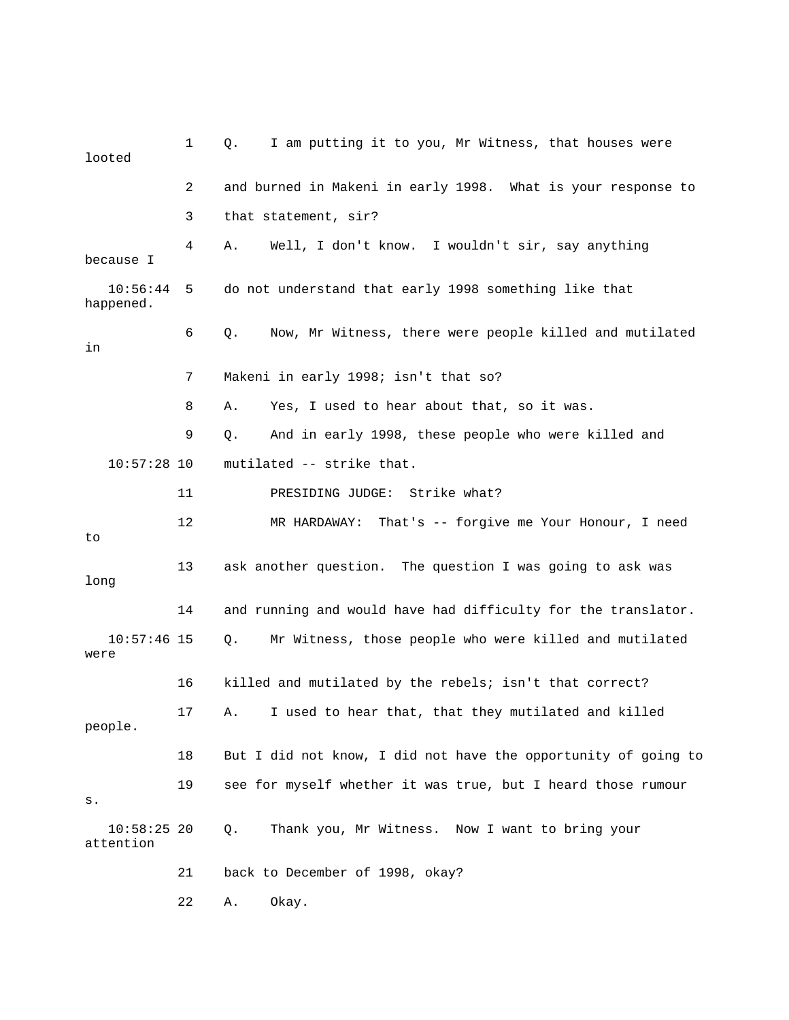| looted                     | 1  | I am putting it to you, Mr Witness, that houses were<br>Q.     |
|----------------------------|----|----------------------------------------------------------------|
|                            | 2  | and burned in Makeni in early 1998. What is your response to   |
|                            | 3  | that statement, sir?                                           |
| because I                  | 4  | Well, I don't know. I wouldn't sir, say anything<br>Α.         |
| 10:56:44<br>happened.      | 5  | do not understand that early 1998 something like that          |
| in                         | 6  | Now, Mr Witness, there were people killed and mutilated<br>Q.  |
|                            | 7  | Makeni in early 1998; isn't that so?                           |
|                            | 8  | Yes, I used to hear about that, so it was.<br>Α.               |
|                            | 9  | And in early 1998, these people who were killed and<br>Q.      |
| $10:57:28$ 10              |    | mutilated -- strike that.                                      |
|                            | 11 | PRESIDING JUDGE: Strike what?                                  |
| to                         | 12 | MR HARDAWAY: That's -- forgive me Your Honour, I need          |
| long                       | 13 | ask another question. The question I was going to ask was      |
|                            | 14 | and running and would have had difficulty for the translator.  |
| $10:57:46$ 15<br>were      |    | Q.<br>Mr Witness, those people who were killed and mutilated   |
|                            | 16 | killed and mutilated by the rebels; isn't that correct?        |
| people.                    | 17 | I used to hear that, that they mutilated and killed<br>Α.      |
|                            | 18 | But I did not know, I did not have the opportunity of going to |
| s.                         | 19 | see for myself whether it was true, but I heard those rumour   |
| $10:58:25$ 20<br>attention |    | Thank you, Mr Witness. Now I want to bring your<br>Q.          |
|                            | 21 | back to December of 1998, okay?                                |
|                            | 22 | Okay.<br>Α.                                                    |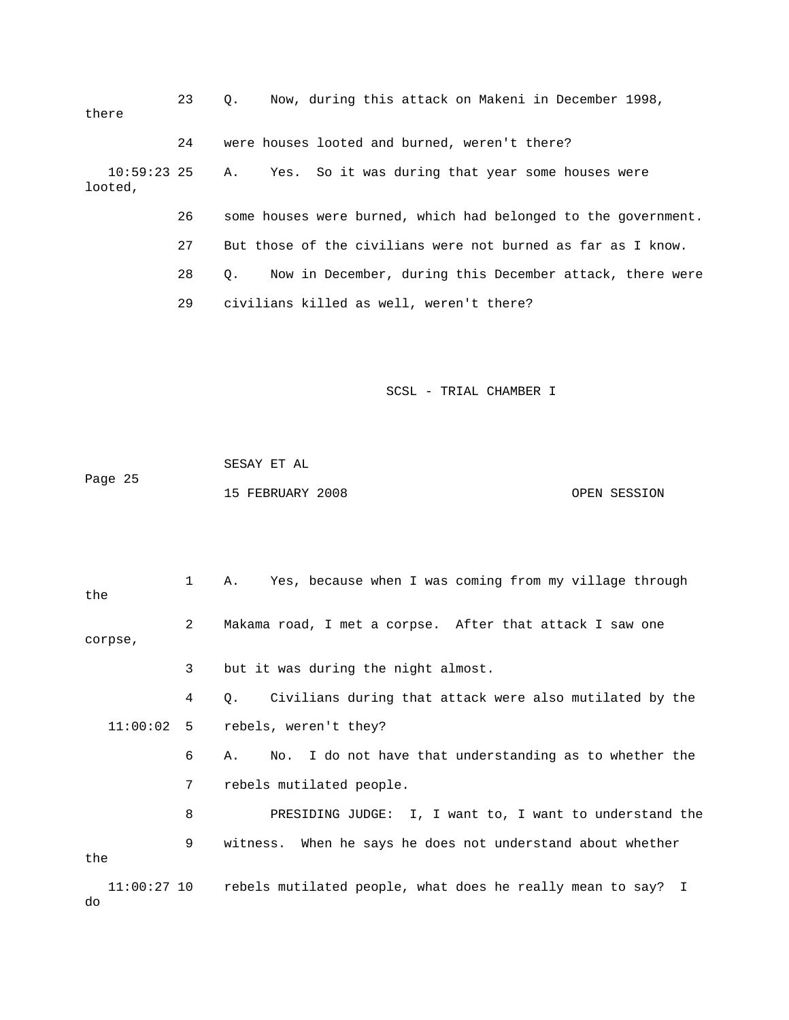| there                    | 23 | Now, during this attack on Makeni in December 1998,<br>О.             |
|--------------------------|----|-----------------------------------------------------------------------|
|                          | 24 | were houses looted and burned, weren't there?                         |
| $10:59:23$ 25<br>looted, |    | Yes. So it was during that year some houses were<br>Α.                |
|                          | 26 | some houses were burned, which had belonged to the government.        |
|                          | 27 | But those of the civilians were not burned as far as I know.          |
|                          | 28 | Now in December, during this December attack, there were<br>$\circ$ . |
|                          | 29 | civilians killed as well, weren't there?                              |

 SESAY ET AL Page 25 15 FEBRUARY 2008 OPEN SESSION

 1 A. Yes, because when I was coming from my village through the 2 Makama road, I met a corpse. After that attack I saw one corpse, 3 but it was during the night almost. 4 Q. Civilians during that attack were also mutilated by the 11:00:02 5 rebels, weren't they? 6 A. No. I do not have that understanding as to whether the 7 rebels mutilated people. 8 PRESIDING JUDGE: I, I want to, I want to understand the 9 witness. When he says he does not understand about whether the 11:00:27 10 rebels mutilated people, what does he really mean to say? I do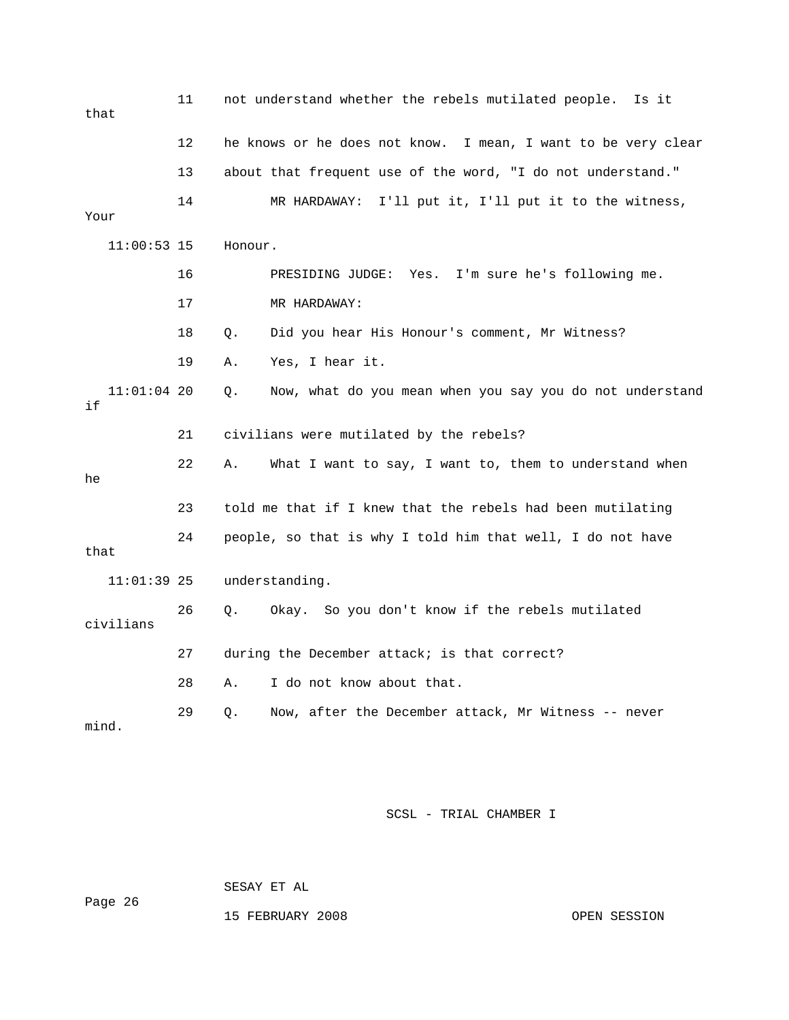| that                | 11 | not understand whether the rebels mutilated people.<br>Is it   |
|---------------------|----|----------------------------------------------------------------|
|                     | 12 | he knows or he does not know. I mean, I want to be very clear  |
|                     | 13 | about that frequent use of the word, "I do not understand."    |
| Your                | 14 | MR HARDAWAY: I'll put it, I'll put it to the witness,          |
| $11:00:53$ 15       |    | Honour.                                                        |
|                     | 16 | PRESIDING JUDGE: Yes. I'm sure he's following me.              |
|                     | 17 | MR HARDAWAY:                                                   |
|                     | 18 | Did you hear His Honour's comment, Mr Witness?<br>Q.           |
|                     | 19 | Α.<br>Yes, I hear it.                                          |
| $11:01:04$ 20<br>if |    | Now, what do you mean when you say you do not understand<br>Q. |
|                     | 21 | civilians were mutilated by the rebels?                        |
| he                  | 22 | What I want to say, I want to, them to understand when<br>Α.   |
|                     | 23 | told me that if I knew that the rebels had been mutilating     |
| that                | 24 | people, so that is why I told him that well, I do not have     |
| $11:01:39$ 25       |    | understanding.                                                 |
| civilians           | 26 | Okay. So you don't know if the rebels mutilated<br>Q.          |
|                     | 27 | during the December attack; is that correct?                   |
|                     | 28 | I do not know about that.<br>Α.                                |
| mind.               | 29 | Now, after the December attack, Mr Witness -- never<br>Q.      |

SESAY ET AL

Page 26

15 FEBRUARY 2008 OPEN SESSION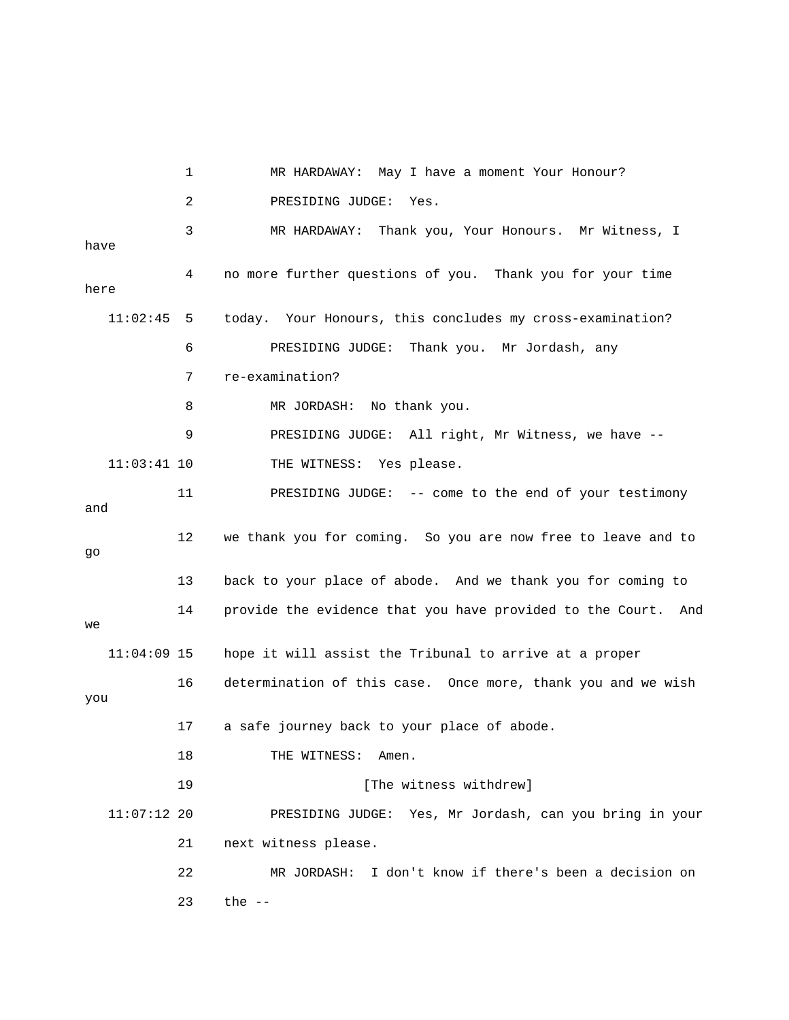1 MR HARDAWAY: May I have a moment Your Honour? 2 PRESIDING JUDGE: Yes. 3 MR HARDAWAY: Thank you, Your Honours. Mr Witness, I have 4 no more further questions of you. Thank you for your time here 11:02:45 5 today. Your Honours, this concludes my cross-examination? 6 PRESIDING JUDGE: Thank you. Mr Jordash, any 7 re-examination? 8 MR JORDASH: No thank you. 9 PRESIDING JUDGE: All right, Mr Witness, we have -- 11:03:41 10 THE WITNESS: Yes please. 11 PRESIDING JUDGE: -- come to the end of your testimony and 12 we thank you for coming. So you are now free to leave and to go 13 back to your place of abode. And we thank you for coming to 14 provide the evidence that you have provided to the Court. And we 11:04:09 15 hope it will assist the Tribunal to arrive at a proper 16 determination of this case. Once more, thank you and we wish you 17 a safe journey back to your place of abode. 18 THE WITNESS: Amen. 19 **Interval** [The witness withdrew] 11:07:12 20 PRESIDING JUDGE: Yes, Mr Jordash, can you bring in your 21 next witness please. 22 MR JORDASH: I don't know if there's been a decision on 23 the --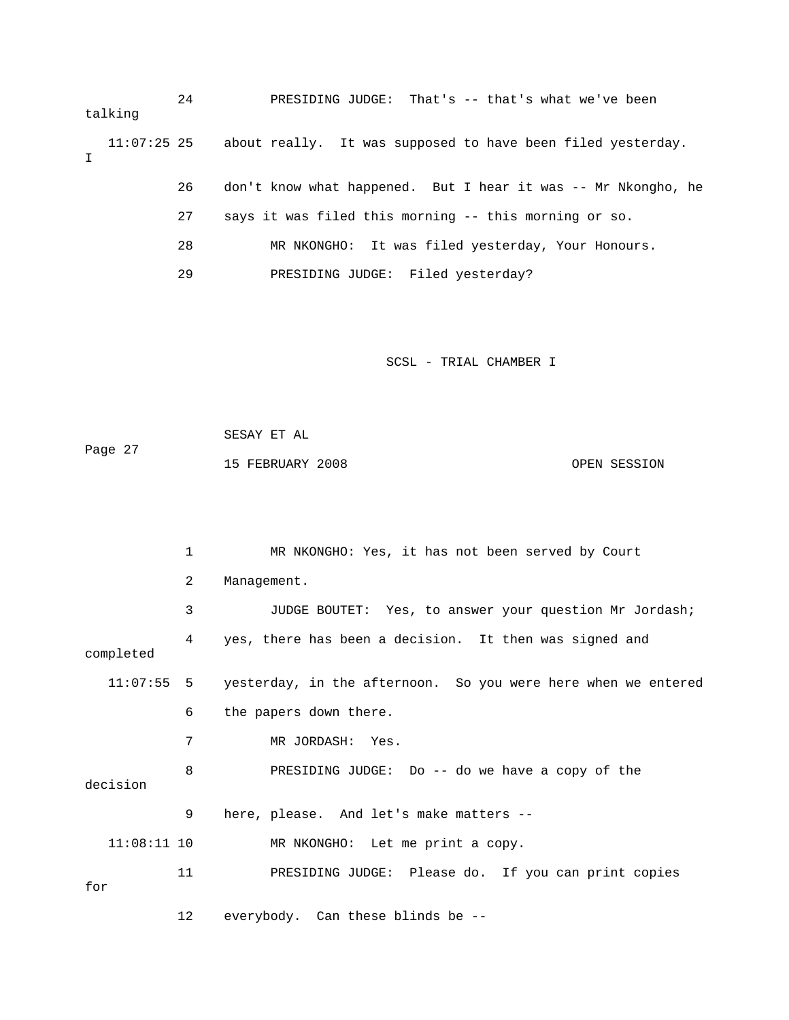24 PRESIDING JUDGE: That's -- that's what we've been talking 11:07:25 25 about really. It was supposed to have been filed yesterday. I 26 don't know what happened. But I hear it was -- Mr Nkongho, he 27 says it was filed this morning -- this morning or so. 28 MR NKONGHO: It was filed yesterday, Your Honours. 29 PRESIDING JUDGE: Filed yesterday?

SCSL - TRIAL CHAMBER I

 SESAY ET AL Page 27 15 FEBRUARY 2008 OPEN SESSION

|               | 1  | MR NKONGHO: Yes, it has not been served by Court                         |
|---------------|----|--------------------------------------------------------------------------|
|               | 2  | Management.                                                              |
|               | 3  | JUDGE BOUTET: Yes, to answer your question Mr Jordash;                   |
| completed     | 4  | yes, there has been a decision. It then was signed and                   |
|               |    | 11:07:55 5 yesterday, in the afternoon. So you were here when we entered |
|               | 6  | the papers down there.                                                   |
|               | 7  | MR JORDASH: Yes.                                                         |
| decision      | 8  | PRESIDING JUDGE: Do -- do we have a copy of the                          |
|               | 9  | here, please. And let's make matters --                                  |
| $11:08:11$ 10 |    | MR NKONGHO: Let me print a copy.                                         |
| for           | 11 | PRESIDING JUDGE: Please do. If you can print copies                      |
|               | 12 | everybody. Can these blinds be --                                        |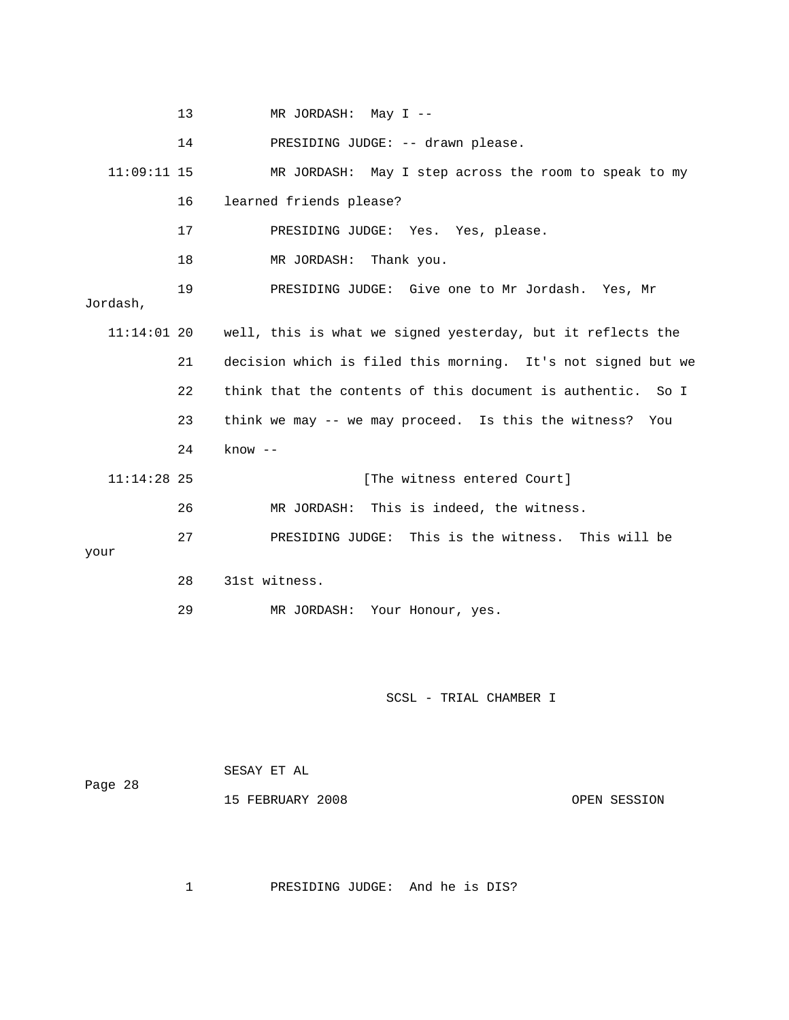|               | 13 | MR JORDASH: May I --                                                    |
|---------------|----|-------------------------------------------------------------------------|
|               | 14 | PRESIDING JUDGE: -- drawn please.                                       |
| $11:09:11$ 15 |    | MR JORDASH: May I step across the room to speak to my                   |
|               | 16 | learned friends please?                                                 |
|               | 17 | PRESIDING JUDGE: Yes. Yes, please.                                      |
|               | 18 | MR JORDASH: Thank you.                                                  |
| Jordash,      | 19 | PRESIDING JUDGE: Give one to Mr Jordash. Yes, Mr                        |
|               |    | 11:14:01 20 well, this is what we signed yesterday, but it reflects the |
|               | 21 | decision which is filed this morning. It's not signed but we            |
|               | 22 | think that the contents of this document is authentic. So I             |
|               | 23 | think we may -- we may proceed. Is this the witness?<br>You             |
|               | 24 | $know --$                                                               |
| $11:14:28$ 25 |    | [The witness entered Court]                                             |
|               | 26 | MR JORDASH: This is indeed, the witness.                                |
| your          | 27 | PRESIDING JUDGE: This is the witness. This will be                      |
|               | 28 | 31st witness.                                                           |
|               |    |                                                                         |

29 MR JORDASH: Your Honour, yes.

SCSL - TRIAL CHAMBER I

 SESAY ET AL Page 28

15 FEBRUARY 2008 OPEN SESSION

1 PRESIDING JUDGE: And he is DIS?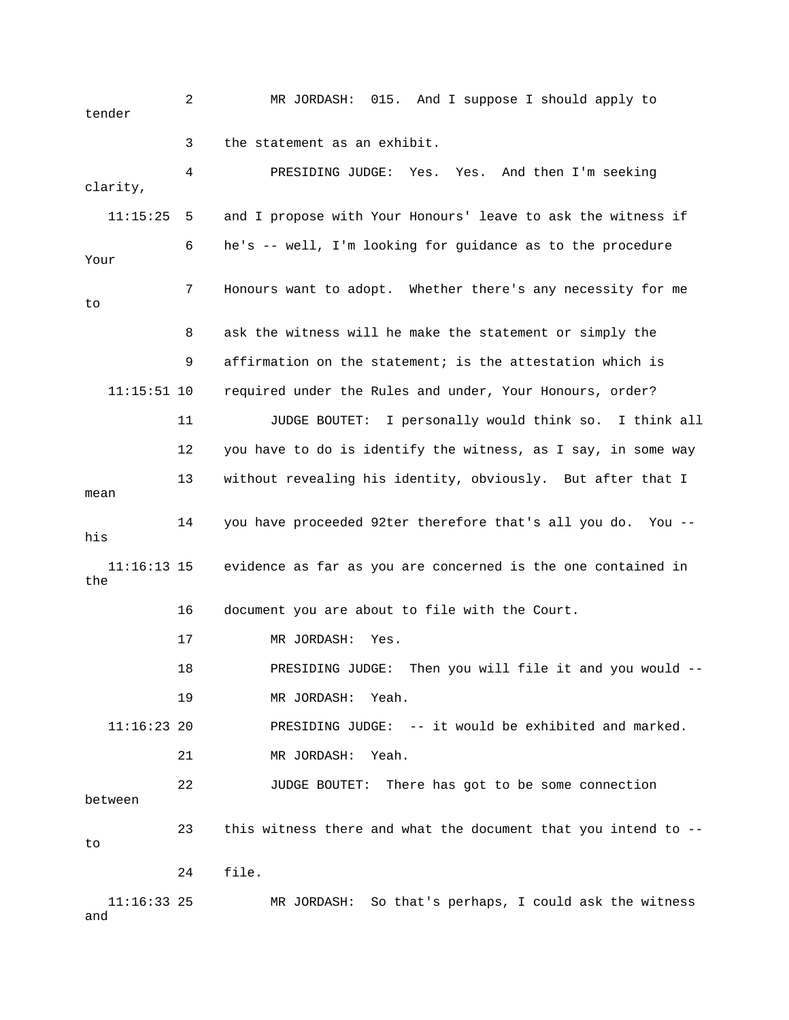2 MR JORDASH: 015. And I suppose I should apply to tender 3 the statement as an exhibit. 4 PRESIDING JUDGE: Yes. Yes. And then I'm seeking clarity, 11:15:25 5 and I propose with Your Honours' leave to ask the witness if 6 he's -- well, I'm looking for guidance as to the procedure Your 7 Honours want to adopt. Whether there's any necessity for me to 8 ask the witness will he make the statement or simply the 9 affirmation on the statement; is the attestation which is 11:15:51 10 required under the Rules and under, Your Honours, order? 11 JUDGE BOUTET: I personally would think so. I think all 12 you have to do is identify the witness, as I say, in some way 13 without revealing his identity, obviously. But after that I mean 14 you have proceeded 92ter therefore that's all you do. You - his 11:16:13 15 evidence as far as you are concerned is the one contained in the 16 document you are about to file with the Court. 17 MR JORDASH: Yes. 18 PRESIDING JUDGE: Then you will file it and you would -- 19 MR JORDASH: Yeah. 11:16:23 20 PRESIDING JUDGE: -- it would be exhibited and marked. 21 MR JORDASH: Yeah. 22 JUDGE BOUTET: There has got to be some connection between 23 this witness there and what the document that you intend to - to 24 file. 11:16:33 25 MR JORDASH: So that's perhaps, I could ask the witness and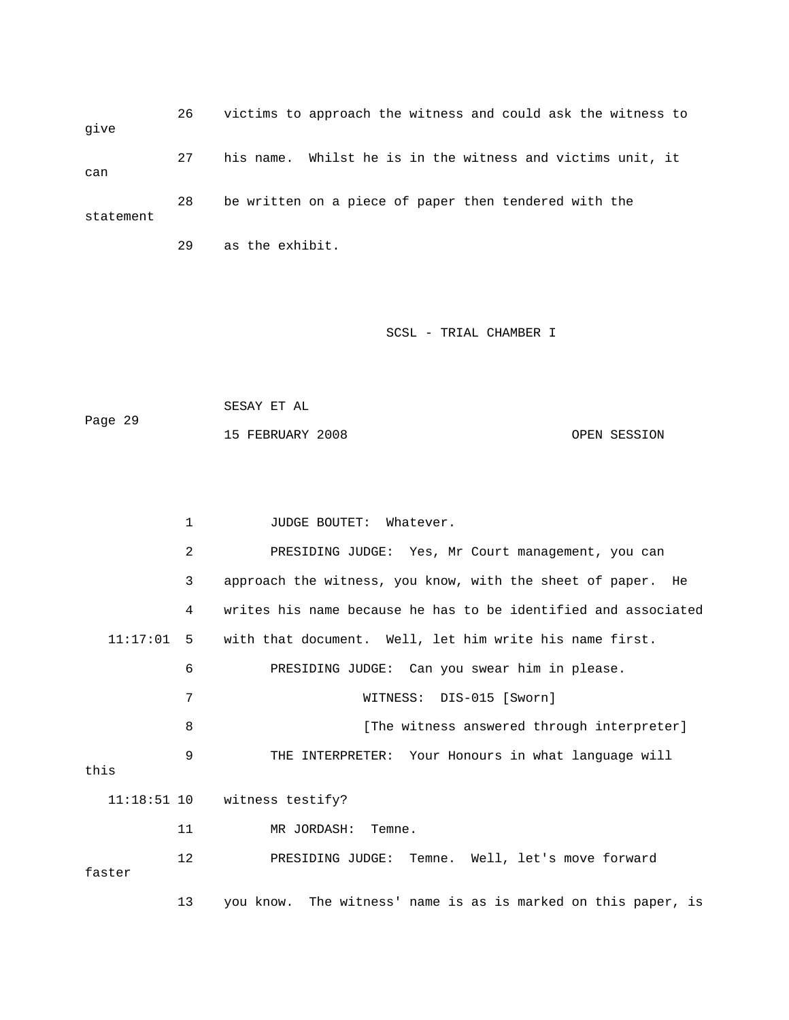26 victims to approach the witness and could ask the witness to give 27 his name. Whilst he is in the witness and victims unit, it can 28 be written on a piece of paper then tendered with the statement

29 as the exhibit.

## SCSL - TRIAL CHAMBER I

 SESAY ET AL Page 29 15 FEBRUARY 2008 OPEN SESSION

1 JUDGE BOUTET: Whatever. 2 PRESIDING JUDGE: Yes, Mr Court management, you can 3 approach the witness, you know, with the sheet of paper. He 4 writes his name because he has to be identified and associated 11:17:01 5 with that document. Well, let him write his name first. 6 PRESIDING JUDGE: Can you swear him in please. 7 WITNESS: DIS-015 [Sworn] 8 **8** [The witness answered through interpreter] 9 THE INTERPRETER: Your Honours in what language will this 11:18:51 10 witness testify? 11 MR JORDASH: Temne. 12 PRESIDING JUDGE: Temne. Well, let's move forward faster 13 you know. The witness' name is as is marked on this paper, is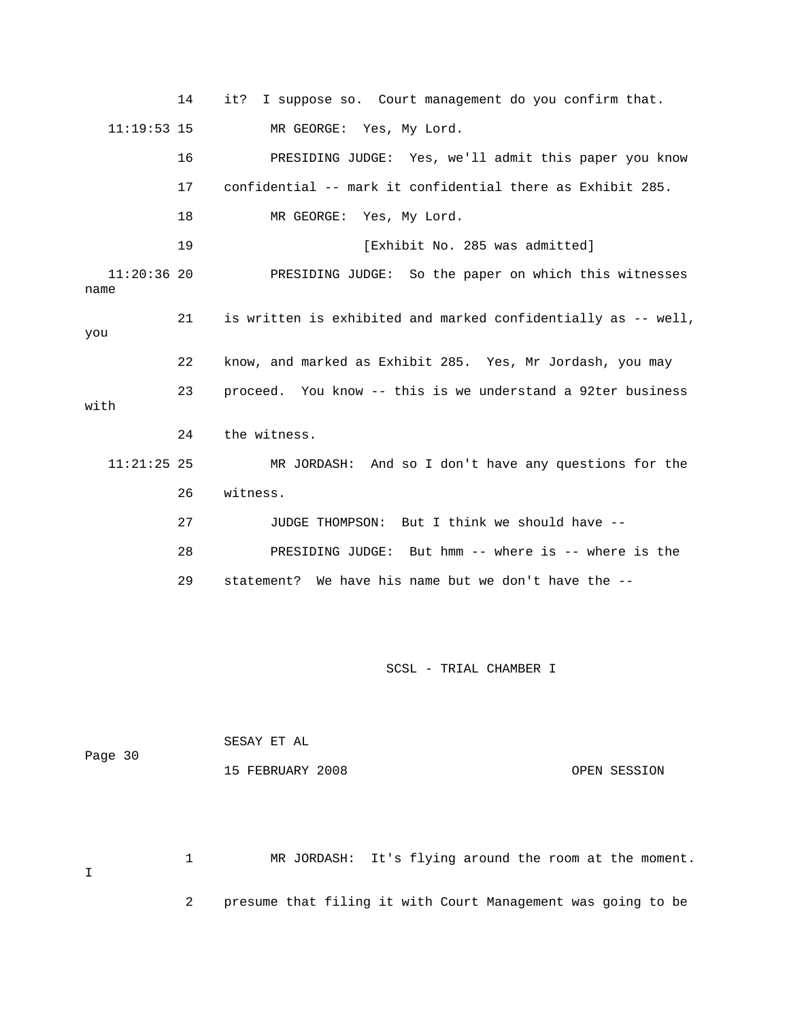14 it? I suppose so. Court management do you confirm that. 11:19:53 15 MR GEORGE: Yes, My Lord. 16 PRESIDING JUDGE: Yes, we'll admit this paper you know 17 confidential -- mark it confidential there as Exhibit 285. 18 MR GEORGE: Yes, My Lord. 19 **Interval Exhibit No. 285 was admitted**] 11:20:36 20 PRESIDING JUDGE: So the paper on which this witnesses name 21 is written is exhibited and marked confidentially as -- well, you 22 know, and marked as Exhibit 285. Yes, Mr Jordash, you may 23 proceed. You know -- this is we understand a 92ter business with 24 the witness. 11:21:25 25 MR JORDASH: And so I don't have any questions for the 26 witness. 27 JUDGE THOMPSON: But I think we should have -- 28 PRESIDING JUDGE: But hmm -- where is -- where is the 29 statement? We have his name but we don't have the --

SCSL - TRIAL CHAMBER I

| Page 30 | SESAY ET AL      |              |
|---------|------------------|--------------|
|         | 15 FEBRUARY 2008 | OPEN SESSION |

 1 MR JORDASH: It's flying around the room at the moment. I 2 presume that filing it with Court Management was going to be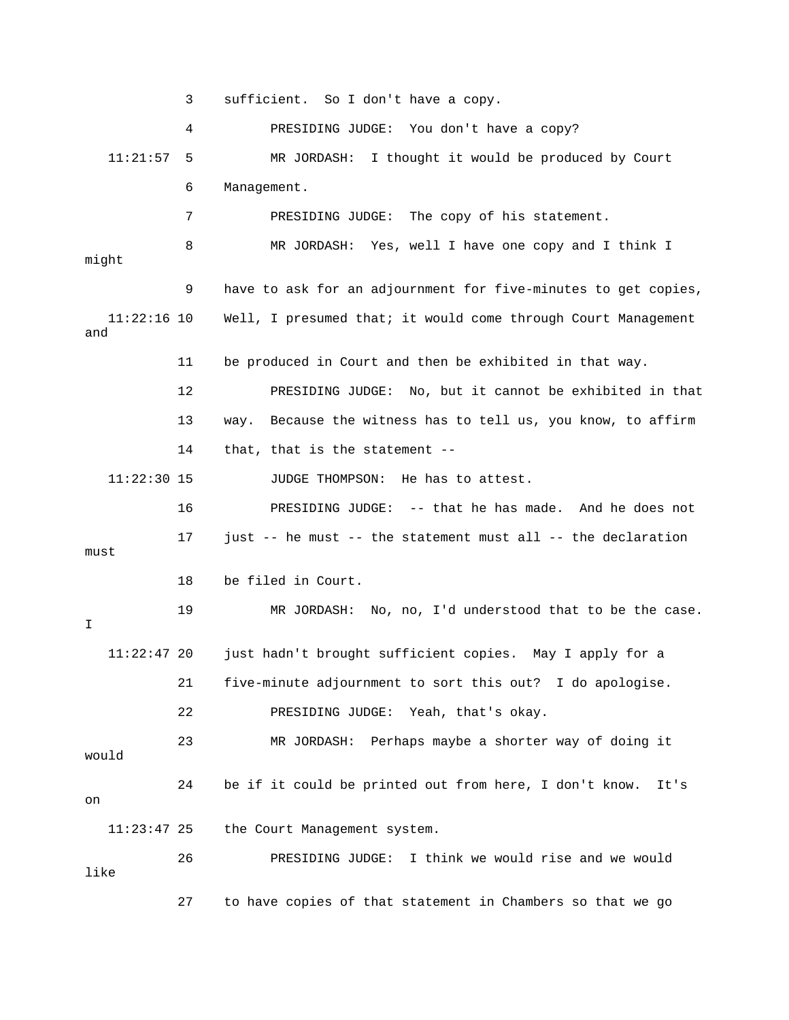3 sufficient. So I don't have a copy.

 4 PRESIDING JUDGE: You don't have a copy? 11:21:57 5 MR JORDASH: I thought it would be produced by Court 6 Management. 7 PRESIDING JUDGE: The copy of his statement. 8 MR JORDASH: Yes, well I have one copy and I think I might 9 have to ask for an adjournment for five-minutes to get copies, 11:22:16 10 Well, I presumed that; it would come through Court Management and 11 be produced in Court and then be exhibited in that way. 12 PRESIDING JUDGE: No, but it cannot be exhibited in that 13 way. Because the witness has to tell us, you know, to affirm 14 that, that is the statement -- 11:22:30 15 JUDGE THOMPSON: He has to attest. 16 PRESIDING JUDGE: -- that he has made. And he does not 17 just -- he must -- the statement must all -- the declaration must 18 be filed in Court. 19 MR JORDASH: No, no, I'd understood that to be the case. I 11:22:47 20 just hadn't brought sufficient copies. May I apply for a 21 five-minute adjournment to sort this out? I do apologise. 22 PRESIDING JUDGE: Yeah, that's okay. 23 MR JORDASH: Perhaps maybe a shorter way of doing it would 24 be if it could be printed out from here, I don't know. It's on 11:23:47 25 the Court Management system. 26 PRESIDING JUDGE: I think we would rise and we would like 27 to have copies of that statement in Chambers so that we go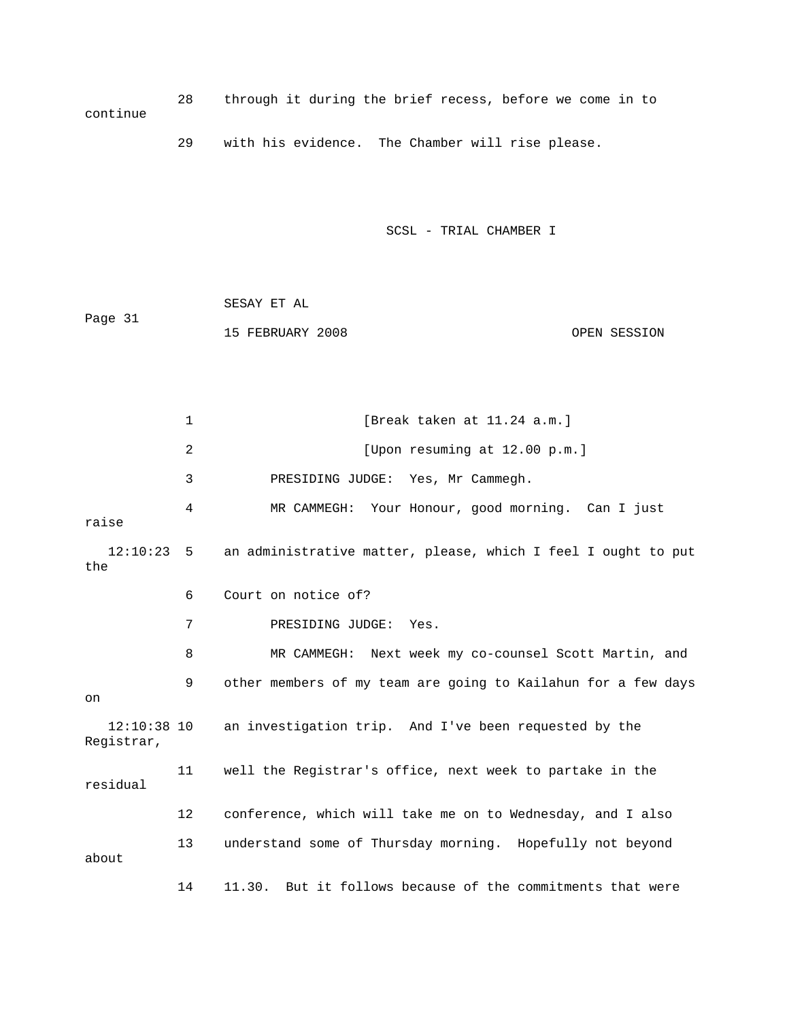28 through it during the brief recess, before we come in to continue 29 with his evidence. The Chamber will rise please.

SCSL - TRIAL CHAMBER I

 SESAY ET AL Page 31 15 FEBRUARY 2008 OPEN SESSION

1 [Break taken at 11.24 a.m.] 2 [Upon resuming at 12.00 p.m.] 3 PRESIDING JUDGE: Yes, Mr Cammegh. 4 MR CAMMEGH: Your Honour, good morning. Can I just raise 12:10:23 5 an administrative matter, please, which I feel I ought to put the 6 Court on notice of? 7 PRESIDING JUDGE: Yes. 8 MR CAMMEGH: Next week my co-counsel Scott Martin, and 9 other members of my team are going to Kailahun for a few days on 12:10:38 10 an investigation trip. And I've been requested by the Registrar, 11 well the Registrar's office, next week to partake in the residual 12 conference, which will take me on to Wednesday, and I also 13 understand some of Thursday morning. Hopefully not beyond about 14 11.30. But it follows because of the commitments that were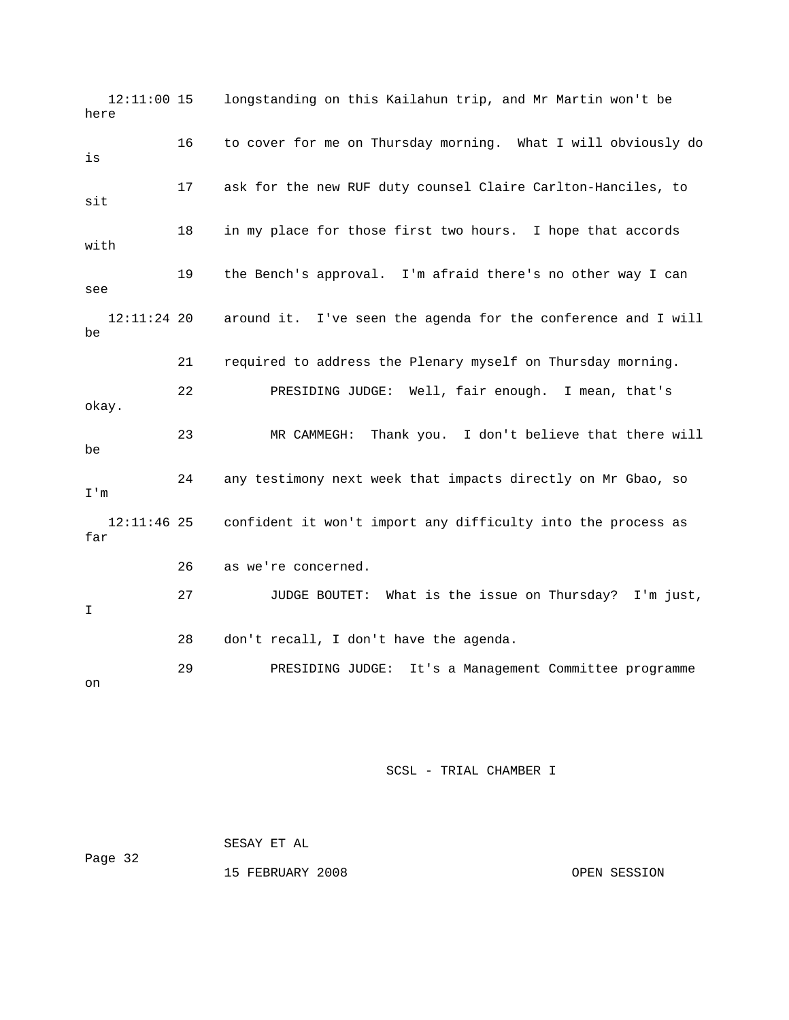12:11:00 15 longstanding on this Kailahun trip, and Mr Martin won't be here 16 to cover for me on Thursday morning. What I will obviously do is 17 ask for the new RUF duty counsel Claire Carlton-Hanciles, to sit 18 in my place for those first two hours. I hope that accords with 19 the Bench's approval. I'm afraid there's no other way I can see 12:11:24 20 around it. I've seen the agenda for the conference and I will be 21 required to address the Plenary myself on Thursday morning. 22 PRESIDING JUDGE: Well, fair enough. I mean, that's okay. 23 MR CAMMEGH: Thank you. I don't believe that there will be 24 any testimony next week that impacts directly on Mr Gbao, so I'm 12:11:46 25 confident it won't import any difficulty into the process as far 26 as we're concerned. 27 JUDGE BOUTET: What is the issue on Thursday? I'm just, I 28 don't recall, I don't have the agenda. 29 PRESIDING JUDGE: It's a Management Committee programme on

SCSL - TRIAL CHAMBER I

 SESAY ET AL Page 32 15 FEBRUARY 2008 OPEN SESSION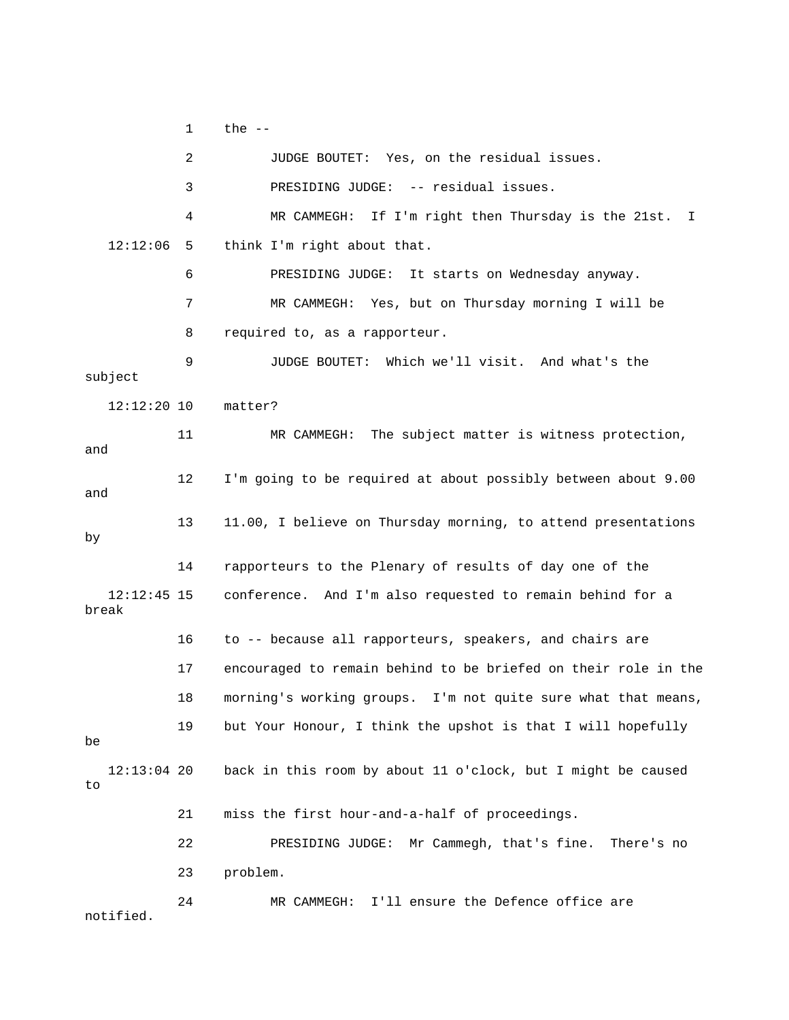1  $the --$ 

|                        | 2  | JUDGE BOUTET: Yes, on the residual issues.                     |
|------------------------|----|----------------------------------------------------------------|
|                        | 3  | PRESIDING JUDGE: -- residual issues.                           |
|                        | 4  | MR CAMMEGH: If I'm right then Thursday is the 21st.<br>Ι.      |
| 12:12:06               | 5  | think I'm right about that.                                    |
|                        | 6  | PRESIDING JUDGE:<br>It starts on Wednesday anyway.             |
|                        | 7  | MR CAMMEGH: Yes, but on Thursday morning I will be             |
|                        | 8  | required to, as a rapporteur.                                  |
| subject                | 9  | JUDGE BOUTET: Which we'll visit. And what's the                |
| $12:12:20$ 10          |    | matter?                                                        |
| and                    | 11 | The subject matter is witness protection,<br>MR CAMMEGH:       |
| and                    | 12 | I'm going to be required at about possibly between about 9.00  |
| by                     | 13 | 11.00, I believe on Thursday morning, to attend presentations  |
|                        | 14 | rapporteurs to the Plenary of results of day one of the        |
| $12:12:45$ 15<br>break |    | conference. And I'm also requested to remain behind for a      |
|                        | 16 | to -- because all rapporteurs, speakers, and chairs are        |
|                        | 17 | encouraged to remain behind to be briefed on their role in the |
|                        | 18 | morning's working groups. I'm not quite sure what that means,  |
| be                     | 19 | but Your Honour, I think the upshot is that I will hopefully   |
| $12:13:04$ 20<br>to    |    | back in this room by about 11 o'clock, but I might be caused   |
|                        | 21 | miss the first hour-and-a-half of proceedings.                 |
|                        | 22 | Mr Cammegh, that's fine.<br>PRESIDING JUDGE:<br>There's no     |
|                        | 23 | problem.                                                       |
| notified.              | 24 | I'll ensure the Defence office are<br>MR CAMMEGH:              |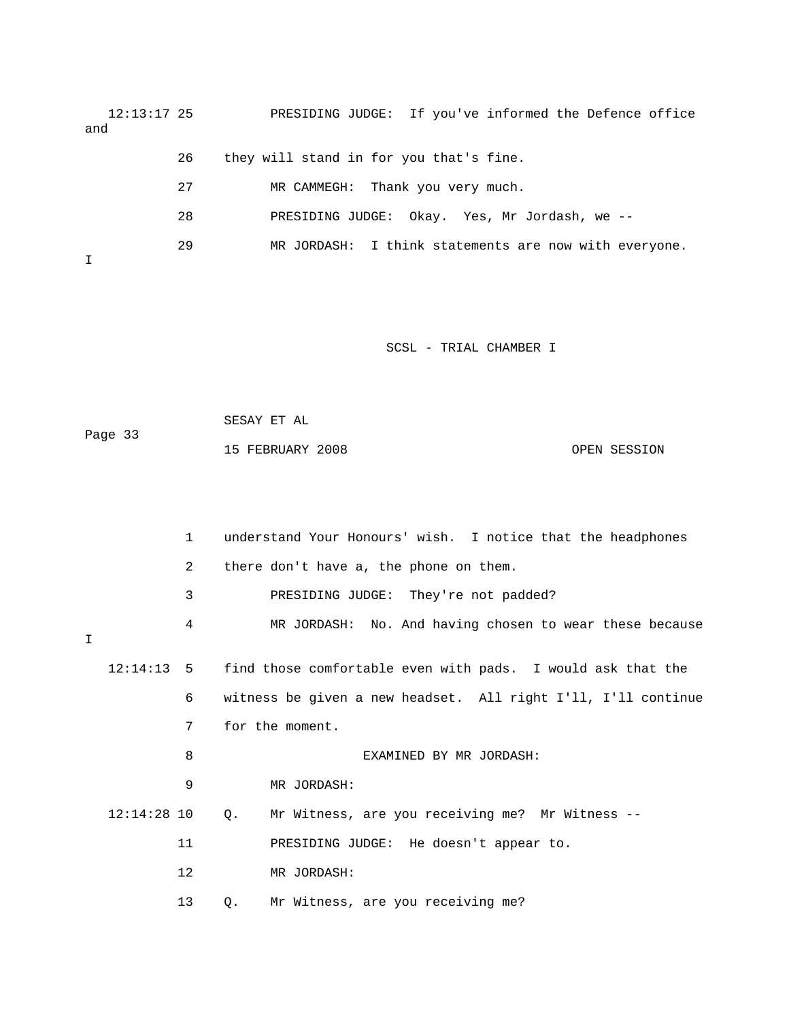12:13:17 25 PRESIDING JUDGE: If you've informed the Defence office and

|  | they will stand in for you that's fine. |  |  |  |  |
|--|-----------------------------------------|--|--|--|--|
|--|-----------------------------------------|--|--|--|--|

27 MR CAMMEGH: Thank you very much.

- 28 PRESIDING JUDGE: Okay. Yes, Mr Jordash, we --
- 29 MR JORDASH: I think statements are now with everyone.

I

| Page 33 | SESAY ET AL      |              |
|---------|------------------|--------------|
|         | 15 FEBRUARY 2008 | OPEN SESSION |

|        |               | $\mathbf{1}$   |             | understand Your Honours' wish. I notice that the headphones            |
|--------|---------------|----------------|-------------|------------------------------------------------------------------------|
|        |               | $\overline{2}$ |             | there don't have a, the phone on them.                                 |
|        |               | 3              |             | PRESIDING JUDGE: They're not padded?                                   |
| $\top$ |               | 4              |             | MR JORDASH: No. And having chosen to wear these because                |
|        |               |                |             |                                                                        |
|        |               |                |             | 12:14:13 5 find those comfortable even with pads. I would ask that the |
|        |               | 6              |             | witness be given a new headset. All right I'll, I'll continue          |
|        |               | 7              |             | for the moment.                                                        |
|        |               | 8              |             | EXAMINED BY MR JORDASH:                                                |
|        |               | 9              |             | MR JORDASH:                                                            |
|        | $12:14:28$ 10 |                | $Q_{\star}$ | Mr Witness, are you receiving me? Mr Witness --                        |
|        |               | 11             |             | PRESIDING JUDGE: He doesn't appear to.                                 |
|        |               | 12             |             | MR JORDASH:                                                            |
|        |               | 13             | $\circ$ .   | Mr Witness, are you receiving me?                                      |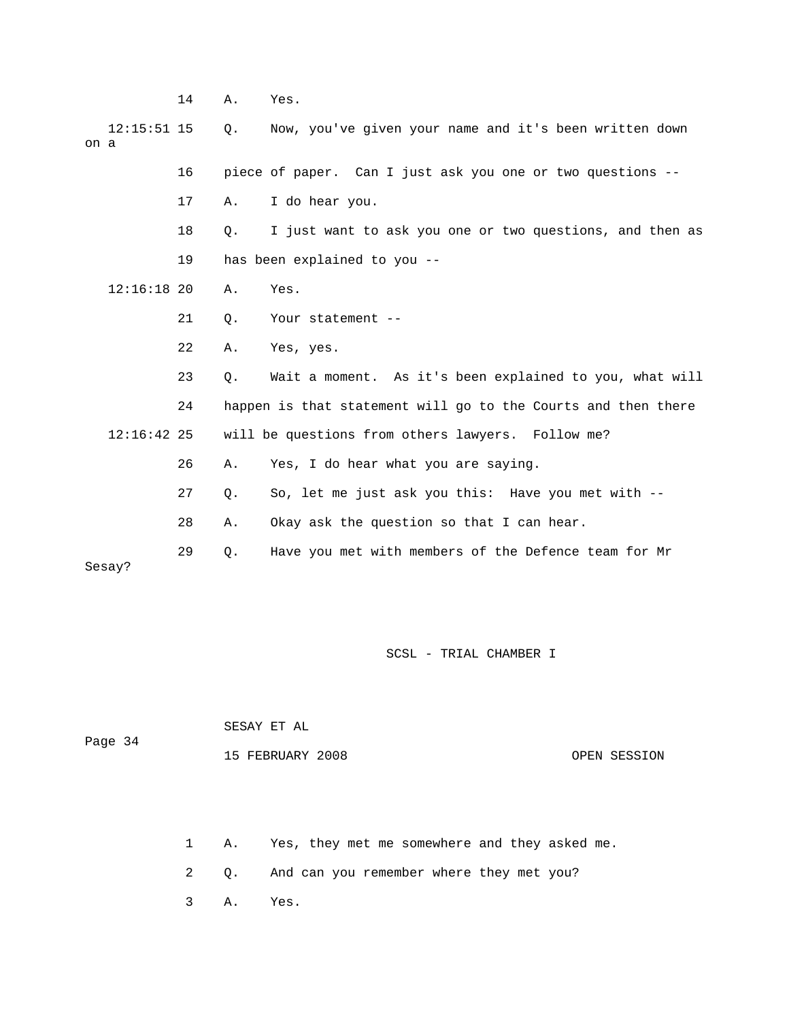14 A. Yes. 12:15:51 15 Q. Now, you've given your name and it's been written down on a 16 piece of paper. Can I just ask you one or two questions -- 17 A. I do hear you. 18 Q. I just want to ask you one or two questions, and then as 19 has been explained to you -- 12:16:18 20 A. Yes. 21 Q. Your statement -- 22 A. Yes, yes. 23 Q. Wait a moment. As it's been explained to you, what will 24 happen is that statement will go to the Courts and then there 12:16:42 25 will be questions from others lawyers. Follow me? 26 A. Yes, I do hear what you are saying. 27 Q. So, let me just ask you this: Have you met with -- 28 A. Okay ask the question so that I can hear. 29 Q. Have you met with members of the Defence team for Mr Sesay?

SCSL - TRIAL CHAMBER I

| Page 34 | SESAY ET AL      |              |
|---------|------------------|--------------|
|         | 15 FEBRUARY 2008 | OPEN SESSION |
|         |                  |              |

1 A. Yes, they met me somewhere and they asked me.

2 Q. And can you remember where they met you?

3 A. Yes.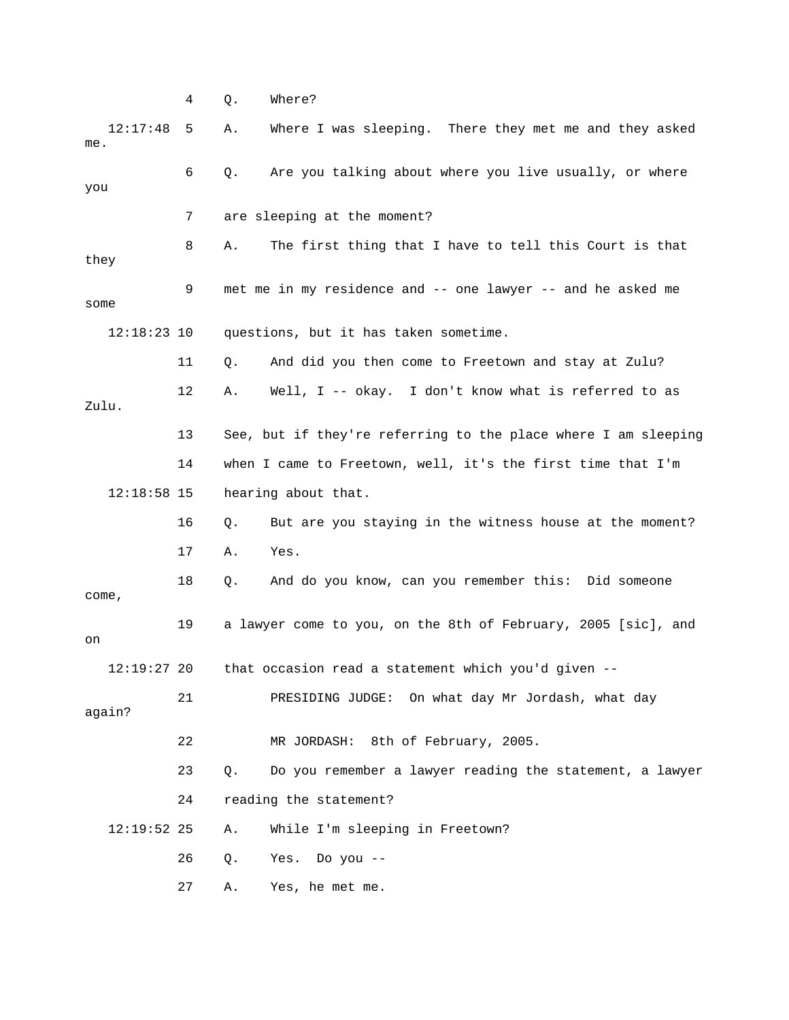12:17:48 5 A. Where I was sleeping. There they met me and they asked 6 Q. Are you talking about where you live usually, or where you 7 are sleeping at the moment? 8 A. The first thing that I have to tell this Court is that they 9 met me in my residence and -- one lawyer -- and he asked me some 12:18:23 10 questions, but it has taken sometime. 11 Q. And did you then come to Freetown and stay at Zulu? 12 A. Well, I -- okay. I don't know what is referred to as Zulu. 13 See, but if they're referring to the place where I am sleeping 14 when I came to Freetown, well, it's the first time that I'm 12:18:58 15 hearing about that.

 16 Q. But are you staying in the witness house at the moment? 17 A. Yes.

 18 Q. And do you know, can you remember this: Did someone come, 19 a lawyer come to you, on the 8th of February, 2005 [sic], and on

12:19:27 20 that occasion read a statement which you'd given --

 21 PRESIDING JUDGE: On what day Mr Jordash, what day again?

22 MR JORDASH: 8th of February, 2005.

 23 Q. Do you remember a lawyer reading the statement, a lawyer 24 reading the statement?

12:19:52 25 A. While I'm sleeping in Freetown?

26 Q. Yes. Do you --

27 A. Yes, he met me.

4 Q. Where?

me.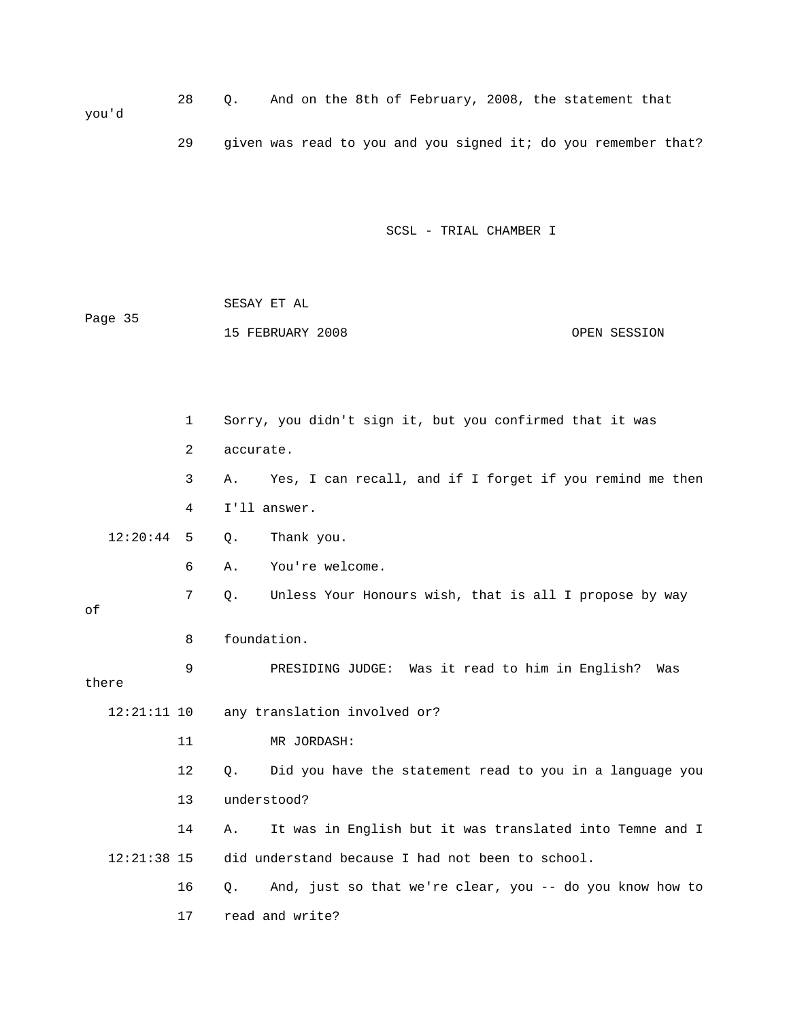28 Q. And on the 8th of February, 2008, the statement that you'd

29 given was read to you and you signed it; do you remember that?

SCSL - TRIAL CHAMBER I

 SESAY ET AL Page 35 15 FEBRUARY 2008 OPEN SESSION

 1 Sorry, you didn't sign it, but you confirmed that it was 2 accurate. 3 A. Yes, I can recall, and if I forget if you remind me then 4 I'll answer. 12:20:44 5 Q. Thank you. 6 A. You're welcome. 7 Q. Unless Your Honours wish, that is all I propose by way of 8 foundation. 9 PRESIDING JUDGE: Was it read to him in English? Was there 12:21:11 10 any translation involved or? 11 MR JORDASH: 12 Q. Did you have the statement read to you in a language you 13 understood? 14 A. It was in English but it was translated into Temne and I 12:21:38 15 did understand because I had not been to school. 16 Q. And, just so that we're clear, you -- do you know how to 17 read and write?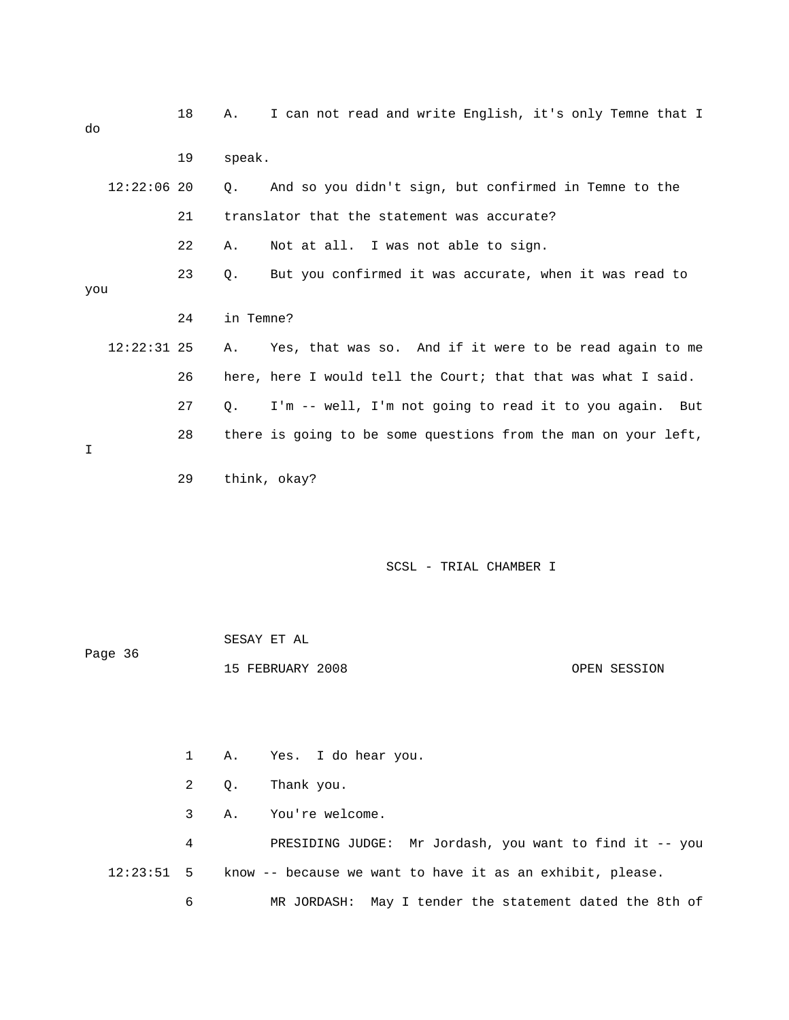| do  |               | 18 | Α.        | I can not read and write English, it's only Temne that I       |
|-----|---------------|----|-----------|----------------------------------------------------------------|
|     |               | 19 | speak.    |                                                                |
|     | $12:22:06$ 20 |    | Ο.        | And so you didn't sign, but confirmed in Temne to the          |
|     |               | 21 |           | translator that the statement was accurate?                    |
|     |               | 22 | Α.        | Not at all. I was not able to sign.                            |
| you |               | 23 | О.        | But you confirmed it was accurate, when it was read to         |
|     |               | 24 | in Temne? |                                                                |
|     | $12:22:31$ 25 |    | Α.        | Yes, that was so. And if it were to be read again to me        |
|     |               | 26 |           | here, here I would tell the Court; that that was what I said.  |
|     |               | 27 | $\circ$ . | I'm -- well, I'm not going to read it to you again. But        |
| T.  |               | 28 |           | there is going to be some questions from the man on your left, |
|     |               | 29 |           | think, okay?                                                   |

|         | SESAY ET AL      |              |
|---------|------------------|--------------|
| Page 36 |                  |              |
|         | 15 FEBRUARY 2008 | OPEN SESSION |

 1 A. Yes. I do hear you. 2 Q. Thank you. 3 A. You're welcome. 4 PRESIDING JUDGE: Mr Jordash, you want to find it -- you 12:23:51 5 know -- because we want to have it as an exhibit, please. 6 MR JORDASH: May I tender the statement dated the 8th of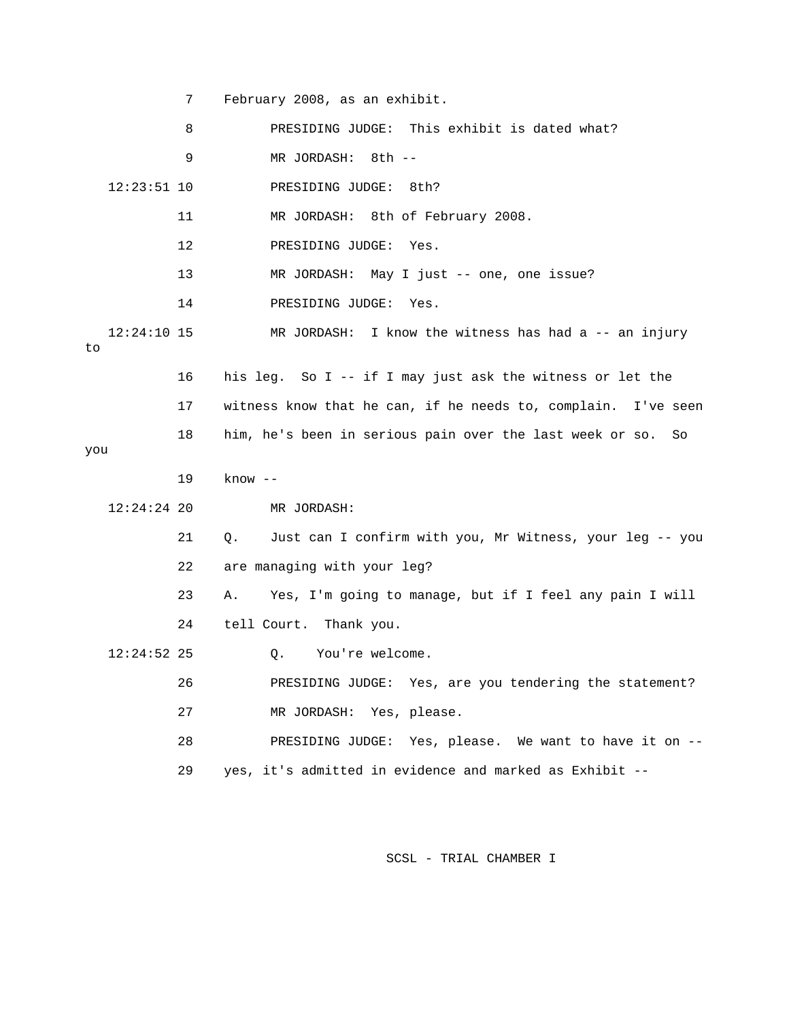7 February 2008, as an exhibit.

|                     | 8  | PRESIDING JUDGE: This exhibit is dated what?                     |
|---------------------|----|------------------------------------------------------------------|
|                     | 9  | MR JORDASH:<br>8th --                                            |
| $12:23:51$ 10       |    | PRESIDING JUDGE:<br>8th?                                         |
|                     | 11 | MR JORDASH: 8th of February 2008.                                |
|                     | 12 | PRESIDING JUDGE:<br>Yes.                                         |
|                     | 13 | MR JORDASH: May I just -- one, one issue?                        |
|                     | 14 | PRESIDING JUDGE:<br>Yes.                                         |
| $12:24:10$ 15<br>to |    | MR JORDASH: I know the witness has had a -- an injury            |
|                     | 16 | his leg. So I -- if I may just ask the witness or let the        |
|                     | 17 | witness know that he can, if he needs to, complain.<br>I've seen |
| you                 | 18 | him, he's been in serious pain over the last week or so.<br>So   |
|                     |    |                                                                  |
|                     | 19 | $know -$                                                         |
| $12:24:24$ 20       |    | MR JORDASH:                                                      |
|                     | 21 | Just can I confirm with you, Mr Witness, your leg -- you<br>Q.   |
|                     | 22 | are managing with your leg?                                      |
|                     | 23 | Yes, I'm going to manage, but if I feel any pain I will<br>Α.    |
|                     | 24 | tell Court. Thank you.                                           |
| $12:24:52$ 25       |    | You're welcome.<br>О.                                            |
|                     | 26 | PRESIDING JUDGE: Yes, are you tendering the statement?           |
|                     | 27 | MR JORDASH: Yes, please.                                         |
|                     | 28 | PRESIDING JUDGE: Yes, please. We want to have it on $-$ -        |
|                     | 29 | yes, it's admitted in evidence and marked as Exhibit --          |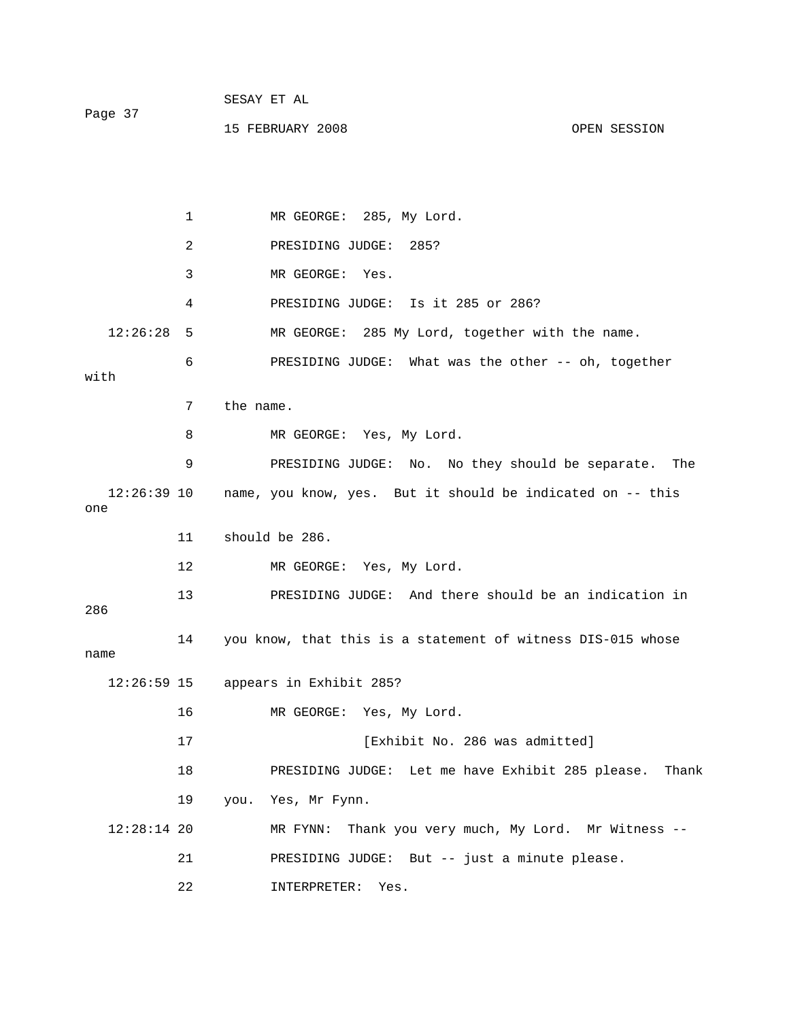| Page 37 | SESAY ET AL      |              |
|---------|------------------|--------------|
|         | 15 FEBRUARY 2008 | OPEN SESSION |

1 MR GEORGE: 285, My Lord. 2 PRESIDING JUDGE: 285? 3 MR GEORGE: Yes. 4 PRESIDING JUDGE: Is it 285 or 286? 12:26:28 5 MR GEORGE: 285 My Lord, together with the name. 6 PRESIDING JUDGE: What was the other -- oh, together with 7 the name. 8 MR GEORGE: Yes, My Lord. 9 PRESIDING JUDGE: No. No they should be separate. The 12:26:39 10 name, you know, yes. But it should be indicated on -- this one 11 should be 286. 12 MR GEORGE: Yes, My Lord. 13 PRESIDING JUDGE: And there should be an indication in 286 14 you know, that this is a statement of witness DIS-015 whose name 12:26:59 15 appears in Exhibit 285? 16 MR GEORGE: Yes, My Lord. 17 **Interval Exhibit No. 286 was admitted**] 18 PRESIDING JUDGE: Let me have Exhibit 285 please. Thank 19 you. Yes, Mr Fynn. 12:28:14 20 MR FYNN: Thank you very much, My Lord. Mr Witness -- 21 PRESIDING JUDGE: But -- just a minute please. 22 INTERPRETER: Yes.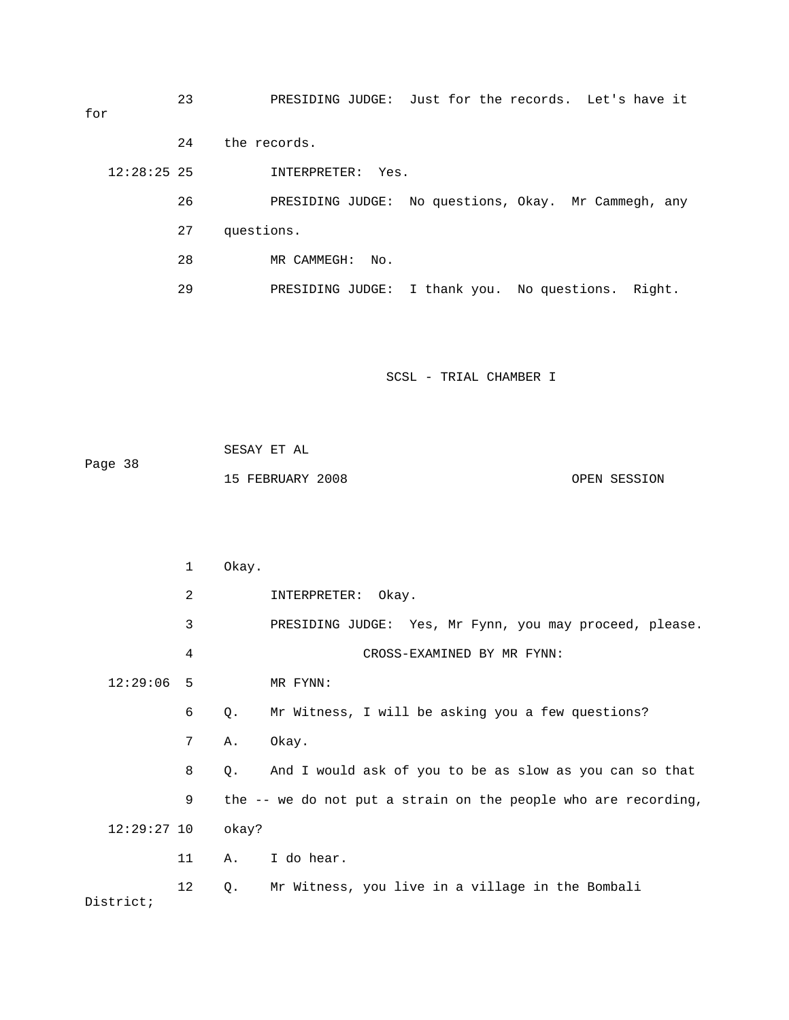23 PRESIDING JUDGE: Just for the records. Let's have it for 24 the records. 12:28:25 25 INTERPRETER: Yes. 26 PRESIDING JUDGE: No questions, Okay. Mr Cammegh, any

- 27 questions.
- 28 MR CAMMEGH: No.

29 PRESIDING JUDGE: I thank you. No questions. Right.

| Page 38 | SESAY ET AL      |              |
|---------|------------------|--------------|
|         | 15 FEBRUARY 2008 | OPEN SESSION |

|               | 1  | Okay. |                                                                |
|---------------|----|-------|----------------------------------------------------------------|
|               | 2  |       | INTERPRETER: Okay.                                             |
|               | 3  |       | PRESIDING JUDGE: Yes, Mr Fynn, you may proceed, please.        |
|               | 4  |       | CROSS-EXAMINED BY MR FYNN:                                     |
| 12:29:06      | 5  |       | MR FYNN:                                                       |
|               | 6  | Q.    | Mr Witness, I will be asking you a few questions?              |
|               | 7  | Α.    | Okay.                                                          |
|               | 8  | $Q$ . | And I would ask of you to be as slow as you can so that        |
|               | 9  |       | the -- we do not put a strain on the people who are recording, |
| $12:29:27$ 10 |    | okay? |                                                                |
|               | 11 | A.    | I do hear.                                                     |
| District;     | 12 | Q.    | Mr Witness, you live in a village in the Bombali               |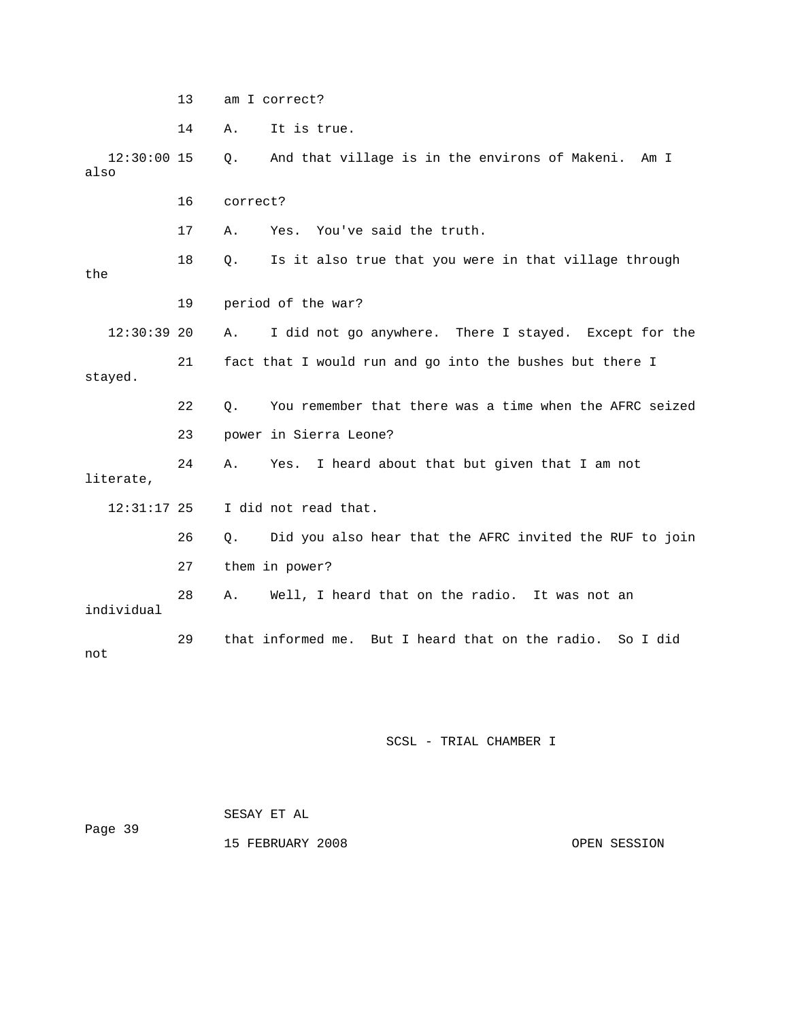13 am I correct?

14 A. It is true.

 12:30:00 15 Q. And that village is in the environs of Makeni. Am I also 16 correct? 17 A. Yes. You've said the truth. 18 Q. Is it also true that you were in that village through the 19 period of the war? 12:30:39 20 A. I did not go anywhere. There I stayed. Except for the 21 fact that I would run and go into the bushes but there I stayed. 22 Q. You remember that there was a time when the AFRC seized 23 power in Sierra Leone? 24 A. Yes. I heard about that but given that I am not literate, 12:31:17 25 I did not read that. 26 Q. Did you also hear that the AFRC invited the RUF to join 27 them in power? 28 A. Well, I heard that on the radio. It was not an individual 29 that informed me. But I heard that on the radio. So I did not

SCSL - TRIAL CHAMBER I

 SESAY ET AL Page 39 15 FEBRUARY 2008 OPEN SESSION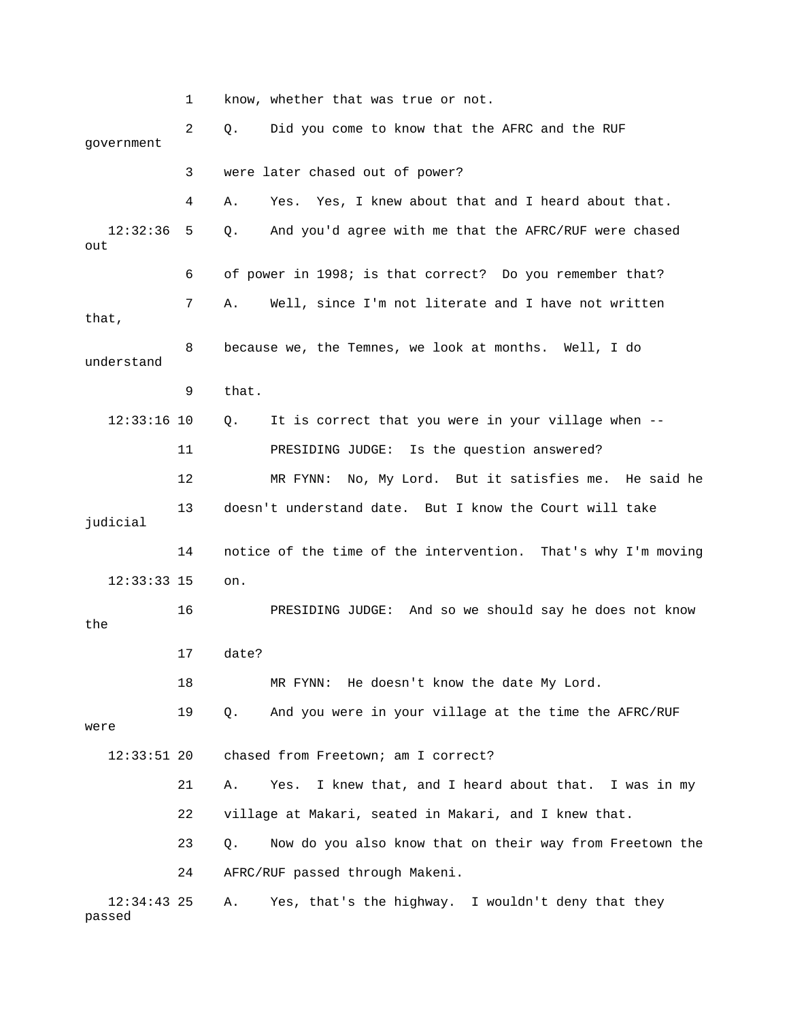1 know, whether that was true or not. 2 Q. Did you come to know that the AFRC and the RUF government 3 were later chased out of power? 4 A. Yes. Yes, I knew about that and I heard about that. 12:32:36 5 Q. And you'd agree with me that the AFRC/RUF were chased out 6 of power in 1998; is that correct? Do you remember that? 7 A. Well, since I'm not literate and I have not written that, 8 because we, the Temnes, we look at months. Well, I do understand 9 that. 12:33:16 10 Q. It is correct that you were in your village when -- 11 PRESIDING JUDGE: Is the question answered? 12 MR FYNN: No, My Lord. But it satisfies me. He said he 13 doesn't understand date. But I know the Court will take judicial 14 notice of the time of the intervention. That's why I'm moving 12:33:33 15 on. 16 PRESIDING JUDGE: And so we should say he does not know the 17 date? 18 MR FYNN: He doesn't know the date My Lord. 19 Q. And you were in your village at the time the AFRC/RUF were 12:33:51 20 chased from Freetown; am I correct? 21 A. Yes. I knew that, and I heard about that. I was in my 22 village at Makari, seated in Makari, and I knew that. 23 Q. Now do you also know that on their way from Freetown the 24 AFRC/RUF passed through Makeni. 12:34:43 25 A. Yes, that's the highway. I wouldn't deny that they passed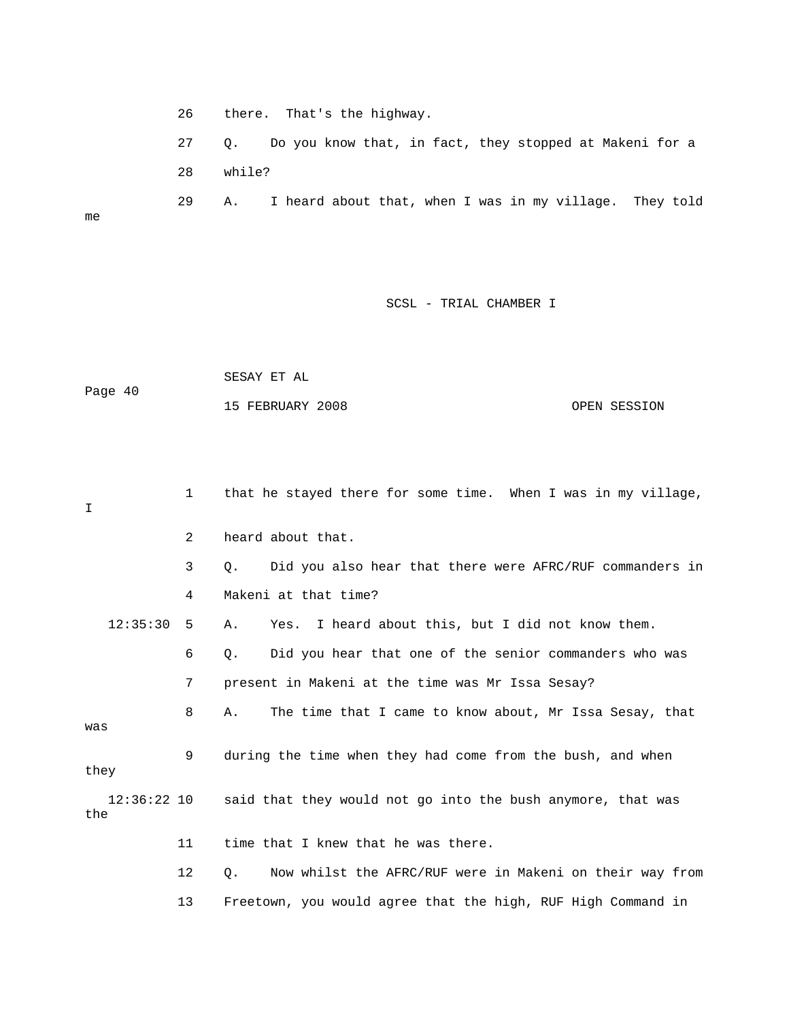26 there. That's the highway.

me

 27 Q. Do you know that, in fact, they stopped at Makeni for a 28 while?

29 A. I heard about that, when I was in my village. They told

|         | SESAY ET AL      |              |
|---------|------------------|--------------|
| Page 40 |                  |              |
|         | 15 FEBRUARY 2008 | OPEN SESSION |

| I.                 | $\mathbf{1}$ | that he stayed there for some time. When I was in my village,         |
|--------------------|--------------|-----------------------------------------------------------------------|
|                    | 2            | heard about that.                                                     |
|                    | 3            | Did you also hear that there were AFRC/RUF commanders in<br>Q.        |
|                    | 4            | Makeni at that time?                                                  |
| 12:35:30           | 5            | Yes. I heard about this, but I did not know them.<br>Α.               |
|                    | 6            | Did you hear that one of the senior commanders who was<br>О.          |
|                    | 7            | present in Makeni at the time was Mr Issa Sesay?                      |
| was                | 8            | The time that I came to know about, Mr Issa Sesay, that<br>Α.         |
| they               | 9            | during the time when they had come from the bush, and when            |
| 12:36:22 10<br>the |              | said that they would not go into the bush anymore, that was           |
|                    | 11           | time that I knew that he was there.                                   |
|                    | 12           | Now whilst the AFRC/RUF were in Makeni on their way from<br>$\circ$ . |
|                    | 13           | Freetown, you would agree that the high, RUF High Command in          |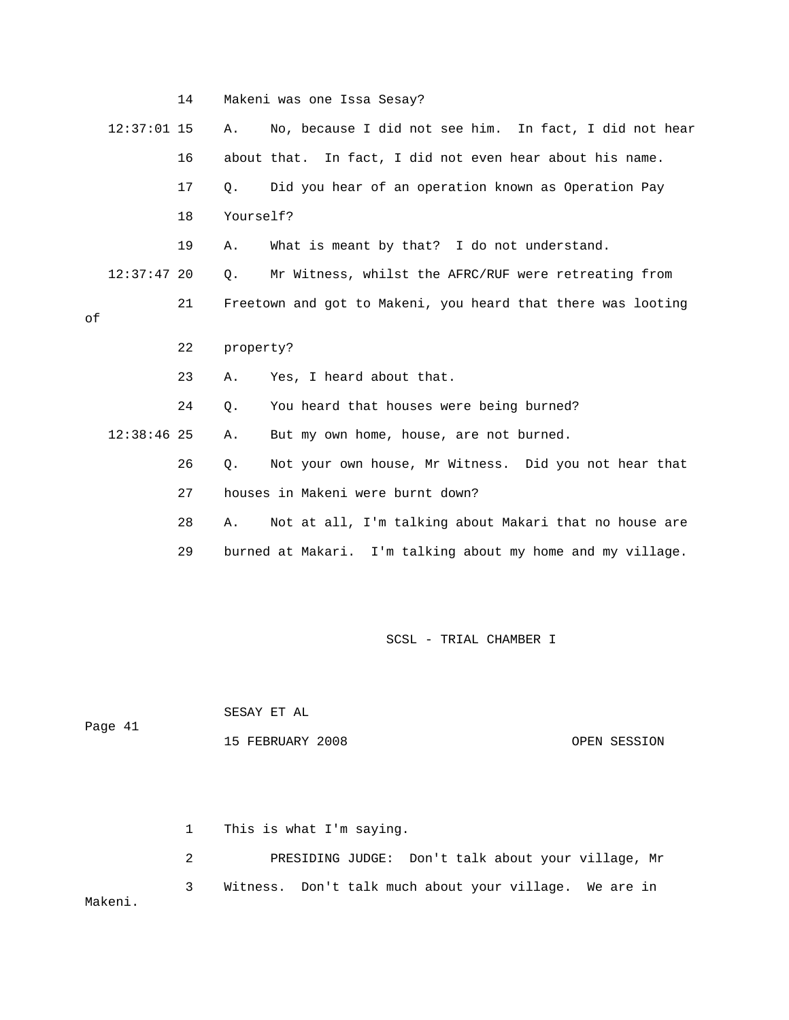|    |               | 14 |           | Makeni was one Issa Sesay?                                   |
|----|---------------|----|-----------|--------------------------------------------------------------|
|    | $12:37:01$ 15 |    | Α.        | No, because I did not see him. In fact, I did not hear       |
|    |               | 16 |           | about that. In fact, I did not even hear about his name.     |
|    |               | 17 | 0.        | Did you hear of an operation known as Operation Pay          |
|    |               | 18 | Yourself? |                                                              |
|    |               | 19 | Α.        | What is meant by that? I do not understand.                  |
|    | $12:37:47$ 20 |    | $Q$ .     | Mr Witness, whilst the AFRC/RUF were retreating from         |
| оf |               | 21 |           | Freetown and got to Makeni, you heard that there was looting |
|    |               | 22 | property? |                                                              |
|    |               | 23 | Α.        | Yes, I heard about that.                                     |
|    |               |    |           |                                                              |
|    |               | 24 | О.        | You heard that houses were being burned?                     |
|    | $12:38:46$ 25 |    | Α.        | But my own home, house, are not burned.                      |
|    |               | 26 | Ο.        | Not your own house, Mr Witness. Did you not hear that        |
|    |               | 27 |           | houses in Makeni were burnt down?                            |
|    |               | 28 | Α.        | Not at all, I'm talking about Makari that no house are       |
|    |               | 29 |           | burned at Makari. I'm talking about my home and my village.  |

| Page 41 | SESAY ET AL      |              |  |
|---------|------------------|--------------|--|
|         | 15 FEBRUARY 2008 | OPEN SESSION |  |

 1 This is what I'm saying. 2 PRESIDING JUDGE: Don't talk about your village, Mr 3 Witness. Don't talk much about your village. We are in Makeni.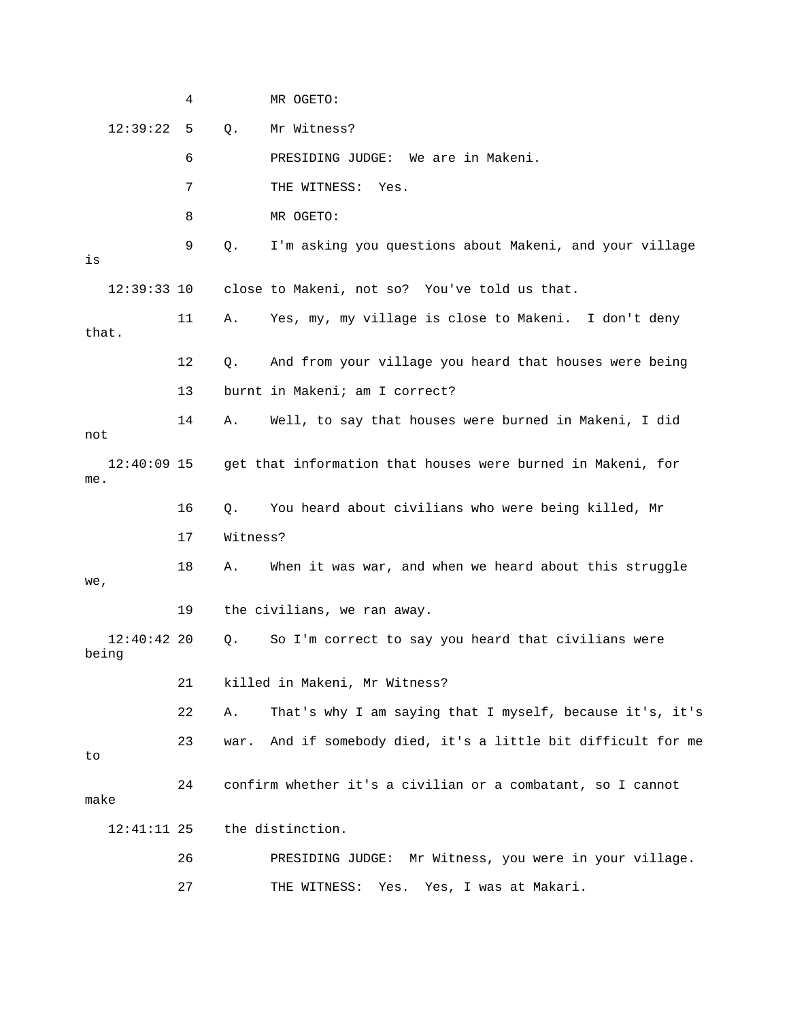|                        | 4  |          | MR OGETO:                                                   |
|------------------------|----|----------|-------------------------------------------------------------|
| 12:39:22               | 5  | $Q$ .    | Mr Witness?                                                 |
|                        | 6  |          | PRESIDING JUDGE: We are in Makeni.                          |
|                        | 7  |          | THE WITNESS: Yes.                                           |
|                        | 8  |          | MR OGETO:                                                   |
| is                     | 9  | Q.       | I'm asking you questions about Makeni, and your village     |
| $12:39:33$ 10          |    |          | close to Makeni, not so? You've told us that.               |
| that.                  | 11 | Α.       | Yes, my, my village is close to Makeni. I don't deny        |
|                        | 12 | Q.       | And from your village you heard that houses were being      |
|                        | 13 |          | burnt in Makeni; am I correct?                              |
| not                    | 14 | Α.       | Well, to say that houses were burned in Makeni, I did       |
| $12:40:09$ 15<br>me.   |    |          | get that information that houses were burned in Makeni, for |
|                        | 16 | Q.       | You heard about civilians who were being killed, Mr         |
|                        | 17 | Witness? |                                                             |
| we,                    | 18 | Α.       | When it was war, and when we heard about this struggle      |
|                        | 19 |          | the civilians, we ran away.                                 |
| $12:40:42$ 20<br>being |    | Q.       | So I'm correct to say you heard that civilians were         |
|                        | 21 |          | killed in Makeni, Mr Witness?                               |
|                        | 22 | Α.       | That's why I am saying that I myself, because it's, it's    |
| to                     | 23 | war.     | And if somebody died, it's a little bit difficult for me    |
| make                   | 24 |          | confirm whether it's a civilian or a combatant, so I cannot |
| $12:41:11$ 25          |    |          | the distinction.                                            |
|                        |    |          |                                                             |
|                        | 26 |          | Mr Witness, you were in your village.<br>PRESIDING JUDGE:   |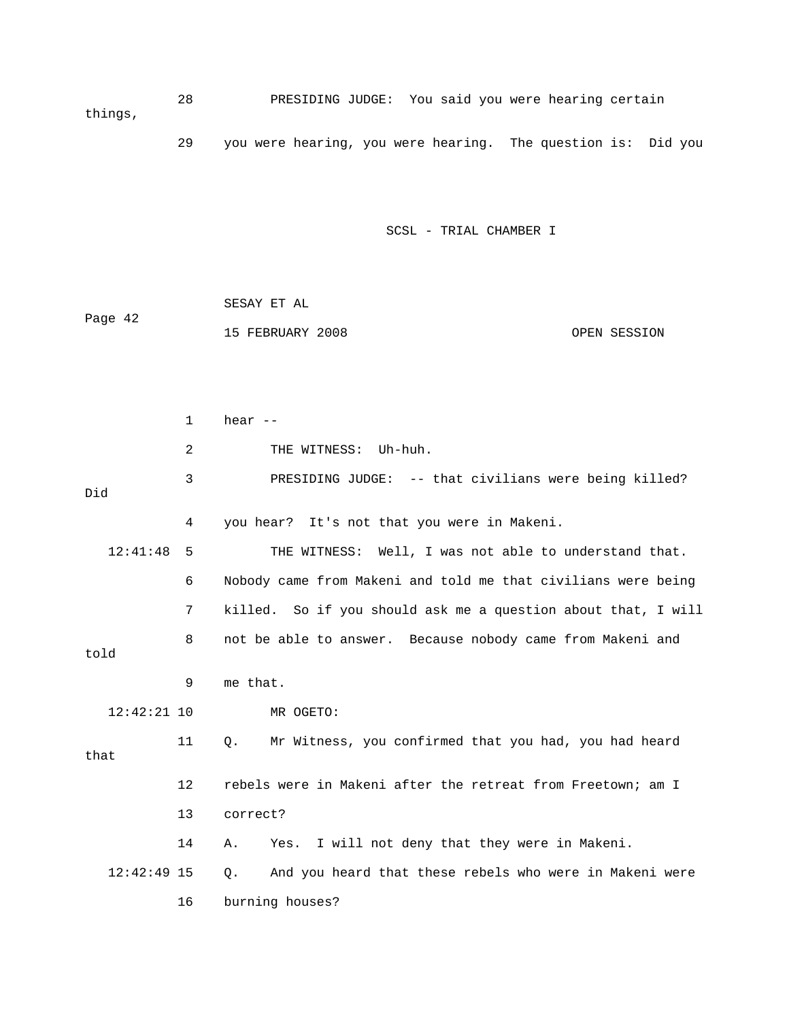28 PRESIDING JUDGE: You said you were hearing certain things,

29 you were hearing, you were hearing. The question is: Did you

SCSL - TRIAL CHAMBER I

 SESAY ET AL Page 42 15 FEBRUARY 2008 OPEN SESSION

 1 hear -- 2 THE WITNESS: Uh-huh. 3 PRESIDING JUDGE: -- that civilians were being killed? Did 4 you hear? It's not that you were in Makeni. 12:41:48 5 THE WITNESS: Well, I was not able to understand that. 6 Nobody came from Makeni and told me that civilians were being 7 killed. So if you should ask me a question about that, I will 8 not be able to answer. Because nobody came from Makeni and told 9 me that. 12:42:21 10 MR OGETO: 11 Q. Mr Witness, you confirmed that you had, you had heard that 12 rebels were in Makeni after the retreat from Freetown; am I 13 correct? 14 A. Yes. I will not deny that they were in Makeni. 12:42:49 15 Q. And you heard that these rebels who were in Makeni were 16 burning houses?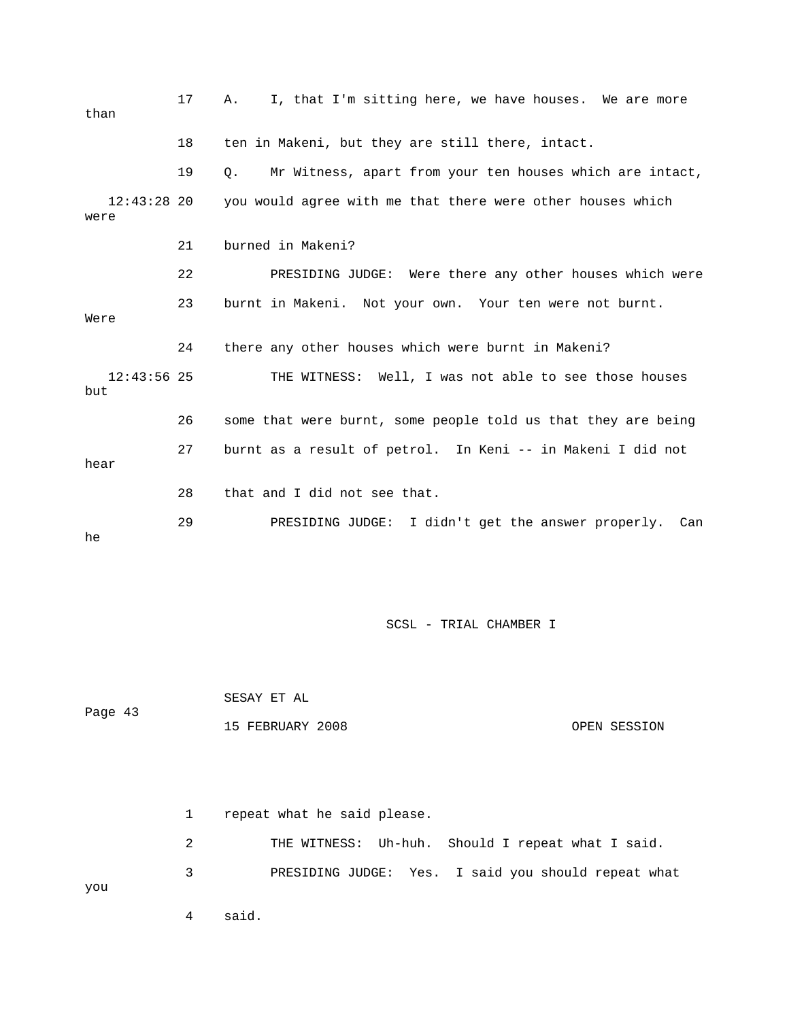| than                  | 17 | I, that I'm sitting here, we have houses. We are more<br>Α.           |
|-----------------------|----|-----------------------------------------------------------------------|
|                       | 18 | ten in Makeni, but they are still there, intact.                      |
|                       | 19 | Mr Witness, apart from your ten houses which are intact,<br>$\circ$ . |
| $12:43:28$ 20<br>were |    | you would agree with me that there were other houses which            |
|                       | 21 | burned in Makeni?                                                     |
|                       | 22 | PRESIDING JUDGE: Were there any other houses which were               |
| Were                  | 23 | burnt in Makeni. Not your own. Your ten were not burnt.               |
|                       | 24 | there any other houses which were burnt in Makeni?                    |
| $12:43:56$ 25<br>but  |    | THE WITNESS: Well, I was not able to see those houses                 |
|                       | 26 | some that were burnt, some people told us that they are being         |
| hear                  | 27 | burnt as a result of petrol. In Keni -- in Makeni I did not           |
|                       | 28 | that and I did not see that.                                          |
| he                    | 29 | PRESIDING JUDGE: I didn't get the answer properly. Can                |

 SESAY ET AL Page 43 15 FEBRUARY 2008 OPEN SESSION

 1 repeat what he said please. 2 THE WITNESS: Uh-huh. Should I repeat what I said. 3 PRESIDING JUDGE: Yes. I said you should repeat what you 4 said.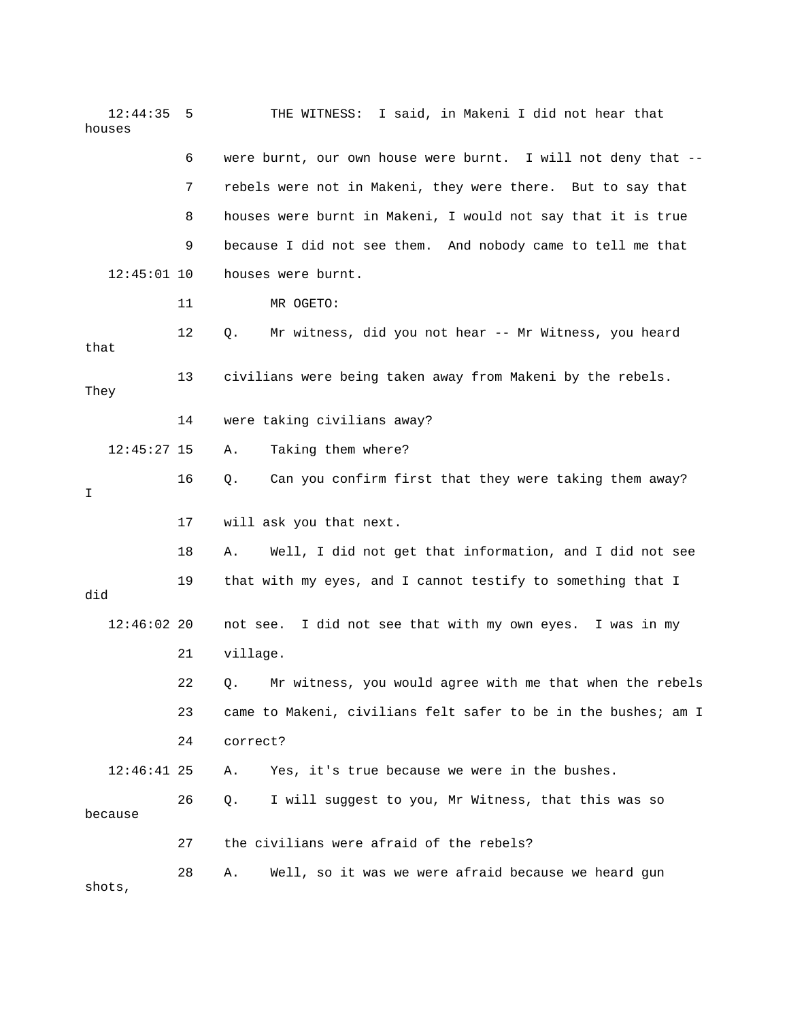| 12:44:35<br>houses | 5  | THE WITNESS: I said, in Makeni I did not hear that             |
|--------------------|----|----------------------------------------------------------------|
|                    | 6  | were burnt, our own house were burnt. I will not deny that --  |
|                    | 7  | rebels were not in Makeni, they were there. But to say that    |
|                    | 8  | houses were burnt in Makeni, I would not say that it is true   |
|                    | 9  | because I did not see them. And nobody came to tell me that    |
| $12:45:01$ 10      |    | houses were burnt.                                             |
|                    | 11 | MR OGETO:                                                      |
| that               | 12 | Mr witness, did you not hear -- Mr Witness, you heard<br>Q.    |
| They               | 13 | civilians were being taken away from Makeni by the rebels.     |
|                    | 14 | were taking civilians away?                                    |
| $12:45:27$ 15      |    | Taking them where?<br>Α.                                       |
| I                  | 16 | Can you confirm first that they were taking them away?<br>Q.   |
|                    | 17 | will ask you that next.                                        |
|                    | 18 | Well, I did not get that information, and I did not see<br>Α.  |
| did                | 19 | that with my eyes, and I cannot testify to something that I    |
| $12:46:02$ 20      |    | not see. I did not see that with my own eyes. I was in my      |
|                    | 21 | village.                                                       |
|                    | 22 | Q. Mr witness, you would agree with me that when the rebels    |
|                    | 23 | came to Makeni, civilians felt safer to be in the bushes; am I |
|                    | 24 | correct?                                                       |
| $12:46:41$ 25      |    | Yes, it's true because we were in the bushes.<br>Α.            |
| because            | 26 | I will suggest to you, Mr Witness, that this was so<br>Q.      |
|                    | 27 | the civilians were afraid of the rebels?                       |
| shots,             | 28 | Well, so it was we were afraid because we heard gun<br>Α.      |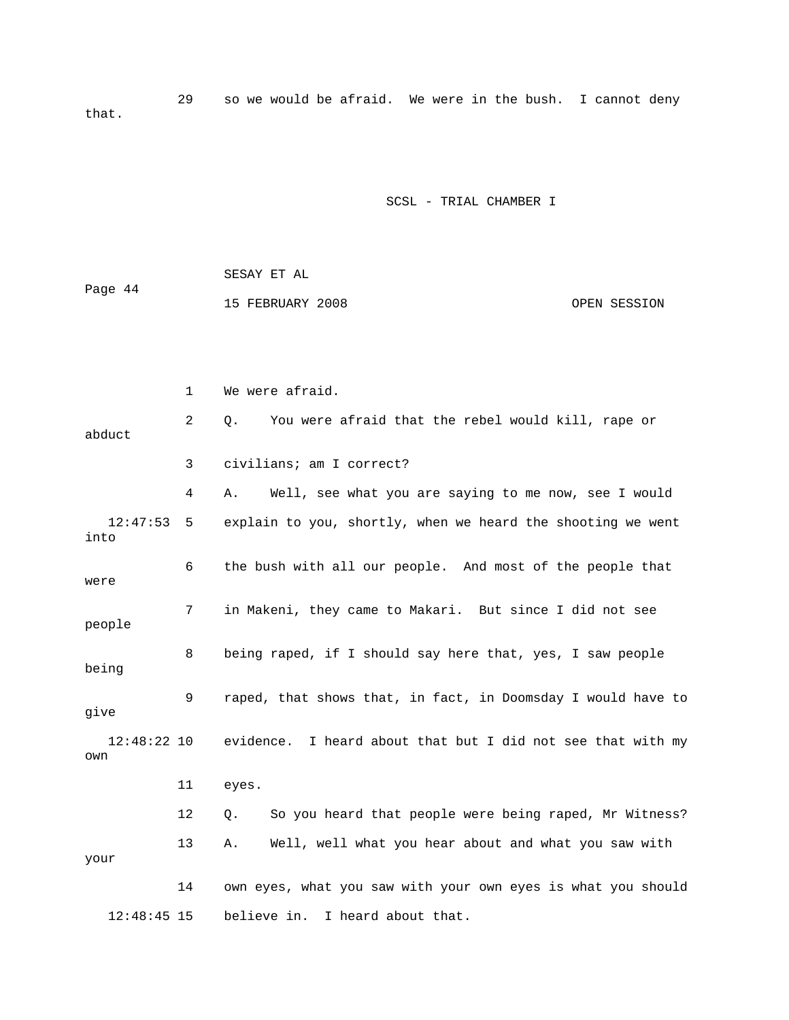29 so we would be afraid. We were in the bush. I cannot deny that.

|         | SESAY ET AL      |              |
|---------|------------------|--------------|
| Page 44 |                  |              |
|         | 15 FEBRUARY 2008 | OPEN SESSION |

|                      | $\mathbf 1$ | We were afraid.                                              |
|----------------------|-------------|--------------------------------------------------------------|
| abduct               | 2           | You were afraid that the rebel would kill, rape or<br>Q.     |
|                      | 3           | civilians; am I correct?                                     |
|                      | 4           | Well, see what you are saying to me now, see I would<br>Α.   |
| 12:47:53<br>into     | 5           | explain to you, shortly, when we heard the shooting we went  |
| were                 | 6           | the bush with all our people. And most of the people that    |
| people               | 7           | in Makeni, they came to Makari. But since I did not see      |
| being                | 8           | being raped, if I should say here that, yes, I saw people    |
| give                 | 9           | raped, that shows that, in fact, in Doomsday I would have to |
| $12:48:22$ 10<br>own |             | evidence. I heard about that but I did not see that with my  |
|                      | 11          | eyes.                                                        |
|                      | 12          | So you heard that people were being raped, Mr Witness?<br>Q. |
| your                 | 13          | Well, well what you hear about and what you saw with<br>Α.   |
|                      | 14          | own eyes, what you saw with your own eyes is what you should |
| $12:48:45$ 15        |             | believe in. I heard about that.                              |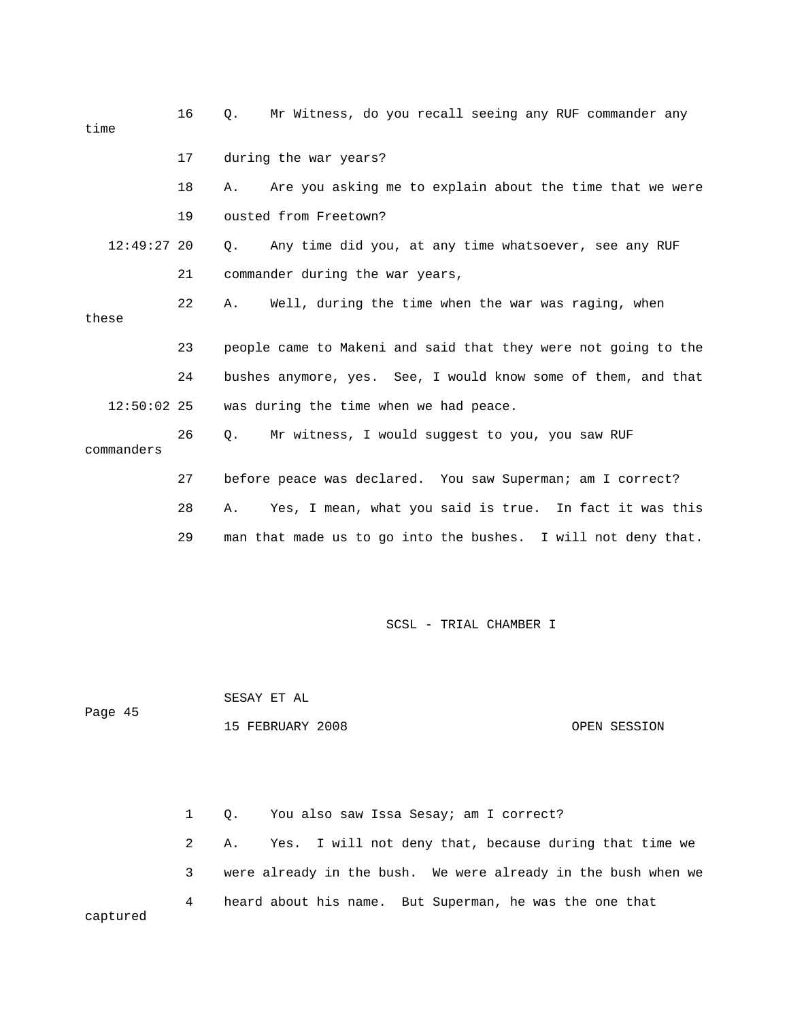| time  |               | 16 | О. | Mr Witness, do you recall seeing any RUF commander any         |
|-------|---------------|----|----|----------------------------------------------------------------|
|       |               | 17 |    | during the war years?                                          |
|       |               | 18 | Α. | Are you asking me to explain about the time that we were       |
|       |               | 19 |    | ousted from Freetown?                                          |
|       | $12:49:27$ 20 |    | О. | Any time did you, at any time whatsoever, see any RUF          |
|       |               | 21 |    | commander during the war years,                                |
| these |               | 22 | Α. | Well, during the time when the war was raging, when            |
|       |               |    |    |                                                                |
|       |               | 23 |    | people came to Makeni and said that they were not going to the |
|       |               | 24 |    | bushes anymore, yes. See, I would know some of them, and that  |
|       | $12:50:02$ 25 |    |    | was during the time when we had peace.                         |
|       | commanders    | 26 | Q. | Mr witness, I would suggest to you, you saw RUF                |
|       |               | 27 |    | before peace was declared. You saw Superman; am I correct?     |
|       |               | 28 | Α. | Yes, I mean, what you said is true. In fact it was this        |
|       |               | 29 |    | man that made us to go into the bushes. I will not deny that.  |

 SESAY ET AL Page 45 15 FEBRUARY 2008 OPEN SESSION

 1 Q. You also saw Issa Sesay; am I correct? 2 A. Yes. I will not deny that, because during that time we 3 were already in the bush. We were already in the bush when we 4 heard about his name. But Superman, he was the one that captured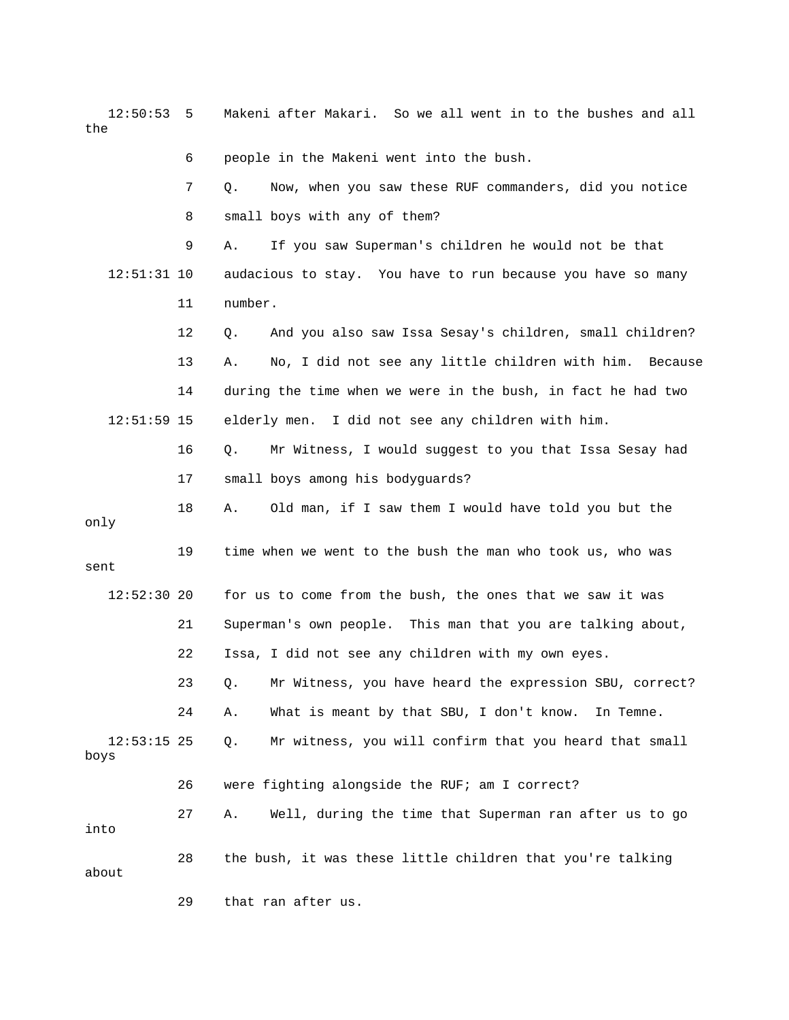12:50:53 5 Makeni after Makari. So we all went in to the bushes and all the

6 people in the Makeni went into the bush.

|                       | 7  | Now, when you saw these RUF commanders, did you notice<br>Q.  |
|-----------------------|----|---------------------------------------------------------------|
|                       | 8  | small boys with any of them?                                  |
|                       | 9  | If you saw Superman's children he would not be that<br>Α.     |
| $12:51:31$ 10         |    | audacious to stay. You have to run because you have so many   |
|                       | 11 | number.                                                       |
|                       | 12 | And you also saw Issa Sesay's children, small children?<br>Q. |
|                       | 13 | No, I did not see any little children with him. Because<br>Α. |
|                       | 14 | during the time when we were in the bush, in fact he had two  |
| $12:51:59$ 15         |    | elderly men. I did not see any children with him.             |
|                       | 16 | Mr Witness, I would suggest to you that Issa Sesay had<br>Q.  |
|                       | 17 | small boys among his bodyguards?                              |
| only                  | 18 | Old man, if I saw them I would have told you but the<br>Α.    |
| sent                  | 19 | time when we went to the bush the man who took us, who was    |
| $12:52:30$ 20         |    | for us to come from the bush, the ones that we saw it was     |
|                       | 21 | Superman's own people. This man that you are talking about,   |
|                       | 22 | Issa, I did not see any children with my own eyes.            |
|                       | 23 | Mr Witness, you have heard the expression SBU, correct?<br>Q. |
|                       | 24 | What is meant by that SBU, I don't know.<br>Α.<br>In Temne.   |
| $12:53:15$ 25<br>boys |    | Mr witness, you will confirm that you heard that small<br>Q.  |
|                       | 26 | were fighting alongside the RUF; am I correct?                |
| into                  | 27 | Well, during the time that Superman ran after us to go<br>Α.  |
| about                 | 28 | the bush, it was these little children that you're talking    |
|                       | 29 | that ran after us.                                            |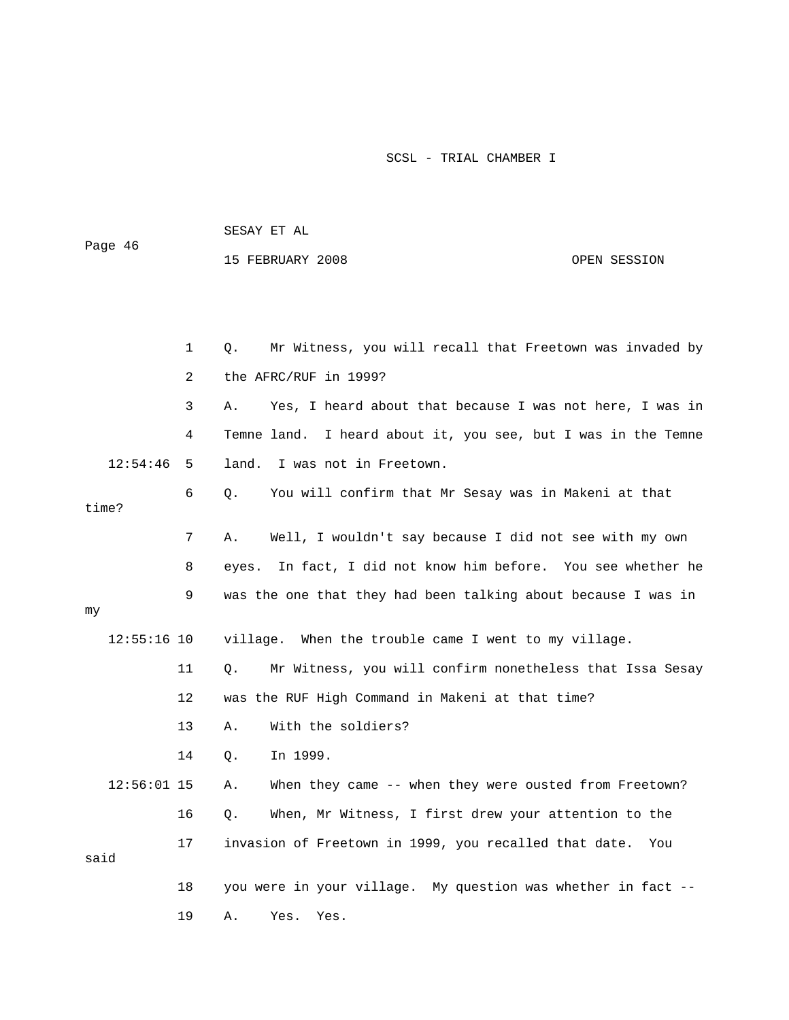| Page 46       |    | 15 FEBRUARY 2008                                                 | OPEN SESSION |
|---------------|----|------------------------------------------------------------------|--------------|
|               |    |                                                                  |              |
|               |    |                                                                  |              |
|               | 1  | Mr Witness, you will recall that Freetown was invaded by<br>Q.   |              |
|               | 2  | the AFRC/RUF in 1999?                                            |              |
|               | 3  | Yes, I heard about that because I was not here, I was in<br>Α.   |              |
|               | 4  | I heard about it, you see, but I was in the Temne<br>Temne land. |              |
| 12:54:46      | 5  | I was not in Freetown.<br>land.                                  |              |
| time?         | 6  | Q.<br>You will confirm that Mr Sesay was in Makeni at that       |              |
|               | 7  | Well, I wouldn't say because I did not see with my own<br>Α.     |              |
|               | 8  | In fact, I did not know him before. You see whether he<br>eyes.  |              |
| my            | 9  | was the one that they had been talking about because I was in    |              |
| $12:55:16$ 10 |    | village. When the trouble came I went to my village.             |              |
|               | 11 | Mr Witness, you will confirm nonetheless that Issa Sesay<br>О.   |              |
|               | 12 | was the RUF High Command in Makeni at that time?                 |              |
|               | 13 | With the soldiers?<br>Α.                                         |              |
|               | 14 | In 1999.<br>Q.                                                   |              |
| $12:56:01$ 15 |    | When they came -- when they were ousted from Freetown?<br>Α.     |              |
|               | 16 | When, Mr Witness, I first drew your attention to the<br>Q.       |              |
|               | 17 | invasion of Freetown in 1999, you recalled that date.            | You          |
| said          |    |                                                                  |              |
|               | 18 | you were in your village. My question was whether in fact --     |              |
|               | 19 | Α.<br>Yes.<br>Yes.                                               |              |

Page 46

SESAY ET AL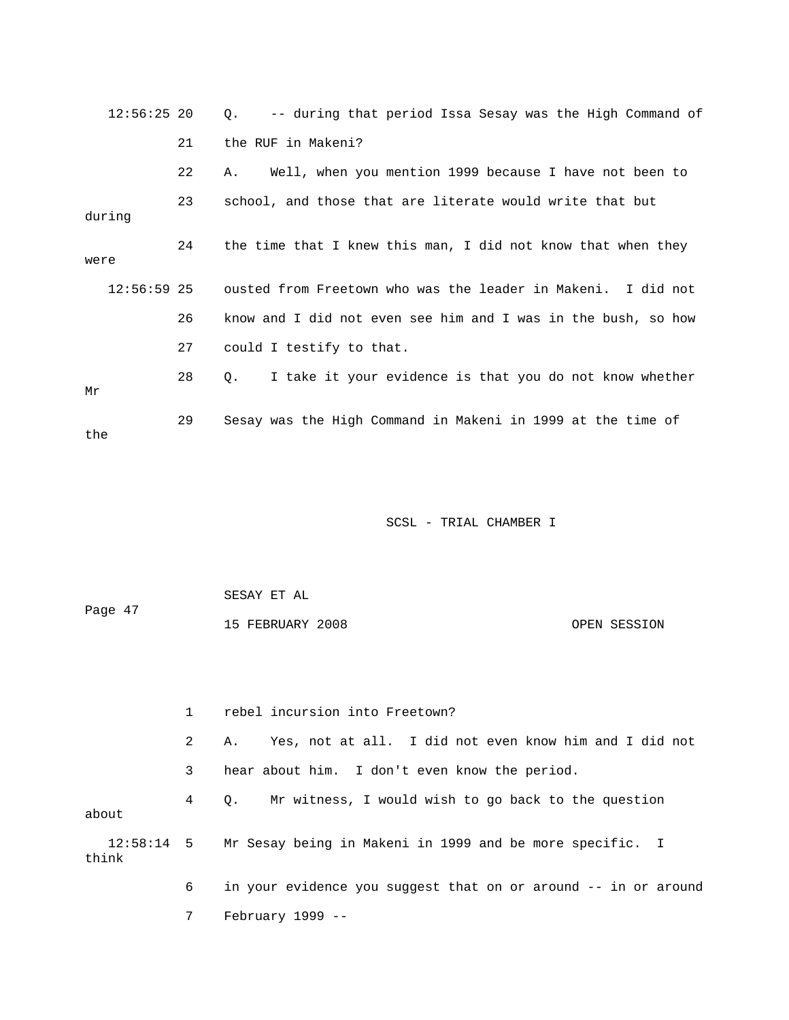| $12:56:25$ 20 |    | -- during that period Issa Sesay was the High Command of<br>$\circ$ . |
|---------------|----|-----------------------------------------------------------------------|
|               | 21 | the RUF in Makeni?                                                    |
|               | 22 | Well, when you mention 1999 because I have not been to<br>Α.          |
| during        | 23 | school, and those that are literate would write that but              |
| were          | 24 | the time that I knew this man, I did not know that when they          |
| $12:56:59$ 25 |    | ousted from Freetown who was the leader in Makeni. I did not          |
|               | 26 | know and I did not even see him and I was in the bush, so how         |
|               | 27 | could I testify to that.                                              |
| Mr            | 28 | I take it your evidence is that you do not know whether<br>Q.         |
| the           | 29 | Sesay was the High Command in Makeni in 1999 at the time of           |

| Page 47 | SESAY ET AL      |              |
|---------|------------------|--------------|
|         | 15 FEBRUARY 2008 | OPEN SESSION |

|       |   | rebel incursion into Freetown?                                      |
|-------|---|---------------------------------------------------------------------|
|       | 2 | Yes, not at all. I did not even know him and I did not<br>Α.        |
|       | 3 | hear about him. I don't even know the period.                       |
| about | 4 | Mr witness, I would wish to go back to the question<br>0.           |
| think |   | 12:58:14 5 Mr Sesay being in Makeni in 1999 and be more specific. I |
|       | 6 | in your evidence you suggest that on or around -- in or around      |
|       |   | $February 1999 -$                                                   |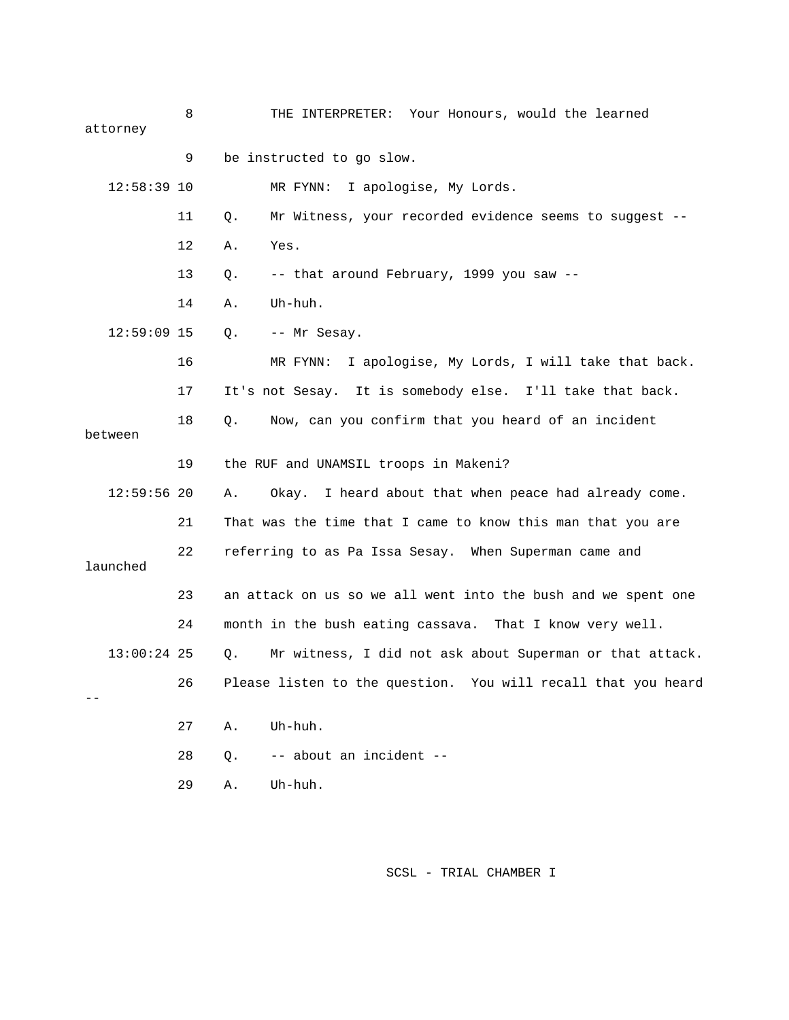| attorney      | 8  | THE INTERPRETER: Your Honours, would the learned               |
|---------------|----|----------------------------------------------------------------|
|               | 9  | be instructed to go slow.                                      |
| $12:58:39$ 10 |    | MR FYNN: I apologise, My Lords.                                |
|               | 11 | Mr Witness, your recorded evidence seems to suggest --<br>Q.   |
|               | 12 | Yes.<br>Α.                                                     |
|               | 13 | -- that around February, 1999 you saw --<br>Q.                 |
|               | 14 | Uh-huh.<br>Α.                                                  |
| $12:59:09$ 15 |    | -- Mr Sesay.<br>Q.                                             |
|               | 16 | I apologise, My Lords, I will take that back.<br>MR FYNN:      |
|               | 17 | It's not Sesay. It is somebody else. I'll take that back.      |
| between       | 18 | Now, can you confirm that you heard of an incident<br>Q.       |
|               |    |                                                                |
|               | 19 | the RUF and UNAMSIL troops in Makeni?                          |
| $12:59:56$ 20 |    | Okay. I heard about that when peace had already come.<br>Α.    |
|               | 21 | That was the time that I came to know this man that you are    |
| launched      | 22 | referring to as Pa Issa Sesay. When Superman came and          |
|               | 23 | an attack on us so we all went into the bush and we spent one  |
|               | 24 | month in the bush eating cassava. That I know very well.       |
| $13:00:24$ 25 |    | Mr witness, I did not ask about Superman or that attack.<br>Q. |
|               | 26 | Please listen to the question. You will recall that you heard  |
|               | 27 | Uh-huh.<br>Α.                                                  |
|               | 28 | -- about an incident --<br>Q.                                  |
|               | 29 | Uh-huh.<br>Α.                                                  |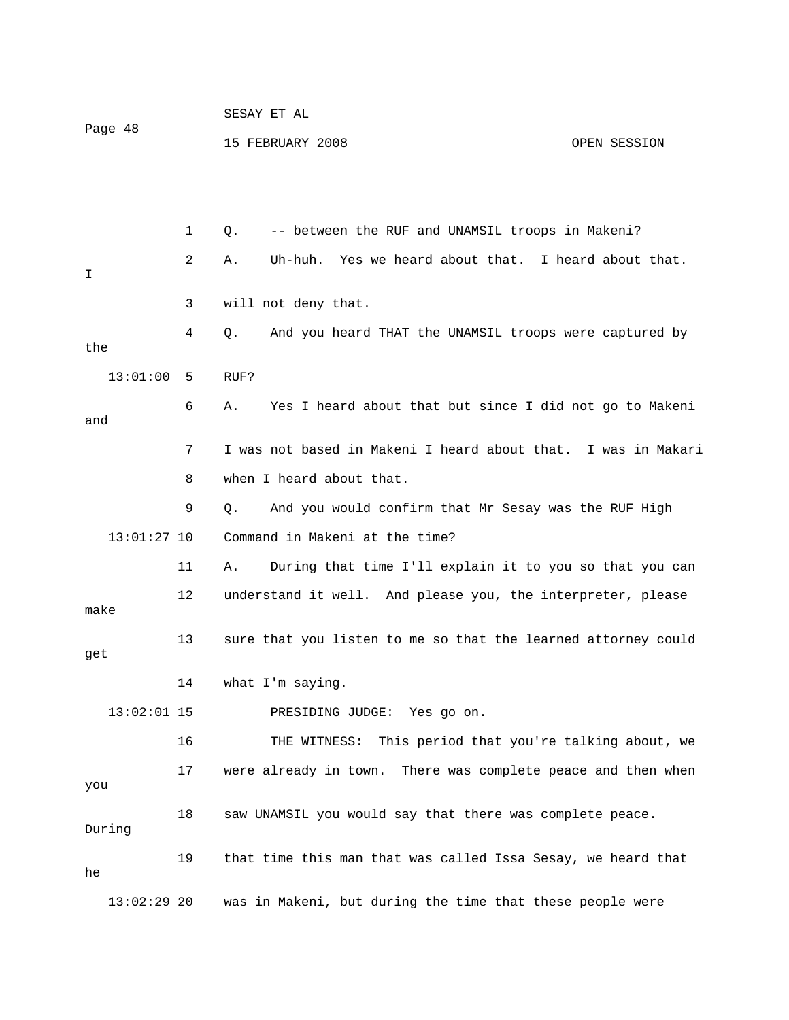| Page 48 |               |    | SESAY ET AL                                                     |              |
|---------|---------------|----|-----------------------------------------------------------------|--------------|
|         |               |    | 15 FEBRUARY 2008                                                | OPEN SESSION |
|         |               |    |                                                                 |              |
|         |               |    |                                                                 |              |
|         |               | 1  | -- between the RUF and UNAMSIL troops in Makeni?<br>Q.          |              |
| I       |               | 2  | Yes we heard about that. I heard about that.<br>Uh-huh.<br>Α.   |              |
|         |               | 3  | will not deny that.                                             |              |
| the     |               | 4  | And you heard THAT the UNAMSIL troops were captured by<br>Q.    |              |
|         | 13:01:00      | 5  | RUF?                                                            |              |
| and     |               | 6  | Yes I heard about that but since I did not go to Makeni<br>Α.   |              |
|         |               | 7  | I was not based in Makeni I heard about that. I was in Makari   |              |
|         |               | 8  | when I heard about that.                                        |              |
|         |               | 9  | And you would confirm that Mr Sesay was the RUF High<br>Q.      |              |
|         | $13:01:27$ 10 |    | Command in Makeni at the time?                                  |              |
|         |               | 11 | During that time I'll explain it to you so that you can<br>Α.   |              |
| make    |               | 12 | understand it well. And please you, the interpreter, please     |              |
| get     |               | 13 | sure that you listen to me so that the learned attorney could   |              |
|         |               | 14 | what I'm saying.                                                |              |
|         | $13:02:01$ 15 |    | PRESIDING JUDGE: Yes go on.                                     |              |
|         |               | 16 | This period that you're talking about, we<br>THE WITNESS:       |              |
| you     |               | 17 | were already in town.<br>There was complete peace and then when |              |
|         | During        | 18 | saw UNAMSIL you would say that there was complete peace.        |              |
| he      |               | 19 | that time this man that was called Issa Sesay, we heard that    |              |
|         | $13:02:29$ 20 |    | was in Makeni, but during the time that these people were       |              |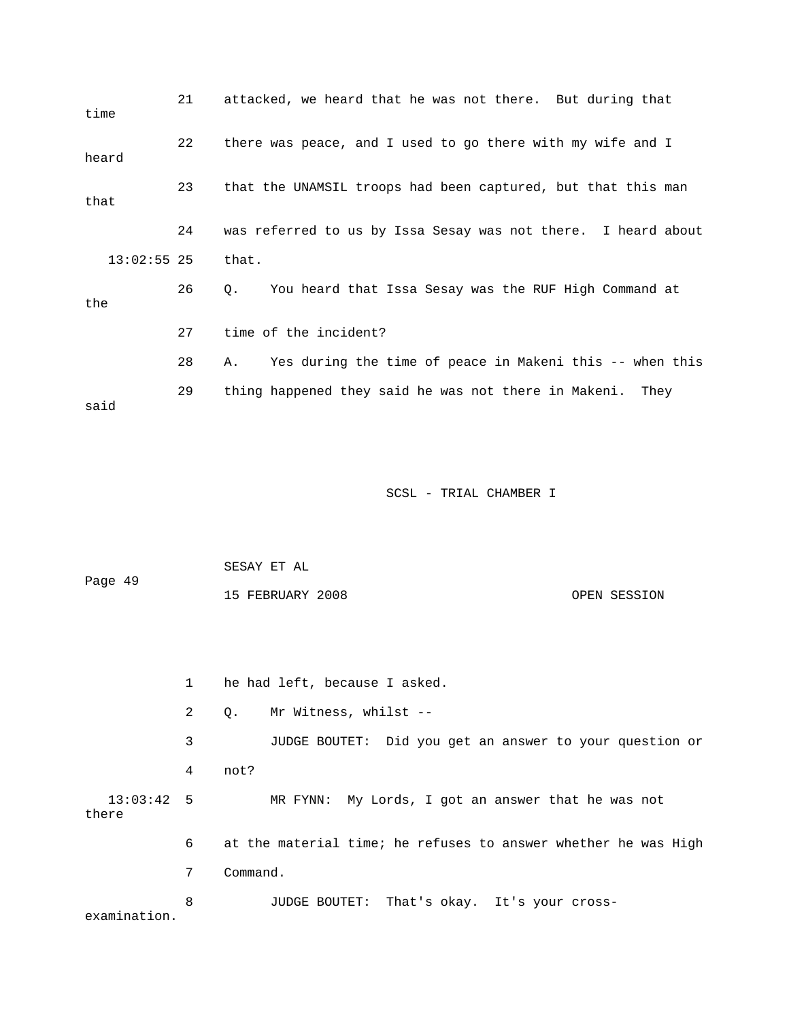| time          | 21 | attacked, we heard that he was not there. But during that      |
|---------------|----|----------------------------------------------------------------|
| heard         | 22 | there was peace, and I used to go there with my wife and I     |
| that          | 23 | that the UNAMSIL troops had been captured, but that this man   |
|               | 24 | was referred to us by Issa Sesay was not there. I heard about  |
| $13:02:55$ 25 |    | that.                                                          |
| the           | 26 | You heard that Issa Sesay was the RUF High Command at<br>Q.    |
|               | 27 | time of the incident?                                          |
|               | 28 | Yes during the time of peace in Makeni this -- when this<br>Α. |
| said          | 29 | thing happened they said he was not there in Makeni. They      |

| Page 49 | SESAY ET AL      |              |
|---------|------------------|--------------|
|         | 15 FEBRUARY 2008 | OPEN SESSION |

 1 he had left, because I asked. 2 Q. Mr Witness, whilst -- 3 JUDGE BOUTET: Did you get an answer to your question or 4 not? 13:03:42 5 MR FYNN: My Lords, I got an answer that he was not there 6 at the material time; he refuses to answer whether he was High 7 Command. 8 JUDGE BOUTET: That's okay. It's your cross-

examination.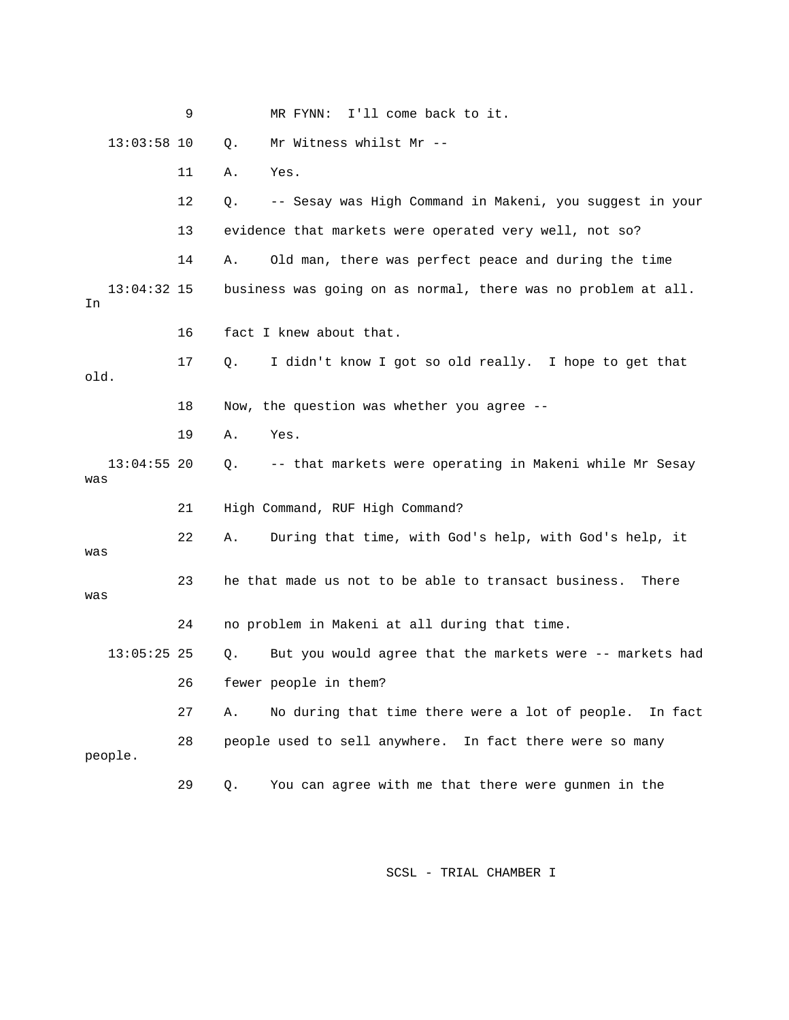|                      | 9  | I'll come back to it.<br>MR FYNN:                                |
|----------------------|----|------------------------------------------------------------------|
| $13:03:58$ 10        |    | Mr Witness whilst Mr --<br>Q.                                    |
|                      | 11 | Yes.<br>Α.                                                       |
|                      | 12 | -- Sesay was High Command in Makeni, you suggest in your<br>Q.   |
|                      | 13 | evidence that markets were operated very well, not so?           |
|                      | 14 | Old man, there was perfect peace and during the time<br>Α.       |
| $13:04:32$ 15<br>In  |    | business was going on as normal, there was no problem at all.    |
|                      | 16 | fact I knew about that.                                          |
| old.                 | 17 | I didn't know I got so old really. I hope to get that<br>Q.      |
|                      | 18 | Now, the question was whether you agree --                       |
|                      | 19 | Yes.<br>Α.                                                       |
| $13:04:55$ 20<br>was |    | -- that markets were operating in Makeni while Mr Sesay<br>$Q$ . |
|                      | 21 | High Command, RUF High Command?                                  |
| was                  | 22 | During that time, with God's help, with God's help, it<br>Α.     |
| was                  | 23 | he that made us not to be able to transact business.<br>There    |
|                      | 24 | no problem in Makeni at all during that time.                    |
| $13:05:25$ 25        |    | But you would agree that the markets were -- markets had<br>Q.   |
|                      | 26 | fewer people in them?                                            |
|                      | 27 | No during that time there were a lot of people.<br>In fact<br>Α. |
| people.              | 28 | people used to sell anywhere. In fact there were so many         |
|                      | 29 | You can agree with me that there were gunmen in the<br>Q.        |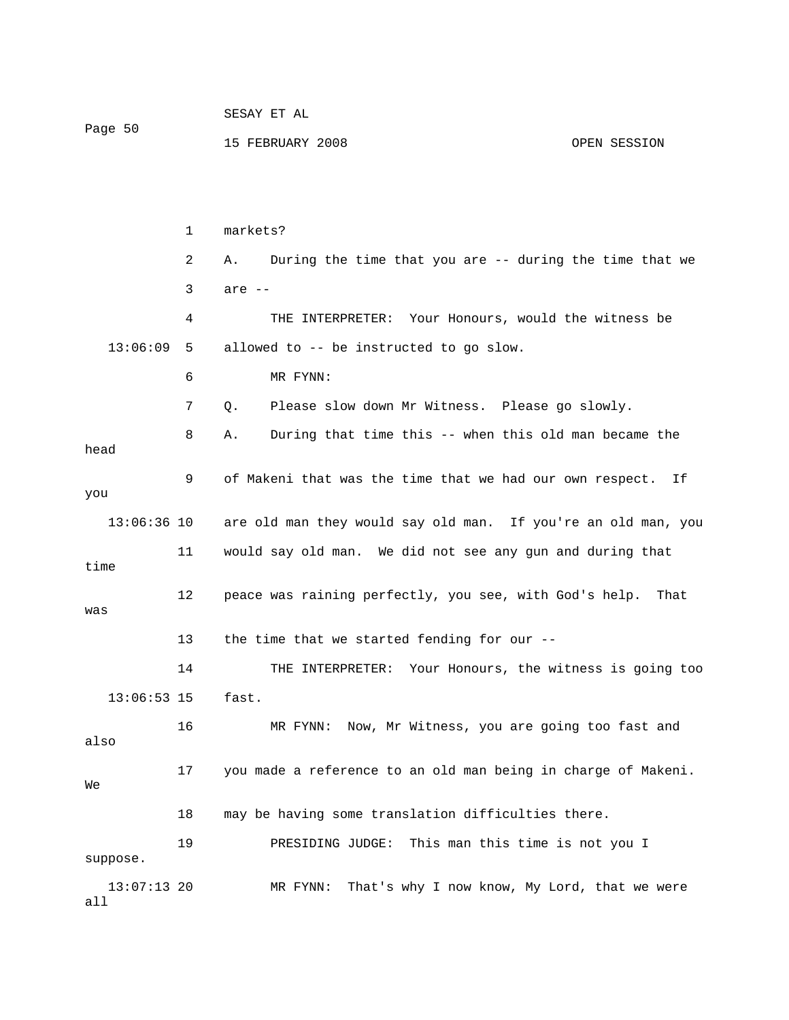| Page 50              |    |                                                               |  |  |
|----------------------|----|---------------------------------------------------------------|--|--|
|                      |    | 15 FEBRUARY 2008<br>OPEN SESSION                              |  |  |
|                      |    |                                                               |  |  |
|                      |    |                                                               |  |  |
|                      |    |                                                               |  |  |
|                      | 1  | markets?                                                      |  |  |
|                      | 2  | During the time that you are -- during the time that we<br>Α. |  |  |
|                      | 3  | are --                                                        |  |  |
|                      | 4  | THE INTERPRETER: Your Honours, would the witness be           |  |  |
| 13:06:09             | 5  | allowed to -- be instructed to go slow.                       |  |  |
|                      | 6  | MR FYNN:                                                      |  |  |
|                      | 7  | Please slow down Mr Witness. Please go slowly.<br>Q.          |  |  |
|                      | 8  | During that time this -- when this old man became the<br>Α.   |  |  |
| head                 |    |                                                               |  |  |
| you                  | 9  | of Makeni that was the time that we had our own respect. If   |  |  |
|                      |    |                                                               |  |  |
| 13:06:36 10          |    | are old man they would say old man. If you're an old man, you |  |  |
| time                 | 11 | would say old man. We did not see any gun and during that     |  |  |
|                      | 12 | peace was raining perfectly, you see, with God's help. That   |  |  |
| was                  |    |                                                               |  |  |
|                      | 13 | the time that we started fending for our --                   |  |  |
|                      | 14 | THE INTERPRETER: Your Honours, the witness is going too       |  |  |
| $13:06:53$ 15        |    | fast.                                                         |  |  |
|                      | 16 | MR FYNN: Now, Mr Witness, you are going too fast and          |  |  |
| also                 |    |                                                               |  |  |
| We                   | 17 | you made a reference to an old man being in charge of Makeni. |  |  |
|                      | 18 | may be having some translation difficulties there.            |  |  |
|                      | 19 | This man this time is not you I<br>PRESIDING JUDGE:           |  |  |
| suppose.             |    |                                                               |  |  |
| $13:07:13$ 20<br>all |    | That's why I now know, My Lord, that we were<br>MR FYNN:      |  |  |

SESAY ET AL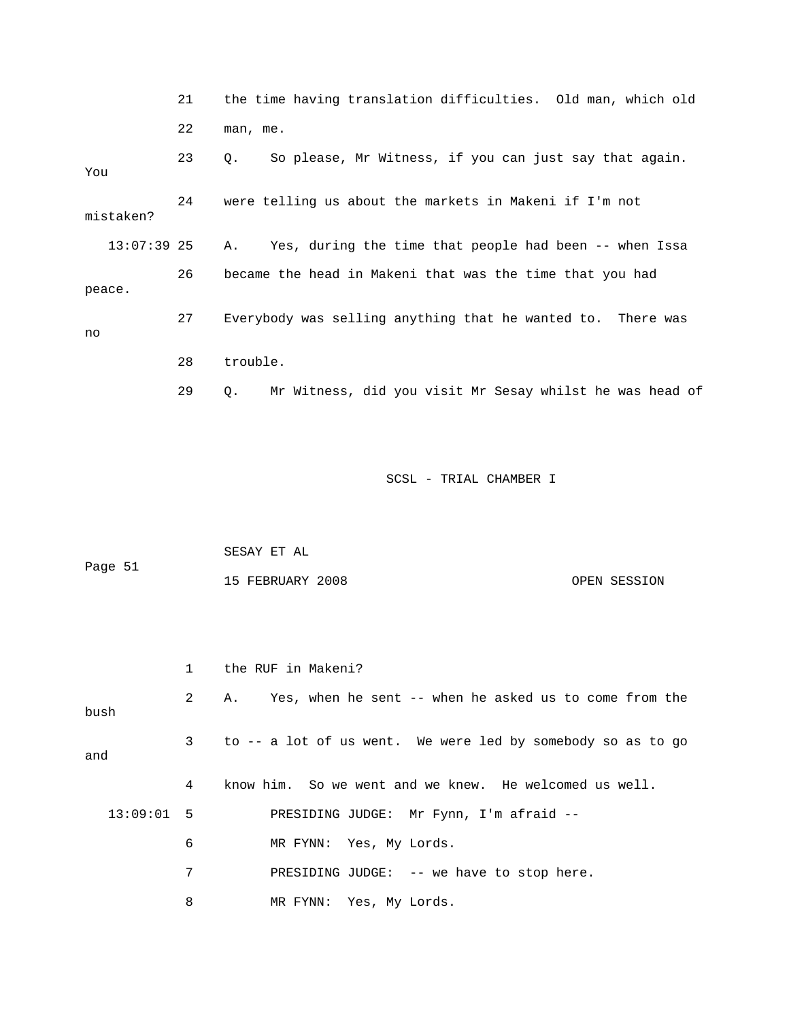|               | 21 | the time having translation difficulties. Old man, which old   |
|---------------|----|----------------------------------------------------------------|
|               | 22 | man, me.                                                       |
| You           | 23 | So please, Mr Witness, if you can just say that again.<br>О.   |
| mistaken?     | 24 | were telling us about the markets in Makeni if I'm not         |
| $13:07:39$ 25 |    | Yes, during the time that people had been -- when Issa<br>Α.   |
| peace.        | 26 | became the head in Makeni that was the time that you had       |
| no            | 27 | Everybody was selling anything that he wanted to. There was    |
|               | 28 | trouble.                                                       |
|               | 29 | Mr Witness, did you visit Mr Sesay whilst he was head of<br>О. |

| Page 51 | SESAY ET AL      |              |
|---------|------------------|--------------|
|         | 15 FEBRUARY 2008 | OPEN SESSION |

|              |                | the RUF in Makeni?                                          |
|--------------|----------------|-------------------------------------------------------------|
| bush         | $2^{\circ}$    | A. Yes, when he sent -- when he asked us to come from the   |
| and          | 3 <sup>7</sup> | to -- a lot of us went. We were led by somebody so as to go |
|              | 4              | know him. So we went and we knew. He welcomed us well.      |
| $13:09:01$ 5 |                | PRESIDING JUDGE: Mr Fynn, I'm afraid --                     |
|              | 6              | MR FYNN: Yes, My Lords.                                     |
|              | 7              | PRESIDING JUDGE: -- we have to stop here.                   |
|              | 8              | MR FYNN: Yes, My Lords.                                     |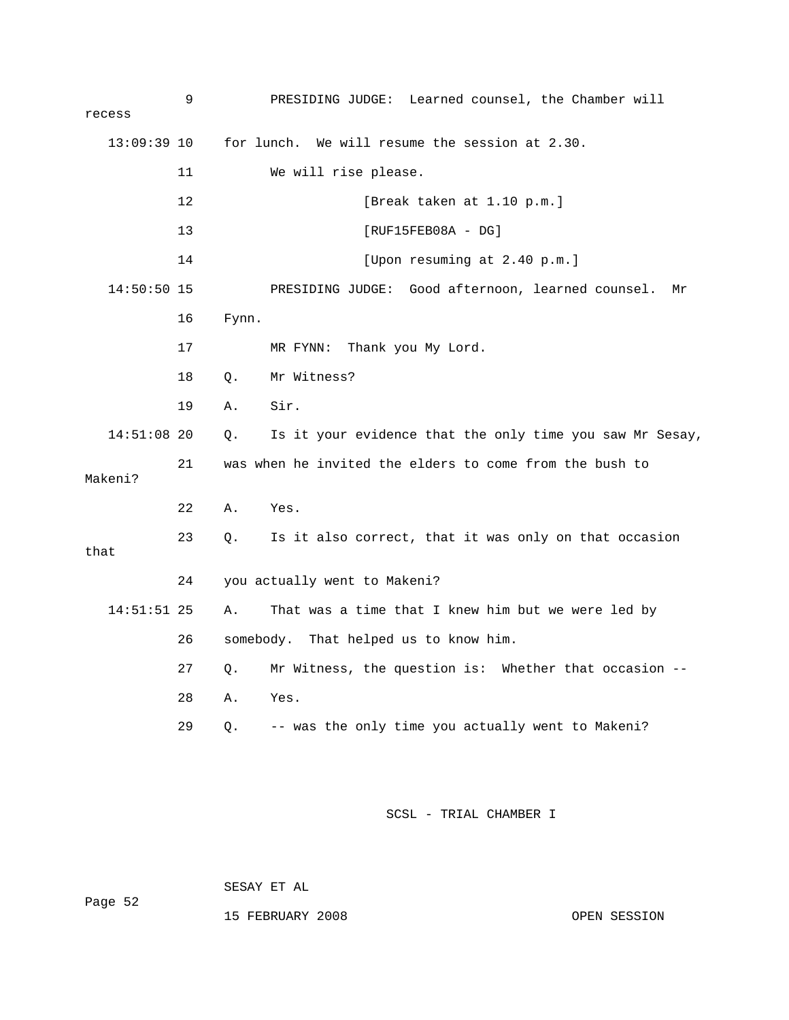| recess        | 9  | PRESIDING JUDGE: Learned counsel, the Chamber will             |
|---------------|----|----------------------------------------------------------------|
| $13:09:39$ 10 |    | for lunch. We will resume the session at 2.30.                 |
|               | 11 | We will rise please.                                           |
|               | 12 | [Break taken at 1.10 p.m.]                                     |
|               | 13 | $[RUF15FEB08A - DG]$                                           |
|               | 14 | [Upon resuming at 2.40 p.m.]                                   |
| $14:50:50$ 15 |    | PRESIDING JUDGE: Good afternoon, learned counsel.<br>Μr        |
|               | 16 | Fynn.                                                          |
|               | 17 | MR FYNN:<br>Thank you My Lord.                                 |
|               | 18 | Mr Witness?<br>$Q$ .                                           |
|               | 19 | Sir.<br>Α.                                                     |
| $14:51:08$ 20 |    | Is it your evidence that the only time you saw Mr Sesay,<br>Q. |
| Makeni?       | 21 | was when he invited the elders to come from the bush to        |
|               | 22 | Α.<br>Yes.                                                     |
| that          | 23 | Is it also correct, that it was only on that occasion<br>Q.    |
|               | 24 | you actually went to Makeni?                                   |
| $14:51:51$ 25 |    | That was a time that I knew him but we were led by<br>Α.       |
|               | 26 | somebody. That helped us to know him.                          |
|               | 27 | Q. Mr Witness, the question is: Whether that occasion --       |
|               | 28 | Yes.<br>Α.                                                     |
|               | 29 | -- was the only time you actually went to Makeni?<br>Q.        |
|               |    |                                                                |
|               |    | SCSL - TRIAL CHAMBER I                                         |

SESAY ET AL

15 FEBRUARY 2008 OPEN SESSION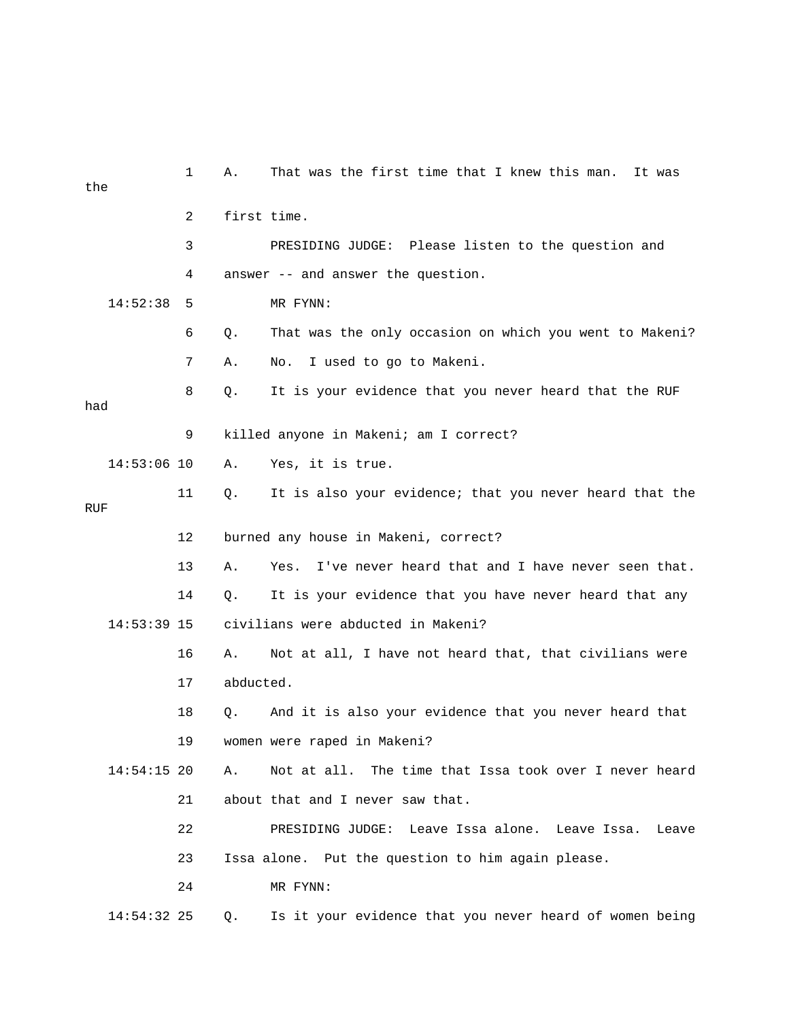| the |               | $\mathbf{1}$   | Α.        | That was the first time that I knew this man. It was    |
|-----|---------------|----------------|-----------|---------------------------------------------------------|
|     |               | $\overline{2}$ |           | first time.                                             |
|     |               | 3              |           | PRESIDING JUDGE: Please listen to the question and      |
|     |               | 4              |           | answer -- and answer the question.                      |
|     | 14:52:38      | 5              |           | MR FYNN:                                                |
|     |               | 6              | Q.        | That was the only occasion on which you went to Makeni? |
|     |               | 7              | Α.        | I used to go to Makeni.<br>No.                          |
| had |               | 8              | Q.        | It is your evidence that you never heard that the RUF   |
|     |               | 9              |           | killed anyone in Makeni; am I correct?                  |
|     | $14:53:06$ 10 |                | Α.        | Yes, it is true.                                        |
| RUF |               | 11             | Q.        | It is also your evidence; that you never heard that the |
|     |               | 12             |           | burned any house in Makeni, correct?                    |
|     |               | 13             | Α.        | Yes. I've never heard that and I have never seen that.  |
|     |               | 14             | Q.        | It is your evidence that you have never heard that any  |
|     | $14:53:39$ 15 |                |           | civilians were abducted in Makeni?                      |
|     |               | 16             | Α.        | Not at all, I have not heard that, that civilians were  |
|     |               | 17             | abducted. |                                                         |
|     |               | 18             | Q.        | And it is also your evidence that you never heard that  |
|     |               | 19             |           | women were raped in Makeni?                             |
|     | $14:54:15$ 20 |                | Α.        | Not at all. The time that Issa took over I never heard  |
|     |               | 21             |           | about that and I never saw that.                        |
|     |               | 22             |           | PRESIDING JUDGE: Leave Issa alone. Leave Issa.<br>Leave |
|     |               | 23             |           | Issa alone. Put the question to him again please.       |
|     |               | 24             |           | MR FYNN:                                                |
|     | 14:54:32 25   |                | Q.        | Is it your evidence that you never heard of women being |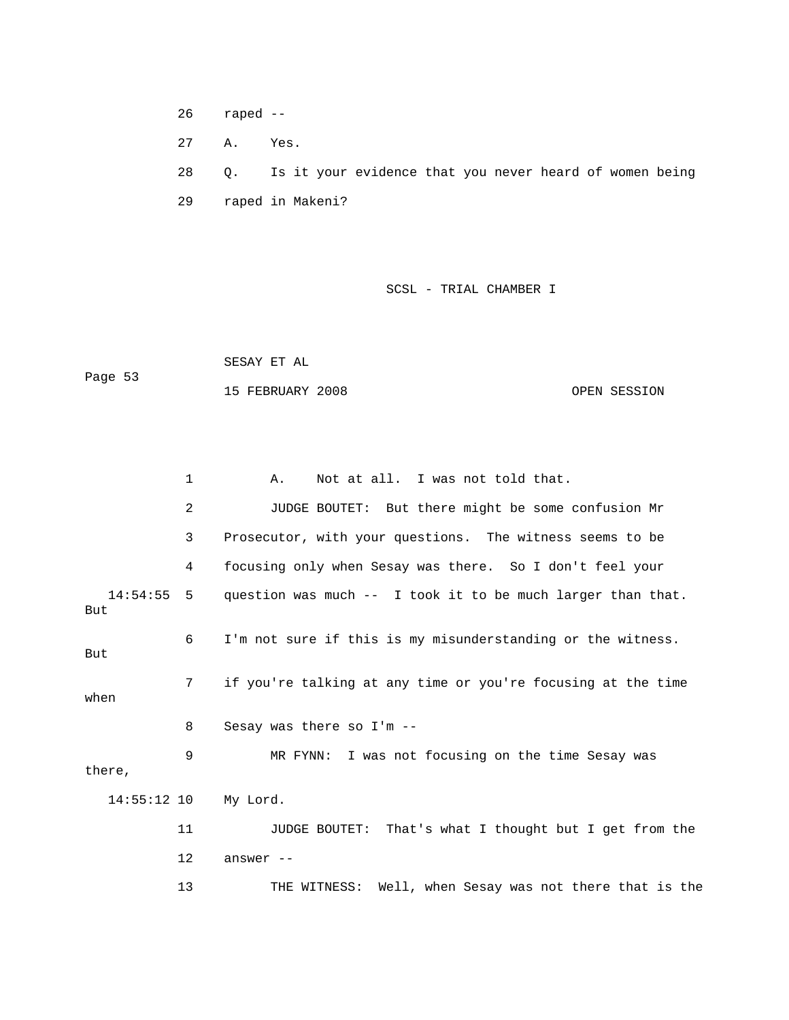26 raped --

27 A. Yes.

 28 Q. Is it your evidence that you never heard of women being 29 raped in Makeni?

SCSL - TRIAL CHAMBER I

|         | SESAY ET AL      |              |
|---------|------------------|--------------|
| Page 53 |                  |              |
|         | 15 FEBRUARY 2008 | OPEN SESSION |

 1 A. Not at all. I was not told that. 2 JUDGE BOUTET: But there might be some confusion Mr 3 Prosecutor, with your questions. The witness seems to be 4 focusing only when Sesay was there. So I don't feel your 14:54:55 5 question was much -- I took it to be much larger than that. But 6 I'm not sure if this is my misunderstanding or the witness. But 7 if you're talking at any time or you're focusing at the time when 8 Sesay was there so I'm -- 9 MR FYNN: I was not focusing on the time Sesay was there, 14:55:12 10 My Lord. 11 JUDGE BOUTET: That's what I thought but I get from the 12 answer -- 13 THE WITNESS: Well, when Sesay was not there that is the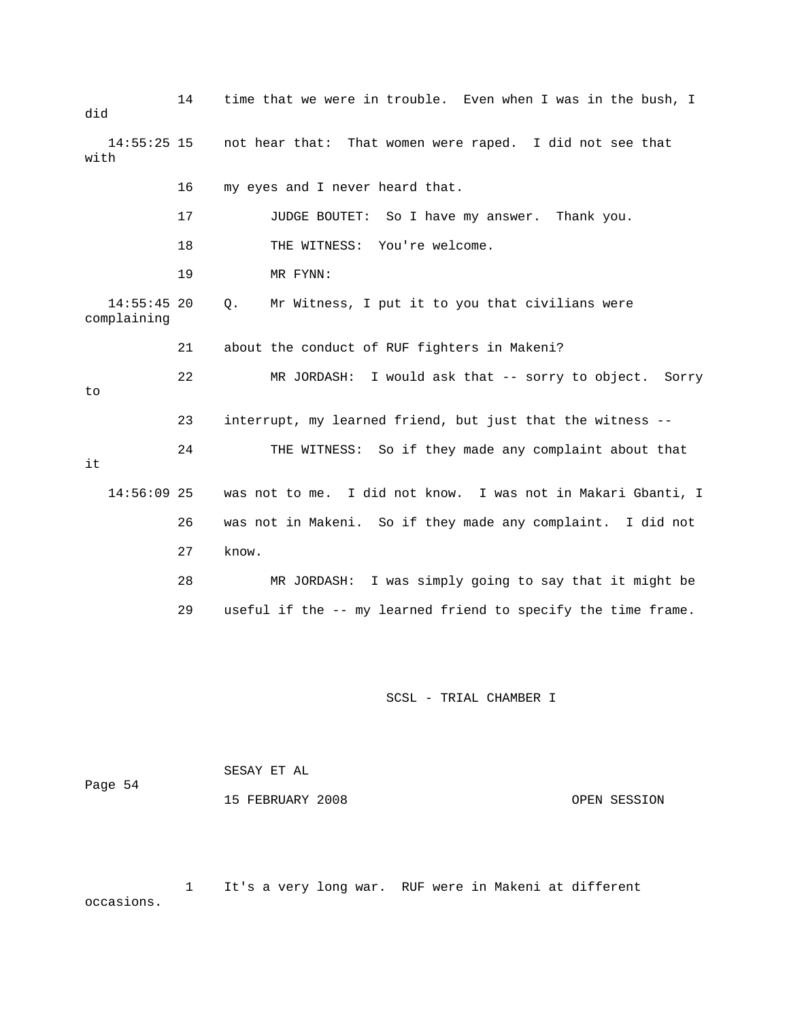| did                          | 14 | time that we were in trouble. Even when I was in the bush, I  |
|------------------------------|----|---------------------------------------------------------------|
| $14:55:25$ 15<br>with        |    | not hear that: That women were raped. I did not see that      |
|                              | 16 | my eyes and I never heard that.                               |
|                              | 17 | JUDGE BOUTET: So I have my answer. Thank you.                 |
|                              | 18 | THE WITNESS: You're welcome.                                  |
|                              | 19 | MR FYNN:                                                      |
| $14:55:45$ 20<br>complaining |    | Mr Witness, I put it to you that civilians were<br>Q.         |
|                              | 21 | about the conduct of RUF fighters in Makeni?                  |
| to                           | 22 | MR JORDASH: I would ask that -- sorry to object. Sorry        |
|                              | 23 | interrupt, my learned friend, but just that the witness --    |
| it                           | 24 | THE WITNESS: So if they made any complaint about that         |
| $14:56:09$ 25                |    | was not to me. I did not know. I was not in Makari Gbanti, I  |
|                              | 26 | was not in Makeni. So if they made any complaint. I did not   |
|                              | 27 | know.                                                         |
|                              | 28 | MR JORDASH: I was simply going to say that it might be        |
|                              | 29 | useful if the -- my learned friend to specify the time frame. |

 SESAY ET AL Page 54 15 FEBRUARY 2008 OPEN SESSION

 1 It's a very long war. RUF were in Makeni at different occasions.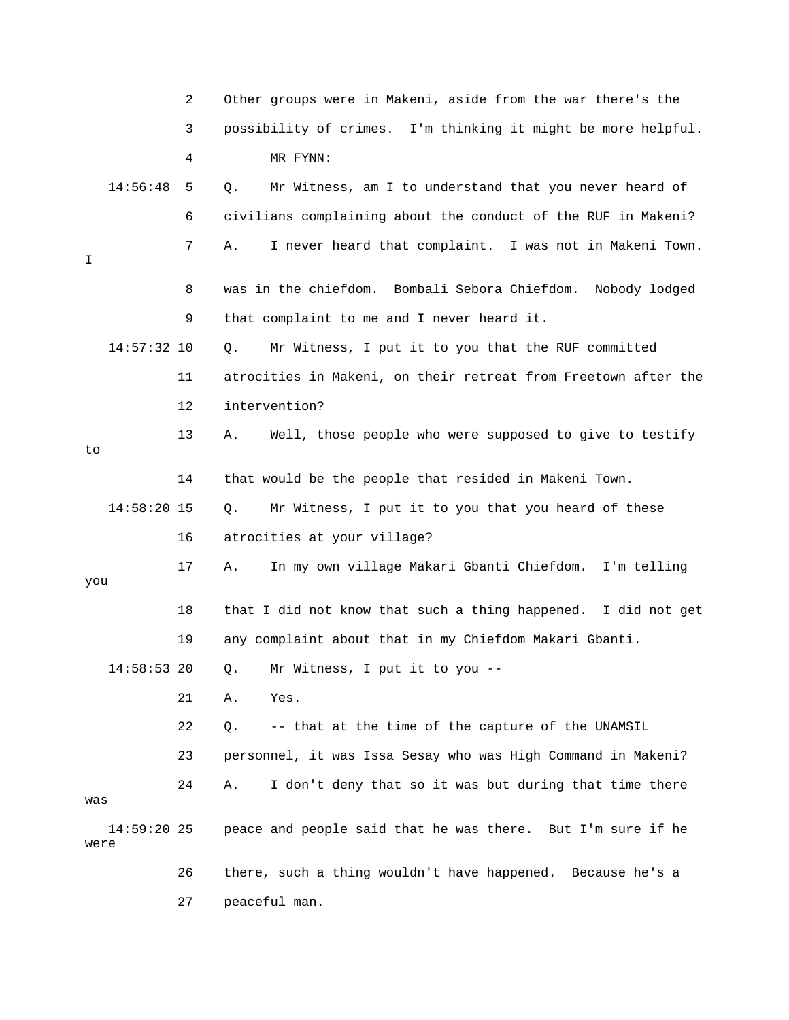|      |               | 2  | Other groups were in Makeni, aside from the war there's the    |
|------|---------------|----|----------------------------------------------------------------|
|      |               | 3  | possibility of crimes. I'm thinking it might be more helpful.  |
|      |               | 4  | MR FYNN:                                                       |
|      | 14:56:48      | 5  | Mr Witness, am I to understand that you never heard of<br>Q.   |
|      |               | 6  | civilians complaining about the conduct of the RUF in Makeni?  |
| I    |               | 7  | I never heard that complaint. I was not in Makeni Town.<br>Α.  |
|      |               | 8  | was in the chiefdom. Bombali Sebora Chiefdom. Nobody lodged    |
|      |               | 9  | that complaint to me and I never heard it.                     |
|      | 14:57:32 10   |    | Mr Witness, I put it to you that the RUF committed<br>Q.       |
|      |               | 11 | atrocities in Makeni, on their retreat from Freetown after the |
|      |               | 12 | intervention?                                                  |
| to   |               | 13 | Well, those people who were supposed to give to testify<br>Α.  |
|      |               | 14 | that would be the people that resided in Makeni Town.          |
|      | $14:58:20$ 15 |    | Mr Witness, I put it to you that you heard of these<br>Q.      |
|      |               | 16 | atrocities at your village?                                    |
| you  |               | 17 | In my own village Makari Gbanti Chiefdom. I'm telling<br>Α.    |
|      |               | 18 | that I did not know that such a thing happened. I did not get  |
|      |               | 19 | any complaint about that in my Chiefdom Makari Gbanti.         |
|      | $14:58:53$ 20 |    | Q. Mr Witness, I put it to you --                              |
|      |               | 21 | Yes.<br>Α.                                                     |
|      |               | 22 | -- that at the time of the capture of the UNAMSIL<br>Q.        |
|      |               | 23 | personnel, it was Issa Sesay who was High Command in Makeni?   |
| was  |               | 24 | I don't deny that so it was but during that time there<br>Α.   |
| were | $14:59:20$ 25 |    | peace and people said that he was there. But I'm sure if he    |
|      |               | 26 | there, such a thing wouldn't have happened. Because he's a     |
|      |               | 27 | peaceful man.                                                  |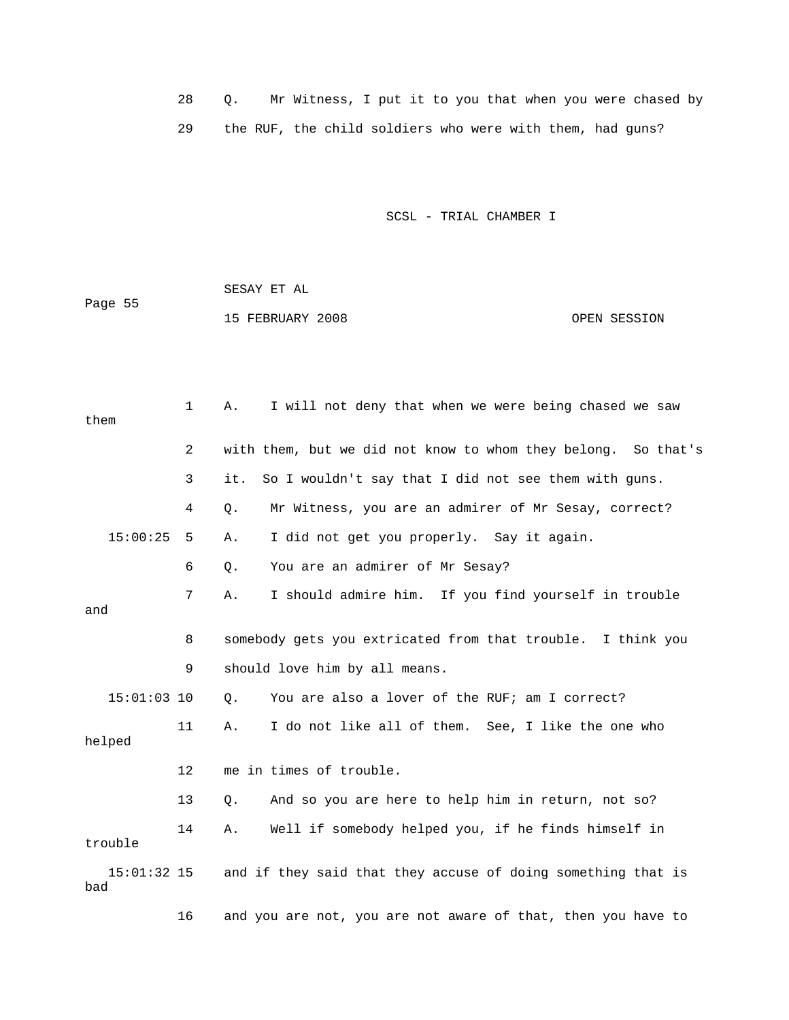28 Q. Mr Witness, I put it to you that when you were chased by 29 the RUF, the child soldiers who were with them, had guns?

SCSL - TRIAL CHAMBER I

 SESAY ET AL Page 55 15 FEBRUARY 2008 OPEN SESSION

 1 A. I will not deny that when we were being chased we saw them 2 with them, but we did not know to whom they belong. So that's 3 it. So I wouldn't say that I did not see them with guns. 4 Q. Mr Witness, you are an admirer of Mr Sesay, correct? 15:00:25 5 A. I did not get you properly. Say it again. 6 Q. You are an admirer of Mr Sesay? 7 A. I should admire him. If you find yourself in trouble and 8 somebody gets you extricated from that trouble. I think you 9 should love him by all means. 15:01:03 10 Q. You are also a lover of the RUF; am I correct? 11 A. I do not like all of them. See, I like the one who helped 12 me in times of trouble. 13 Q. And so you are here to help him in return, not so? 14 A. Well if somebody helped you, if he finds himself in trouble 15:01:32 15 and if they said that they accuse of doing something that is bad 16 and you are not, you are not aware of that, then you have to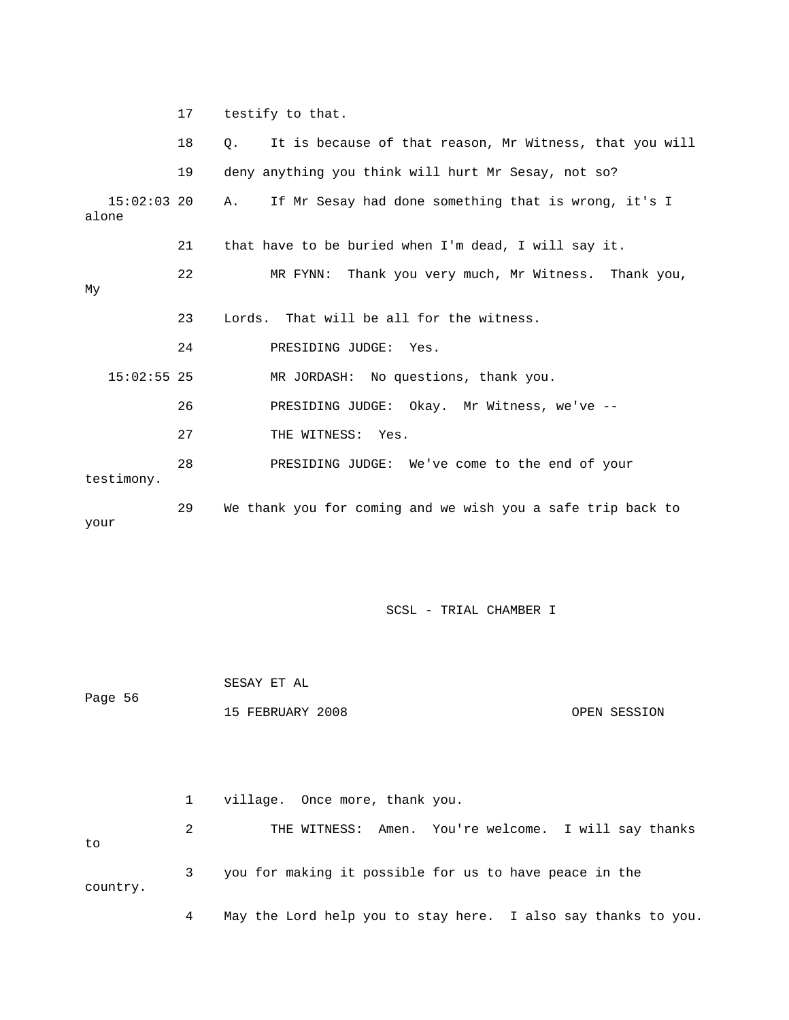|                        | 17 | testify to that.                                              |
|------------------------|----|---------------------------------------------------------------|
|                        | 18 | It is because of that reason, Mr Witness, that you will<br>Q. |
|                        | 19 | deny anything you think will hurt Mr Sesay, not so?           |
| $15:02:03$ 20<br>alone |    | If Mr Sesay had done something that is wrong, it's I<br>Α.    |
|                        | 21 | that have to be buried when I'm dead, I will say it.          |
| My                     | 22 | Thank you very much, Mr Witness. Thank you,<br>MR FYNN:       |
|                        | 23 | Lords. That will be all for the witness.                      |
|                        | 24 | PRESIDING JUDGE:<br>Yes.                                      |
| $15:02:55$ 25          |    | MR JORDASH: No questions, thank you.                          |
|                        | 26 | PRESIDING JUDGE: Okay. Mr Witness, we've --                   |
|                        | 27 | THE WITNESS: Yes.                                             |
| testimony.             | 28 | PRESIDING JUDGE: We've come to the end of your                |
| your                   | 29 | We thank you for coming and we wish you a safe trip back to   |

 SESAY ET AL Page 56 15 FEBRUARY 2008 OPEN SESSION

 1 village. Once more, thank you. 2 THE WITNESS: Amen. You're welcome. I will say thanks to 3 you for making it possible for us to have peace in the country. 4 May the Lord help you to stay here. I also say thanks to you.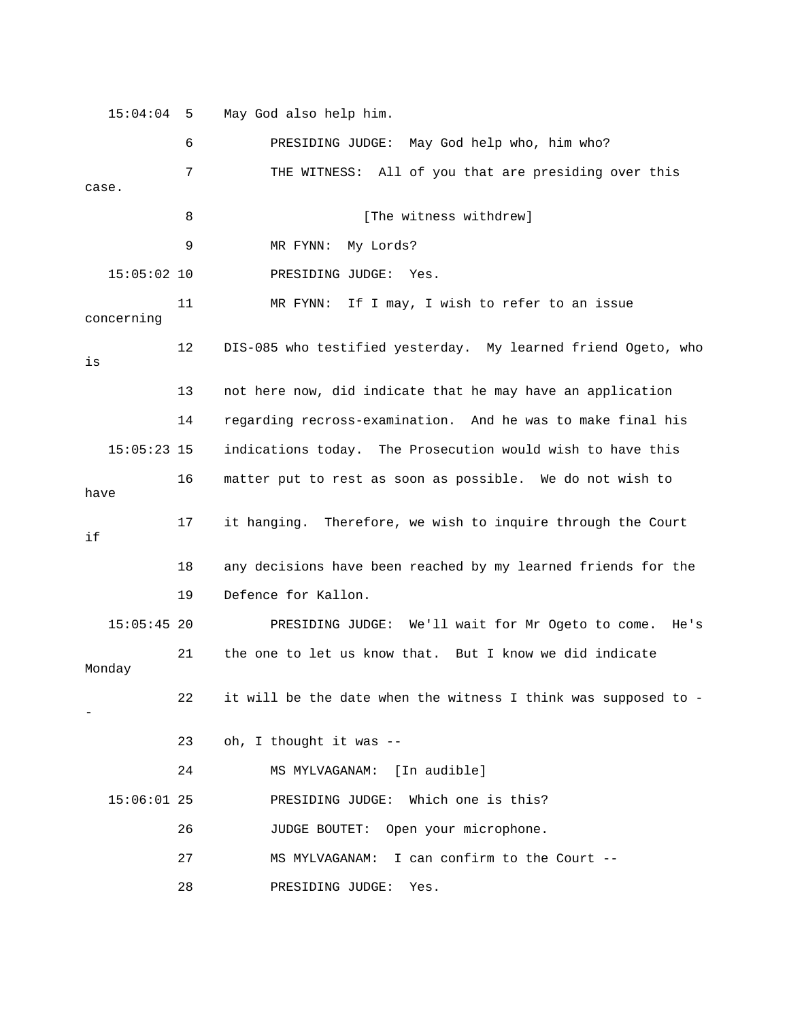15:04:04 5 May God also help him.

 6 PRESIDING JUDGE: May God help who, him who? 7 THE WITNESS: All of you that are presiding over this case. 8 [The witness withdrew] 9 MR FYNN: My Lords? 15:05:02 10 PRESIDING JUDGE: Yes. 11 MR FYNN: If I may, I wish to refer to an issue concerning 12 DIS-085 who testified yesterday. My learned friend Ogeto, who is 13 not here now, did indicate that he may have an application 14 regarding recross-examination. And he was to make final his 15:05:23 15 indications today. The Prosecution would wish to have this 16 matter put to rest as soon as possible. We do not wish to have 17 it hanging. Therefore, we wish to inquire through the Court if 18 any decisions have been reached by my learned friends for the 19 Defence for Kallon. 15:05:45 20 PRESIDING JUDGE: We'll wait for Mr Ogeto to come. He's 21 the one to let us know that. But I know we did indicate Monday 22 it will be the date when the witness I think was supposed to - - 23 oh, I thought it was -- 24 MS MYLVAGANAM: [In audible] 15:06:01 25 PRESIDING JUDGE: Which one is this? 26 JUDGE BOUTET: Open your microphone. 27 MS MYLVAGANAM: I can confirm to the Court -- 28 PRESIDING JUDGE: Yes.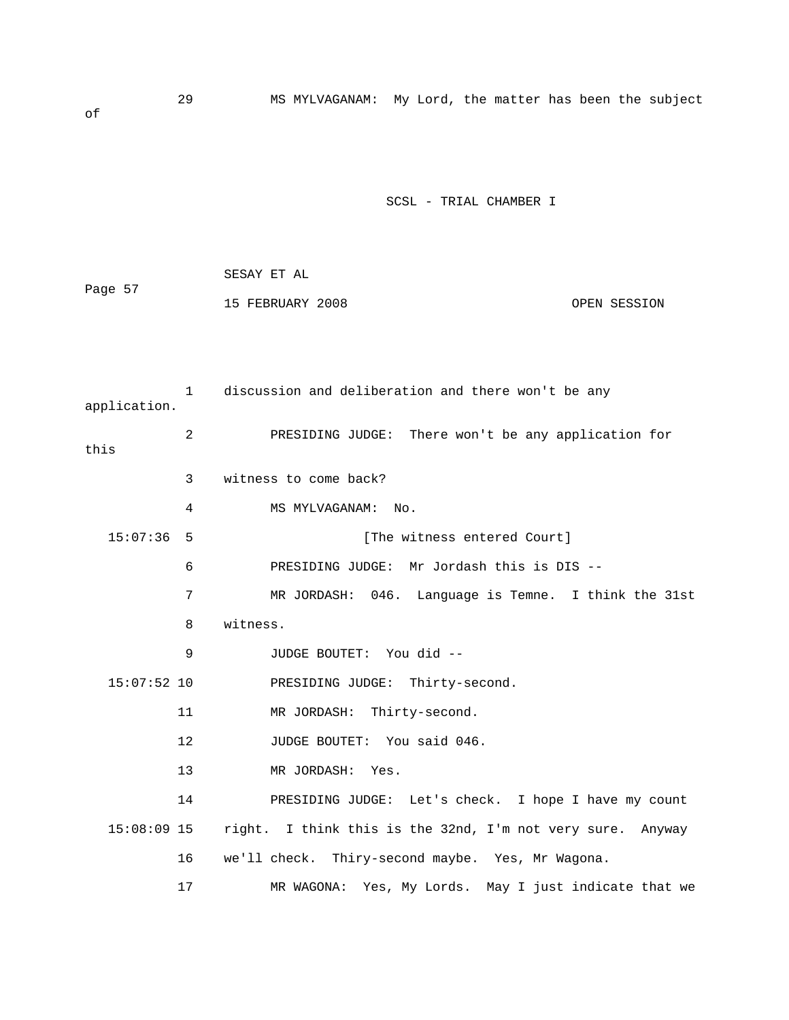29 MS MYLVAGANAM: My Lord, the matter has been the subject of

SCSL - TRIAL CHAMBER I

| Page 57 | SESAY ET AL      |              |
|---------|------------------|--------------|
|         | 15 FEBRUARY 2008 | OPEN SESSION |

 1 discussion and deliberation and there won't be any application. 2 PRESIDING JUDGE: There won't be any application for this 3 witness to come back? 4 MS MYLVAGANAM: No. 15:07:36 5 [The witness entered Court] 6 PRESIDING JUDGE: Mr Jordash this is DIS -- 7 MR JORDASH: 046. Language is Temne. I think the 31st 8 witness. 9 JUDGE BOUTET: You did -- 15:07:52 10 PRESIDING JUDGE: Thirty-second. 11 MR JORDASH: Thirty-second. 12 JUDGE BOUTET: You said 046. 13 MR JORDASH: Yes. 14 PRESIDING JUDGE: Let's check. I hope I have my count 15:08:09 15 right. I think this is the 32nd, I'm not very sure. Anyway 16 we'll check. Thiry-second maybe. Yes, Mr Wagona. 17 MR WAGONA: Yes, My Lords. May I just indicate that we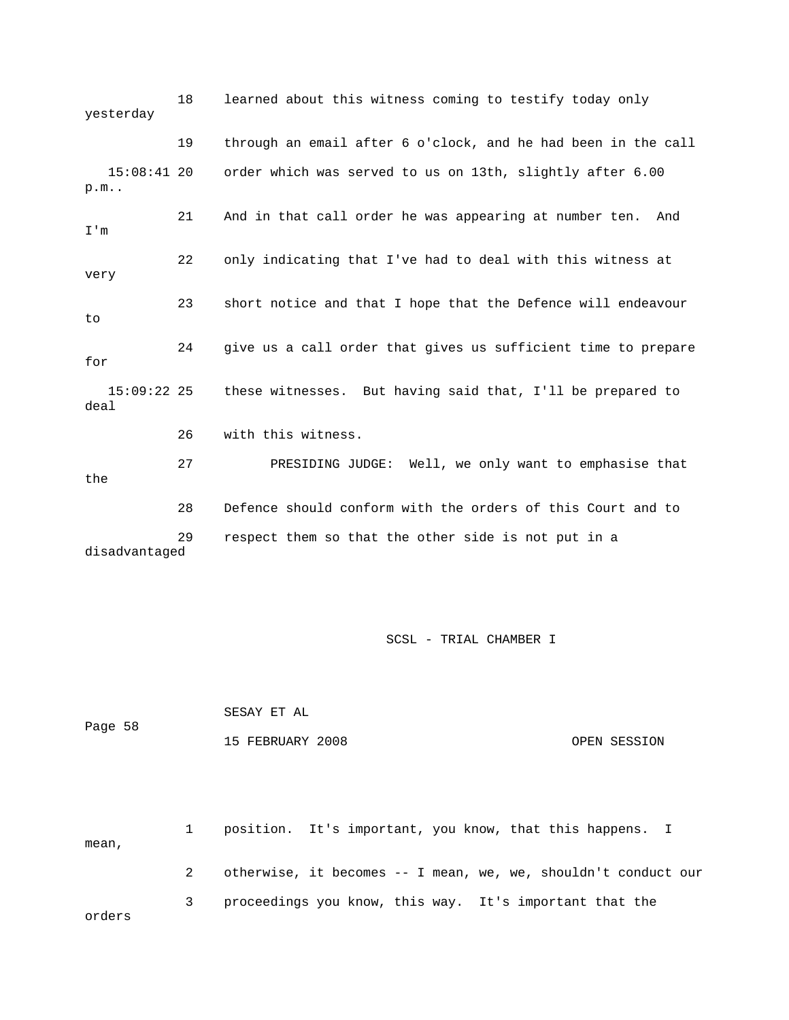18 learned about this witness coming to testify today only yesterday 19 through an email after 6 o'clock, and he had been in the call 15:08:41 20 order which was served to us on 13th, slightly after 6.00 p.m.. 21 And in that call order he was appearing at number ten. And I'm 22 only indicating that I've had to deal with this witness at very 23 short notice and that I hope that the Defence will endeavour to 24 give us a call order that gives us sufficient time to prepare for 15:09:22 25 these witnesses. But having said that, I'll be prepared to deal 26 with this witness. 27 PRESIDING JUDGE: Well, we only want to emphasise that the 28 Defence should conform with the orders of this Court and to 29 respect them so that the other side is not put in a disadvantaged

SCSL - TRIAL CHAMBER I

| Page 58 | SESAY ET AL      |              |
|---------|------------------|--------------|
|         | 15 FEBRUARY 2008 | OPEN SESSION |

 1 position. It's important, you know, that this happens. I mean, 2 otherwise, it becomes -- I mean, we, we, shouldn't conduct our 3 proceedings you know, this way. It's important that the orders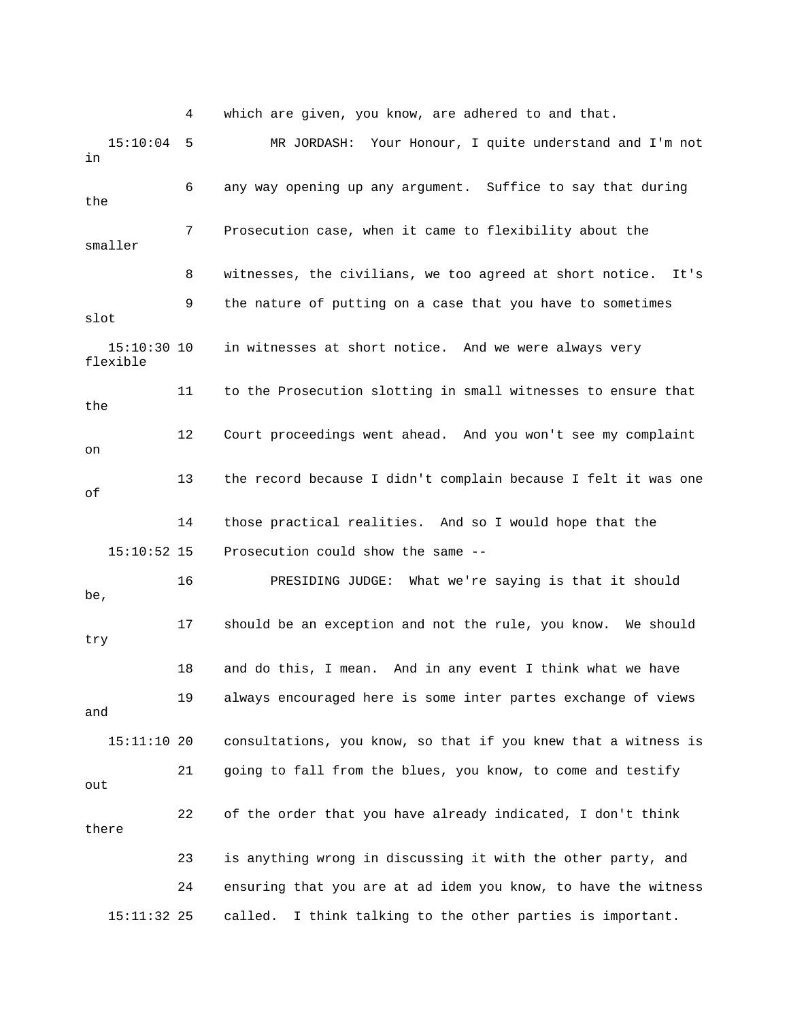4 which are given, you know, are adhered to and that.

 15:10:04 5 MR JORDASH: Your Honour, I quite understand and I'm not in 6 any way opening up any argument. Suffice to say that during the 7 Prosecution case, when it came to flexibility about the smaller 8 witnesses, the civilians, we too agreed at short notice. It's 9 the nature of putting on a case that you have to sometimes slot 15:10:30 10 in witnesses at short notice. And we were always very flexible 11 to the Prosecution slotting in small witnesses to ensure that the 12 Court proceedings went ahead. And you won't see my complaint on 13 the record because I didn't complain because I felt it was one of 14 those practical realities. And so I would hope that the 15:10:52 15 Prosecution could show the same -- 16 PRESIDING JUDGE: What we're saying is that it should be, 17 should be an exception and not the rule, you know. We should try 18 and do this, I mean. And in any event I think what we have 19 always encouraged here is some inter partes exchange of views and 15:11:10 20 consultations, you know, so that if you knew that a witness is 21 going to fall from the blues, you know, to come and testify out 22 of the order that you have already indicated, I don't think there 23 is anything wrong in discussing it with the other party, and 24 ensuring that you are at ad idem you know, to have the witness 15:11:32 25 called. I think talking to the other parties is important.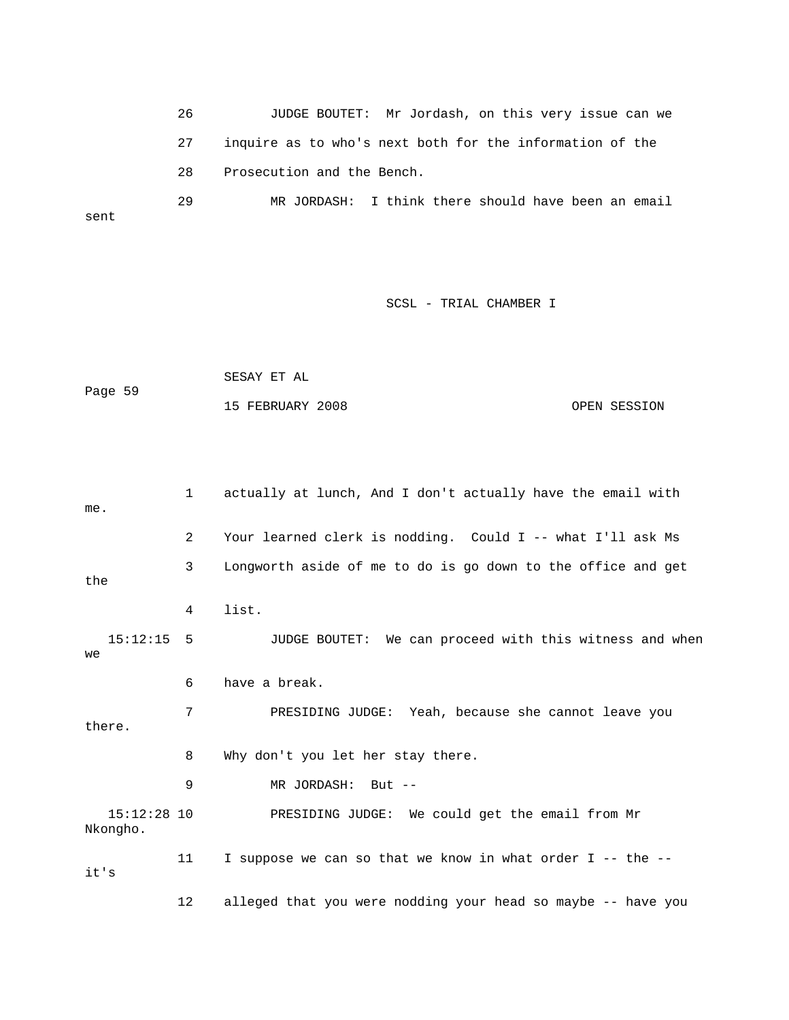26 JUDGE BOUTET: Mr Jordash, on this very issue can we 27 inquire as to who's next both for the information of the 28 Prosecution and the Bench. 29 MR JORDASH: I think there should have been an email

sent

SCSL - TRIAL CHAMBER I

|         | SESAY ET AL      |  |              |
|---------|------------------|--|--------------|
| Page 59 |                  |  |              |
|         | 15 FEBRUARY 2008 |  | OPEN SESSION |

 1 actually at lunch, And I don't actually have the email with me. 2 Your learned clerk is nodding. Could I -- what I'll ask Ms 3 Longworth aside of me to do is go down to the office and get the 4 list. 15:12:15 5 JUDGE BOUTET: We can proceed with this witness and when we 6 have a break. 7 PRESIDING JUDGE: Yeah, because she cannot leave you there. 8 Why don't you let her stay there. 9 MR JORDASH: But -- 15:12:28 10 PRESIDING JUDGE: We could get the email from Mr Nkongho. 11 I suppose we can so that we know in what order I -- the - it's 12 alleged that you were nodding your head so maybe -- have you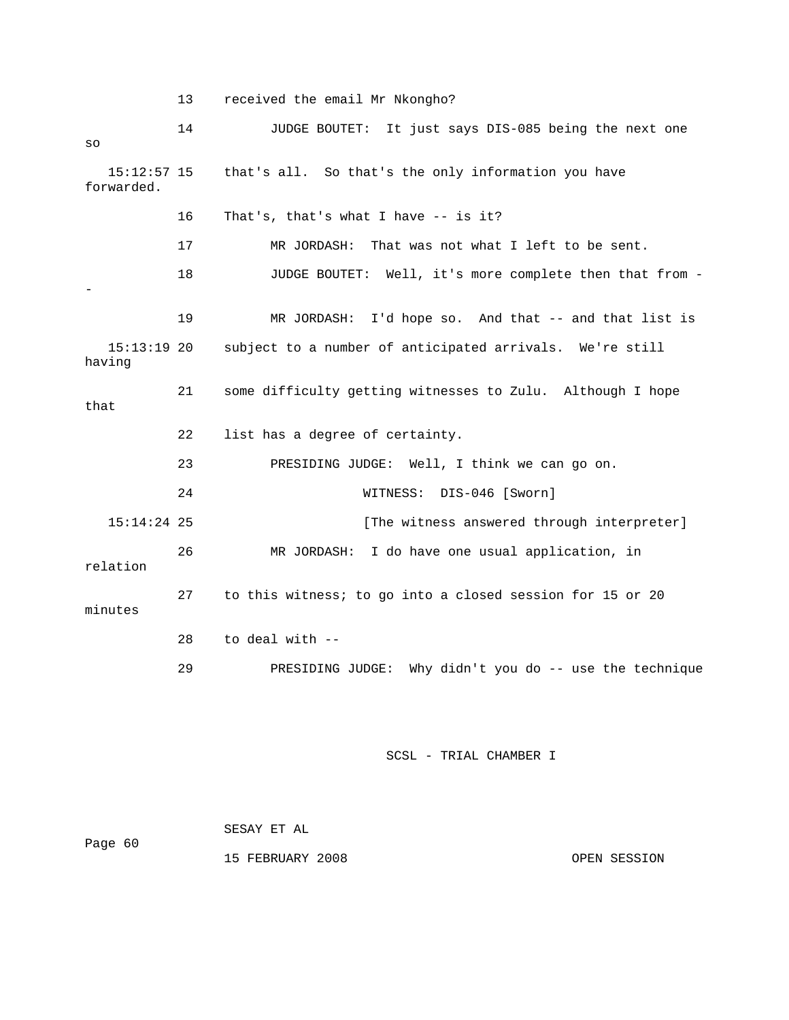13 received the email Mr Nkongho? 14 JUDGE BOUTET: It just says DIS-085 being the next one so 15:12:57 15 that's all. So that's the only information you have forwarded. 16 That's, that's what I have -- is it? 17 MR JORDASH: That was not what I left to be sent. 18 JUDGE BOUTET: Well, it's more complete then that from - - 19 MR JORDASH: I'd hope so. And that -- and that list is 15:13:19 20 subject to a number of anticipated arrivals. We're still having 21 some difficulty getting witnesses to Zulu. Although I hope that 22 list has a degree of certainty. 23 PRESIDING JUDGE: Well, I think we can go on. 24 WITNESS: DIS-046 [Sworn] 15:14:24 25 [The witness answered through interpreter] 26 MR JORDASH: I do have one usual application, in relation 27 to this witness; to go into a closed session for 15 or 20 minutes 28 to deal with -- 29 PRESIDING JUDGE: Why didn't you do -- use the technique

| Page 60 | SESAY ET AL      |              |
|---------|------------------|--------------|
|         | 15 FEBRUARY 2008 | OPEN SESSION |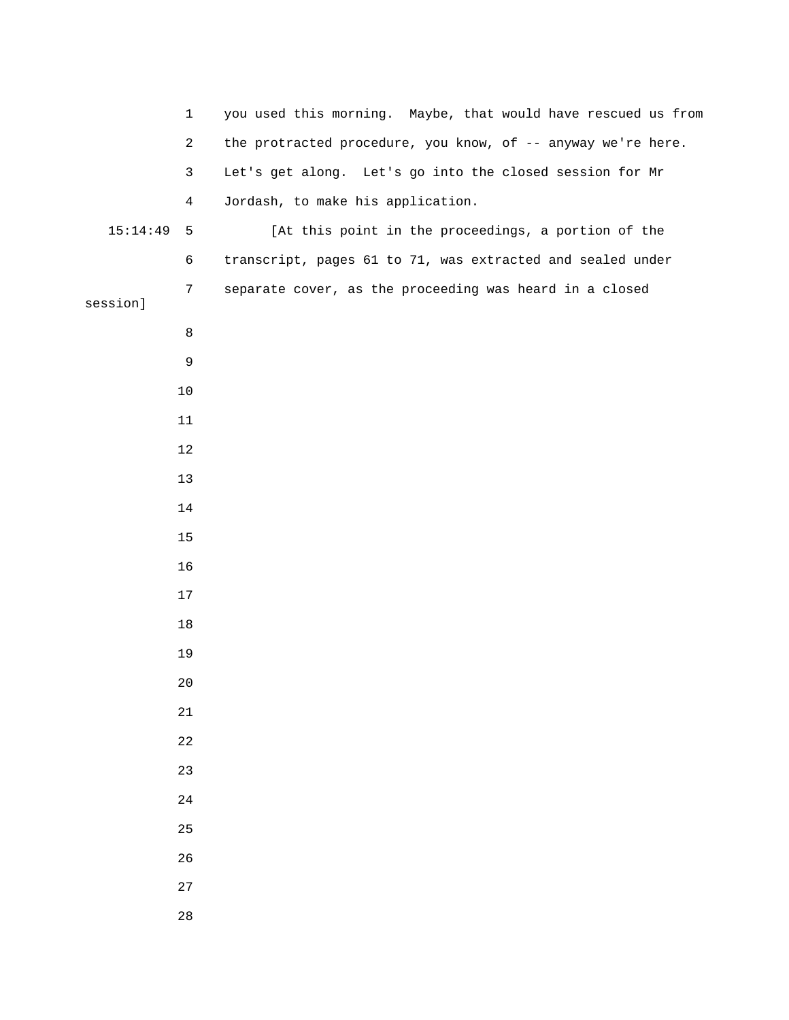| $\mathbf{1}$                | you used this morning. Maybe, that would have rescued us from |
|-----------------------------|---------------------------------------------------------------|
| $\overline{a}$              | the protracted procedure, you know, of -- anyway we're here.  |
| $\mathbf{3}$                | Let's get along. Let's go into the closed session for Mr      |
| $\overline{4}$              | Jordash, to make his application.                             |
| 15:14:49<br>$5\phantom{.0}$ | [At this point in the proceedings, a portion of the           |
| 6                           | transcript, pages 61 to 71, was extracted and sealed under    |
| $\overline{7}$<br>session]  | separate cover, as the proceeding was heard in a closed       |
| $\,8\,$                     |                                                               |
| 9                           |                                                               |
| $10$                        |                                                               |
| 11                          |                                                               |
| 12                          |                                                               |
| 13                          |                                                               |
| 14                          |                                                               |
| 15                          |                                                               |
| 16                          |                                                               |
| $17\,$                      |                                                               |
| $18\,$                      |                                                               |
| 19                          |                                                               |
| $2\,0$                      |                                                               |
| 21                          |                                                               |
| 22                          |                                                               |
| 23                          |                                                               |
| $2\sqrt{4}$                 |                                                               |
| 25                          |                                                               |
| 26                          |                                                               |
| $2\,7$                      |                                                               |
| 28                          |                                                               |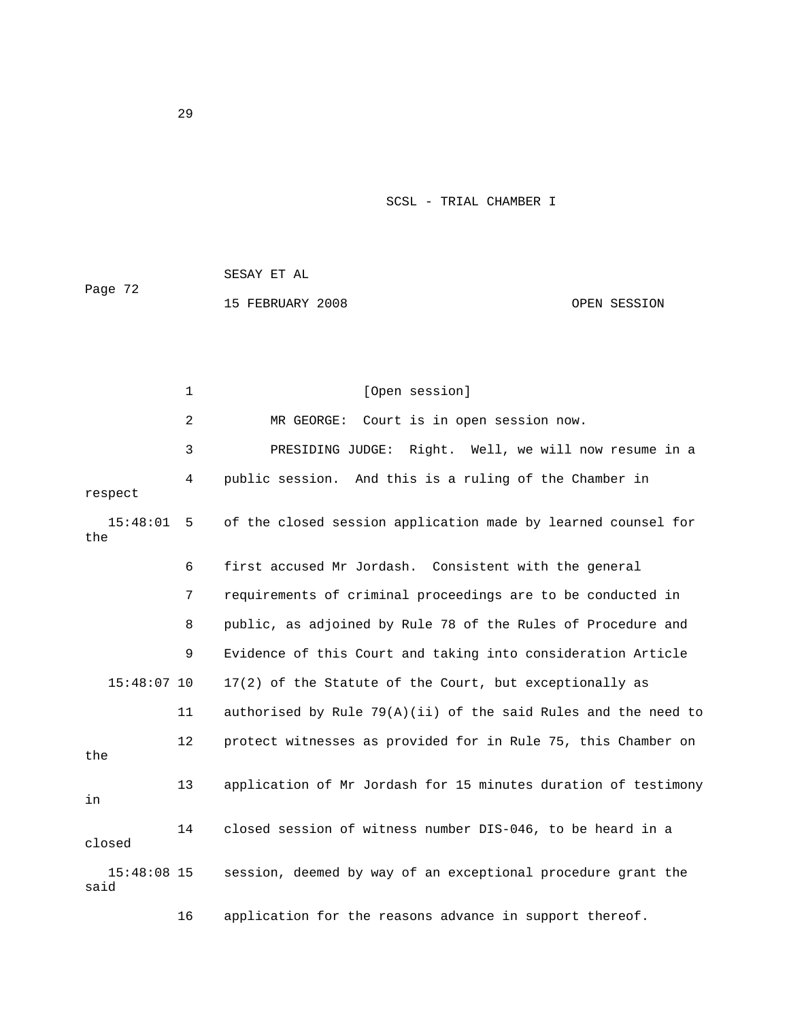| Page 72 | SESAY ET AL      |              |
|---------|------------------|--------------|
|         | 15 FEBRUARY 2008 | OPEN SESSION |

|                       | $\mathbf{1}$   | [Open session]                                                   |
|-----------------------|----------------|------------------------------------------------------------------|
|                       | $\overline{2}$ | Court is in open session now.<br>MR GEORGE:                      |
|                       | 3              | PRESIDING JUDGE: Right. Well, we will now resume in a            |
| respect               | 4              | public session. And this is a ruling of the Chamber in           |
| 15:48:01<br>the       | - 5            | of the closed session application made by learned counsel for    |
|                       | 6              | first accused Mr Jordash. Consistent with the general            |
|                       | 7              | requirements of criminal proceedings are to be conducted in      |
|                       | 8              | public, as adjoined by Rule 78 of the Rules of Procedure and     |
|                       | 9              | Evidence of this Court and taking into consideration Article     |
| $15:48:07$ 10         |                | 17(2) of the Statute of the Court, but exceptionally as          |
|                       | 11             | authorised by Rule $79(A)(ii)$ of the said Rules and the need to |
| the                   | 12             | protect witnesses as provided for in Rule 75, this Chamber on    |
| in                    | 13             | application of Mr Jordash for 15 minutes duration of testimony   |
| closed                | 14             | closed session of witness number DIS-046, to be heard in a       |
| $15:48:08$ 15<br>said |                | session, deemed by way of an exceptional procedure grant the     |
|                       | 16             | application for the reasons advance in support thereof.          |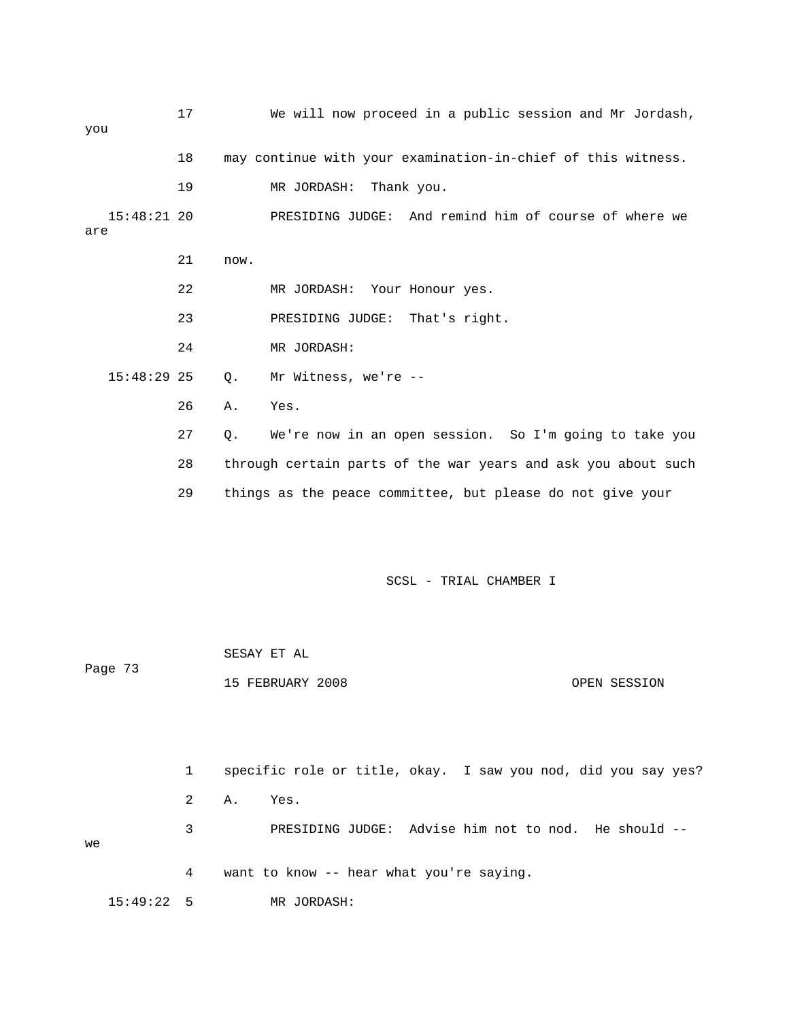17 We will now proceed in a public session and Mr Jordash, you 18 may continue with your examination-in-chief of this witness. 19 MR JORDASH: Thank you. 15:48:21 20 PRESIDING JUDGE: And remind him of course of where we are 21 now. 22 MR JORDASH: Your Honour yes. 23 PRESIDING JUDGE: That's right. 24 MR JORDASH: 15:48:29 25 Q. Mr Witness, we're -- 26 A. Yes. 27 Q. We're now in an open session. So I'm going to take you 28 through certain parts of the war years and ask you about such 29 things as the peace committee, but please do not give your SCSL - TRIAL CHAMBER I SESAY ET AL Page 73 15 FEBRUARY 2008 OPEN SESSION 1 specific role or title, okay. I saw you nod, did you say yes? 2 A. Yes. 3 PRESIDING JUDGE: Advise him not to nod. He should --

we

4 want to know -- hear what you're saying.

15:49:22 5 MR JORDASH: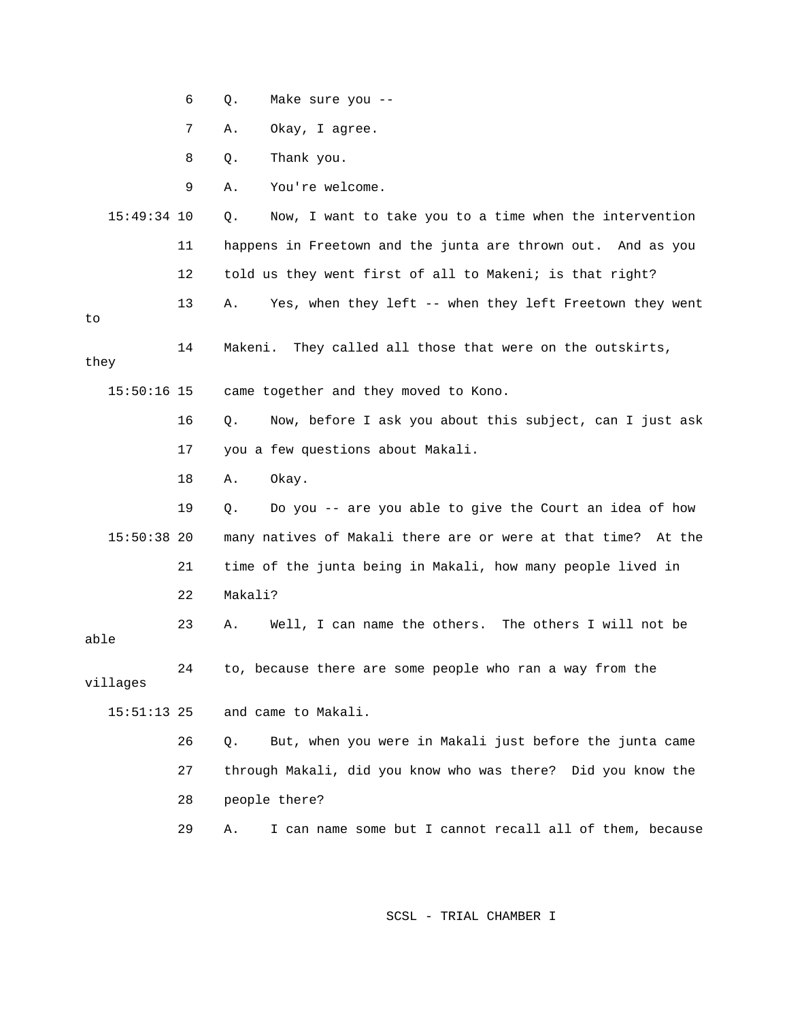|               | 6  | Make sure you --<br>Q.                                         |
|---------------|----|----------------------------------------------------------------|
|               | 7  | Okay, I agree.<br>Α.                                           |
|               | 8  | Thank you.<br>Q.                                               |
|               | 9  | You're welcome.<br>Α.                                          |
| $15:49:34$ 10 |    | Now, I want to take you to a time when the intervention<br>Q.  |
|               | 11 | happens in Freetown and the junta are thrown out. And as you   |
|               | 12 | told us they went first of all to Makeni; is that right?       |
| to            | 13 | Yes, when they left -- when they left Freetown they went<br>Α. |
| they          | 14 | They called all those that were on the outskirts,<br>Makeni.   |
| $15:50:16$ 15 |    | came together and they moved to Kono.                          |
|               | 16 | Now, before I ask you about this subject, can I just ask<br>Q. |
|               | 17 | you a few questions about Makali.                              |
|               | 18 | Okay.<br>Α.                                                    |
|               | 19 | Do you -- are you able to give the Court an idea of how<br>Q.  |
| $15:50:38$ 20 |    | many natives of Makali there are or were at that time? At the  |
|               | 21 | time of the junta being in Makali, how many people lived in    |
|               | 22 | Makali?                                                        |
| able          | 23 | Well, I can name the others.<br>The others I will not be<br>Α. |
| villages      | 24 | to, because there are some people who ran a way from the       |
| $15:51:13$ 25 |    | and came to Makali.                                            |
|               | 26 | But, when you were in Makali just before the junta came<br>Q.  |
|               | 27 | through Makali, did you know who was there? Did you know the   |
|               | 28 | people there?                                                  |
|               | 29 | I can name some but I cannot recall all of them, because<br>Α. |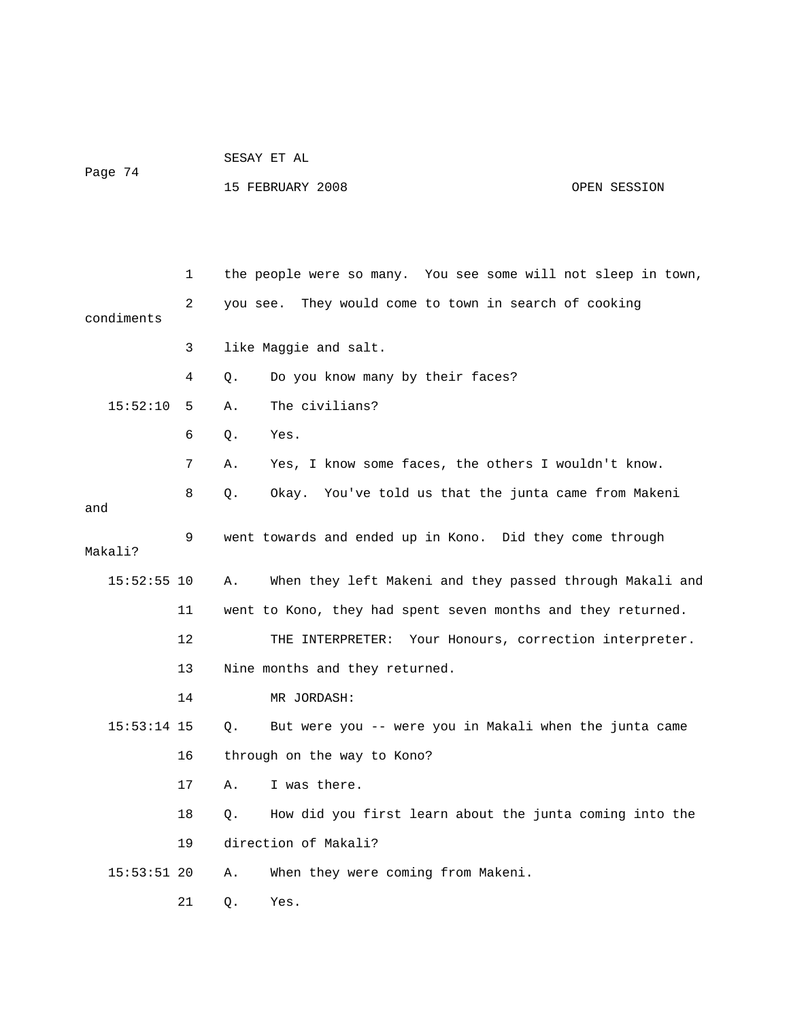|         |  |  | SESAY ET AL |  |  |
|---------|--|--|-------------|--|--|
| Page 74 |  |  |             |  |  |

15 FEBRUARY 2008 OPEN SESSION

|             | 1  | the people were so many. You see some will not sleep in town,  |
|-------------|----|----------------------------------------------------------------|
| condiments  | 2  | They would come to town in search of cooking<br>you see.       |
|             | 3  | like Maggie and salt.                                          |
|             | 4  | Do you know many by their faces?<br>О.                         |
| 15:52:10    | 5  | The civilians?<br>Α.                                           |
|             | 6  | Q.<br>Yes.                                                     |
|             | 7  | Yes, I know some faces, the others I wouldn't know.<br>Α.      |
| and         | 8  | Okay. You've told us that the junta came from Makeni<br>Q.     |
| Makali?     | 9  | went towards and ended up in Kono. Did they come through       |
| 15:52:55 10 |    | When they left Makeni and they passed through Makali and<br>Α. |
|             | 11 | went to Kono, they had spent seven months and they returned.   |
|             | 12 | Your Honours, correction interpreter.<br>THE INTERPRETER:      |
|             | 13 | Nine months and they returned.                                 |
|             | 14 | MR JORDASH:                                                    |
| 15:53:14 15 |    | Q.<br>But were you -- were you in Makali when the junta came   |
|             | 16 | through on the way to Kono?                                    |
|             | 17 | I was there.<br>Α.                                             |
|             | 18 | How did you first learn about the junta coming into the<br>О.  |
|             | 19 | direction of Makali?                                           |
| 15:53:51 20 |    | When they were coming from Makeni.<br>Α.                       |
|             | 21 | Q.<br>Yes.                                                     |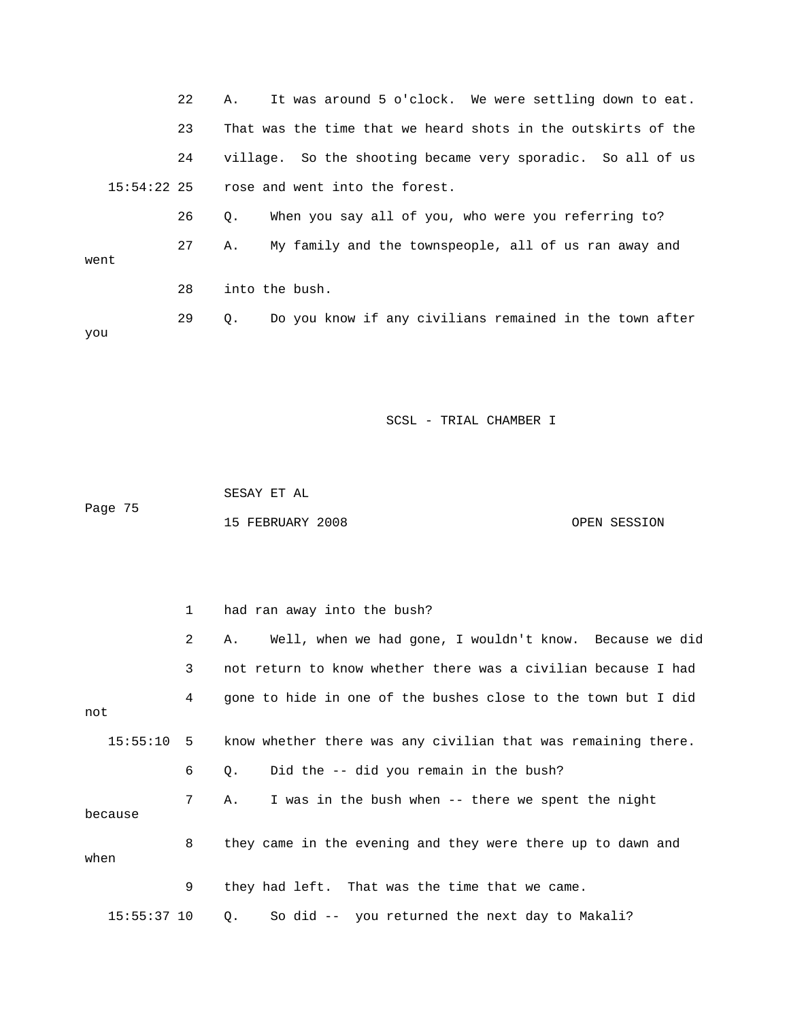|      | 22 | It was around 5 o'clock. We were settling down to eat.<br>Α.  |
|------|----|---------------------------------------------------------------|
|      | 23 | That was the time that we heard shots in the outskirts of the |
|      | 24 | village. So the shooting became very sporadic. So all of us   |
|      |    | $15:54:22$ 25 rose and went into the forest.                  |
|      | 26 | When you say all of you, who were you referring to?<br>Q.     |
| went | 27 | My family and the townspeople, all of us ran away and<br>Α.   |
|      | 28 | into the bush.                                                |
| you  | 29 | Do you know if any civilians remained in the town after<br>Q. |

 SESAY ET AL Page 75 15 FEBRUARY 2008 OPEN SESSION

 1 had ran away into the bush? 2 A. Well, when we had gone, I wouldn't know. Because we did 3 not return to know whether there was a civilian because I had 4 gone to hide in one of the bushes close to the town but I did not 15:55:10 5 know whether there was any civilian that was remaining there. 6 Q. Did the -- did you remain in the bush? 7 A. I was in the bush when -- there we spent the night because 8 they came in the evening and they were there up to dawn and when 9 they had left. That was the time that we came. 15:55:37 10 Q. So did -- you returned the next day to Makali?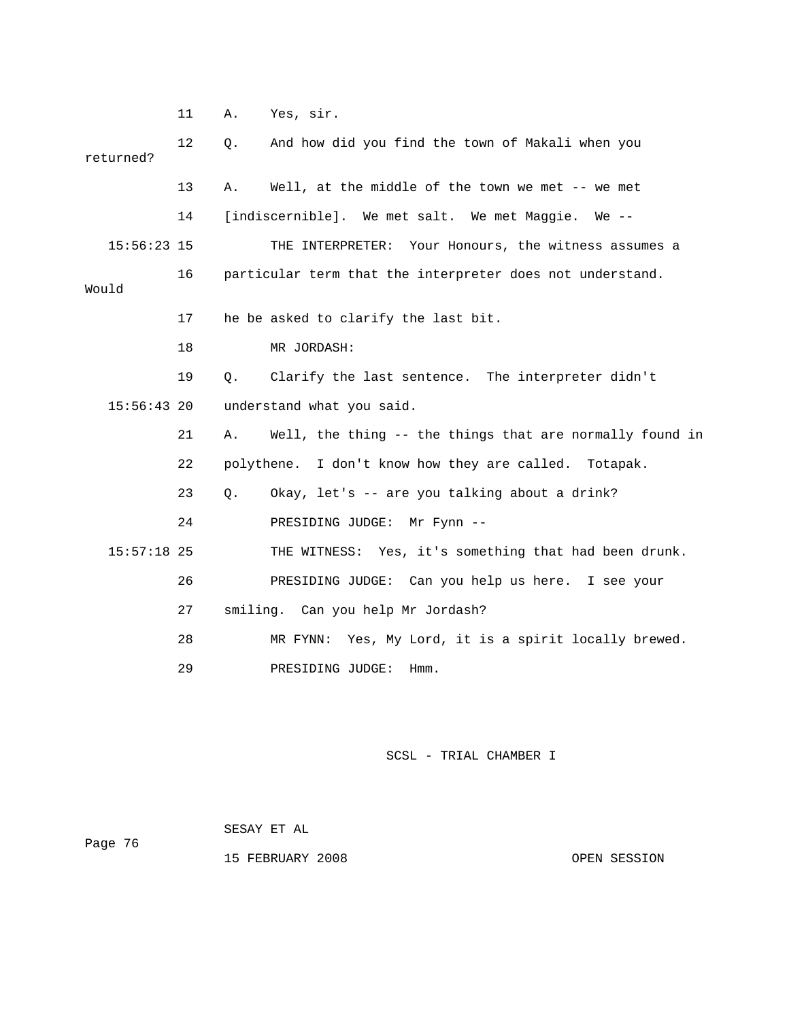11 A. Yes, sir.

 12 Q. And how did you find the town of Makali when you returned? 13 A. Well, at the middle of the town we met -- we met 14 [indiscernible]. We met salt. We met Maggie. We -- 15:56:23 15 THE INTERPRETER: Your Honours, the witness assumes a 16 particular term that the interpreter does not understand. Would 17 he be asked to clarify the last bit. 18 MR JORDASH: 19 Q. Clarify the last sentence. The interpreter didn't 15:56:43 20 understand what you said. 21 A. Well, the thing -- the things that are normally found in 22 polythene. I don't know how they are called. Totapak. 23 Q. Okay, let's -- are you talking about a drink? 24 PRESIDING JUDGE: Mr Fynn -- 15:57:18 25 THE WITNESS: Yes, it's something that had been drunk. 26 PRESIDING JUDGE: Can you help us here. I see your 27 smiling. Can you help Mr Jordash? 28 MR FYNN: Yes, My Lord, it is a spirit locally brewed. 29 PRESIDING JUDGE: Hmm.

## SCSL - TRIAL CHAMBER I

|         |  | SESAY ET AL |  |  |
|---------|--|-------------|--|--|
| Page 76 |  |             |  |  |

15 FEBRUARY 2008 OPEN SESSION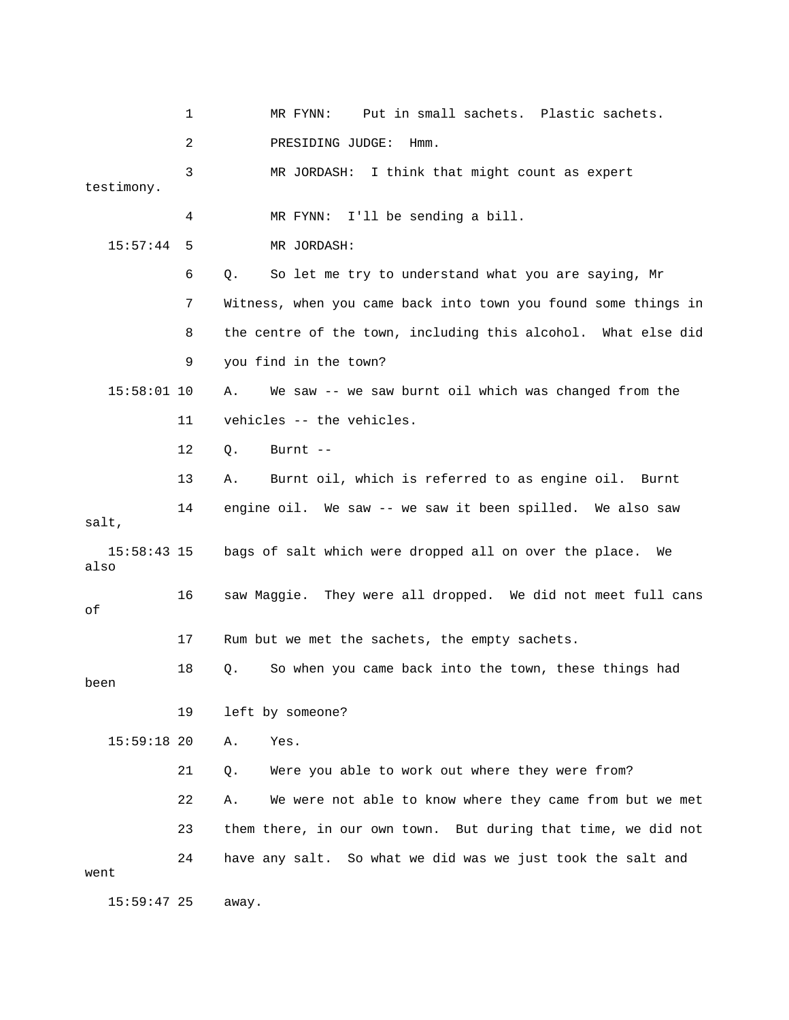1 MR FYNN: Put in small sachets. Plastic sachets. 2 PRESIDING JUDGE: Hmm. 3 MR JORDASH: I think that might count as expert testimony. 4 MR FYNN: I'll be sending a bill. 15:57:44 5 MR JORDASH: 6 Q. So let me try to understand what you are saying, Mr 7 Witness, when you came back into town you found some things in 8 the centre of the town, including this alcohol. What else did 9 you find in the town? 15:58:01 10 A. We saw -- we saw burnt oil which was changed from the 11 vehicles -- the vehicles. 12 Q. Burnt -- 13 A. Burnt oil, which is referred to as engine oil. Burnt 14 engine oil. We saw -- we saw it been spilled. We also saw salt, 15:58:43 15 bags of salt which were dropped all on over the place. We also 16 saw Maggie. They were all dropped. We did not meet full cans of 17 Rum but we met the sachets, the empty sachets. 18 Q. So when you came back into the town, these things had been 19 left by someone? 15:59:18 20 A. Yes. 21 Q. Were you able to work out where they were from? 22 A. We were not able to know where they came from but we met 23 them there, in our own town. But during that time, we did not 24 have any salt. So what we did was we just took the salt and went 15:59:47 25 away.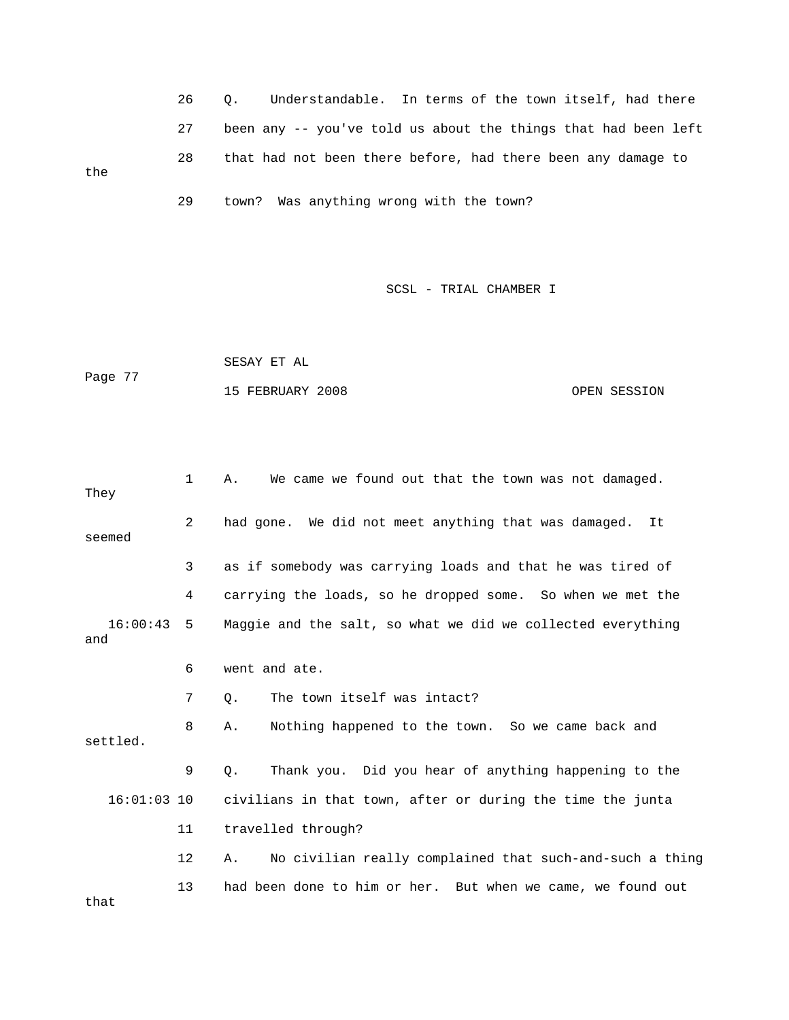26 Q. Understandable. In terms of the town itself, had there 27 been any -- you've told us about the things that had been left 28 that had not been there before, had there been any damage to the 29 town? Was anything wrong with the town?

SCSL - TRIAL CHAMBER I

 SESAY ET AL Page 77 15 FEBRUARY 2008 OPEN SESSION

 1 A. We came we found out that the town was not damaged. They 2 had gone. We did not meet anything that was damaged. It seemed 3 as if somebody was carrying loads and that he was tired of 4 carrying the loads, so he dropped some. So when we met the 16:00:43 5 Maggie and the salt, so what we did we collected everything and 6 went and ate. 7 Q. The town itself was intact? 8 A. Nothing happened to the town. So we came back and settled. 9 Q. Thank you. Did you hear of anything happening to the 16:01:03 10 civilians in that town, after or during the time the junta 11 travelled through? 12 A. No civilian really complained that such-and-such a thing 13 had been done to him or her. But when we came, we found out that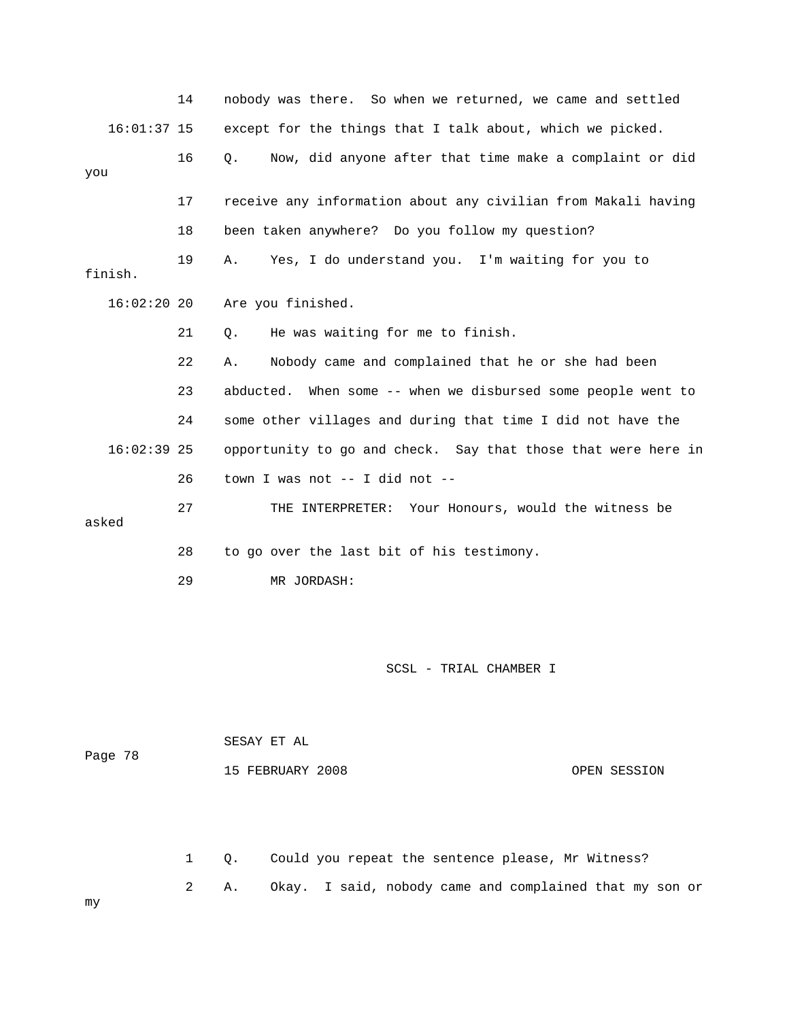|               | 14 | nobody was there. So when we returned, we came and settled    |
|---------------|----|---------------------------------------------------------------|
| $16:01:37$ 15 |    | except for the things that I talk about, which we picked.     |
| you           | 16 | Now, did anyone after that time make a complaint or did<br>О. |
|               |    |                                                               |
|               | 17 | receive any information about any civilian from Makali having |
|               | 18 | been taken anywhere? Do you follow my question?               |
| finish.       | 19 | Yes, I do understand you. I'm waiting for you to<br>Α.        |
|               |    |                                                               |
| $16:02:20$ 20 |    | Are you finished.                                             |
|               | 21 | He was waiting for me to finish.<br>Q.                        |
|               | 22 | Nobody came and complained that he or she had been<br>Α.      |
|               | 23 | abducted. When some -- when we disbursed some people went to  |
|               | 24 | some other villages and during that time I did not have the   |
| $16:02:39$ 25 |    | opportunity to go and check. Say that those that were here in |
|               | 26 | town I was not -- I did not --                                |
| asked         | 27 | THE INTERPRETER: Your Honours, would the witness be           |
|               |    |                                                               |
|               | 28 | to go over the last bit of his testimony.                     |
|               | 29 | MR JORDASH:                                                   |

| Page 78 | SESAY ET AL      |              |  |
|---------|------------------|--------------|--|
|         | 15 FEBRUARY 2008 | OPEN SESSION |  |

 1 Q. Could you repeat the sentence please, Mr Witness? 2 A. Okay. I said, nobody came and complained that my son or

my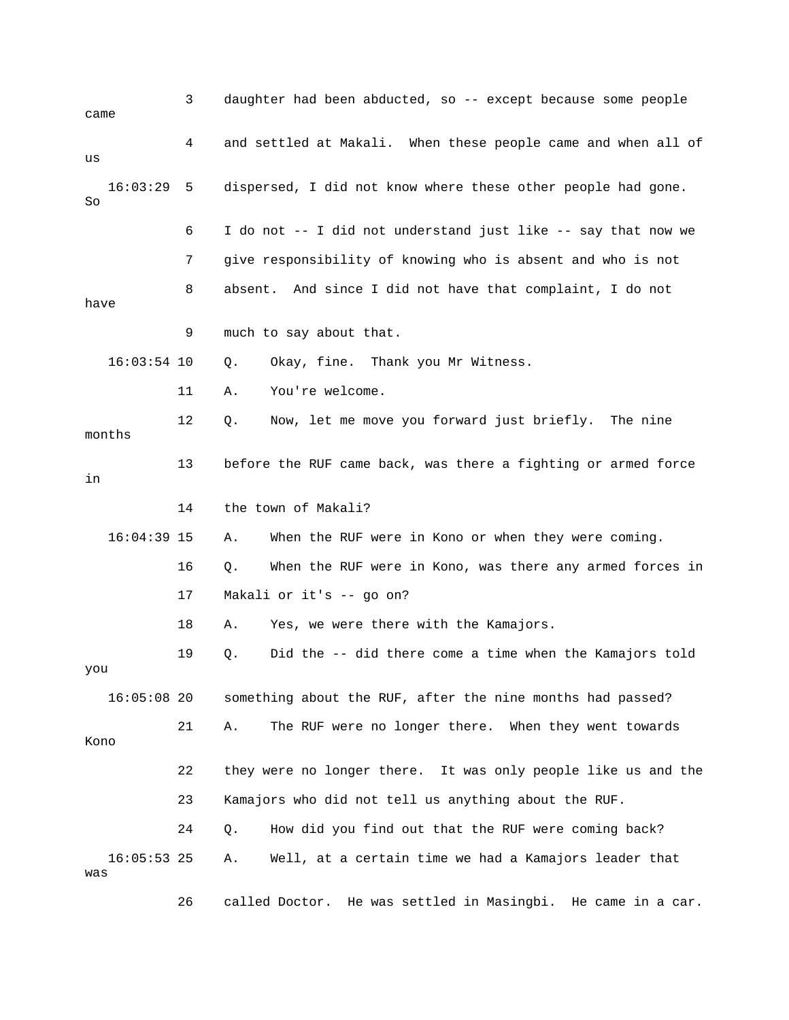| came                 | 3  | daughter had been abducted, so -- except because some people   |
|----------------------|----|----------------------------------------------------------------|
| us                   | 4  | and settled at Makali. When these people came and when all of  |
| 16:03:29<br>So       | 5  | dispersed, I did not know where these other people had gone.   |
|                      | 6  | I do not -- I did not understand just like -- say that now we  |
|                      | 7  | give responsibility of knowing who is absent and who is not    |
| have                 | 8  | absent. And since I did not have that complaint, I do not      |
|                      | 9  | much to say about that.                                        |
| $16:03:54$ 10        |    | Okay, fine. Thank you Mr Witness.<br>Q.                        |
|                      | 11 | You're welcome.<br>Α.                                          |
| months               | 12 | Q.<br>Now, let me move you forward just briefly. The nine      |
| in                   | 13 | before the RUF came back, was there a fighting or armed force  |
|                      | 14 | the town of Makali?                                            |
| $16:04:39$ 15        |    | When the RUF were in Kono or when they were coming.<br>Α.      |
|                      | 16 | When the RUF were in Kono, was there any armed forces in<br>Q. |
|                      | 17 | Makali or it's -- go on?                                       |
|                      | 18 | Yes, we were there with the Kamajors.<br>Α.                    |
| you                  | 19 | Did the -- did there come a time when the Kamajors told<br>Q.  |
| 16:05:08 20          |    | something about the RUF, after the nine months had passed?     |
| Kono                 | 21 | The RUF were no longer there. When they went towards<br>Α.     |
|                      | 22 | they were no longer there. It was only people like us and the  |
|                      | 23 | Kamajors who did not tell us anything about the RUF.           |
|                      | 24 | How did you find out that the RUF were coming back?<br>Q.      |
| $16:05:53$ 25<br>was |    | Well, at a certain time we had a Kamajors leader that<br>Α.    |
|                      | 26 | called Doctor. He was settled in Masingbi. He came in a car.   |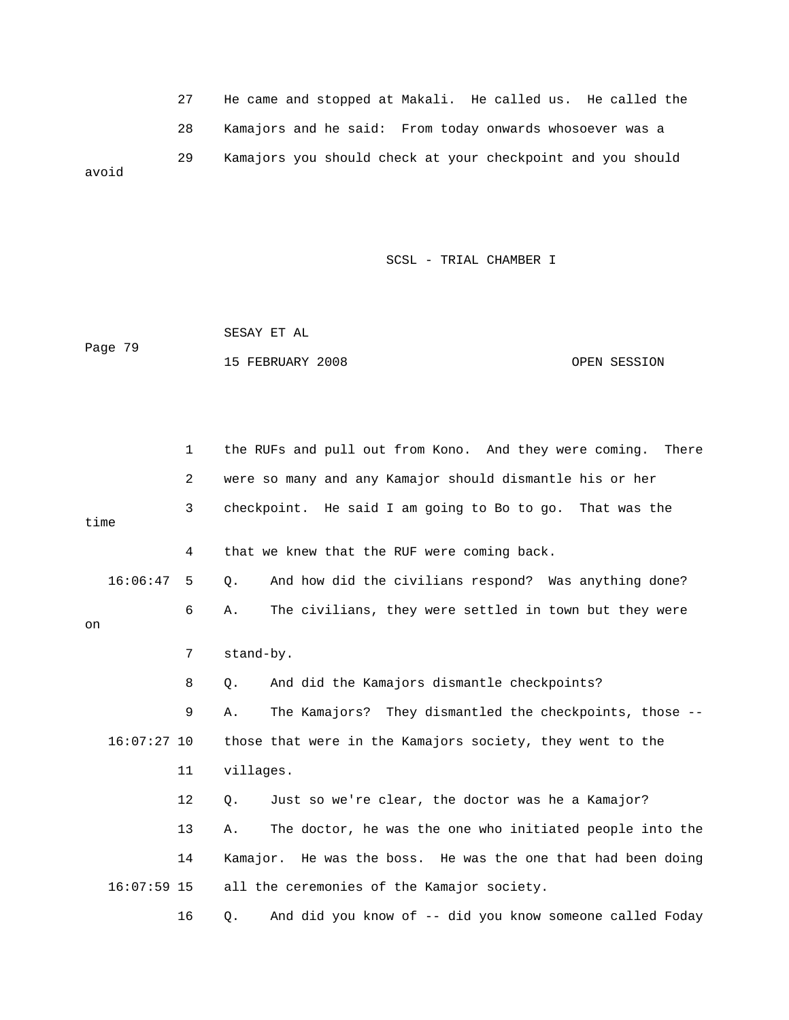27 He came and stopped at Makali. He called us. He called the 28 Kamajors and he said: From today onwards whosoever was a 29 Kamajors you should check at your checkpoint and you should avoid

SCSL - TRIAL CHAMBER I

 SESAY ET AL Page 79 15 FEBRUARY 2008 OPEN SESSION

|          | 1              | the RUFs and pull out from Kono. And they were coming.<br>There |
|----------|----------------|-----------------------------------------------------------------|
|          | $\overline{c}$ | were so many and any Kamajor should dismantle his or her        |
| time     | 3              | checkpoint. He said I am going to Bo to go. That was the        |
|          | 4              | that we knew that the RUF were coming back.                     |
| 16:06:47 | -5             | And how did the civilians respond? Was anything done?<br>Q.     |
| on       | 6              | The civilians, they were settled in town but they were<br>Α.    |
|          | 7              | stand-by.                                                       |
|          | 8              | And did the Kamajors dismantle checkpoints?<br>Q.               |
|          | 9              | The Kamajors? They dismantled the checkpoints, those --<br>Α.   |
|          | $16:07:27$ 10  | those that were in the Kamajors society, they went to the       |
|          | 11             | villages.                                                       |
|          | 12             | Just so we're clear, the doctor was he a Kamajor?<br>Q.         |
|          | 13             | The doctor, he was the one who initiated people into the<br>Α.  |
|          | 14             | Kamajor. He was the boss. He was the one that had been doing    |
|          | $16:07:59$ 15  | all the ceremonies of the Kamajor society.                      |
|          | 16             | And did you know of -- did you know someone called Foday<br>Q.  |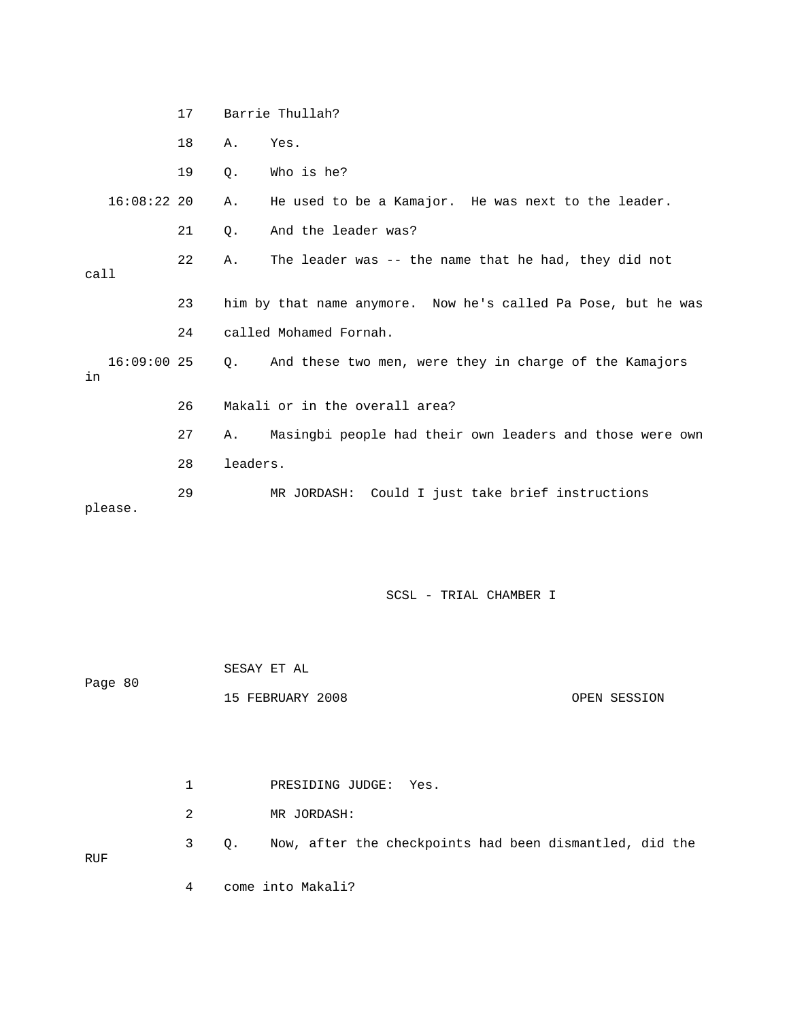17 Barrie Thullah? 18 A. Yes. 19 Q. Who is he? 16:08:22 20 A. He used to be a Kamajor. He was next to the leader. 21 0. And the leader was? 22 A. The leader was -- the name that he had, they did not call 23 him by that name anymore. Now he's called Pa Pose, but he was 24 called Mohamed Fornah. 16:09:00 25 Q. And these two men, were they in charge of the Kamajors in 26 Makali or in the overall area? 27 A. Masingbi people had their own leaders and those were own 28 leaders. 29 MR JORDASH: Could I just take brief instructions please.

|            |  |   | SESAY ET AL |                                                         |              |  |
|------------|--|---|-------------|---------------------------------------------------------|--------------|--|
| Page 80    |  |   |             | 15 FEBRUARY 2008                                        | OPEN SESSION |  |
|            |  |   |             |                                                         |              |  |
|            |  |   |             |                                                         |              |  |
|            |  | 1 |             | PRESIDING JUDGE: Yes.                                   |              |  |
|            |  | 2 |             | MR JORDASH:                                             |              |  |
| <b>RUF</b> |  | 3 | $Q$ .       | Now, after the checkpoints had been dismantled, did the |              |  |
|            |  | 4 |             | come into Makali?                                       |              |  |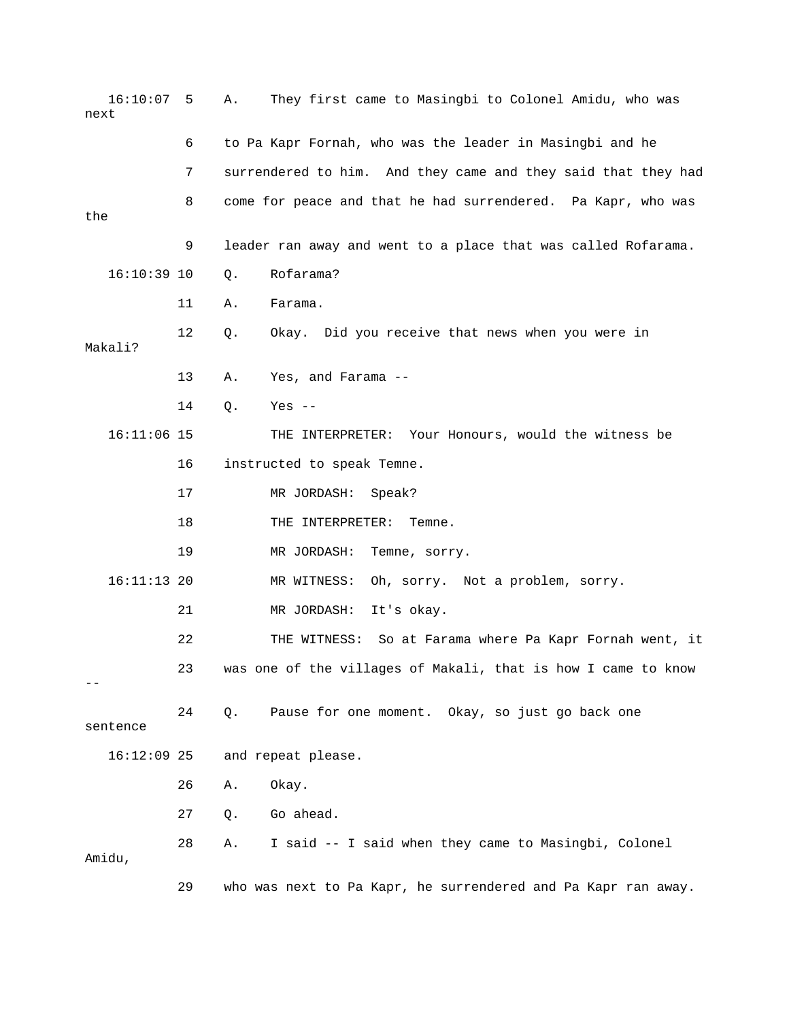| 16:10:07<br>next | 5  | They first came to Masingbi to Colonel Amidu, who was<br>Α.   |
|------------------|----|---------------------------------------------------------------|
|                  | 6  | to Pa Kapr Fornah, who was the leader in Masingbi and he      |
|                  | 7  | surrendered to him. And they came and they said that they had |
| the              | 8  | come for peace and that he had surrendered. Pa Kapr, who was  |
|                  | 9  | leader ran away and went to a place that was called Rofarama. |
| $16:10:39$ 10    |    | Rofarama?<br>Q.                                               |
|                  | 11 | Farama.<br>Α.                                                 |
| Makali?          | 12 | Okay. Did you receive that news when you were in<br>Q.        |
|                  | 13 | Yes, and Farama --<br>Α.                                      |
|                  | 14 | $Q$ .<br>Yes $--$                                             |
| $16:11:06$ 15    |    | THE INTERPRETER: Your Honours, would the witness be           |
|                  | 16 | instructed to speak Temne.                                    |
|                  | 17 | MR JORDASH:<br>Speak?                                         |
|                  | 18 | THE INTERPRETER:<br>Temne.                                    |
|                  | 19 | MR JORDASH:<br>Temne, sorry.                                  |
| $16:11:13$ 20    |    | MR WITNESS:<br>Oh, sorry. Not a problem, sorry.               |
|                  | 21 | MR JORDASH:<br>It's okay.                                     |
|                  | 22 | THE WITNESS: So at Farama where Pa Kapr Fornah went, it       |
|                  | 23 | was one of the villages of Makali, that is how I came to know |
| sentence         | 24 | Pause for one moment. Okay, so just go back one<br>Q.         |
| $16:12:09$ 25    |    | and repeat please.                                            |
|                  | 26 | Okay.<br>Α.                                                   |
|                  | 27 | Go ahead.<br>Q.                                               |
| Amidu,           | 28 | I said -- I said when they came to Masingbi, Colonel<br>Α.    |
|                  | 29 | who was next to Pa Kapr, he surrendered and Pa Kapr ran away. |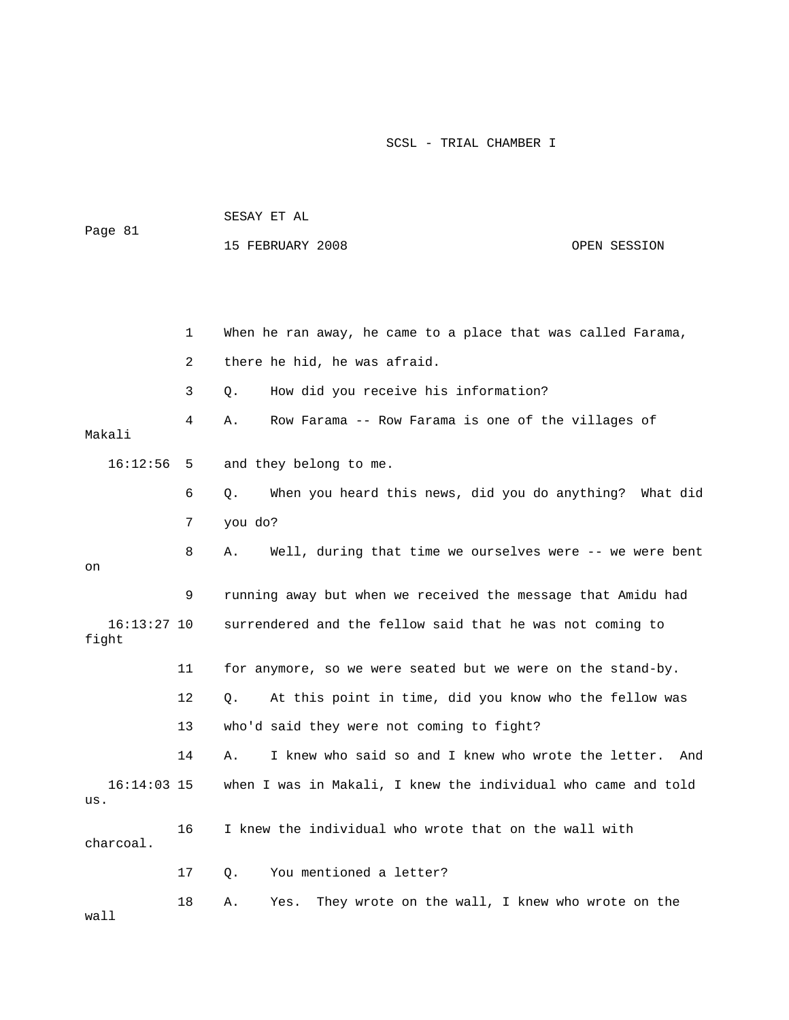| Page 81                |    | SESAY ET AL                                                    |              |  |  |  |
|------------------------|----|----------------------------------------------------------------|--------------|--|--|--|
|                        |    | 15 FEBRUARY 2008                                               | OPEN SESSION |  |  |  |
|                        |    |                                                                |              |  |  |  |
|                        |    |                                                                |              |  |  |  |
|                        | 1  | When he ran away, he came to a place that was called Farama,   |              |  |  |  |
|                        | 2  | there he hid, he was afraid.                                   |              |  |  |  |
|                        | 3  | How did you receive his information?<br>Q.                     |              |  |  |  |
| Makali                 | 4  | Row Farama -- Row Farama is one of the villages of<br>Α.       |              |  |  |  |
| 16:12:56               | 5  | and they belong to me.                                         |              |  |  |  |
|                        | 6  | When you heard this news, did you do anything? What did<br>Q.  |              |  |  |  |
|                        | 7  | you do?                                                        |              |  |  |  |
| on                     | 8  | Well, during that time we ourselves were -- we were bent<br>Α. |              |  |  |  |
|                        | 9  | running away but when we received the message that Amidu had   |              |  |  |  |
| $16:13:27$ 10<br>fight |    | surrendered and the fellow said that he was not coming to      |              |  |  |  |
|                        | 11 | for anymore, so we were seated but we were on the stand-by.    |              |  |  |  |
|                        | 12 | At this point in time, did you know who the fellow was<br>О.   |              |  |  |  |
|                        | 13 | who'd said they were not coming to fight?                      |              |  |  |  |
|                        | 14 | I knew who said so and I knew who wrote the letter. And<br>Α.  |              |  |  |  |
| $16:14:03$ 15<br>us.   |    | when I was in Makali, I knew the individual who came and told  |              |  |  |  |
| charcoal.              | 16 | I knew the individual who wrote that on the wall with          |              |  |  |  |
|                        | 17 | You mentioned a letter?<br>Q.                                  |              |  |  |  |
| wall                   | 18 | They wrote on the wall, I knew who wrote on the<br>Α.<br>Yes.  |              |  |  |  |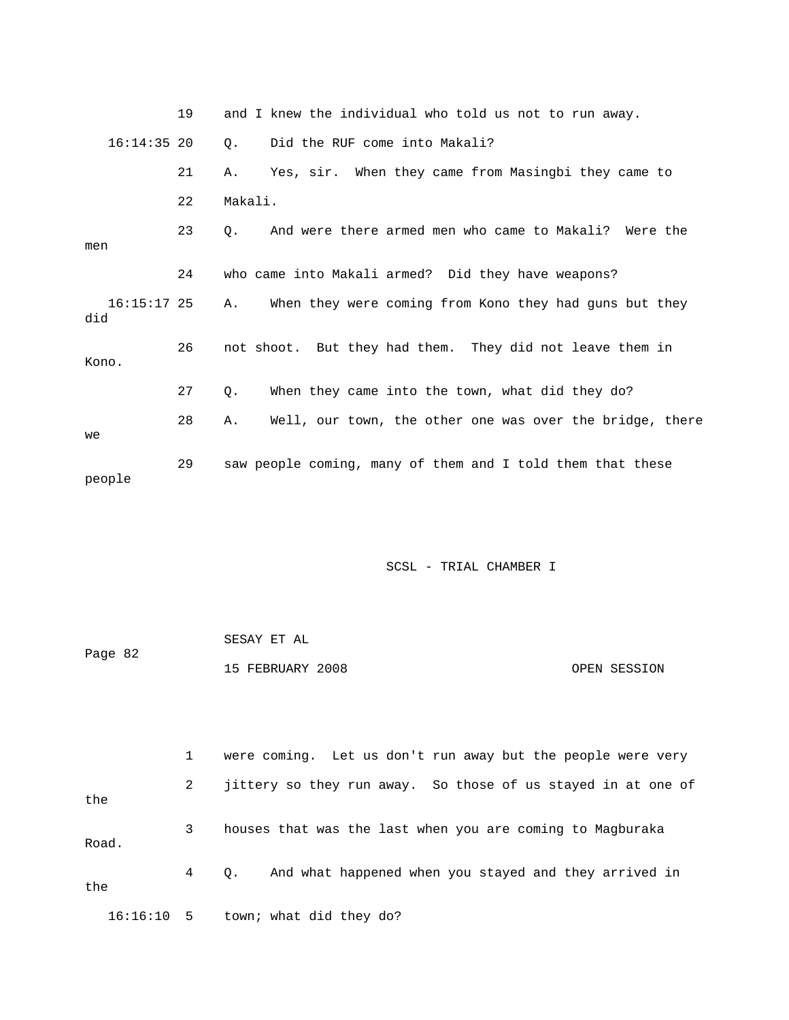|                    | 19 | and I knew the individual who told us not to run away.             |  |  |  |  |
|--------------------|----|--------------------------------------------------------------------|--|--|--|--|
| $16:14:35$ 20      |    | Did the RUF come into Makali?<br>$\circ$ .                         |  |  |  |  |
|                    | 21 | Yes, sir. When they came from Masingbi they came to<br>Α.          |  |  |  |  |
|                    | 22 | Makali.                                                            |  |  |  |  |
| men                | 23 | And were there armed men who came to Makali? Were the<br>$\circ$ . |  |  |  |  |
|                    | 24 | who came into Makali armed? Did they have weapons?                 |  |  |  |  |
| 16:15:17 25<br>did |    | When they were coming from Kono they had guns but they<br>Α.       |  |  |  |  |
| Kono.              | 26 | not shoot. But they had them. They did not leave them in           |  |  |  |  |
|                    | 27 | When they came into the town, what did they do?<br>Q.              |  |  |  |  |
| we                 | 28 | Well, our town, the other one was over the bridge, there<br>Α.     |  |  |  |  |
| people             | 29 | saw people coming, many of them and I told them that these         |  |  |  |  |

| Page 82 | SESAY ET AL      |              |
|---------|------------------|--------------|
|         | 15 FEBRUARY 2008 | OPEN SESSION |

|       |              | were coming. Let us don't run away but the people were very  |
|-------|--------------|--------------------------------------------------------------|
| the   | $\mathbf{2}$ | jittery so they run away. So those of us stayed in at one of |
| Road. | 3            | houses that was the last when you are coming to Magburaka    |
| the   | $4\degree$   | And what happened when you stayed and they arrived in<br>Q.  |
|       |              | $16:16:10$ 5 town; what did they do?                         |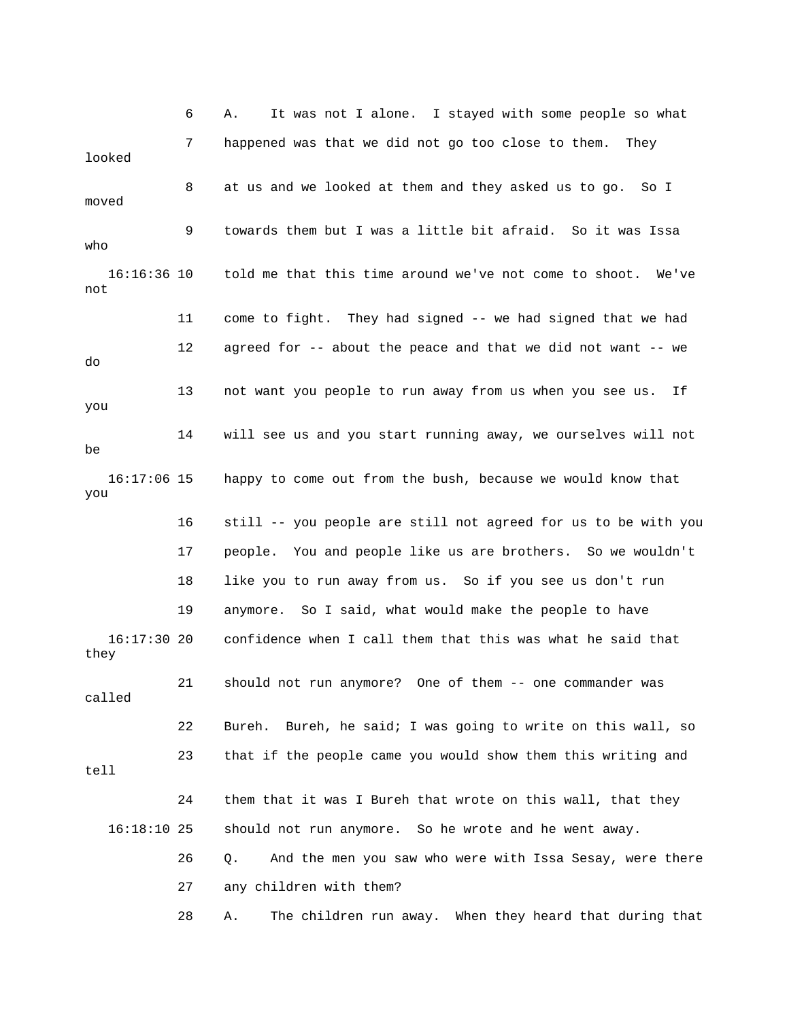6 A. It was not I alone. I stayed with some people so what 7 happened was that we did not go too close to them. They looked 8 at us and we looked at them and they asked us to go. So I moved 9 towards them but I was a little bit afraid. So it was Issa who 16:16:36 10 told me that this time around we've not come to shoot. We've not 11 come to fight. They had signed -- we had signed that we had 12 agreed for -- about the peace and that we did not want -- we do 13 not want you people to run away from us when you see us. If you 14 will see us and you start running away, we ourselves will not be 16:17:06 15 happy to come out from the bush, because we would know that you 16 still -- you people are still not agreed for us to be with you 17 people. You and people like us are brothers. So we wouldn't 18 like you to run away from us. So if you see us don't run 19 anymore. So I said, what would make the people to have 16:17:30 20 confidence when I call them that this was what he said that they 21 should not run anymore? One of them -- one commander was called 22 Bureh. Bureh, he said; I was going to write on this wall, so 23 that if the people came you would show them this writing and tell 24 them that it was I Bureh that wrote on this wall, that they 16:18:10 25 should not run anymore. So he wrote and he went away. 26 Q. And the men you saw who were with Issa Sesay, were there 27 any children with them? 28 A. The children run away. When they heard that during that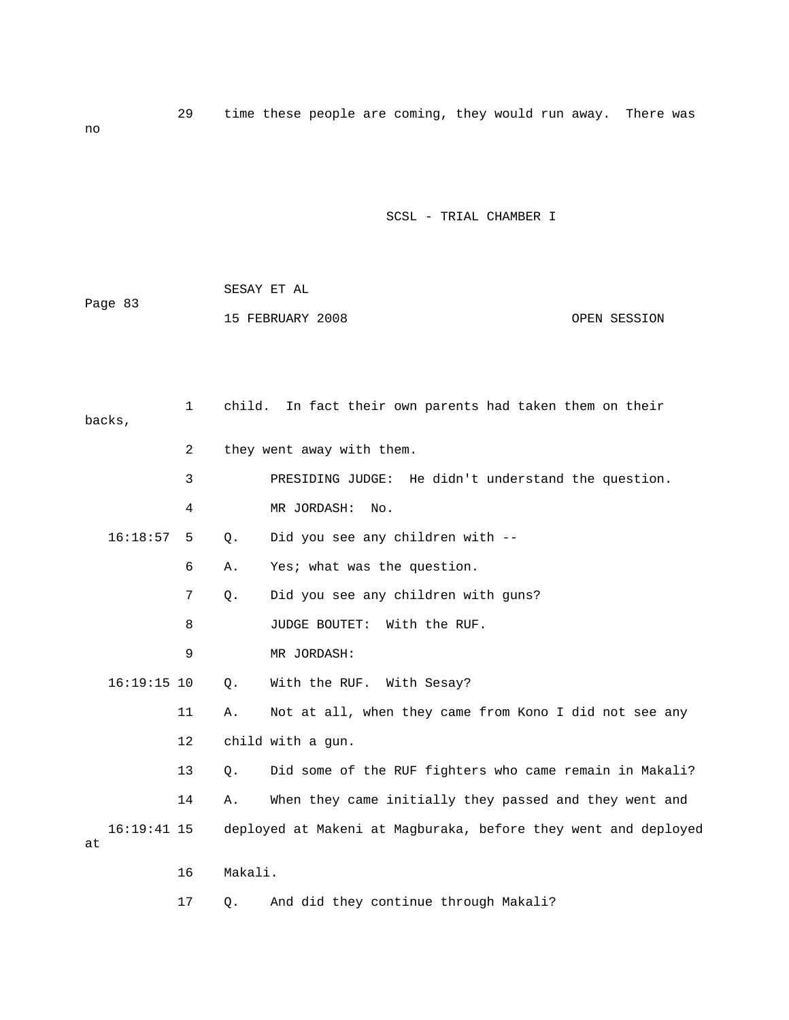29 time these people are coming, they would run away. There was

SCSL - TRIAL CHAMBER I

| Page 83 | SESAY ET AL      |              |
|---------|------------------|--------------|
|         | 15 FEBRUARY 2008 | OPEN SESSION |

no

|    | backs,        | $\mathbf{1}$ | child.  | In fact their own parents had taken them on their              |
|----|---------------|--------------|---------|----------------------------------------------------------------|
|    |               | 2            |         | they went away with them.                                      |
|    |               | 3            |         | PRESIDING JUDGE: He didn't understand the question.            |
|    |               | 4            |         | MR JORDASH:<br>No.                                             |
|    | 16:18:57      | 5            | $Q$ .   | Did you see any children with --                               |
|    |               | 6            | Α.      | Yes; what was the question.                                    |
|    |               | 7            | $Q$ .   | Did you see any children with guns?                            |
|    |               | 8            |         | JUDGE BOUTET:<br>With the RUF.                                 |
|    |               | 9            |         | MR JORDASH:                                                    |
|    | $16:19:15$ 10 |              | $Q$ .   | With the RUF. With Sesay?                                      |
|    |               | 11           | Α.      | Not at all, when they came from Kono I did not see any         |
|    |               | 12           |         | child with a gun.                                              |
|    |               | 13           | Q.      | Did some of the RUF fighters who came remain in Makali?        |
|    |               | 14           | Α.      | When they came initially they passed and they went and         |
| at | $16:19:41$ 15 |              |         | deployed at Makeni at Magburaka, before they went and deployed |
|    |               | 16           | Makali. |                                                                |

17 Q. And did they continue through Makali?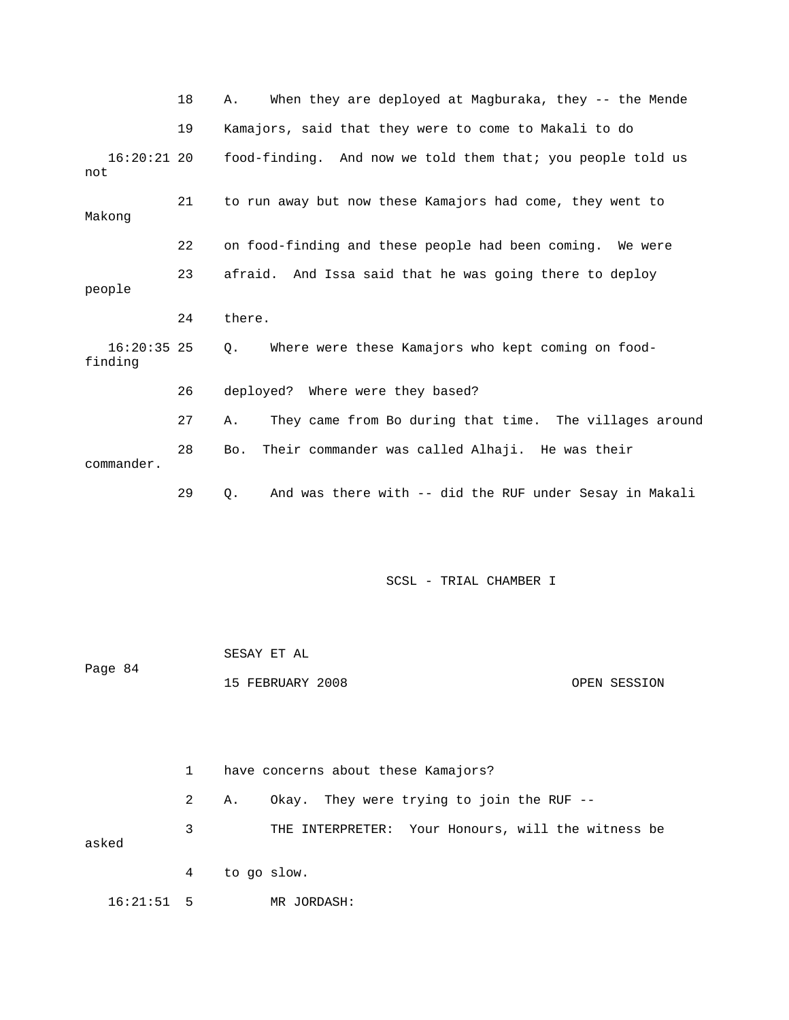|                          | 18 | When they are deployed at Magburaka, they -- the Mende<br>Α.  |
|--------------------------|----|---------------------------------------------------------------|
|                          | 19 | Kamajors, said that they were to come to Makali to do         |
| $16:20:21$ 20<br>not     |    | food-finding. And now we told them that; you people told us   |
| Makong                   | 21 | to run away but now these Kamajors had come, they went to     |
|                          | 22 | on food-finding and these people had been coming. We were     |
| people                   | 23 | afraid. And Issa said that he was going there to deploy       |
|                          | 24 | there.                                                        |
| $16:20:35$ 25<br>finding |    | Where were these Kamajors who kept coming on food-<br>О.      |
|                          | 26 | deployed? Where were they based?                              |
|                          | 27 | They came from Bo during that time. The villages around<br>Α. |
| commander.               | 28 | Their commander was called Alhaji. He was their<br>Bo.        |
|                          | 29 | And was there with -- did the RUF under Sesay in Makali<br>Q. |

| Page 84 |                | SESAY ET AL                                        |  |  |  |
|---------|----------------|----------------------------------------------------|--|--|--|
|         |                | 15 FEBRUARY 2008<br>OPEN SESSION                   |  |  |  |
|         |                |                                                    |  |  |  |
|         |                |                                                    |  |  |  |
|         | $\mathbf{1}$   | have concerns about these Kamajors?                |  |  |  |
|         |                |                                                    |  |  |  |
|         | $\overline{2}$ | Okay. They were trying to join the RUF --<br>Α.    |  |  |  |
| asked   | 3              | THE INTERPRETER: Your Honours, will the witness be |  |  |  |
|         | 4              | to go slow.                                        |  |  |  |

16:21:51 5 MR JORDASH: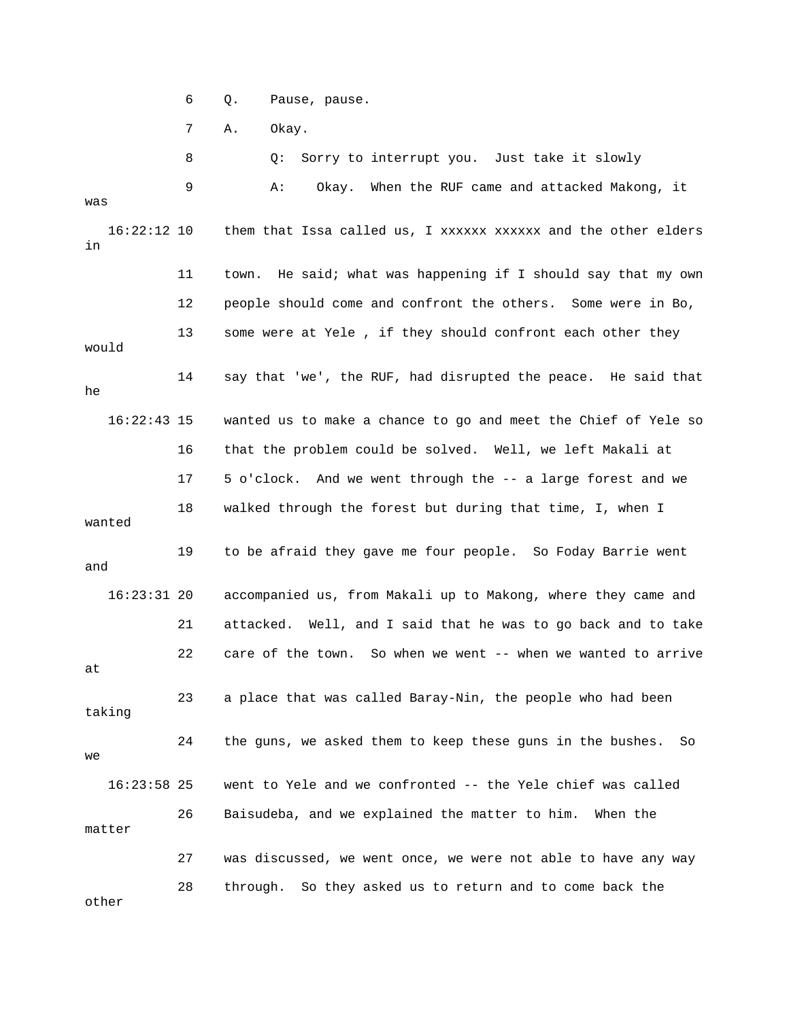6 Q. Pause, pause.

7 A. Okay.

 8 Q: Sorry to interrupt you. Just take it slowly 9 A: Okay. When the RUF came and attacked Makong, it was 16:22:12 10 them that Issa called us, I xxxxxx xxxxxx and the other elders in 11 town. He said; what was happening if I should say that my own 12 people should come and confront the others. Some were in Bo, 13 some were at Yele , if they should confront each other they would 14 say that 'we', the RUF, had disrupted the peace. He said that he 16:22:43 15 wanted us to make a chance to go and meet the Chief of Yele so 16 that the problem could be solved. Well, we left Makali at 17 5 o'clock. And we went through the -- a large forest and we 18 walked through the forest but during that time, I, when I wanted 19 to be afraid they gave me four people. So Foday Barrie went and 16:23:31 20 accompanied us, from Makali up to Makong, where they came and 21 attacked. Well, and I said that he was to go back and to take 22 care of the town. So when we went -- when we wanted to arrive at 23 a place that was called Baray-Nin, the people who had been taking 24 the guns, we asked them to keep these guns in the bushes. So we 16:23:58 25 went to Yele and we confronted -- the Yele chief was called 26 Baisudeba, and we explained the matter to him. When the matter 27 was discussed, we went once, we were not able to have any way 28 through. So they asked us to return and to come back the other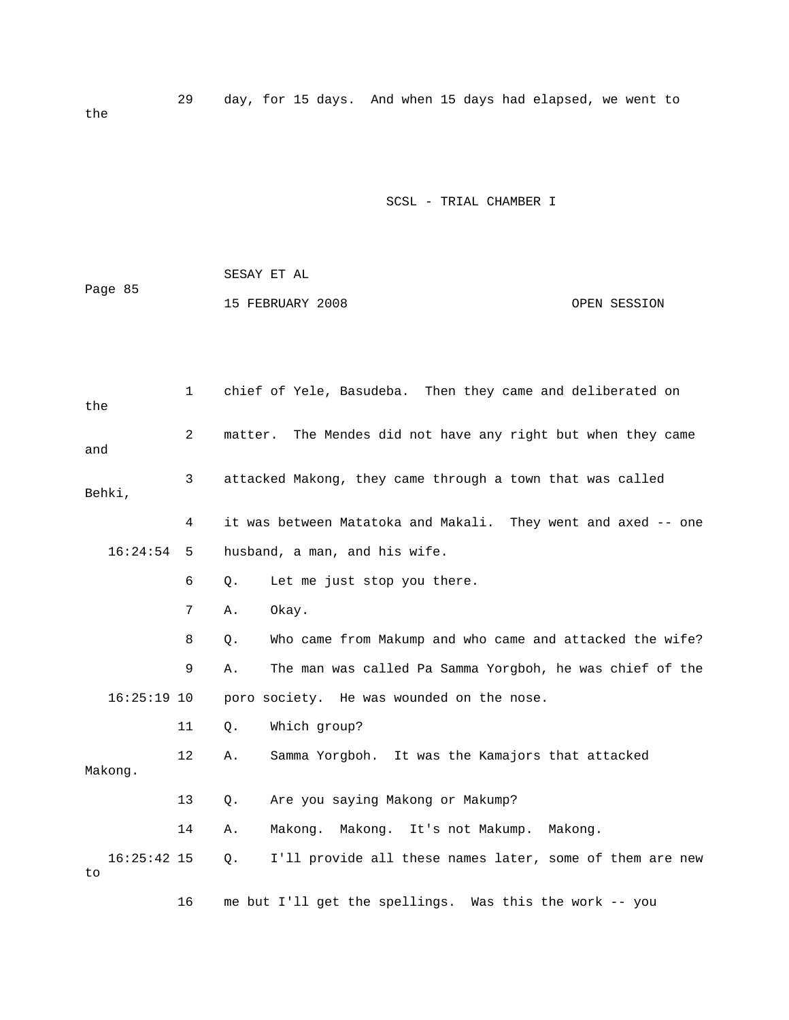29 day, for 15 days. And when 15 days had elapsed, we went to the

|         | SESAY ET AL      |              |
|---------|------------------|--------------|
| Page 85 |                  |              |
|         | 15 FEBRUARY 2008 | OPEN SESSION |

| the     |               | $\mathbf{1}$ | chief of Yele, Basudeba. Then they came and deliberated on     |
|---------|---------------|--------------|----------------------------------------------------------------|
| and     |               | 2            | matter. The Mendes did not have any right but when they came   |
| Behki,  |               | 3            | attacked Makong, they came through a town that was called      |
|         |               | 4            | it was between Matatoka and Makali. They went and axed -- one  |
|         | 16:24:54      | 5            | husband, a man, and his wife.                                  |
|         |               | 6            | Let me just stop you there.<br>Q.                              |
|         |               | 7            | Okay.<br>Α.                                                    |
|         |               | 8            | Who came from Makump and who came and attacked the wife?<br>Q. |
|         |               | 9            | The man was called Pa Samma Yorgboh, he was chief of the<br>Α. |
|         | $16:25:19$ 10 |              | poro society. He was wounded on the nose.                      |
|         |               | 11           | Which group?<br>$Q$ .                                          |
| Makong. |               | 12           | Samma Yorgboh. It was the Kamajors that attacked<br>Α.         |
|         |               | 13           | Are you saying Makong or Makump?<br>Q.                         |
|         |               | 14           | Makong. Makong. It's not Makump. Makong.<br>Α.                 |
| to      | $16:25:42$ 15 |              | I'll provide all these names later, some of them are new<br>Q. |
|         |               | 16           | me but I'll get the spellings. Was this the work -- you        |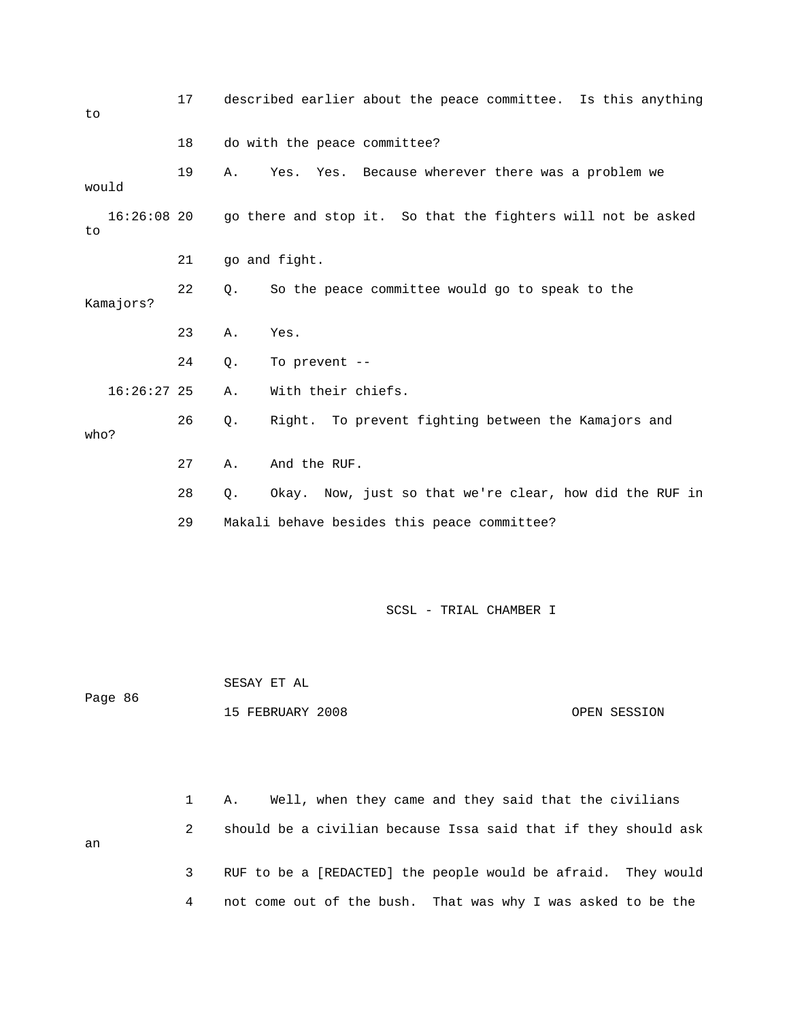| to                  | 17 | described earlier about the peace committee. Is this anything  |
|---------------------|----|----------------------------------------------------------------|
|                     | 18 | do with the peace committee?                                   |
| would               | 19 | Yes. Because wherever there was a problem we<br>Α.<br>Yes.     |
| $16:26:08$ 20<br>to |    | go there and stop it. So that the fighters will not be asked   |
|                     | 21 | go and fight.                                                  |
| Kamajors?           | 22 | So the peace committee would go to speak to the<br>Q.          |
|                     | 23 | Yes.<br>Α.                                                     |
|                     | 24 | To prevent --<br>Q.                                            |
| $16:26:27$ 25       |    | With their chiefs.<br>Α.                                       |
| who?                | 26 | Right. To prevent fighting between the Kamajors and<br>Q.      |
|                     | 27 | And the RUF.<br>Α.                                             |
|                     | 28 | Okay. Now, just so that we're clear, how did the RUF in<br>Q.  |
|                     | 29 | Makali behave besides this peace committee?                    |
|                     |    |                                                                |
|                     |    | SCSL - TRIAL CHAMBER I                                         |
|                     |    |                                                                |
|                     |    | SESAY ET AL                                                    |
| Page 86             |    | 15 FEBRUARY 2008<br>OPEN SESSION                               |
|                     |    |                                                                |
|                     |    |                                                                |
|                     | 1  | Well, when they came and they said that the civilians<br>Α.    |
| an                  | 2  | should be a civilian because Issa said that if they should ask |

 3 RUF to be a [REDACTED] the people would be afraid. They would 4 not come out of the bush. That was why I was asked to be the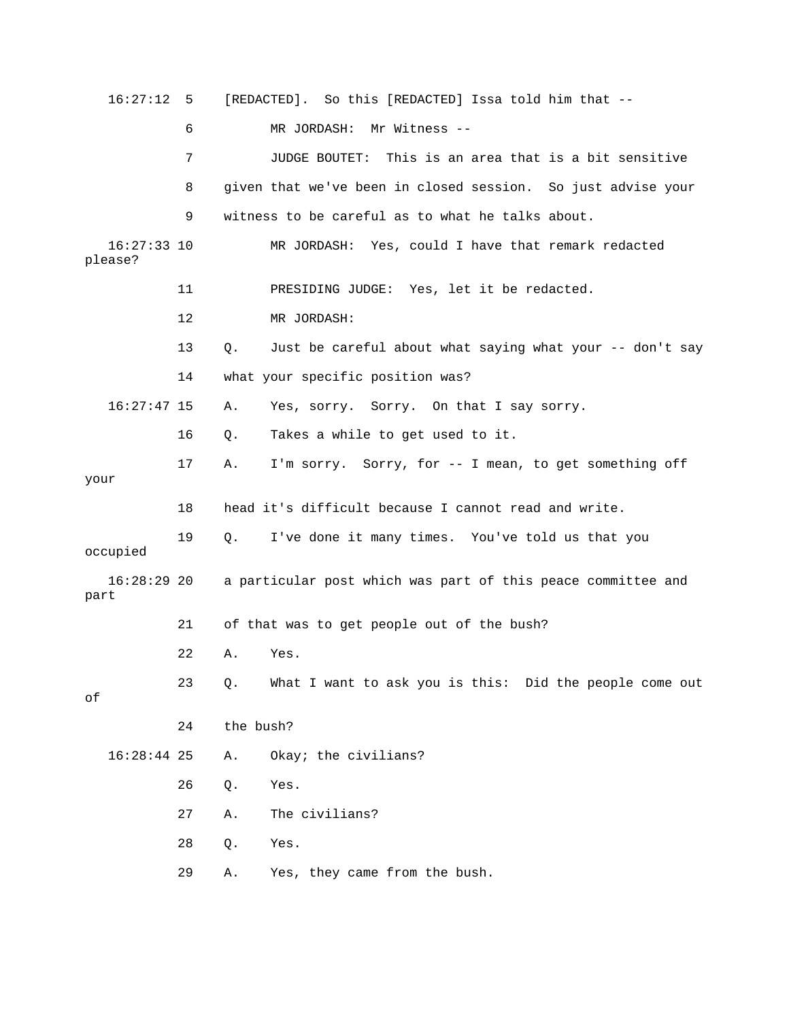| 16:27:12                 | - 5 |           | [REDACTED]. So this [REDACTED] Issa told him that --         |
|--------------------------|-----|-----------|--------------------------------------------------------------|
|                          | 6   |           | MR JORDASH: Mr Witness --                                    |
|                          | 7   |           | JUDGE BOUTET: This is an area that is a bit sensitive        |
|                          | 8   |           | given that we've been in closed session. So just advise your |
|                          | 9   |           | witness to be careful as to what he talks about.             |
| $16:27:33$ 10<br>please? |     |           | MR JORDASH: Yes, could I have that remark redacted           |
|                          | 11  |           | PRESIDING JUDGE: Yes, let it be redacted.                    |
|                          | 12  |           | MR JORDASH:                                                  |
|                          | 13  | О.        | Just be careful about what saying what your -- don't say     |
|                          | 14  |           | what your specific position was?                             |
| $16:27:47$ 15            |     | Α.        | Yes, sorry. Sorry. On that I say sorry.                      |
|                          | 16  | Q.        | Takes a while to get used to it.                             |
| your                     | 17  | Α.        | I'm sorry. Sorry, for -- I mean, to get something off        |
|                          | 18  |           | head it's difficult because I cannot read and write.         |
| occupied                 | 19  | Q.        | I've done it many times. You've told us that you             |
| $16:28:29$ 20<br>part    |     |           | a particular post which was part of this peace committee and |
|                          | 21  |           | of that was to get people out of the bush?                   |
|                          | 22  | Α.        | Yes.                                                         |
| оf                       | 23  | Q.        | What I want to ask you is this: Did the people come out      |
|                          | 24  | the bush? |                                                              |
| $16:28:44$ 25            |     | Α.        | Okay; the civilians?                                         |
|                          | 26  | Q.        | Yes.                                                         |
|                          | 27  | Α.        | The civilians?                                               |
|                          | 28  | Q.        | Yes.                                                         |
|                          | 29  | Α.        | Yes, they came from the bush.                                |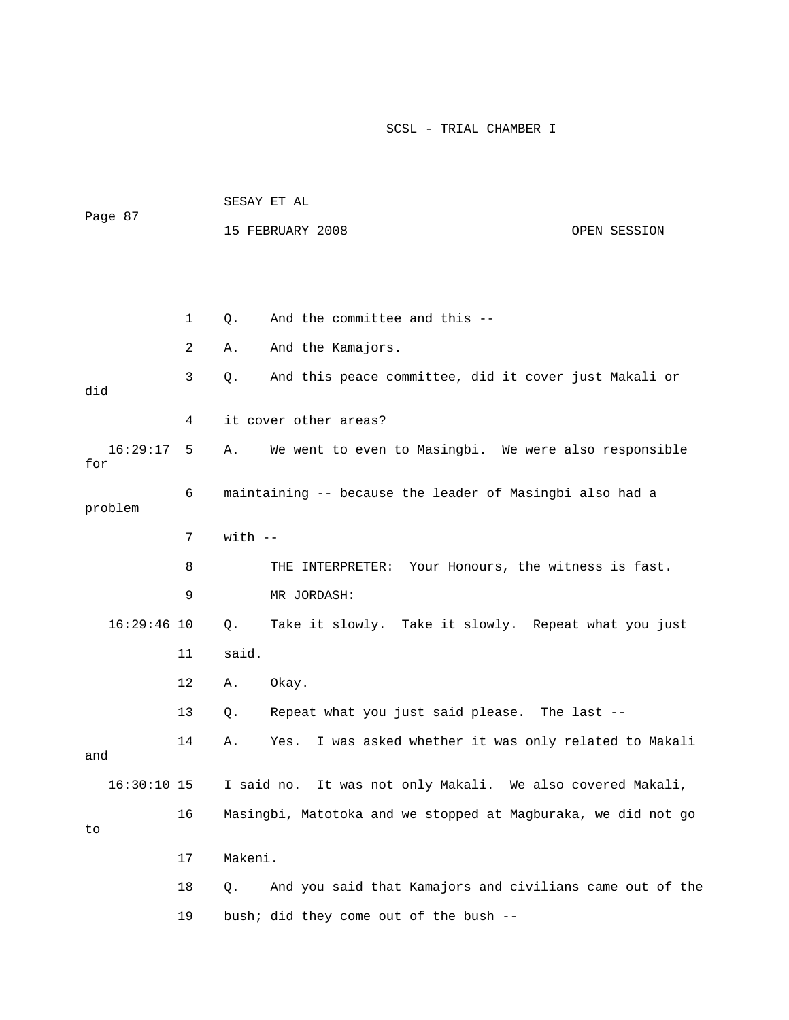|                 |              | SESAY ET AL |                                                               |              |  |  |
|-----------------|--------------|-------------|---------------------------------------------------------------|--------------|--|--|
| Page 87         |              |             | 15 FEBRUARY 2008                                              | OPEN SESSION |  |  |
|                 |              |             |                                                               |              |  |  |
|                 |              |             |                                                               |              |  |  |
|                 | $\mathbf{1}$ | $Q$ .       | And the committee and this --                                 |              |  |  |
|                 | 2            | Α.          | And the Kamajors.                                             |              |  |  |
| did             | 3            | Q.          | And this peace committee, did it cover just Makali or         |              |  |  |
|                 | 4            |             | it cover other areas?                                         |              |  |  |
| 16:29:17<br>for | 5            | Α.          | We went to even to Masingbi. We were also responsible         |              |  |  |
| problem         | 6            |             | maintaining -- because the leader of Masingbi also had a      |              |  |  |
|                 | 7            | $with$ $-$  |                                                               |              |  |  |
|                 | 8            |             | THE INTERPRETER: Your Honours, the witness is fast.           |              |  |  |
|                 | 9            |             | MR JORDASH:                                                   |              |  |  |
| $16:29:46$ 10   |              | Q.          | Take it slowly. Take it slowly. Repeat what you just          |              |  |  |
|                 | 11           | said.       |                                                               |              |  |  |
|                 | 12           | Α.          | Okay.                                                         |              |  |  |
|                 | 13           | Q.          | Repeat what you just said please. The last --                 |              |  |  |
| and             | 14           | Α.          | I was asked whether it was only related to Makali<br>Yes.     |              |  |  |
| $16:30:10$ 15   |              |             | I said no. It was not only Makali. We also covered Makali,    |              |  |  |
| to              | 16           |             | Masingbi, Matotoka and we stopped at Magburaka, we did not go |              |  |  |
|                 | 17           | Makeni.     |                                                               |              |  |  |
|                 | 18           | Q.          | And you said that Kamajors and civilians came out of the      |              |  |  |
|                 | 19           |             | bush; did they come out of the bush --                        |              |  |  |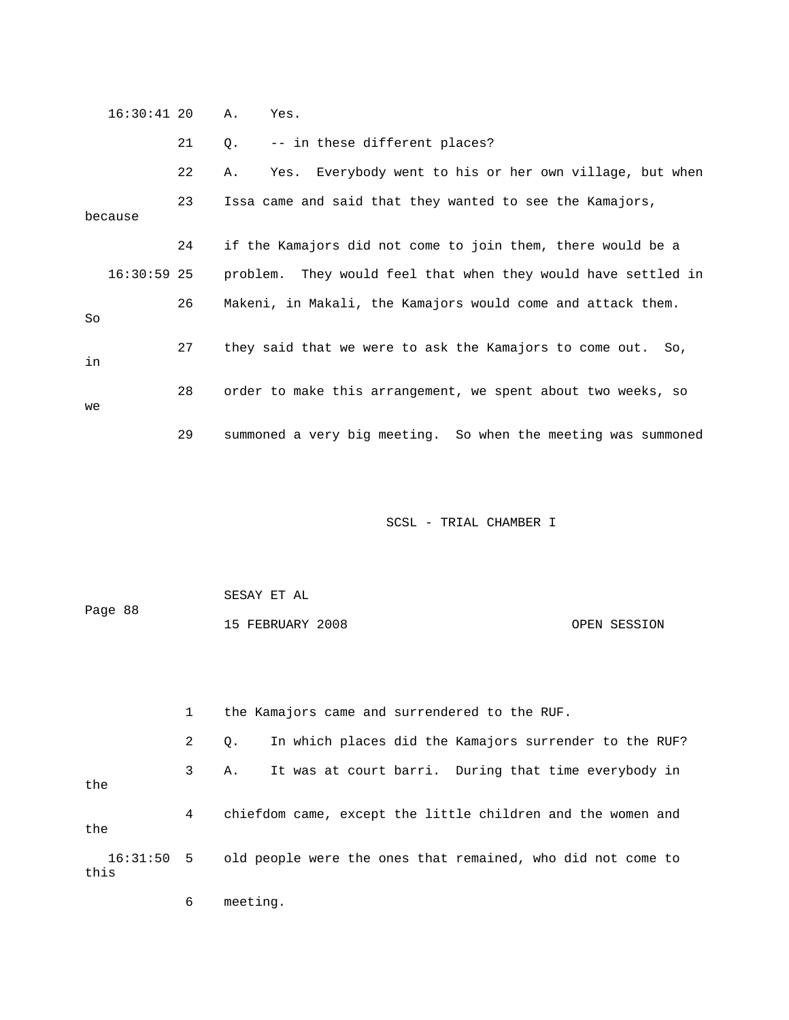|         | $16:30:41$ 20 |    | Α.<br>Yes.                                                    |
|---------|---------------|----|---------------------------------------------------------------|
|         |               | 21 | -- in these different places?<br>Q.                           |
|         |               | 22 | Yes. Everybody went to his or her own village, but when<br>Α. |
| because |               | 23 | Issa came and said that they wanted to see the Kamajors,      |
|         |               | 24 | if the Kamajors did not come to join them, there would be a   |
|         | $16:30:59$ 25 |    | problem. They would feel that when they would have settled in |
| So      |               | 26 | Makeni, in Makali, the Kamajors would come and attack them.   |
| in      |               | 27 | they said that we were to ask the Kamajors to come out. So,   |
| we      |               | 28 | order to make this arrangement, we spent about two weeks, so  |
|         |               | 29 | summoned a very big meeting. So when the meeting was summoned |

|         | SESAY ET AL      |              |
|---------|------------------|--------------|
| Page 88 |                  |              |
|         | 15 FEBRUARY 2008 | OPEN SESSION |

1 the Kamajors came and surrendered to the RUF.

 2 Q. In which places did the Kamajors surrender to the RUF? 3 A. It was at court barri. During that time everybody in the 4 chiefdom came, except the little children and the women and the 16:31:50 5 old people were the ones that remained, who did not come to this

6 meeting.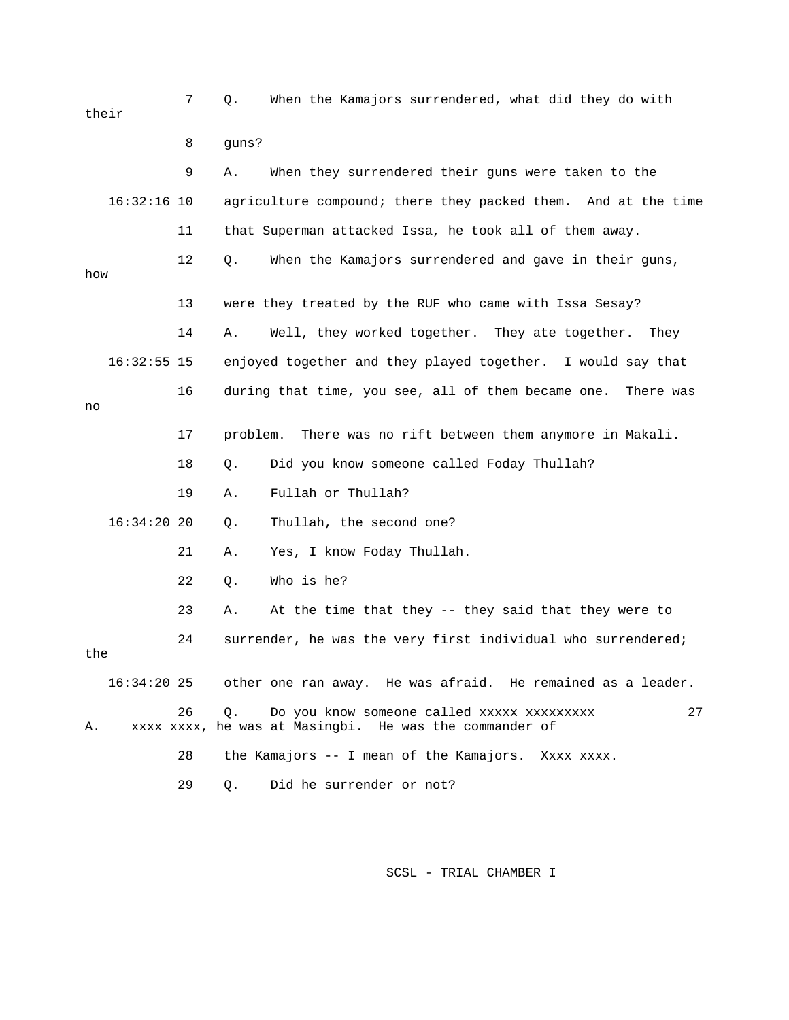7 Q. When the Kamajors surrendered, what did they do with their 8 guns? 9 A. When they surrendered their guns were taken to the 16:32:16 10 agriculture compound; there they packed them. And at the time 11 that Superman attacked Issa, he took all of them away. 12 Q. When the Kamajors surrendered and gave in their guns, how 13 were they treated by the RUF who came with Issa Sesay? 14 A. Well, they worked together. They ate together. They 16:32:55 15 enjoyed together and they played together. I would say that 16 during that time, you see, all of them became one. There was no 17 problem. There was no rift between them anymore in Makali. 18 Q. Did you know someone called Foday Thullah? 19 A. Fullah or Thullah? 16:34:20 20 Q. Thullah, the second one? 21 A. Yes, I know Foday Thullah. 22 Q. Who is he? 23 A. At the time that they -- they said that they were to 24 surrender, he was the very first individual who surrendered; the 16:34:20 25 other one ran away. He was afraid. He remained as a leader. 26 Q. Do you know someone called xxxxx xxxxxxxxx 27 A. xxxx xxxx, he was at Masingbi. He was the commander of 28 the Kamajors -- I mean of the Kamajors. Xxxx xxxx.

29 Q. Did he surrender or not?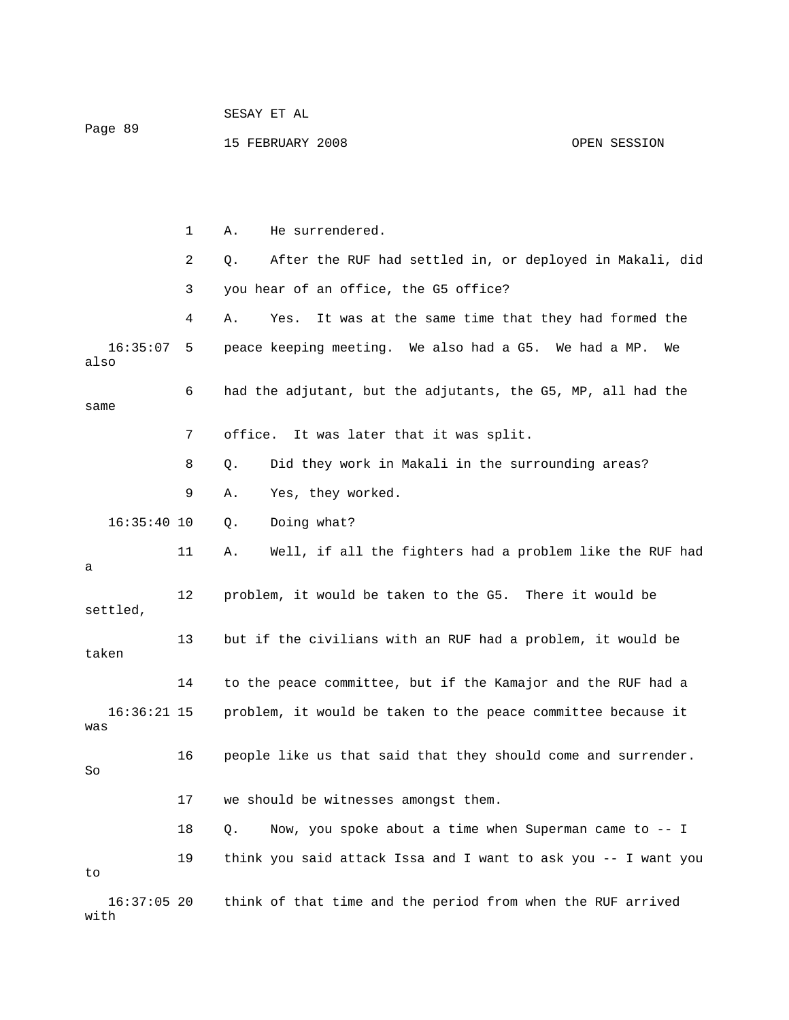| Page 89               |    | 15 FEBRUARY 2008<br>OPEN SESSION                               |
|-----------------------|----|----------------------------------------------------------------|
|                       |    |                                                                |
|                       | 1  | He surrendered.<br>Α.                                          |
|                       | 2  | After the RUF had settled in, or deployed in Makali, did<br>Q. |
|                       | 3  | you hear of an office, the G5 office?                          |
|                       | 4  | It was at the same time that they had formed the<br>Α.<br>Yes. |
| 16:35:07<br>also      | 5  | peace keeping meeting. We also had a G5. We had a MP.<br>We    |
| same                  | 6  | had the adjutant, but the adjutants, the G5, MP, all had the   |
|                       | 7  | office. It was later that it was split.                        |
|                       | 8  | Did they work in Makali in the surrounding areas?<br>Q.        |
|                       | 9  | Yes, they worked.<br>Α.                                        |
| $16:35:40$ 10         |    | Doing what?<br>Q.                                              |
| а                     | 11 | Well, if all the fighters had a problem like the RUF had<br>Α. |
| settled,              | 12 | problem, it would be taken to the G5. There it would be        |
| taken                 | 13 | but if the civilians with an RUF had a problem, it would be    |
|                       | 14 | to the peace committee, but if the Kamajor and the RUF had a   |
| $16:36:21$ 15<br>was  |    | problem, it would be taken to the peace committee because it   |
| So                    | 16 | people like us that said that they should come and surrender.  |
|                       | 17 | we should be witnesses amongst them.                           |
|                       | 18 | Now, you spoke about a time when Superman came to -- I<br>Q.   |
| to                    | 19 | think you said attack Issa and I want to ask you -- I want you |
| $16:37:05$ 20<br>with |    | think of that time and the period from when the RUF arrived    |

SESAY ET AL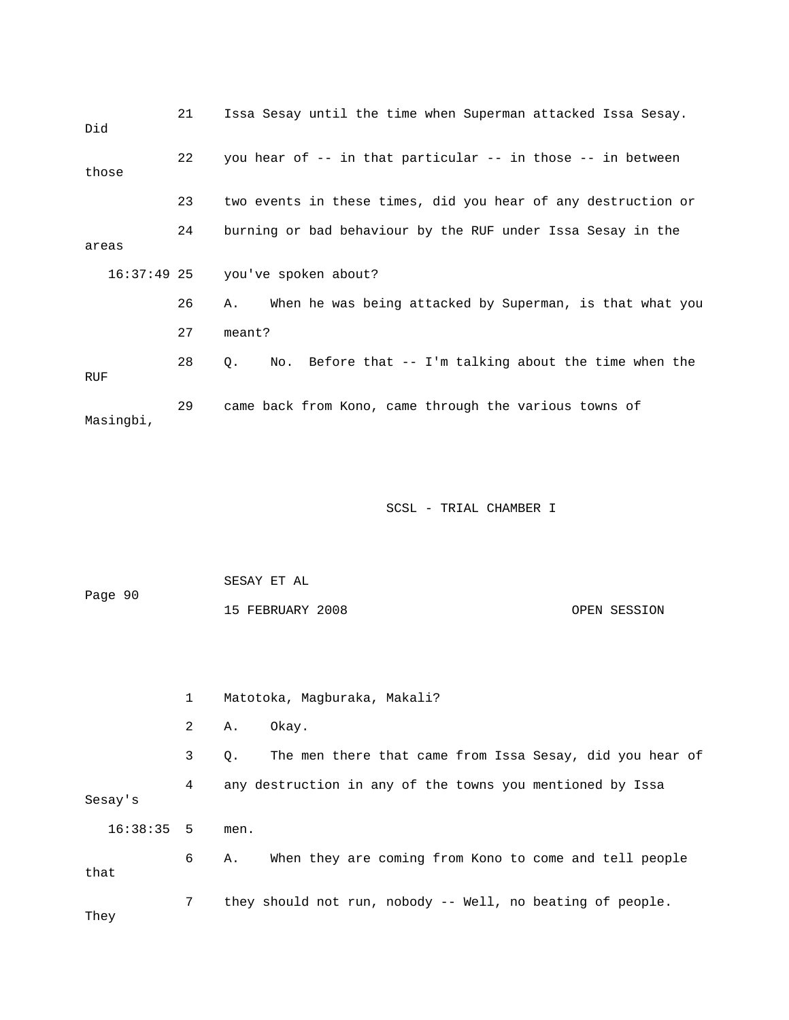| Did       | 21 | Issa Sesay until the time when Superman attacked Issa Sesay.             |
|-----------|----|--------------------------------------------------------------------------|
| those     | 22 | you hear of -- in that particular -- in those -- in between              |
|           | 23 | two events in these times, did you hear of any destruction or            |
| areas     | 24 | burning or bad behaviour by the RUF under Issa Sesay in the              |
|           |    | 16:37:49 25 you've spoken about?                                         |
|           | 26 | When he was being attacked by Superman, is that what you<br>Α.           |
|           | 27 | meant?                                                                   |
| RUF       | 28 | No. Before that $-$ - I'm talking about the time when the<br>$Q_{\star}$ |
| Masingbi, | 29 | came back from Kono, came through the various towns of                   |

 SESAY ET AL Page 90 15 FEBRUARY 2008 OPEN SESSION 1 Matotoka, Magburaka, Makali? 2 A. Okay. 3 Q. The men there that came from Issa Sesay, did you hear of

 4 any destruction in any of the towns you mentioned by Issa Sesay's 16:38:35 5 men. 6 A. When they are coming from Kono to come and tell people that

 7 they should not run, nobody -- Well, no beating of people. They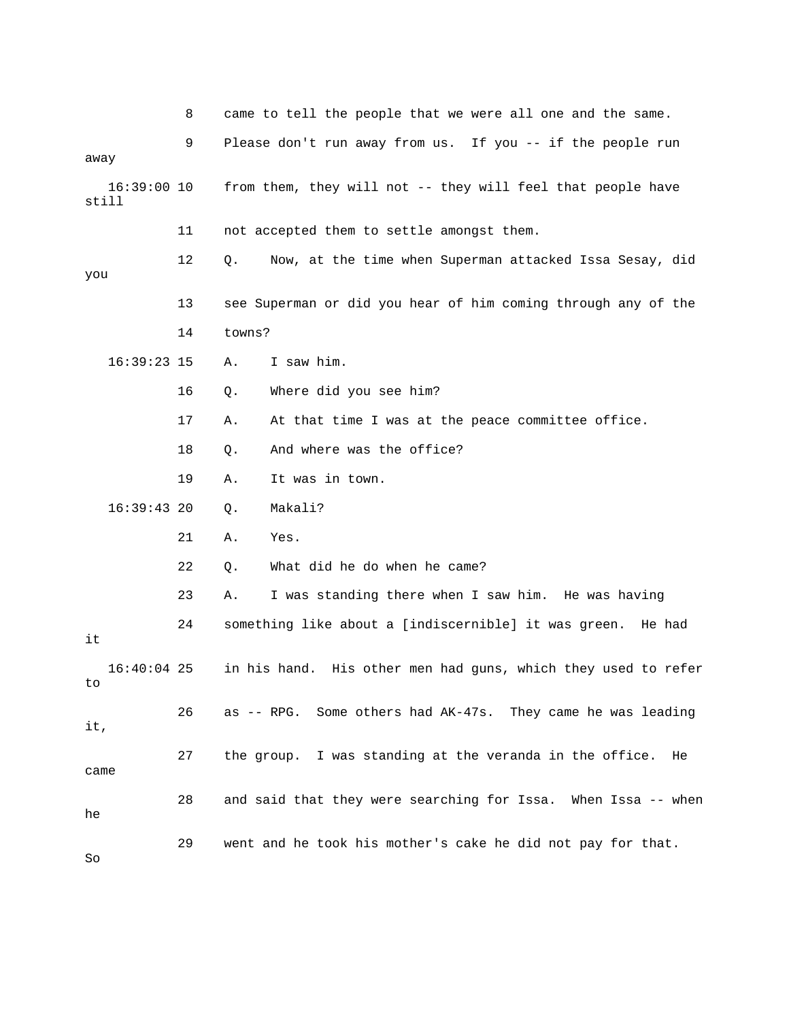|                        | 8  | came to tell the people that we were all one and the same.     |
|------------------------|----|----------------------------------------------------------------|
|                        | 9  | Please don't run away from us. If you -- if the people run     |
| away                   |    |                                                                |
| $16:39:00$ 10<br>still |    | from them, they will not -- they will feel that people have    |
|                        | 11 | not accepted them to settle amongst them.                      |
| you                    | 12 | Now, at the time when Superman attacked Issa Sesay, did<br>Q.  |
|                        | 13 | see Superman or did you hear of him coming through any of the  |
|                        | 14 | towns?                                                         |
| $16:39:23$ 15          |    | I saw him.<br>Α.                                               |
|                        | 16 | Where did you see him?<br>Q.                                   |
|                        | 17 | At that time I was at the peace committee office.<br>Α.        |
|                        | 18 | And where was the office?<br>Q.                                |
|                        | 19 | It was in town.<br>Α.                                          |
| $16:39:43$ 20          |    | Makali?<br>Q.                                                  |
|                        | 21 | Yes.<br>Α.                                                     |
|                        | 22 | What did he do when he came?<br>Q.                             |
|                        | 23 | I was standing there when I saw him. He was having<br>Α.       |
| it                     | 24 | something like about a [indiscernible] it was green.<br>He had |
| $16:40:04$ 25<br>to    |    | in his hand. His other men had guns, which they used to refer  |
| it,                    | 26 | as -- RPG. Some others had AK-47s. They came he was leading    |
| came                   | 27 | the group. I was standing at the veranda in the office.<br>He  |
| he                     | 28 | and said that they were searching for Issa. When Issa -- when  |
| So                     | 29 | went and he took his mother's cake he did not pay for that.    |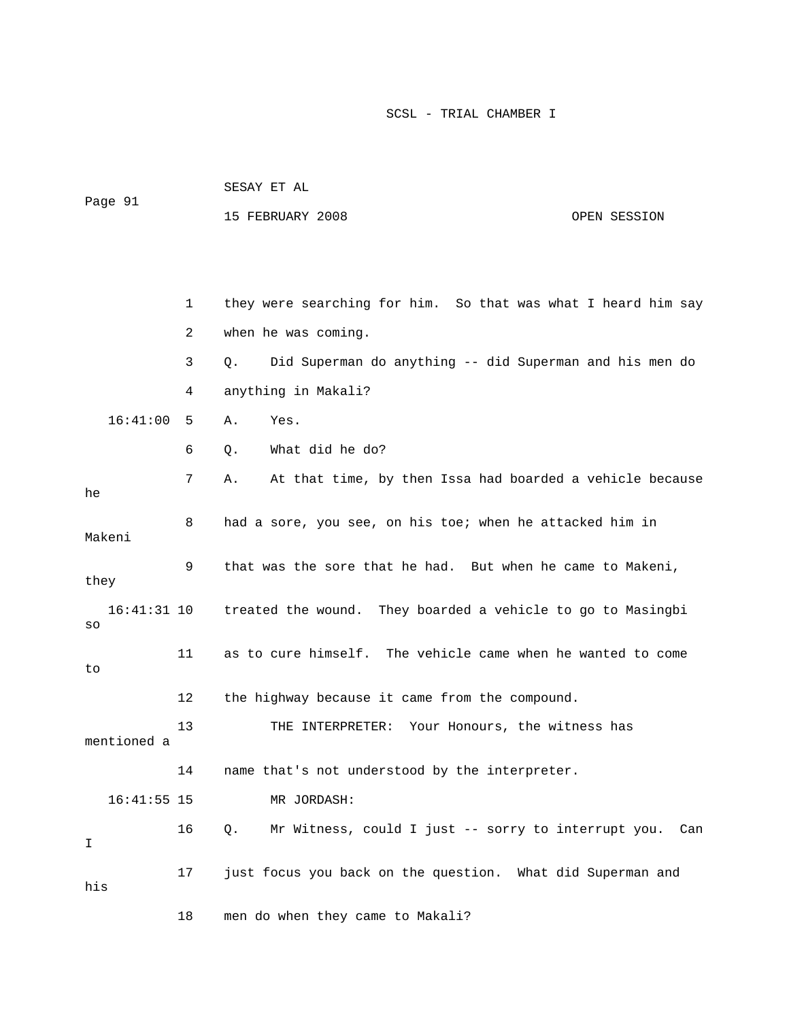| Page 91<br>15 FEBRUARY 2008<br>OPEN SESSION                                   |  |
|-------------------------------------------------------------------------------|--|
|                                                                               |  |
|                                                                               |  |
|                                                                               |  |
| they were searching for him. So that was what I heard him say<br>$\mathbf{1}$ |  |
| when he was coming.<br>2                                                      |  |

 3 Q. Did Superman do anything -- did Superman and his men do 4 anything in Makali?

16:41:00 5 A. Yes.

16:41:55 15 MR JORDASH:

6 Q. What did he do?

 7 A. At that time, by then Issa had boarded a vehicle because he 8 had a sore, you see, on his toe; when he attacked him in Makeni 9 that was the sore that he had. But when he came to Makeni, they 16:41:31 10 treated the wound. They boarded a vehicle to go to Masingbi so 11 as to cure himself. The vehicle came when he wanted to come to 12 the highway because it came from the compound. 13 THE INTERPRETER: Your Honours, the witness has mentioned a 14 name that's not understood by the interpreter.

 16 Q. Mr Witness, could I just -- sorry to interrupt you. Can I 17 just focus you back on the question. What did Superman and his

18 men do when they came to Makali?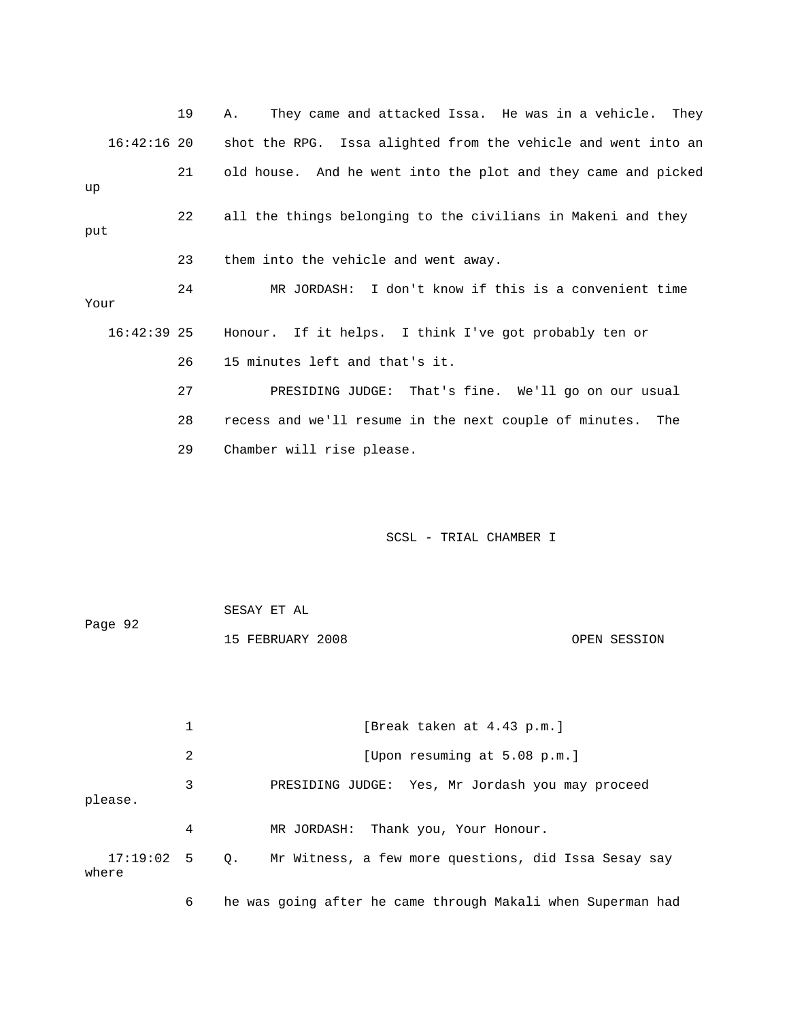19 A. They came and attacked Issa. He was in a vehicle. They 16:42:16 20 shot the RPG. Issa alighted from the vehicle and went into an 21 old house. And he went into the plot and they came and picked up 22 all the things belonging to the civilians in Makeni and they put 23 them into the vehicle and went away. 24 MR JORDASH: I don't know if this is a convenient time Your 16:42:39 25 Honour. If it helps. I think I've got probably ten or 26 15 minutes left and that's it. 27 PRESIDING JUDGE: That's fine. We'll go on our usual 28 recess and we'll resume in the next couple of minutes. The 29 Chamber will rise please.

## SCSL - TRIAL CHAMBER I

 SESAY ET AL Page 92 15 FEBRUARY 2008 OPEN SESSION

1 [Break taken at 4.43 p.m.] 2 [Upon resuming at 5.08 p.m.] 3 PRESIDING JUDGE: Yes, Mr Jordash you may proceed please. 4 MR JORDASH: Thank you, Your Honour. 17:19:02 5 Q. Mr Witness, a few more questions, did Issa Sesay say where

6 he was going after he came through Makali when Superman had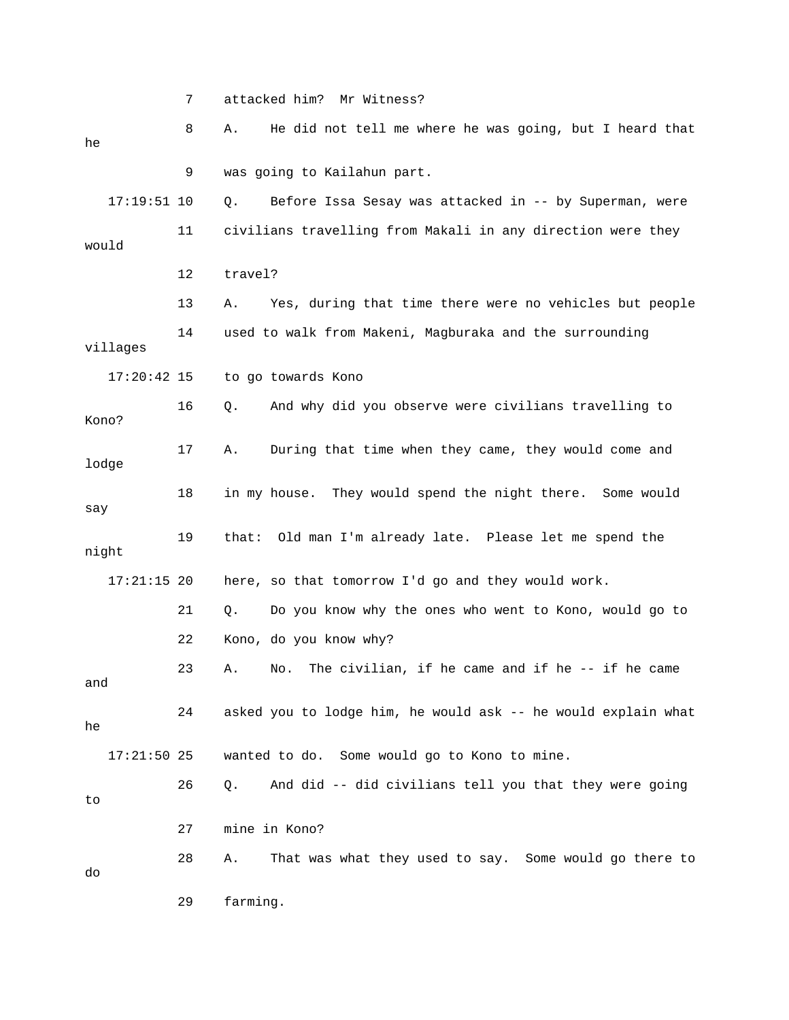7 attacked him? Mr Witness? 8 A. He did not tell me where he was going, but I heard that he 9 was going to Kailahun part. 17:19:51 10 Q. Before Issa Sesay was attacked in -- by Superman, were 11 civilians travelling from Makali in any direction were they would 12 travel? 13 A. Yes, during that time there were no vehicles but people 14 used to walk from Makeni, Magburaka and the surrounding villages 17:20:42 15 to go towards Kono 16 Q. And why did you observe were civilians travelling to Kono? 17 A. During that time when they came, they would come and lodge 18 in my house. They would spend the night there. Some would say 19 that: Old man I'm already late. Please let me spend the night 17:21:15 20 here, so that tomorrow I'd go and they would work. 21 Q. Do you know why the ones who went to Kono, would go to 22 Kono, do you know why? 23 A. No. The civilian, if he came and if he -- if he came and 24 asked you to lodge him, he would ask -- he would explain what he 17:21:50 25 wanted to do. Some would go to Kono to mine. 26 Q. And did -- did civilians tell you that they were going to 27 mine in Kono? 28 A. That was what they used to say. Some would go there to do 29 farming.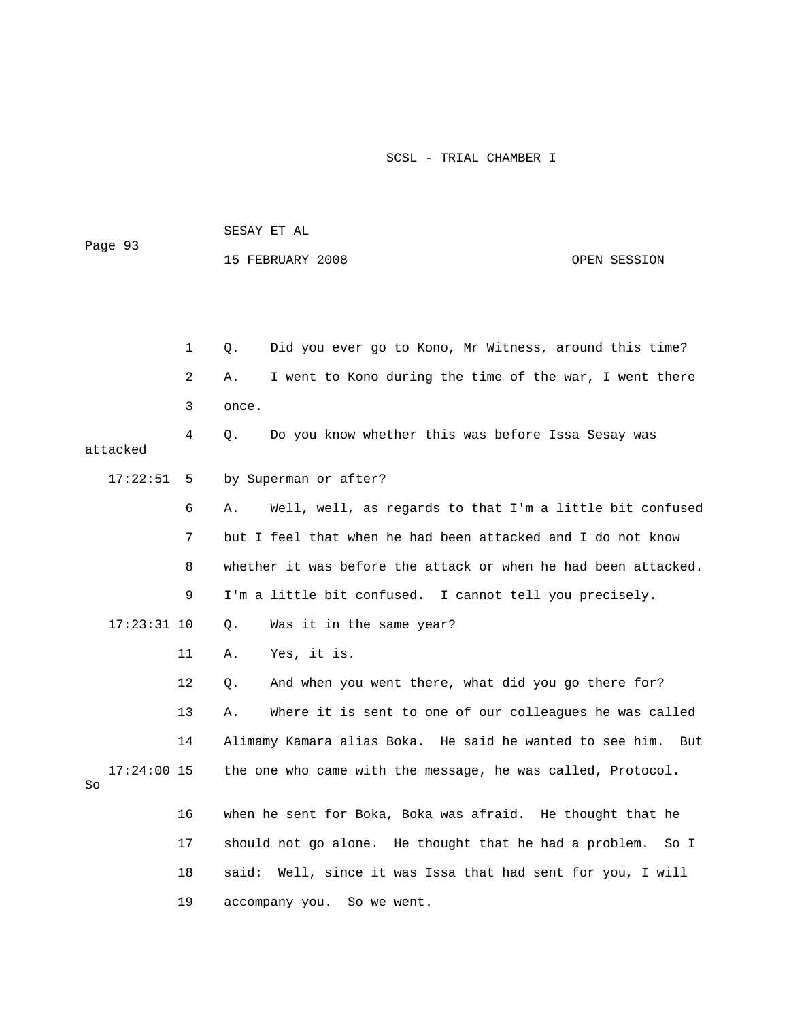| Page 93             |    | SESAY ET AL |                                                                |              |  |
|---------------------|----|-------------|----------------------------------------------------------------|--------------|--|
|                     |    |             | 15 FEBRUARY 2008                                               | OPEN SESSION |  |
|                     |    |             |                                                                |              |  |
|                     |    |             |                                                                |              |  |
|                     | 1  | Q.          | Did you ever go to Kono, Mr Witness, around this time?         |              |  |
|                     | 2  | Α.          | I went to Kono during the time of the war, I went there        |              |  |
|                     | 3  | once.       |                                                                |              |  |
| attacked            | 4  | О.          | Do you know whether this was before Issa Sesay was             |              |  |
| 17:22:51            | 5  |             | by Superman or after?                                          |              |  |
|                     | 6  | Α.          | Well, well, as regards to that I'm a little bit confused       |              |  |
|                     | 7  |             | but I feel that when he had been attacked and I do not know    |              |  |
|                     | 8  |             | whether it was before the attack or when he had been attacked. |              |  |
|                     | 9  |             | I'm a little bit confused. I cannot tell you precisely.        |              |  |
| $17:23:31$ 10       |    | Q.          | Was it in the same year?                                       |              |  |
|                     | 11 | Α.          | Yes, it is.                                                    |              |  |
|                     | 12 | Q.          | And when you went there, what did you go there for?            |              |  |
|                     | 13 | Α.          | Where it is sent to one of our colleagues he was called        |              |  |
|                     | 14 |             | Alimamy Kamara alias Boka. He said he wanted to see him.       | But          |  |
| $17:24:00$ 15<br>So |    |             | the one who came with the message, he was called, Protocol.    |              |  |
|                     | 16 |             | when he sent for Boka, Boka was afraid. He thought that he     |              |  |
|                     | 17 |             | should not go alone. He thought that he had a problem.         | So I         |  |
|                     | 18 | said:       | Well, since it was Issa that had sent for you, I will          |              |  |
|                     | 19 |             | accompany you. So we went.                                     |              |  |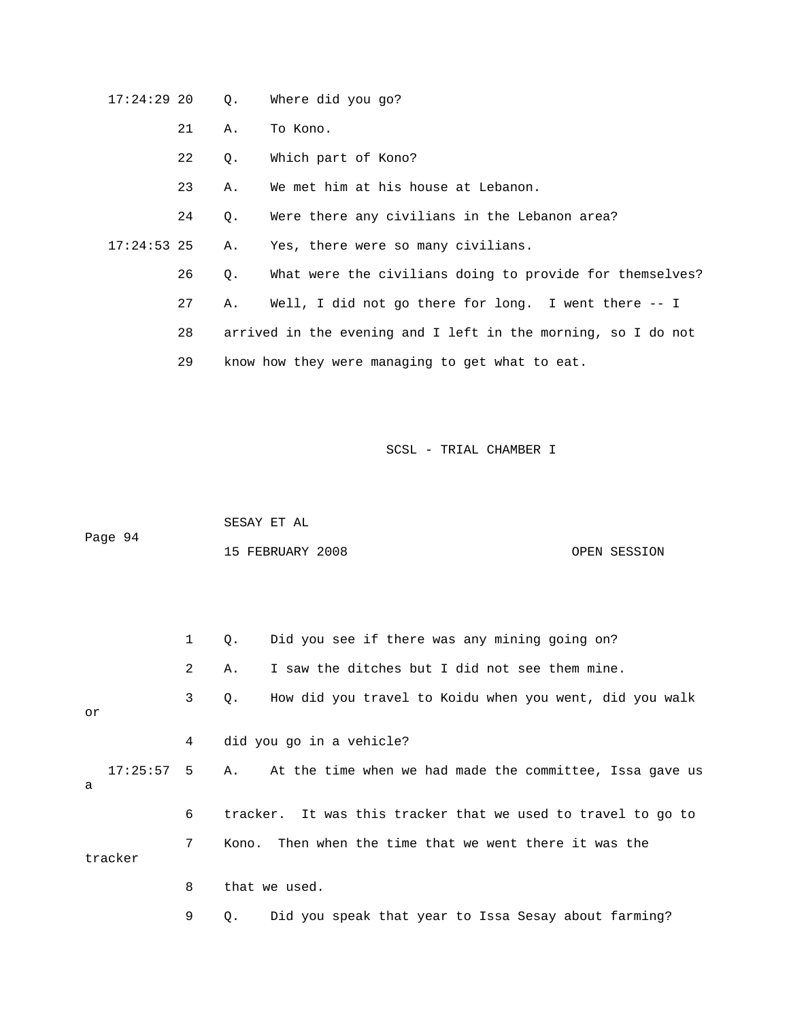17:24:29 20 Q. Where did you go?

- 21 A. To Kono.
- 22 Q. Which part of Kono?
- 23 A. We met him at his house at Lebanon.

24 Q. Were there any civilians in the Lebanon area?

17:24:53 25 A. Yes, there were so many civilians.

- 26 Q. What were the civilians doing to provide for themselves?
- 27 A. Well, I did not go there for long. I went there -- I

28 arrived in the evening and I left in the morning, so I do not

29 know how they were managing to get what to eat.

| Page 94 | SESAY ET AL      |              |
|---------|------------------|--------------|
|         | 15 FEBRUARY 2008 | OPEN SESSION |

|    |              | $\mathbf{1}$ | О.        | Did you see if there was any mining going on?                |
|----|--------------|--------------|-----------|--------------------------------------------------------------|
|    |              | 2            | Α.        | I saw the ditches but I did not see them mine.               |
| or |              | 3            | $\circ$ . | How did you travel to Koidu when you went, did you walk      |
|    |              | 4            |           | did you go in a vehicle?                                     |
| a  | $17:25:57$ 5 |              | Α.        | At the time when we had made the committee, Issa gave us     |
|    |              | 6            |           | tracker. It was this tracker that we used to travel to go to |
|    | tracker      | 7            |           | Kono. Then when the time that we went there it was the       |
|    |              | 8            |           | that we used.                                                |
|    |              | 9            | Q.        | Did you speak that year to Issa Sesay about farming?         |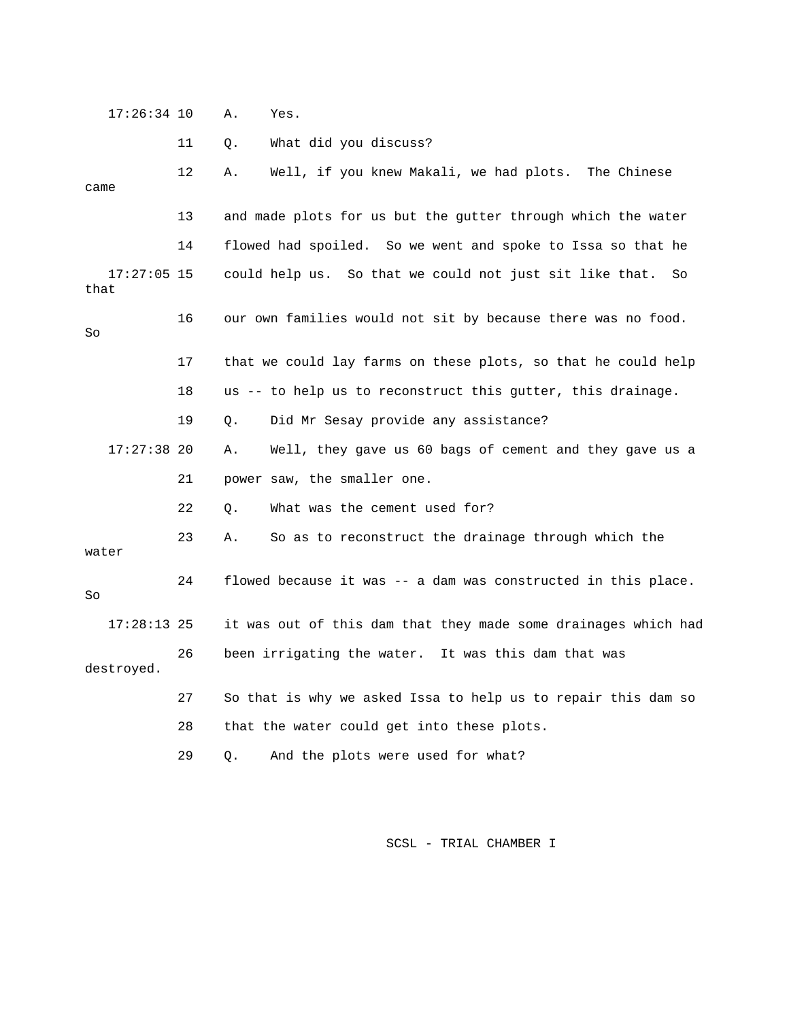17:26:34 10 A. Yes. 11 Q. What did you discuss? 12 A. Well, if you knew Makali, we had plots. The Chinese came 13 and made plots for us but the gutter through which the water 14 flowed had spoiled. So we went and spoke to Issa so that he 17:27:05 15 could help us. So that we could not just sit like that. So that 16 our own families would not sit by because there was no food. So 17 that we could lay farms on these plots, so that he could help 18 us -- to help us to reconstruct this gutter, this drainage. 19 Q. Did Mr Sesay provide any assistance? 17:27:38 20 A. Well, they gave us 60 bags of cement and they gave us a 21 power saw, the smaller one. 22 Q. What was the cement used for? 23 A. So as to reconstruct the drainage through which the water 24 flowed because it was -- a dam was constructed in this place. So 17:28:13 25 it was out of this dam that they made some drainages which had 26 been irrigating the water. It was this dam that was destroyed. 27 So that is why we asked Issa to help us to repair this dam so 28 that the water could get into these plots. 29 Q. And the plots were used for what?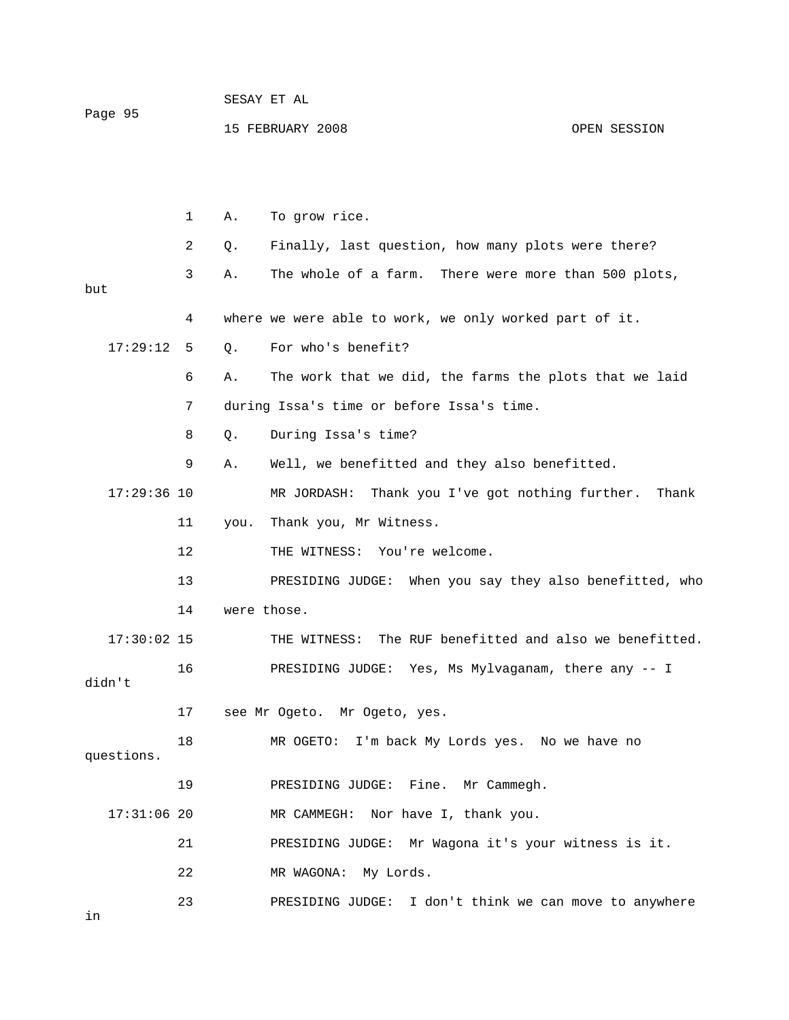| Page 95 | SESAY ET AL      |  |              |
|---------|------------------|--|--------------|
|         | 15 FEBRUARY 2008 |  | OPEN SESSION |

|               | 1  | Α.          | To grow rice.                                               |
|---------------|----|-------------|-------------------------------------------------------------|
|               | 2  | Q.          | Finally, last question, how many plots were there?          |
| but           | 3  | Α.          | The whole of a farm. There were more than 500 plots,        |
|               | 4  |             | where we were able to work, we only worked part of it.      |
| 17:29:12      | 5  | Q.          | For who's benefit?                                          |
|               | 6  | Α.          | The work that we did, the farms the plots that we laid      |
|               | 7  |             | during Issa's time or before Issa's time.                   |
|               | 8  | Q.          | During Issa's time?                                         |
|               | 9  | Α.          | Well, we benefitted and they also benefitted.               |
| $17:29:36$ 10 |    |             | MR JORDASH:<br>Thank you I've got nothing further.<br>Thank |
|               | 11 | you.        | Thank you, Mr Witness.                                      |
|               | 12 |             | THE WITNESS: You're welcome.                                |
|               | 13 |             | PRESIDING JUDGE: When you say they also benefitted, who     |
|               | 14 | were those. |                                                             |
| $17:30:02$ 15 |    |             | THE WITNESS: The RUF benefitted and also we benefitted.     |
| didn't        | 16 |             | PRESIDING JUDGE: Yes, Ms Mylvaganam, there any -- I         |
|               | 17 |             | see Mr Ogeto. Mr Ogeto, yes.                                |
| questions.    | 18 |             | MR OGETO: I'm back My Lords yes. No we have no              |
|               | 19 |             | PRESIDING JUDGE: Fine. Mr Cammegh.                          |
| $17:31:06$ 20 |    |             | Nor have I, thank you.<br>MR CAMMEGH:                       |
|               | 21 |             | Mr Wagona it's your witness is it.<br>PRESIDING JUDGE:      |
|               | 22 |             | My Lords.<br>MR WAGONA:                                     |
|               | 23 |             | I don't think we can move to anywhere<br>PRESIDING JUDGE:   |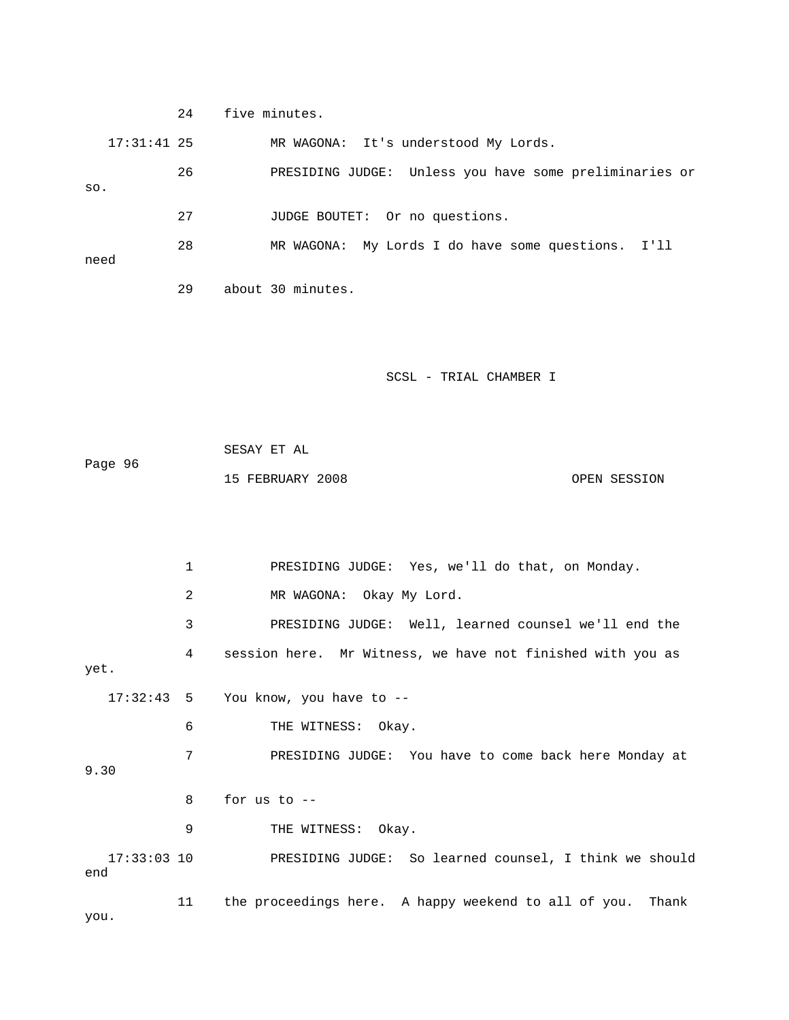24 five minutes. 17:31:41 25 MR WAGONA: It's understood My Lords. 26 PRESIDING JUDGE: Unless you have some preliminaries or so. 27 JUDGE BOUTET: Or no questions. 28 MR WAGONA: My Lords I do have some questions. I'll need 29 about 30 minutes.

SCSL - TRIAL CHAMBER I

 SESAY ET AL Page 96 15 FEBRUARY 2008 OPEN SESSION

 1 PRESIDING JUDGE: Yes, we'll do that, on Monday. 2 MR WAGONA: Okay My Lord. 3 PRESIDING JUDGE: Well, learned counsel we'll end the 4 session here. Mr Witness, we have not finished with you as yet. 17:32:43 5 You know, you have to -- 6 THE WITNESS: Okay. 7 PRESIDING JUDGE: You have to come back here Monday at 9.30 8 for us to -- 9 THE WITNESS: Okay. 17:33:03 10 PRESIDING JUDGE: So learned counsel, I think we should end 11 the proceedings here. A happy weekend to all of you. Thank you.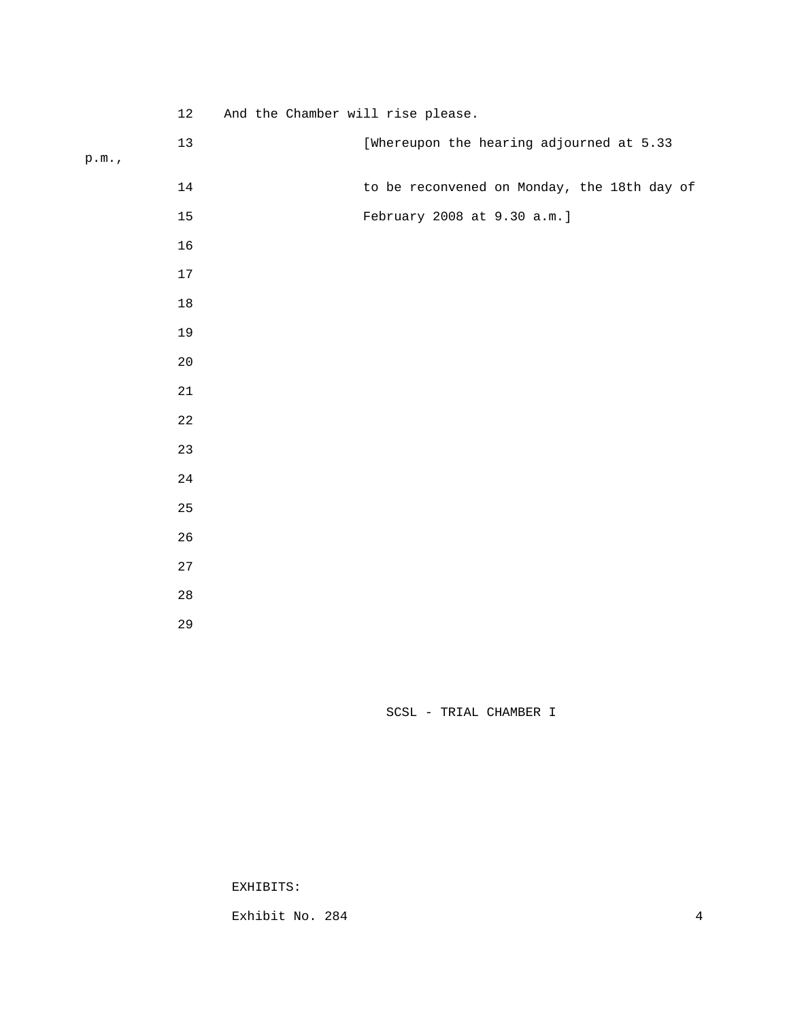12 And the Chamber will rise please.

|  | ×<br>۰. |  |
|--|---------|--|

|       | $13\,$      | [Whereupon the hearing adjourned at 5.33    |
|-------|-------------|---------------------------------------------|
| p.m., |             |                                             |
|       | $14$        | to be reconvened on Monday, the 18th day of |
|       | 15          | February 2008 at 9.30 a.m.]                 |
|       | 16          |                                             |
|       | $17\,$      |                                             |
|       | $18\,$      |                                             |
|       | 19          |                                             |
|       | $20\,$      |                                             |
|       | $21\,$      |                                             |
|       | $2\sqrt{2}$ |                                             |
|       | 23          |                                             |
|       | $2\sqrt{4}$ |                                             |
|       | $25\,$      |                                             |
|       | 26          |                                             |
|       | 27          |                                             |
|       | $2\,8$      |                                             |
|       | 29          |                                             |

SCSL - TRIAL CHAMBER I

EXHIBITS:

Exhibit No. 284 4